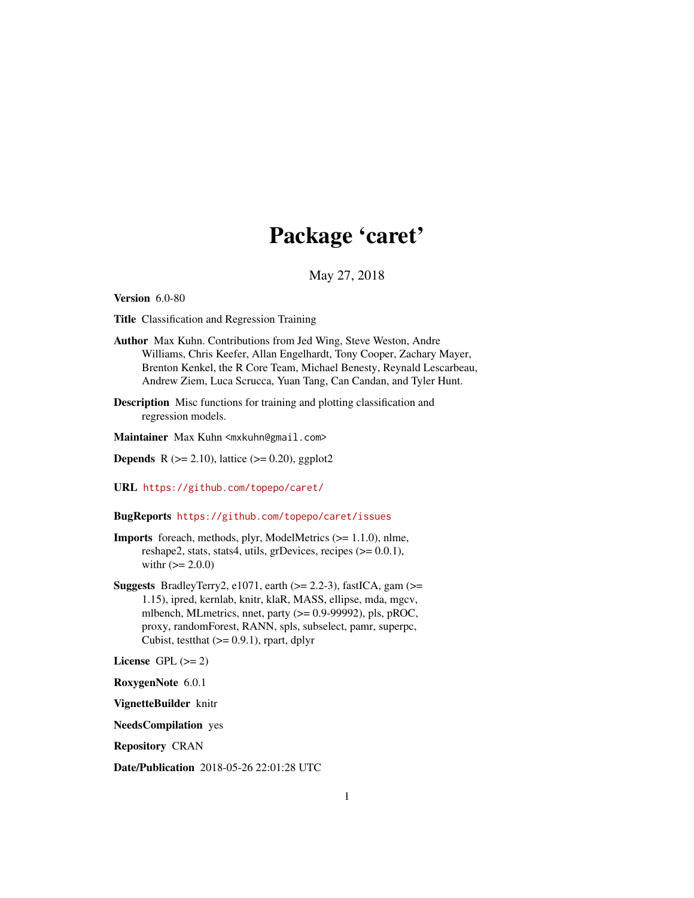# Package 'caret'

# May 27, 2018

<span id="page-0-0"></span>Version 6.0-80

Title Classification and Regression Training

Author Max Kuhn. Contributions from Jed Wing, Steve Weston, Andre Williams, Chris Keefer, Allan Engelhardt, Tony Cooper, Zachary Mayer, Brenton Kenkel, the R Core Team, Michael Benesty, Reynald Lescarbeau, Andrew Ziem, Luca Scrucca, Yuan Tang, Can Candan, and Tyler Hunt.

Description Misc functions for training and plotting classification and regression models.

Maintainer Max Kuhn <mxkuhn@gmail.com>

**Depends** R  $(>= 2.10)$ , lattice  $(>= 0.20)$ , ggplot2

URL <https://github.com/topepo/caret/>

## BugReports <https://github.com/topepo/caret/issues>

- Imports foreach, methods, plyr, ModelMetrics (>= 1.1.0), nlme, reshape2, stats, stats4, utils, grDevices, recipes  $(>= 0.0.1)$ , with  $(>= 2.0.0)$
- Suggests BradleyTerry2, e1071, earth  $(>= 2.2-3)$ , fastICA, gam $(>=$ 1.15), ipred, kernlab, knitr, klaR, MASS, ellipse, mda, mgcv, mlbench, MLmetrics, nnet, party  $(>= 0.9 - 99992)$ , pls, pROC, proxy, randomForest, RANN, spls, subselect, pamr, superpc, Cubist, test that  $(>= 0.9.1)$ , rpart, dplyr

License GPL  $(>= 2)$ 

RoxygenNote 6.0.1

VignetteBuilder knitr

NeedsCompilation yes

Repository CRAN

Date/Publication 2018-05-26 22:01:28 UTC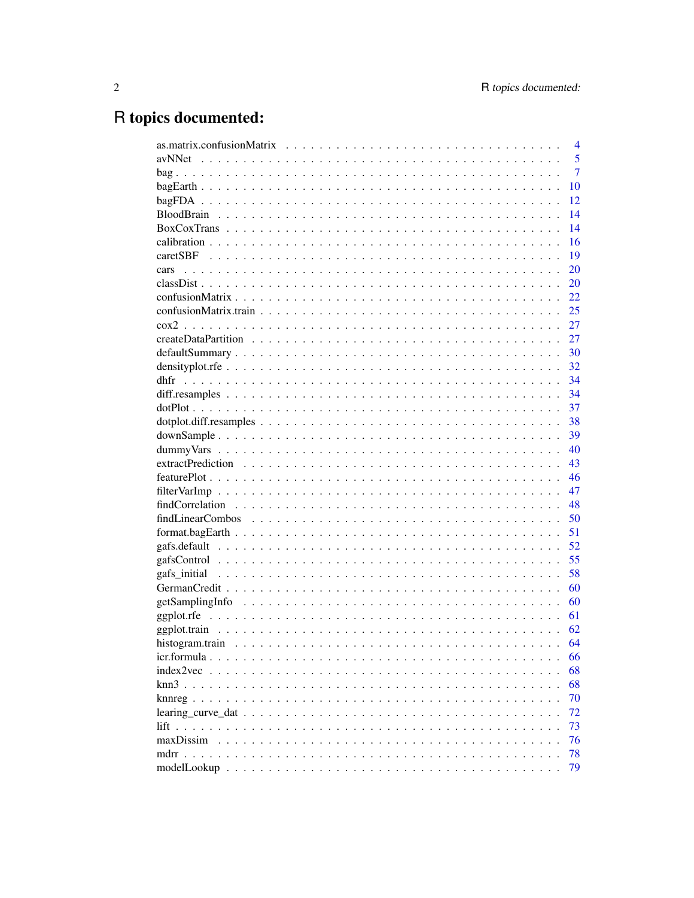# R topics documented:

|           | $\overline{4}$ |
|-----------|----------------|
|           | 5              |
|           | $\overline{7}$ |
|           | 10             |
|           | 12             |
|           | 14             |
|           | 14             |
|           | 16             |
|           | 19             |
| cars      | 20             |
|           | 20             |
|           | 22             |
|           | 25             |
|           | 27             |
|           | 27             |
|           | 30             |
|           | 32             |
|           | 34             |
|           | 34             |
|           | 37             |
|           | 38             |
|           | 39             |
|           | 40             |
|           | 43             |
|           | 46             |
|           | 47             |
|           | 48             |
|           | 50             |
|           | 51             |
|           | 52             |
|           | 55             |
|           | 58             |
|           | 60             |
|           | 60             |
|           | 61             |
|           | 62             |
|           | 64             |
|           | 66             |
|           | 68             |
|           | 68             |
|           | 70             |
|           | 72             |
| lift      | 73             |
| maxDissim | 76             |
| mdrr.     | 78             |
|           | 79             |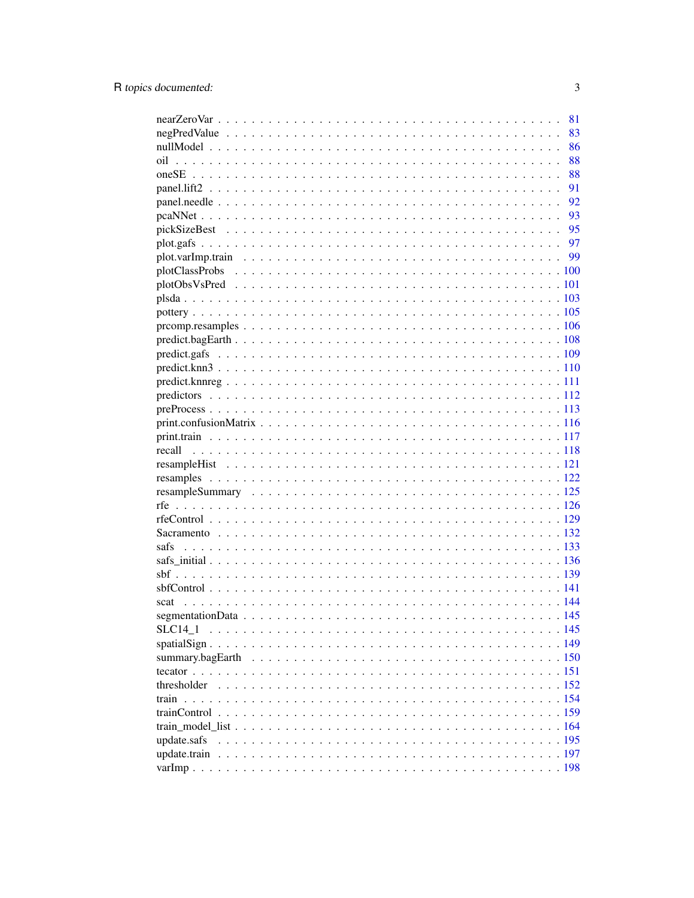|             | 81 |
|-------------|----|
|             | 83 |
|             | 86 |
| oil         | 88 |
|             | 88 |
|             | 91 |
|             | 92 |
|             |    |
|             |    |
|             |    |
|             |    |
|             |    |
|             |    |
|             |    |
|             |    |
|             |    |
|             |    |
|             |    |
|             |    |
|             |    |
|             |    |
|             |    |
|             |    |
|             |    |
|             |    |
|             |    |
|             |    |
|             |    |
|             |    |
|             |    |
|             |    |
|             |    |
|             |    |
|             |    |
|             |    |
| scat        |    |
|             |    |
| SLC14 1     |    |
|             |    |
|             |    |
|             |    |
|             |    |
| train       |    |
|             |    |
|             |    |
| update.safs |    |
|             |    |
|             |    |
|             |    |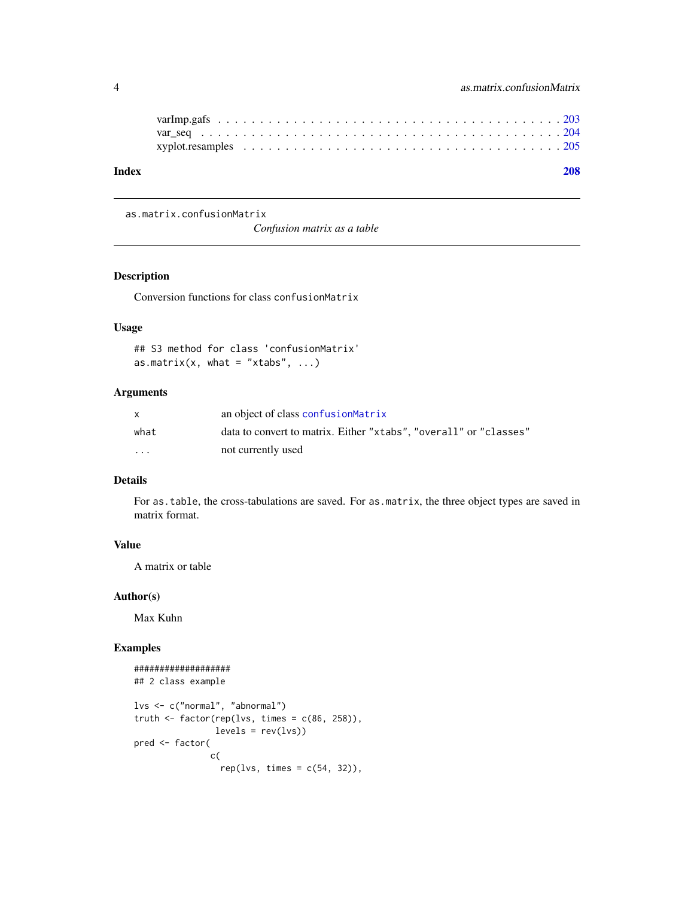<span id="page-3-0"></span>

| Index |  |  |  | 208 |
|-------|--|--|--|-----|
|       |  |  |  |     |
|       |  |  |  |     |
|       |  |  |  |     |
|       |  |  |  |     |

#### <span id="page-3-2"></span>as.matrix.confusionMatrix

*Confusion matrix as a table*

## <span id="page-3-1"></span>Description

Conversion functions for class confusionMatrix

## Usage

```
## S3 method for class 'confusionMatrix'
as.matrix(x, what = "xtabs", \dots)
```
# Arguments

| X        | an object of class confusion Matrix                               |
|----------|-------------------------------------------------------------------|
| what     | data to convert to matrix. Either "xtabs", "overall" or "classes" |
| $\cdots$ | not currently used                                                |

# Details

For as.table, the cross-tabulations are saved. For as.matrix, the three object types are saved in matrix format.

# Value

A matrix or table

# Author(s)

Max Kuhn

```
###################
## 2 class example
lvs <- c("normal", "abnormal")
truth <- factor(rep(lvs, times = c(86, 258)),
               levels = rev(lvs)pred <- factor(
              c(
                 rep(lvs, times = c(54, 32)),
```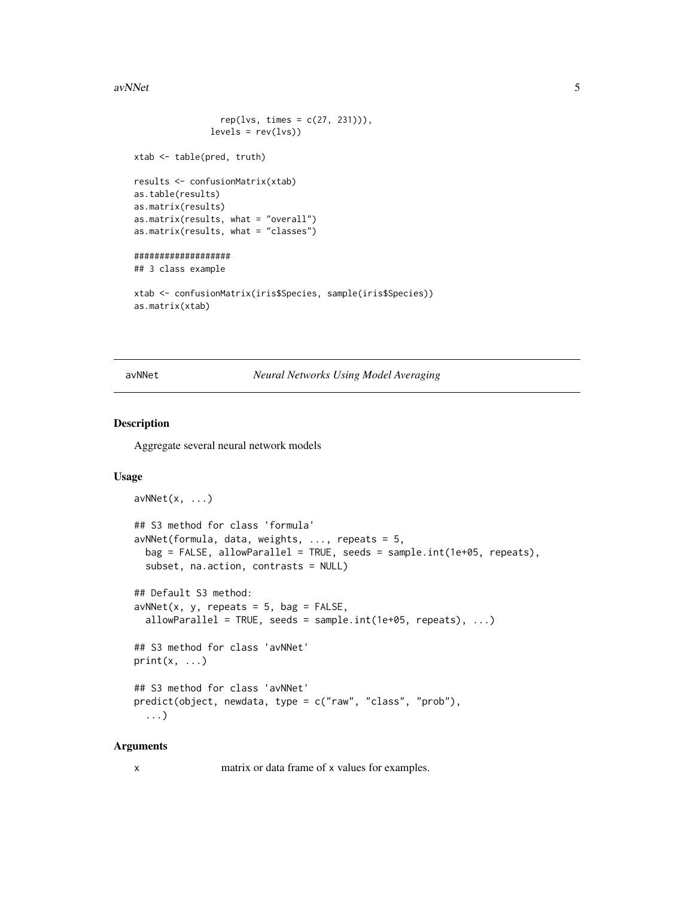#### <span id="page-4-0"></span> $a v NNet$  5

```
rep(lvs, times = c(27, 231))),levels = rev(lvs)xtab <- table(pred, truth)
results <- confusionMatrix(xtab)
as.table(results)
as.matrix(results)
as.matrix(results, what = "overall")
as.matrix(results, what = "classes")
###################
## 3 class example
xtab <- confusionMatrix(iris$Species, sample(iris$Species))
as.matrix(xtab)
```
avNNet *Neural Networks Using Model Averaging*

# Description

Aggregate several neural network models

#### Usage

```
avNNet(x, \ldots)## S3 method for class 'formula'
avNNet(formula, data, weights, ..., repeats = 5,
 bag = FALSE, allowParallel = TRUE, seeds = sample.int(1e+05, repeats),
  subset, na.action, contrasts = NULL)
## Default S3 method:
avNNet(x, y, repeats = 5, bag = FALSE,allowParallel = TRUE, seeds = sample.int(1e+05, repeats), \dots)
## S3 method for class 'avNNet'
print(x, \ldots)## S3 method for class 'avNNet'
predict(object, newdata, type = c("raw", "class", "prob"),
  ...)
```
## Arguments

x matrix or data frame of x values for examples.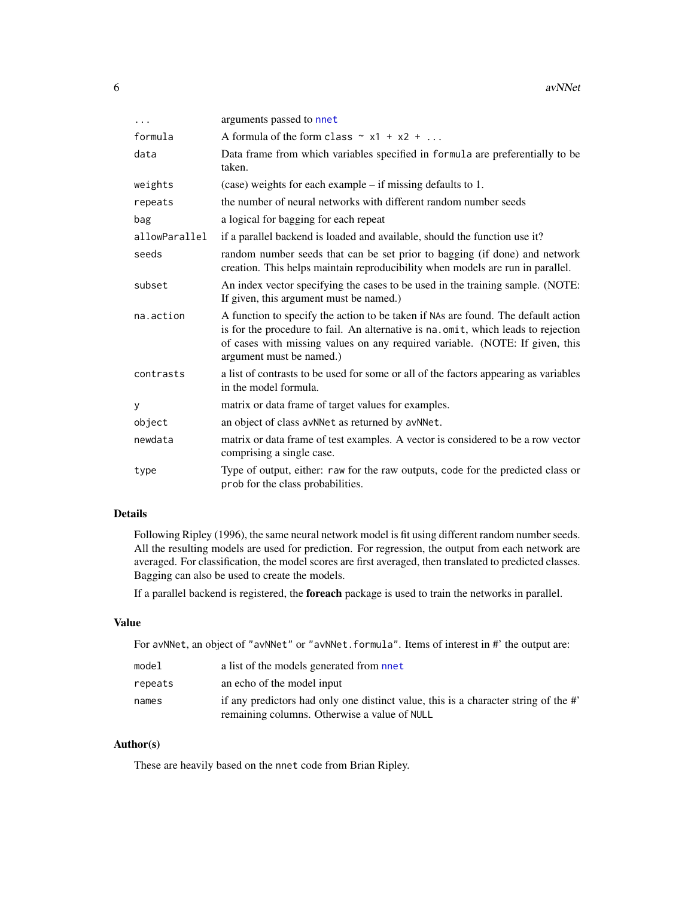| .             | arguments passed to nnet                                                                                                                                                                                                                                                           |
|---------------|------------------------------------------------------------------------------------------------------------------------------------------------------------------------------------------------------------------------------------------------------------------------------------|
| formula       | A formula of the form class $\sim x1 + x2 + $                                                                                                                                                                                                                                      |
| data          | Data frame from which variables specified in formula are preferentially to be<br>taken.                                                                                                                                                                                            |
| weights       | (case) weights for each example – if missing defaults to 1.                                                                                                                                                                                                                        |
| repeats       | the number of neural networks with different random number seeds                                                                                                                                                                                                                   |
| bag           | a logical for bagging for each repeat                                                                                                                                                                                                                                              |
| allowParallel | if a parallel backend is loaded and available, should the function use it?                                                                                                                                                                                                         |
| seeds         | random number seeds that can be set prior to bagging (if done) and network<br>creation. This helps maintain reproducibility when models are run in parallel.                                                                                                                       |
| subset        | An index vector specifying the cases to be used in the training sample. (NOTE:<br>If given, this argument must be named.)                                                                                                                                                          |
| na.action     | A function to specify the action to be taken if NAs are found. The default action<br>is for the procedure to fail. An alternative is na.omit, which leads to rejection<br>of cases with missing values on any required variable. (NOTE: If given, this<br>argument must be named.) |
| contrasts     | a list of contrasts to be used for some or all of the factors appearing as variables<br>in the model formula.                                                                                                                                                                      |
| У             | matrix or data frame of target values for examples.                                                                                                                                                                                                                                |
| object        | an object of class avNNet as returned by avNNet.                                                                                                                                                                                                                                   |
| newdata       | matrix or data frame of test examples. A vector is considered to be a row vector<br>comprising a single case.                                                                                                                                                                      |
| type          | Type of output, either: raw for the raw outputs, code for the predicted class or<br>prob for the class probabilities.                                                                                                                                                              |

# Details

Following Ripley (1996), the same neural network model is fit using different random number seeds. All the resulting models are used for prediction. For regression, the output from each network are averaged. For classification, the model scores are first averaged, then translated to predicted classes. Bagging can also be used to create the models.

If a parallel backend is registered, the foreach package is used to train the networks in parallel.

# Value

For avNNet, an object of "avNNet" or "avNNet.formula". Items of interest in #' the output are:

| model   | a list of the models generated from nnet                                            |
|---------|-------------------------------------------------------------------------------------|
| repeats | an echo of the model input                                                          |
| names   | if any predictors had only one distinct value, this is a character string of the #' |
|         | remaining columns. Otherwise a value of NULL                                        |

# Author(s)

These are heavily based on the nnet code from Brian Ripley.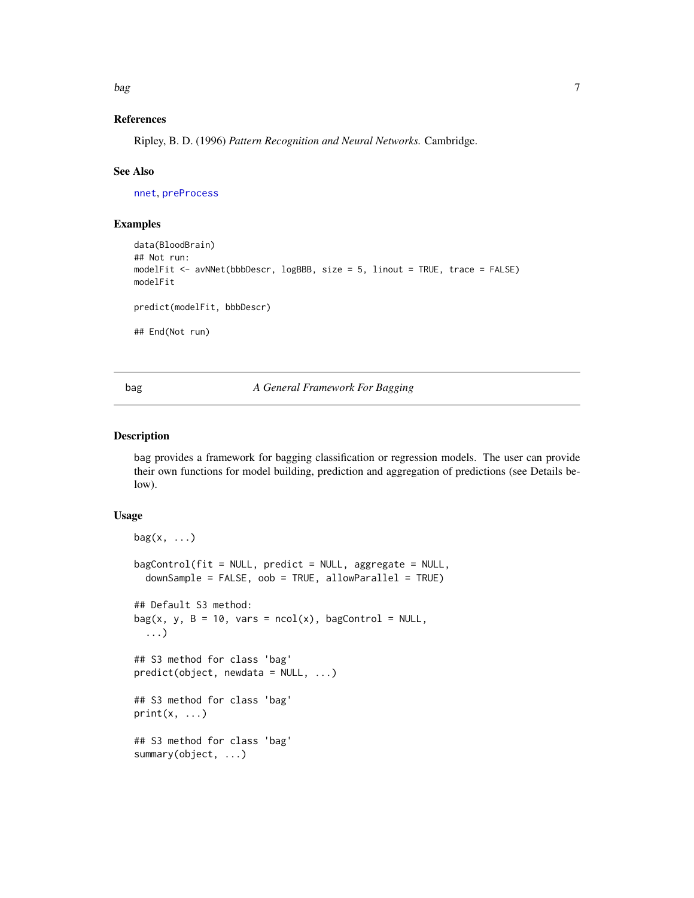<span id="page-6-0"></span>bag and the state of the state of the state of the state of the state of the state of the state of the state o

## References

Ripley, B. D. (1996) *Pattern Recognition and Neural Networks.* Cambridge.

#### See Also

[nnet](#page-0-0), [preProcess](#page-112-1)

# Examples

```
data(BloodBrain)
## Not run:
modelFit <- avNNet(bbbDescr, logBBB, size = 5, linout = TRUE, trace = FALSE)
modelFit
predict(modelFit, bbbDescr)
## End(Not run)
```
# bag *A General Framework For Bagging*

# Description

bag provides a framework for bagging classification or regression models. The user can provide their own functions for model building, prediction and aggregation of predictions (see Details below).

#### Usage

```
bag(x, \ldots)bagControl(fit = NULL, predict = NULL, aggregate = NULL,
  downSample = FALSE, oob = TRUE, allowParallel = TRUE)
## Default S3 method:
bag(x, y, B = 10, vars = ncol(x), bagControl = NULL,
  ...)
## S3 method for class 'bag'
predict(object, newdata = NULL, ...)
## S3 method for class 'bag'
print(x, \ldots)## S3 method for class 'bag'
summary(object, ...)
```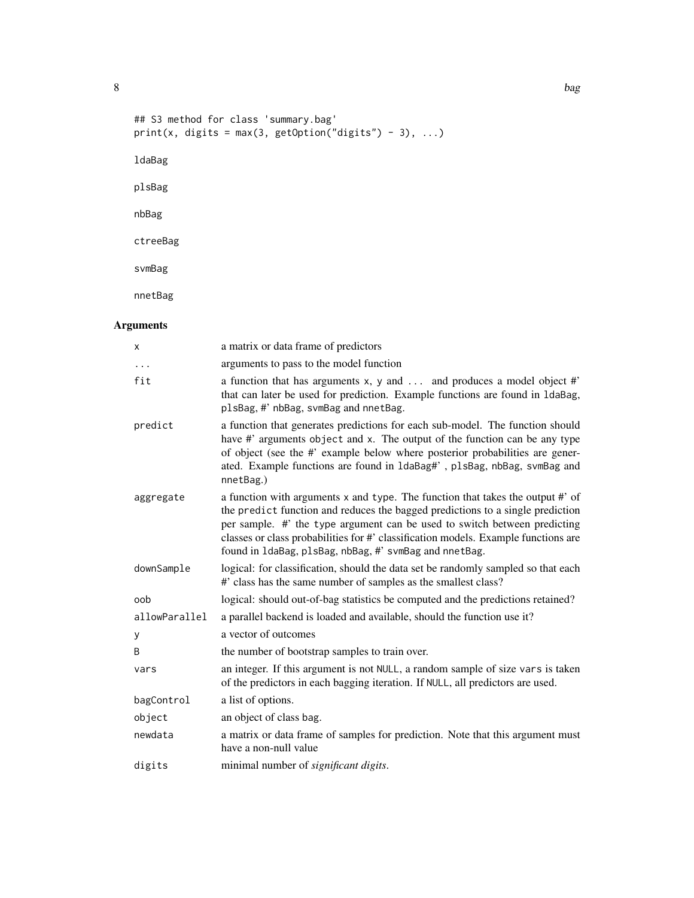```
## S3 method for class 'summary.bag'
print(x, digits = max(3, getOption("digits") - 3), \ldots)
ldaBag
plsBag
nbBag
ctreeBag
svmBag
```
nnetBag

# Arguments

| X             | a matrix or data frame of predictors                                                                                                                                                                                                                                                                                                                                                          |
|---------------|-----------------------------------------------------------------------------------------------------------------------------------------------------------------------------------------------------------------------------------------------------------------------------------------------------------------------------------------------------------------------------------------------|
| .             | arguments to pass to the model function                                                                                                                                                                                                                                                                                                                                                       |
| fit           | a function that has arguments x, y and  and produces a model object #'<br>that can later be used for prediction. Example functions are found in 1daBag,<br>plsBag, #' nbBag, svmBag and nnetBag.                                                                                                                                                                                              |
| predict       | a function that generates predictions for each sub-model. The function should<br>have #' arguments object and x. The output of the function can be any type<br>of object (see the #' example below where posterior probabilities are gener-<br>ated. Example functions are found in 1daBag#', p1sBag, nbBag, svmBag and<br>nnetBag.)                                                          |
| aggregate     | a function with arguments x and type. The function that takes the output #' of<br>the predict function and reduces the bagged predictions to a single prediction<br>per sample. #' the type argument can be used to switch between predicting<br>classes or class probabilities for #' classification models. Example functions are<br>found in 1daBag, plsBag, nbBag, #' svmBag and nnetBag. |
| downSample    | logical: for classification, should the data set be randomly sampled so that each<br>#' class has the same number of samples as the smallest class?                                                                                                                                                                                                                                           |
| oob           | logical: should out-of-bag statistics be computed and the predictions retained?                                                                                                                                                                                                                                                                                                               |
| allowParallel | a parallel backend is loaded and available, should the function use it?                                                                                                                                                                                                                                                                                                                       |
| y             | a vector of outcomes                                                                                                                                                                                                                                                                                                                                                                          |
| Β             | the number of bootstrap samples to train over.                                                                                                                                                                                                                                                                                                                                                |
| vars          | an integer. If this argument is not NULL, a random sample of size vars is taken<br>of the predictors in each bagging iteration. If NULL, all predictors are used.                                                                                                                                                                                                                             |
| bagControl    | a list of options.                                                                                                                                                                                                                                                                                                                                                                            |
| object        | an object of class bag.                                                                                                                                                                                                                                                                                                                                                                       |
| newdata       | a matrix or data frame of samples for prediction. Note that this argument must<br>have a non-null value                                                                                                                                                                                                                                                                                       |
| digits        | minimal number of significant digits.                                                                                                                                                                                                                                                                                                                                                         |

8 bag and the state of the state of the state of the state of the state of the state of the state of the state of the state of the state of the state of the state of the state of the state of the state of the state of the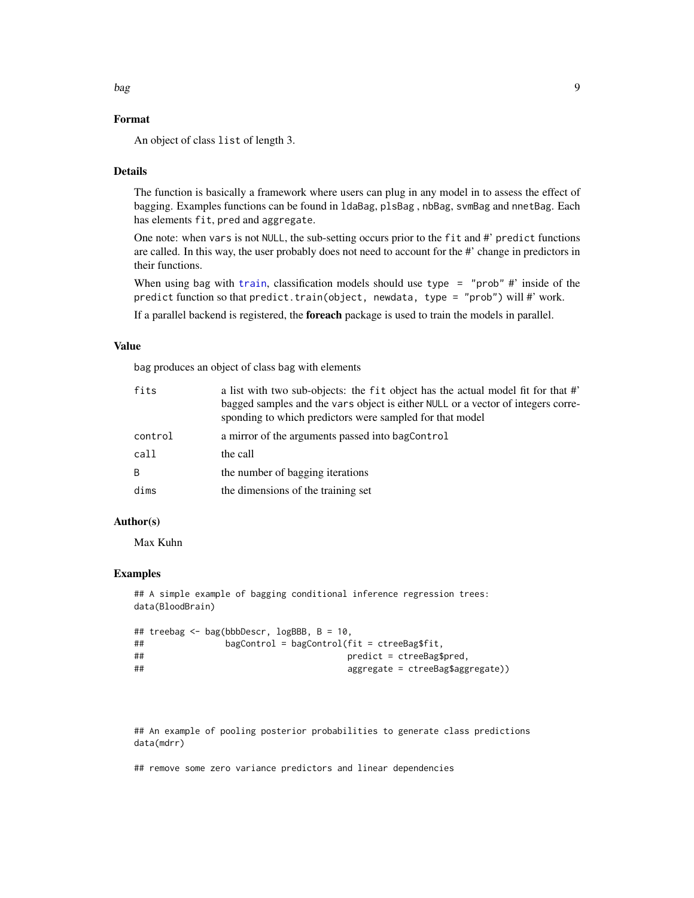#### bag bag and the set of the set of the set of the set of the set of the set of the set of the set of the set of

# Format

An object of class list of length 3.

# Details

The function is basically a framework where users can plug in any model in to assess the effect of bagging. Examples functions can be found in ldaBag, plsBag , nbBag, svmBag and nnetBag. Each has elements fit, pred and aggregate.

One note: when vars is not NULL, the sub-setting occurs prior to the fit and #' predict functions are called. In this way, the user probably does not need to account for the #' change in predictors in their functions.

When using bag with [train](#page-153-1), classification models should use type = "prob"  $\#$ " inside of the predict function so that predict.train(object, newdata, type = "prob") will #' work.

If a parallel backend is registered, the foreach package is used to train the models in parallel.

## Value

bag produces an object of class bag with elements

| fits         | a list with two sub-objects: the fit object has the actual model fit for that #'<br>bagged samples and the vars object is either NULL or a vector of integers corre-<br>sponding to which predictors were sampled for that model |
|--------------|----------------------------------------------------------------------------------------------------------------------------------------------------------------------------------------------------------------------------------|
| control      | a mirror of the arguments passed into bagControl                                                                                                                                                                                 |
| call         | the call                                                                                                                                                                                                                         |
| <sub>B</sub> | the number of bagging iterations                                                                                                                                                                                                 |
| dims         | the dimensions of the training set                                                                                                                                                                                               |

## Author(s)

Max Kuhn

#### Examples

```
## A simple example of bagging conditional inference regression trees:
data(BloodBrain)
```

```
## treebag <- bag(bbbDescr, logBBB, B = 10,
## bagControl = bagControl(fit = ctreeBag$fit,
## predict = ctreeBag$pred,
## aggregate = ctreeBag$aggregate))
```
## An example of pooling posterior probabilities to generate class predictions data(mdrr)

## remove some zero variance predictors and linear dependencies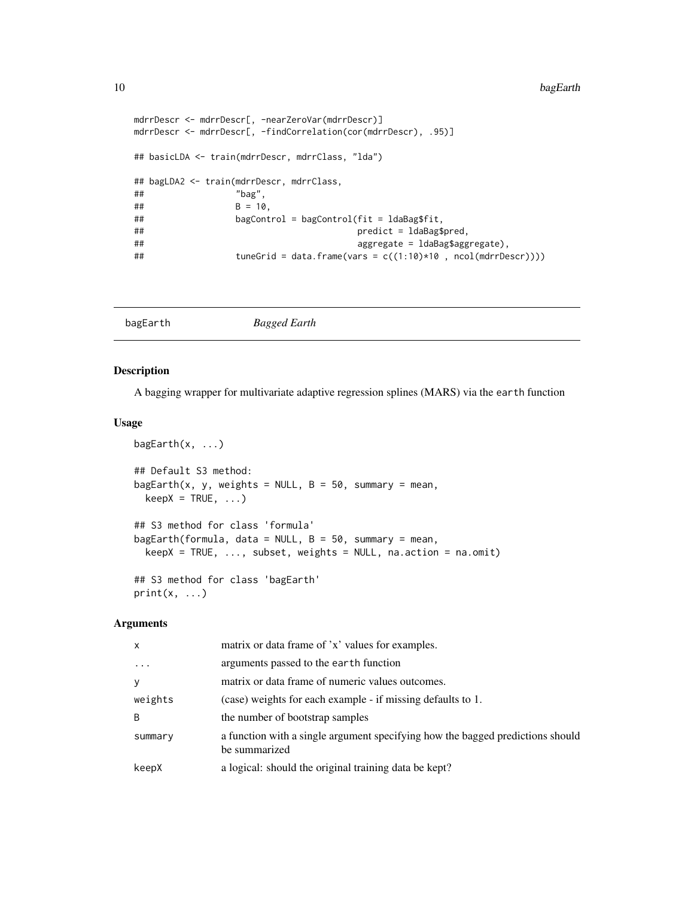```
mdrrDescr <- mdrrDescr[, -nearZeroVar(mdrrDescr)]
mdrrDescr <- mdrrDescr[, -findCorrelation(cor(mdrrDescr), .95)]
## basicLDA <- train(mdrrDescr, mdrrClass, "lda")
## bagLDA2 <- train(mdrrDescr, mdrrClass,
## "bag",
## B = 10,
## bagControl = bagControl(fit = ldaBag$fit,
## predict = ldaBag$pred,
## aggregate = ldaBag$aggregate),
## tuneGrid = data.frame(vars = c((1:10)*10 , ncol(mdrrDescr))))
```

| <b>Bagged Earth</b><br>bagEarth |
|---------------------------------|
|---------------------------------|

#### Description

A bagging wrapper for multivariate adaptive regression splines (MARS) via the earth function

#### Usage

```
bagEarth(x, \ldots)## Default S3 method:
bagEarth(x, y, weights = NULL, B = 50, summary = mean,
  keepX = TRUE, ...)## S3 method for class 'formula'
bagEarth(formula, data = NULL, B = 50, summary = mean,
 keepX = TRUE, ..., subset, weights = NULL, na. action = na. omit)## S3 method for class 'bagEarth'
print(x, \ldots)
```
# Arguments

| $\mathsf{x}$ | matrix or data frame of 'x' values for examples.                                                |
|--------------|-------------------------------------------------------------------------------------------------|
| $\cdots$     | arguments passed to the earth function                                                          |
| У            | matrix or data frame of numeric values outcomes.                                                |
| weights      | (case) weights for each example - if missing defaults to 1.                                     |
| B            | the number of bootstrap samples                                                                 |
| summary      | a function with a single argument specifying how the bagged predictions should<br>be summarized |
| keepX        | a logical: should the original training data be kept?                                           |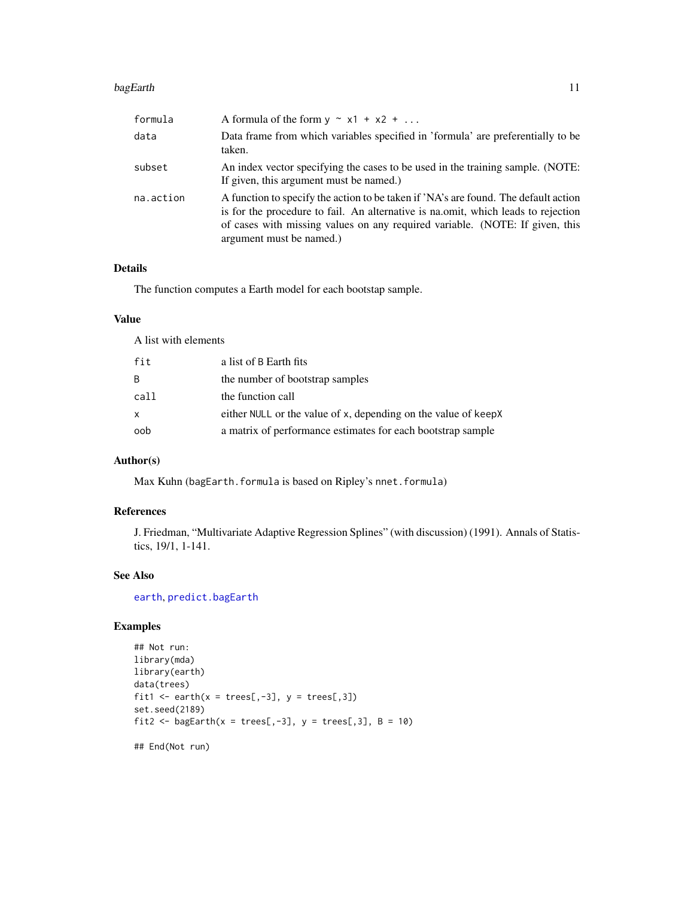#### bagEarth 11

| formula   | A formula of the form $y \sim x1 + x2 + $                                                                                                                                                                                                                                             |
|-----------|---------------------------------------------------------------------------------------------------------------------------------------------------------------------------------------------------------------------------------------------------------------------------------------|
| data      | Data frame from which variables specified in 'formula' are preferentially to be<br>taken.                                                                                                                                                                                             |
| subset    | An index vector specifying the cases to be used in the training sample. (NOTE:<br>If given, this argument must be named.)                                                                                                                                                             |
| na.action | A function to specify the action to be taken if 'NA's are found. The default action<br>is for the procedure to fail. An alternative is national, which leads to rejection<br>of cases with missing values on any required variable. (NOTE: If given, this<br>argument must be named.) |

# Details

The function computes a Earth model for each bootstap sample.

# Value

A list with elements

| fit  | a list of B Earth fits                                         |
|------|----------------------------------------------------------------|
| B.   | the number of bootstrap samples                                |
| call | the function call                                              |
| x    | either NULL or the value of x, depending on the value of keepX |
| oob  | a matrix of performance estimates for each bootstrap sample    |

# Author(s)

Max Kuhn (bagEarth.formula is based on Ripley's nnet.formula)

# References

J. Friedman, "Multivariate Adaptive Regression Splines" (with discussion) (1991). Annals of Statistics, 19/1, 1-141.

# See Also

[earth](#page-0-0), [predict.bagEarth](#page-107-1)

# Examples

```
## Not run:
library(mda)
library(earth)
data(trees)
fit1 <- earth(x = \text{trees}[,-3], y = \text{trees}[,3])
set.seed(2189)
fit2 <- bagEarth(x = trees[,-3], y = trees[,3], B = 10)
```
## End(Not run)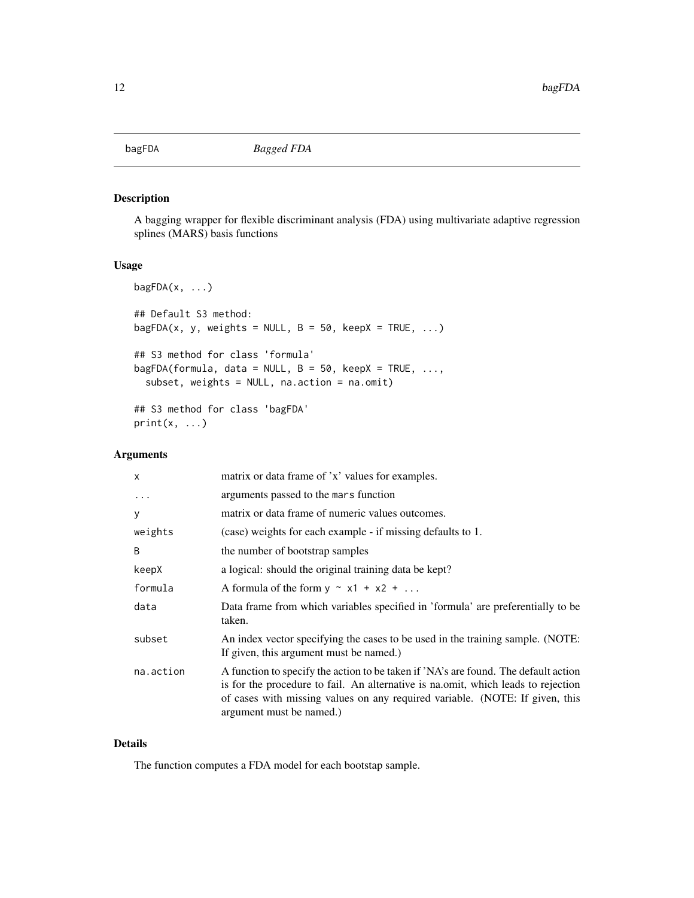<span id="page-11-0"></span>

# Description

A bagging wrapper for flexible discriminant analysis (FDA) using multivariate adaptive regression splines (MARS) basis functions

# Usage

```
bagFDA(x, \ldots)## Default S3 method:
bagFDA(x, y, weights = NULL, B = 50, keepX = TRUE, ...)
## S3 method for class 'formula'
bagFDA(formula, data = NULL, B = 50, keepX = TRUE, ...,
  subset, weights = NULL, na.action = na.omit)
## S3 method for class 'bagFDA'
print(x, \ldots)
```
# Arguments

| $\mathsf{x}$ | matrix or data frame of 'x' values for examples.                                                                                                                                                                                                                                      |
|--------------|---------------------------------------------------------------------------------------------------------------------------------------------------------------------------------------------------------------------------------------------------------------------------------------|
| .            | arguments passed to the mars function                                                                                                                                                                                                                                                 |
| y            | matrix or data frame of numeric values outcomes.                                                                                                                                                                                                                                      |
| weights      | (case) weights for each example - if missing defaults to 1.                                                                                                                                                                                                                           |
| B            | the number of bootstrap samples                                                                                                                                                                                                                                                       |
| keepX        | a logical: should the original training data be kept?                                                                                                                                                                                                                                 |
| formula      | A formula of the form $y \sim x1 + x2 + $                                                                                                                                                                                                                                             |
| data         | Data frame from which variables specified in 'formula' are preferentially to be<br>taken.                                                                                                                                                                                             |
| subset       | An index vector specifying the cases to be used in the training sample. (NOTE:<br>If given, this argument must be named.)                                                                                                                                                             |
| na.action    | A function to specify the action to be taken if 'NA's are found. The default action<br>is for the procedure to fail. An alternative is national, which leads to rejection<br>of cases with missing values on any required variable. (NOTE: If given, this<br>argument must be named.) |

# Details

The function computes a FDA model for each bootstap sample.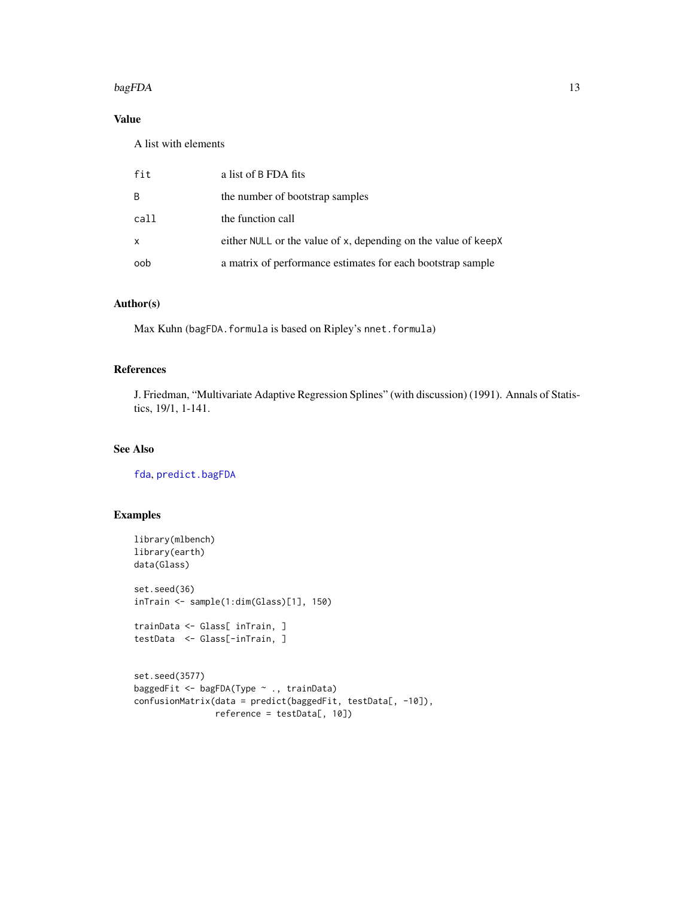#### $bagFDA$  13

# Value

A list with elements

| fit  | a list of B FDA fits                                           |
|------|----------------------------------------------------------------|
| B    | the number of bootstrap samples                                |
| call | the function call                                              |
| X.   | either NULL or the value of x, depending on the value of keepX |
| oob  | a matrix of performance estimates for each bootstrap sample    |

## Author(s)

Max Kuhn (bagFDA.formula is based on Ripley's nnet.formula)

# References

J. Friedman, "Multivariate Adaptive Regression Splines" (with discussion) (1991). Annals of Statistics, 19/1, 1-141.

# See Also

[fda](#page-0-0), [predict.bagFDA](#page-107-2)

```
library(mlbench)
library(earth)
data(Glass)
set.seed(36)
inTrain <- sample(1:dim(Glass)[1], 150)
trainData <- Glass[ inTrain, ]
testData <- Glass[-inTrain, ]
set.seed(3577)
baggedFit <- bagFDA(Type ~ ., trainData)
confusionMatrix(data = predict(baggedFit, testData[, -10]),
                reference = testData[, 10])
```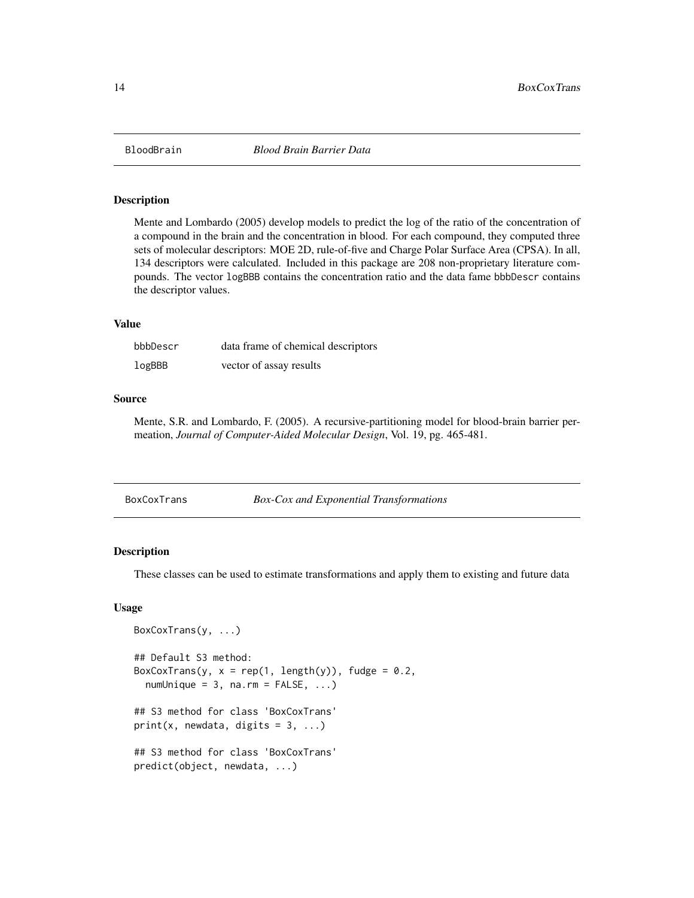<span id="page-13-0"></span>

#### Description

Mente and Lombardo (2005) develop models to predict the log of the ratio of the concentration of a compound in the brain and the concentration in blood. For each compound, they computed three sets of molecular descriptors: MOE 2D, rule-of-five and Charge Polar Surface Area (CPSA). In all, 134 descriptors were calculated. Included in this package are 208 non-proprietary literature compounds. The vector logBBB contains the concentration ratio and the data fame bbbDescr contains the descriptor values.

# Value

| bbbDescr | data frame of chemical descriptors |
|----------|------------------------------------|
| logBBB   | vector of assay results            |

## Source

Mente, S.R. and Lombardo, F. (2005). A recursive-partitioning model for blood-brain barrier permeation, *Journal of Computer-Aided Molecular Design*, Vol. 19, pg. 465-481.

| BoxCoxTrans | <b>Box-Cox and Exponential Transformations</b> |  |
|-------------|------------------------------------------------|--|
|             |                                                |  |

## Description

These classes can be used to estimate transformations and apply them to existing and future data

#### Usage

```
BoxCoxTrans(y, ...)
## Default S3 method:
BoxCoxTrans(y, x = rep(1, length(y)), fudge = 0.2,
 numUnique = 3, na.rm = FALSE, ...)## S3 method for class 'BoxCoxTrans'
print(x, newdata, digits = 3, ...)
## S3 method for class 'BoxCoxTrans'
predict(object, newdata, ...)
```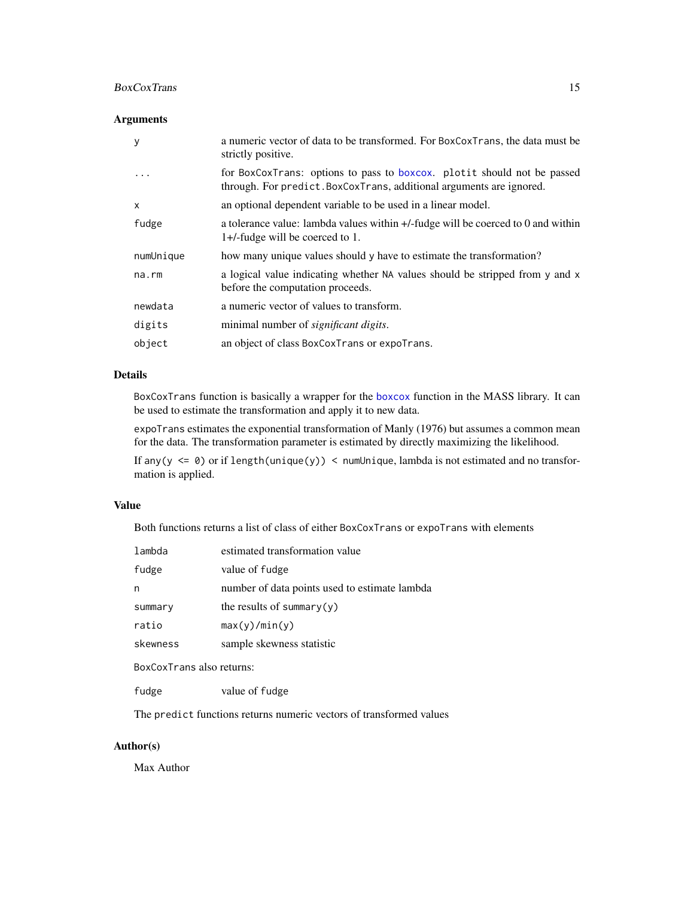## BoxCoxTrans 15

# Arguments

| у           | a numeric vector of data to be transformed. For BoxCoxTrans, the data must be<br>strictly positive.                                             |
|-------------|-------------------------------------------------------------------------------------------------------------------------------------------------|
| $\cdot$     | for BoxCoxTrans: options to pass to boxcox. plotit should not be passed<br>through. For predict. BoxCoxTrans, additional arguments are ignored. |
| x           | an optional dependent variable to be used in a linear model.                                                                                    |
| fudge       | a tolerance value: lambda values within $+/-$ fudge will be coerced to 0 and within<br>1+/-fudge will be coerced to 1.                          |
| numUnique   | how many unique values should y have to estimate the transformation?                                                                            |
| $na$ . $rm$ | a logical value indicating whether NA values should be stripped from y and x<br>before the computation proceeds.                                |
| newdata     | a numeric vector of values to transform.                                                                                                        |
| digits      | minimal number of significant digits.                                                                                                           |
| object      | an object of class BoxCoxTrans or expoTrans.                                                                                                    |

## Details

BoxCoxTrans function is basically a wrapper for the [boxcox](#page-0-0) function in the MASS library. It can be used to estimate the transformation and apply it to new data.

expoTrans estimates the exponential transformation of Manly (1976) but assumes a common mean for the data. The transformation parameter is estimated by directly maximizing the likelihood.

If any( $y \le 0$ ) or if length(unique(y)) < numUnique, lambda is not estimated and no transformation is applied.

## Value

Both functions returns a list of class of either BoxCoxTrans or expoTrans with elements

| lambda                                    | estimated transformation value                |
|-------------------------------------------|-----------------------------------------------|
| fudge                                     | value of fudge                                |
| n                                         | number of data points used to estimate lambda |
| summary                                   | the results of summary $(y)$                  |
| ratio                                     | max(y)/min(y)                                 |
| skewness                                  | sample skewness statistic                     |
| $\sim$ $\sim$ $\sim$ $\sim$ $\sim$ $\sim$ |                                               |

BoxCoxTrans also returns:

fudge value of fudge

The predict functions returns numeric vectors of transformed values

# Author(s)

Max Author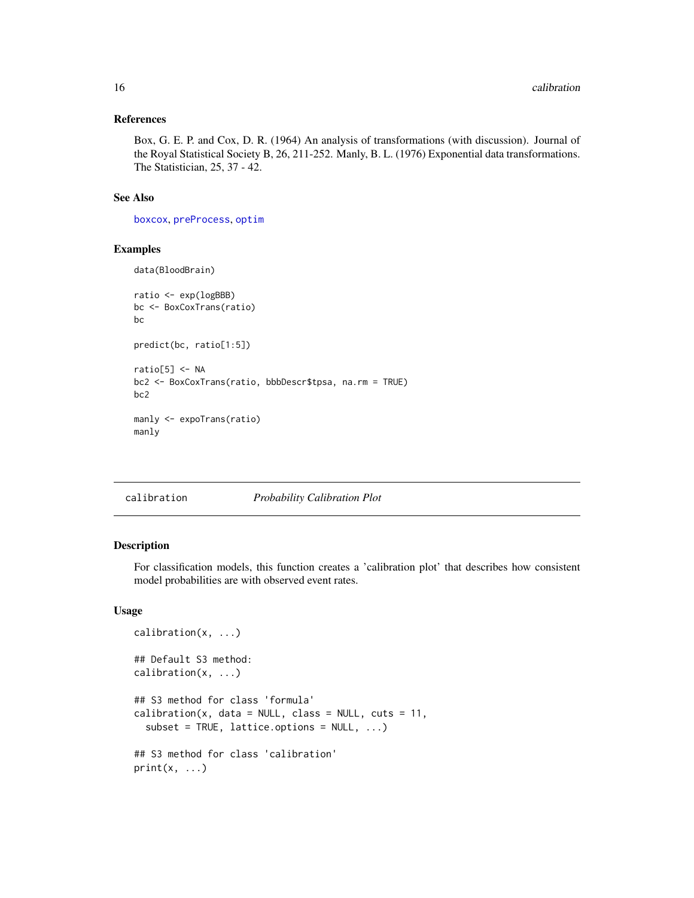#### <span id="page-15-0"></span>References

Box, G. E. P. and Cox, D. R. (1964) An analysis of transformations (with discussion). Journal of the Royal Statistical Society B, 26, 211-252. Manly, B. L. (1976) Exponential data transformations. The Statistician, 25, 37 - 42.

#### See Also

[boxcox](#page-0-0), [preProcess](#page-112-1), [optim](#page-0-0)

# Examples

data(BloodBrain)

```
ratio <- exp(logBBB)
bc <- BoxCoxTrans(ratio)
bc
predict(bc, ratio[1:5])
ratio[5] <- NA
bc2 <- BoxCoxTrans(ratio, bbbDescr$tpsa, na.rm = TRUE)
bc2
manly <- expoTrans(ratio)
manly
```
### calibration *Probability Calibration Plot*

#### <span id="page-15-1"></span>Description

For classification models, this function creates a 'calibration plot' that describes how consistent model probabilities are with observed event rates.

# Usage

```
calibration(x, ...)
## Default S3 method:
calibration(x, ...)
## S3 method for class 'formula'
calibration(x, data = NULL, class = NULL, cuts = 11,
  subset = TRUE, lattice.options = NULL, ...)
## S3 method for class 'calibration'
print(x, \ldots)
```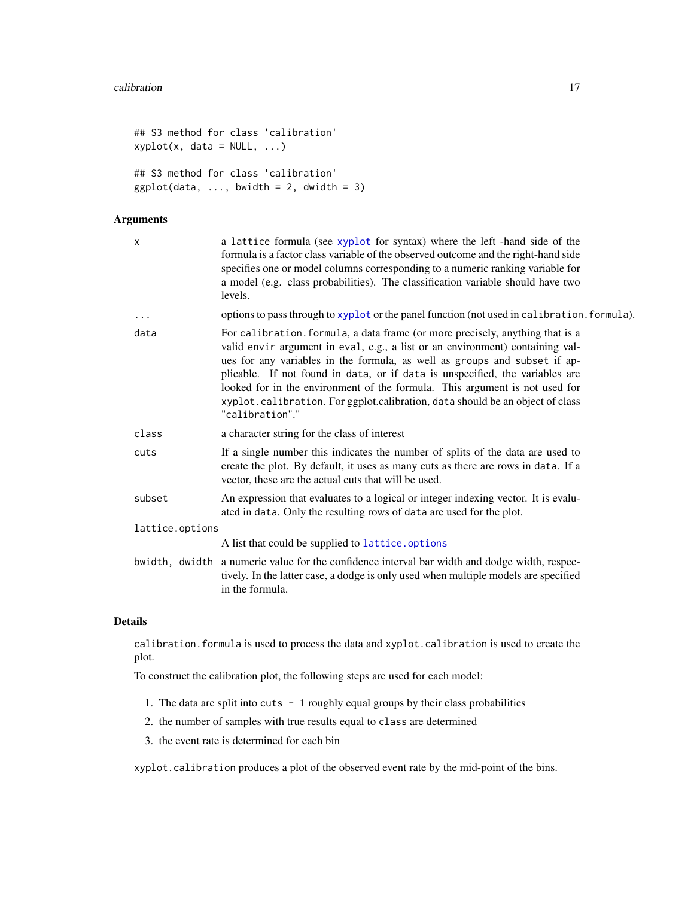```
## S3 method for class 'calibration'
xyplot(x, data = NULL, ...)## S3 method for class 'calibration'
ggplot(data, ..., bwidth = 2, dwidth = 3)
```
# Arguments

| X               | a lattice formula (see xyplot for syntax) where the left -hand side of the<br>formula is a factor class variable of the observed outcome and the right-hand side<br>specifies one or model columns corresponding to a numeric ranking variable for<br>a model (e.g. class probabilities). The classification variable should have two<br>levels.                                                                                                                                                               |
|-----------------|----------------------------------------------------------------------------------------------------------------------------------------------------------------------------------------------------------------------------------------------------------------------------------------------------------------------------------------------------------------------------------------------------------------------------------------------------------------------------------------------------------------|
| $\cdots$        | options to pass through to xyplot or the panel function (not used in calibration. formula).                                                                                                                                                                                                                                                                                                                                                                                                                    |
| data            | For calibration. formula, a data frame (or more precisely, anything that is a<br>valid envir argument in eval, e.g., a list or an environment) containing val-<br>ues for any variables in the formula, as well as groups and subset if ap-<br>plicable. If not found in data, or if data is unspecified, the variables are<br>looked for in the environment of the formula. This argument is not used for<br>xyplot.calibration. For ggplot.calibration, data should be an object of class<br>"calibration"." |
| class           | a character string for the class of interest                                                                                                                                                                                                                                                                                                                                                                                                                                                                   |
| cuts            | If a single number this indicates the number of splits of the data are used to<br>create the plot. By default, it uses as many cuts as there are rows in data. If a<br>vector, these are the actual cuts that will be used.                                                                                                                                                                                                                                                                                    |
| subset          | An expression that evaluates to a logical or integer indexing vector. It is evalu-<br>ated in data. Only the resulting rows of data are used for the plot.                                                                                                                                                                                                                                                                                                                                                     |
| lattice.options |                                                                                                                                                                                                                                                                                                                                                                                                                                                                                                                |
|                 | A list that could be supplied to lattice.options                                                                                                                                                                                                                                                                                                                                                                                                                                                               |
|                 | bwidth, dwidth a numeric value for the confidence interval bar width and dodge width, respec-<br>tively. In the latter case, a dodge is only used when multiple models are specified<br>in the formula.                                                                                                                                                                                                                                                                                                        |
|                 |                                                                                                                                                                                                                                                                                                                                                                                                                                                                                                                |

# Details

calibration.formula is used to process the data and xyplot.calibration is used to create the plot.

To construct the calibration plot, the following steps are used for each model:

- 1. The data are split into cuts 1 roughly equal groups by their class probabilities
- 2. the number of samples with true results equal to class are determined
- 3. the event rate is determined for each bin

xyplot.calibration produces a plot of the observed event rate by the mid-point of the bins.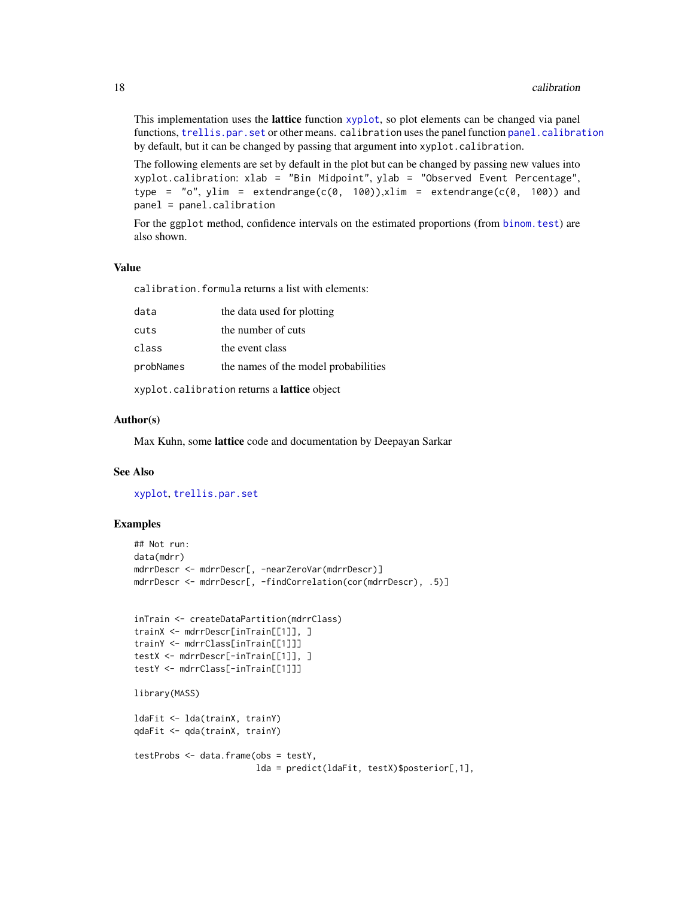This implementation uses the **lattice** function [xyplot](#page-0-0), so plot elements can be changed via panel functions, [trellis.par.set](#page-0-0) or other means. calibration uses the panel function [panel.calibration](#page-15-1) by default, but it can be changed by passing that argument into xyplot.calibration.

The following elements are set by default in the plot but can be changed by passing new values into xyplot.calibration: xlab = "Bin Midpoint", ylab = "Observed Event Percentage", type = "o", ylim = extendrange(c(0, 100)), xlim = extendrange(c(0, 100)) and panel = panel.calibration

For the ggplot method, confidence intervals on the estimated proportions (from [binom.test](#page-0-0)) are also shown.

## Value

calibration.formula returns a list with elements:

| data                                        | the data used for plotting           |
|---------------------------------------------|--------------------------------------|
| cuts                                        | the number of cuts                   |
| class                                       | the event class                      |
| probNames                                   | the names of the model probabilities |
| xyplot.calibration returns a lattice object |                                      |

#### Author(s)

Max Kuhn, some lattice code and documentation by Deepayan Sarkar

## See Also

[xyplot](#page-0-0), [trellis.par.set](#page-0-0)

```
## Not run:
data(mdrr)
mdrrDescr <- mdrrDescr[, -nearZeroVar(mdrrDescr)]
mdrrDescr <- mdrrDescr[, -findCorrelation(cor(mdrrDescr), .5)]
inTrain <- createDataPartition(mdrrClass)
trainX <- mdrrDescr[inTrain[[1]], ]
trainY <- mdrrClass[inTrain[[1]]]
testX <- mdrrDescr[-inTrain[[1]], ]
testY <- mdrrClass[-inTrain[[1]]]
library(MASS)
ldaFit <- lda(trainX, trainY)
qdaFit <- qda(trainX, trainY)
testProbs <- data.frame(obs = testY,
                        lda = predict(ldaFit, testX)$posterior[,1],
```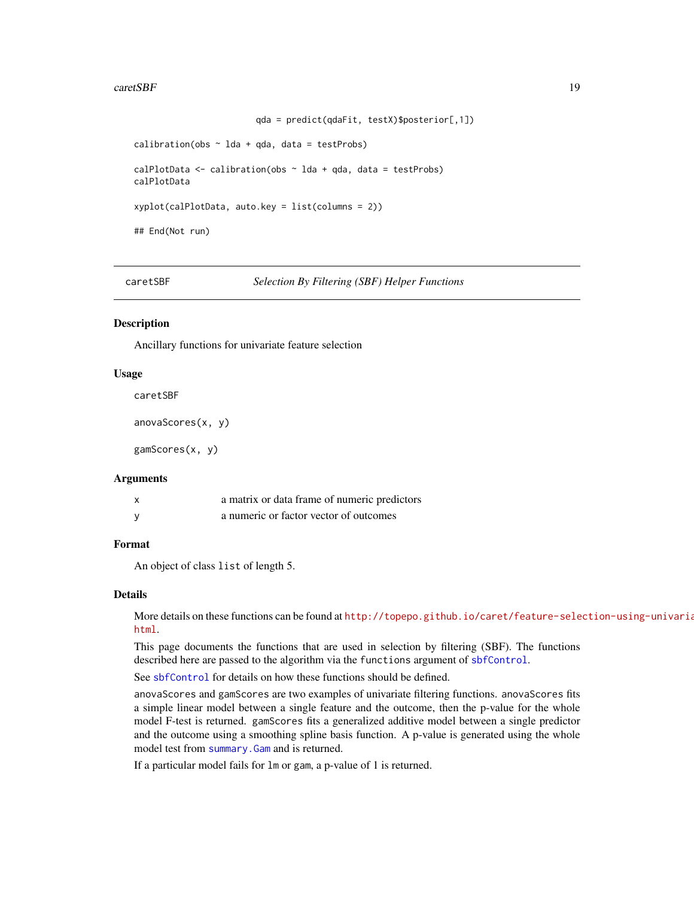#### <span id="page-18-0"></span> $careSBF$  19

```
qda = predict(qdaFit, testX)$posterior[,1])
```

```
calibration(obs \sim lda + qda, data = testProbs)
calPlotData \leq calibration(obs \sim lda + qda, data = testProbs)
calPlotData
xyplot(calPlotData, auto.key = list(columns = 2))
## End(Not run)
```
caretSBF *Selection By Filtering (SBF) Helper Functions*

#### Description

Ancillary functions for univariate feature selection

#### Usage

caretSBF

```
anovaScores(x, y)
```
gamScores(x, y)

#### Arguments

| $\mathbf{x}$ | a matrix or data frame of numeric predictors |
|--------------|----------------------------------------------|
|              | a numeric or factor vector of outcomes       |

#### Format

An object of class list of length 5.

#### Details

More details on these functions can be found at [http://topepo.github.io/caret/feature-sele](http://topepo.github.io/caret/feature-selection-using-univariate-filters.html)ction-using-univaria [html](http://topepo.github.io/caret/feature-selection-using-univariate-filters.html).

This page documents the functions that are used in selection by filtering (SBF). The functions described here are passed to the algorithm via the functions argument of [sbfControl](#page-140-1).

See [sbfControl](#page-140-1) for details on how these functions should be defined.

anovaScores and gamScores are two examples of univariate filtering functions. anovaScores fits a simple linear model between a single feature and the outcome, then the p-value for the whole model F-test is returned. gamScores fits a generalized additive model between a single predictor and the outcome using a smoothing spline basis function. A p-value is generated using the whole model test from [summary.Gam](#page-0-0) and is returned.

If a particular model fails for lm or gam, a p-value of 1 is returned.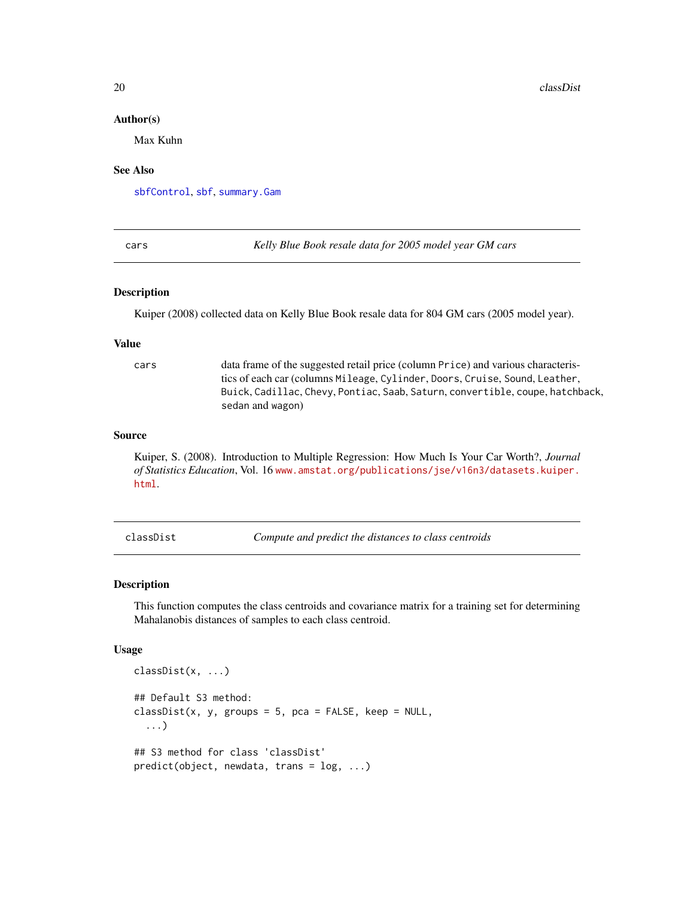#### Author(s)

Max Kuhn

#### See Also

[sbfControl](#page-140-1), [sbf](#page-138-1), [summary.Gam](#page-0-0)

cars *Kelly Blue Book resale data for 2005 model year GM cars*

#### **Description**

Kuiper (2008) collected data on Kelly Blue Book resale data for 804 GM cars (2005 model year).

#### Value

cars data frame of the suggested retail price (column Price) and various characteristics of each car (columns Mileage, Cylinder, Doors, Cruise, Sound, Leather, Buick, Cadillac, Chevy, Pontiac, Saab, Saturn, convertible, coupe, hatchback, sedan and wagon)

#### Source

Kuiper, S. (2008). Introduction to Multiple Regression: How Much Is Your Car Worth?, *Journal of Statistics Education*, Vol. 16 [www.amstat.org/publications/jse/v16n3/datasets.kuiper.](www.amstat.org/publications/jse/v16n3/datasets.kuiper.html) [html](www.amstat.org/publications/jse/v16n3/datasets.kuiper.html).

classDist *Compute and predict the distances to class centroids*

#### Description

This function computes the class centroids and covariance matrix for a training set for determining Mahalanobis distances of samples to each class centroid.

#### Usage

```
classDist(x, ...)
## Default S3 method:
classDist(x, y, groups = 5, pca = FALSE, keep = NULL,...)
## S3 method for class 'classDist'
predict(object, newdata, trans = log, ...)
```
<span id="page-19-0"></span>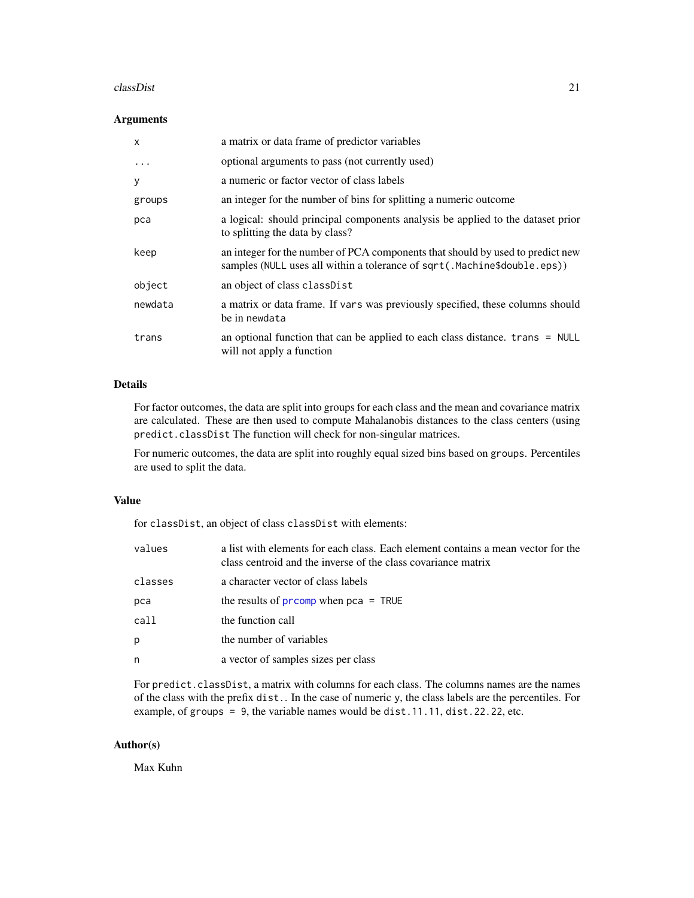#### classDist 21

## Arguments

| $\mathsf{x}$ | a matrix or data frame of predictor variables                                                                                                              |
|--------------|------------------------------------------------------------------------------------------------------------------------------------------------------------|
| $\cdot$      | optional arguments to pass (not currently used)                                                                                                            |
| y            | a numeric or factor vector of class labels                                                                                                                 |
| groups       | an integer for the number of bins for splitting a numeric outcome                                                                                          |
| pca          | a logical: should principal components analysis be applied to the dataset prior<br>to splitting the data by class?                                         |
| keep         | an integer for the number of PCA components that should by used to predict new<br>samples (NULL uses all within a tolerance of sqrt(.Machine\$double.eps)) |
| object       | an object of class classDist                                                                                                                               |
| newdata      | a matrix or data frame. If vars was previously specified, these columns should<br>be in newdata                                                            |
| trans        | an optional function that can be applied to each class distance. $trans = NULL$<br>will not apply a function                                               |

# Details

For factor outcomes, the data are split into groups for each class and the mean and covariance matrix are calculated. These are then used to compute Mahalanobis distances to the class centers (using predict.classDist The function will check for non-singular matrices.

For numeric outcomes, the data are split into roughly equal sized bins based on groups. Percentiles are used to split the data.

## Value

for classDist, an object of class classDist with elements:

| values  | a list with elements for each class. Each element contains a mean vector for the<br>class centroid and the inverse of the class covariance matrix |
|---------|---------------------------------------------------------------------------------------------------------------------------------------------------|
| classes | a character vector of class labels                                                                                                                |
| pca     | the results of $\frac{1}{2}$ prcomp when $\frac{1}{2}$ = TRUE                                                                                     |
| call    | the function call                                                                                                                                 |
| р       | the number of variables                                                                                                                           |
| n       | a vector of samples sizes per class                                                                                                               |
|         |                                                                                                                                                   |

For predict.classDist, a matrix with columns for each class. The columns names are the names of the class with the prefix dist.. In the case of numeric y, the class labels are the percentiles. For example, of groups = 9, the variable names would be dist.11.11, dist.22.22, etc.

## Author(s)

Max Kuhn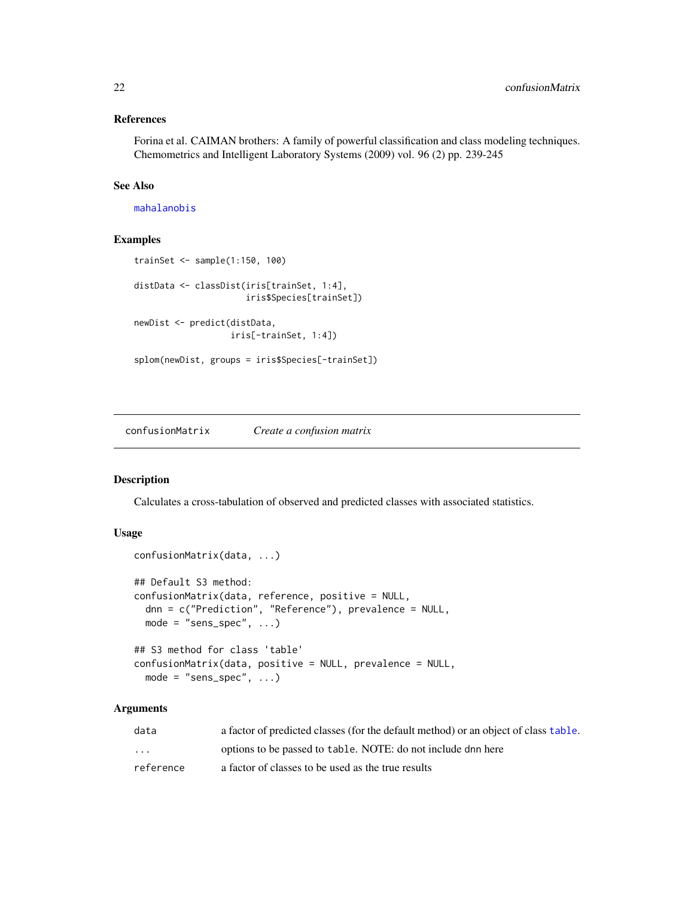#### <span id="page-21-0"></span>References

Forina et al. CAIMAN brothers: A family of powerful classification and class modeling techniques. Chemometrics and Intelligent Laboratory Systems (2009) vol. 96 (2) pp. 239-245

# See Also

[mahalanobis](#page-0-0)

#### Examples

```
trainSet <- sample(1:150, 100)
distData <- classDist(iris[trainSet, 1:4],
                      iris$Species[trainSet])
newDist <- predict(distData,
                   iris[-trainSet, 1:4])
splom(newDist, groups = iris$Species[-trainSet])
```
<span id="page-21-1"></span>confusionMatrix *Create a confusion matrix*

# Description

Calculates a cross-tabulation of observed and predicted classes with associated statistics.

## Usage

```
confusionMatrix(data, ...)
## Default S3 method:
confusionMatrix(data, reference, positive = NULL,
  dnn = c("Prediction", "Reference"), prevalence = NULL,
 mode = "sens\_spec", ...)## S3 method for class 'table'
confusionMatrix(data, positive = NULL, prevalence = NULL,
 mode = "sens\_spec", ...)
```
### Arguments

| data                    | a factor of predicted classes (for the default method) or an object of class table. |
|-------------------------|-------------------------------------------------------------------------------------|
| $\cdot$ $\cdot$ $\cdot$ | options to be passed to table. NOTE: do not include dnn here                        |
| reference               | a factor of classes to be used as the true results                                  |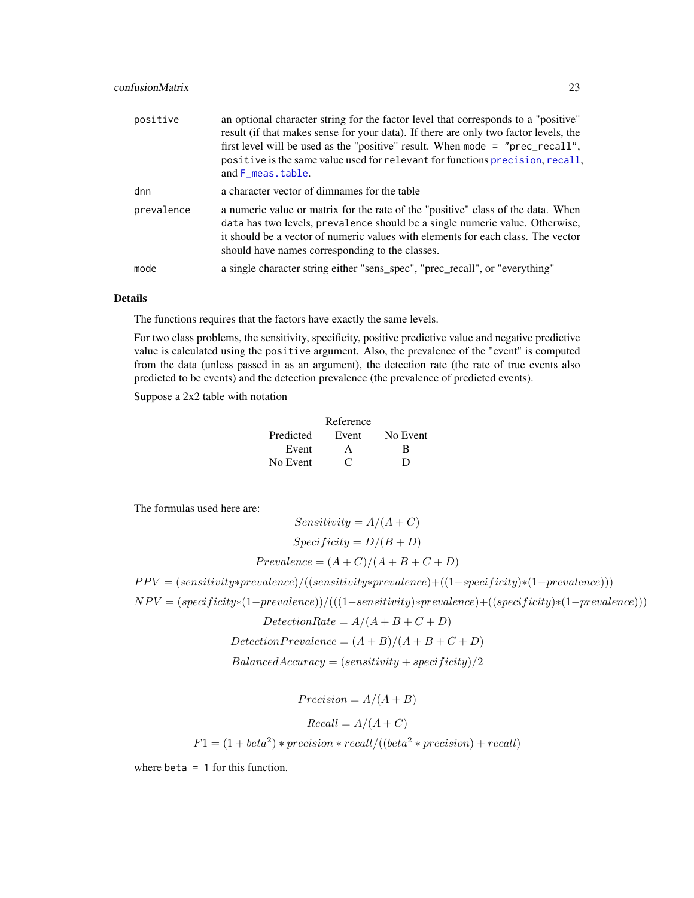# confusionMatrix 23

| positive   | an optional character string for the factor level that corresponds to a "positive"<br>result (if that makes sense for your data). If there are only two factor levels, the<br>first level will be used as the "positive" result. When mode $=$ "prec_recall",<br>positive is the same value used for relevant for functions precision, recall,<br>and F_meas.table. |
|------------|---------------------------------------------------------------------------------------------------------------------------------------------------------------------------------------------------------------------------------------------------------------------------------------------------------------------------------------------------------------------|
| dnn        | a character vector of dimnames for the table                                                                                                                                                                                                                                                                                                                        |
| prevalence | a numeric value or matrix for the rate of the "positive" class of the data. When<br>data has two levels, prevalence should be a single numeric value. Otherwise,<br>it should be a vector of numeric values with elements for each class. The vector<br>should have names corresponding to the classes.                                                             |
| mode       | a single character string either "sens_spec", "prec_recall", or "everything"                                                                                                                                                                                                                                                                                        |

## Details

The functions requires that the factors have exactly the same levels.

For two class problems, the sensitivity, specificity, positive predictive value and negative predictive value is calculated using the positive argument. Also, the prevalence of the "event" is computed from the data (unless passed in as an argument), the detection rate (the rate of true events also predicted to be events) and the detection prevalence (the prevalence of predicted events).

Suppose a 2x2 table with notation

|           | Reference    |          |
|-----------|--------------|----------|
| Predicted | Event        | No Event |
| Event     |              | R        |
| No Event  | $\mathbf{C}$ | D        |

The formulas used here are:

 $Sensitivity = A/(A+C)$  $Specificity = D/(B+D)$  $Prevalence = (A+C)/(A+B+C+D)$ 

P P V = (sensitivity∗prevalence)/((sensitivity∗prevalence)+((1−specif icity)∗(1−prevalence)))

 $NPV = (specificity * (1-prevalence)) / (((1-sensitivity) * prevalence) + ((specificity) * (1-prevalence)))$ 

 $DetectionRate = A/(A+B+C+D)$ 

$$
Detection Prevalence = (A + B)/(A + B + C + D)
$$

 $Balanced Accuracy = (sensitivity + specificity)/2$ 

 $Precision = A/(A + B)$ 

$$
Recall = A/(A + C)
$$
  

$$
F1 = (1 + beta2) * precision * recall/((beta2 * precision) + recall)
$$

where beta = 1 for this function.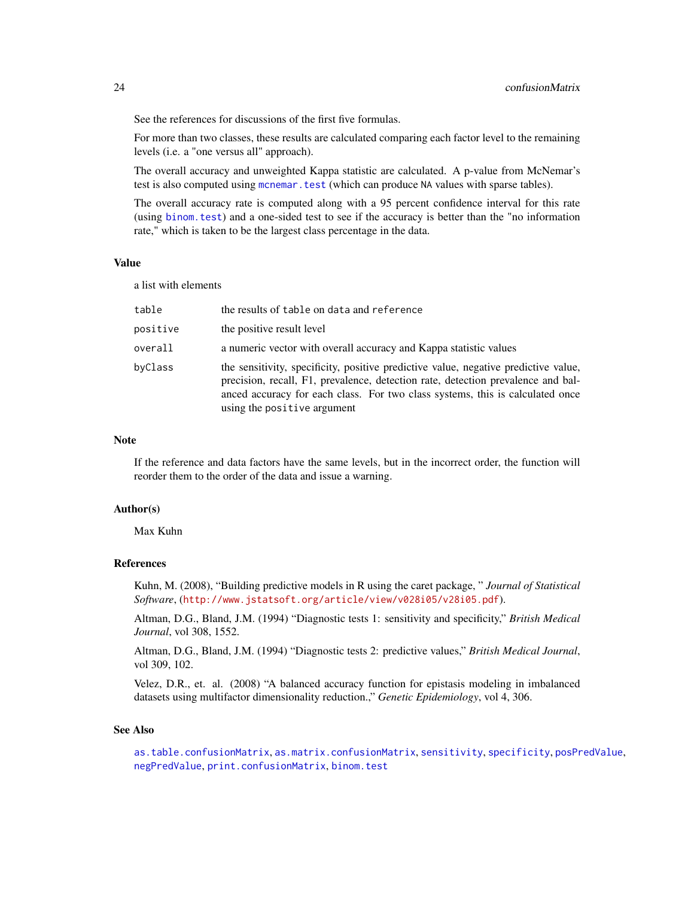See the references for discussions of the first five formulas.

For more than two classes, these results are calculated comparing each factor level to the remaining levels (i.e. a "one versus all" approach).

The overall accuracy and unweighted Kappa statistic are calculated. A p-value from McNemar's test is also computed using [mcnemar.test](#page-0-0) (which can produce NA values with sparse tables).

The overall accuracy rate is computed along with a 95 percent confidence interval for this rate (using [binom.test](#page-0-0)) and a one-sided test to see if the accuracy is better than the "no information rate," which is taken to be the largest class percentage in the data.

#### Value

a list with elements

| table    | the results of table on data and reference                                                                                                                                                                                                                                              |
|----------|-----------------------------------------------------------------------------------------------------------------------------------------------------------------------------------------------------------------------------------------------------------------------------------------|
| positive | the positive result level                                                                                                                                                                                                                                                               |
| overall  | a numeric vector with overall accuracy and Kappa statistic values                                                                                                                                                                                                                       |
| byClass  | the sensitivity, specificity, positive predictive value, negative predictive value,<br>precision, recall, F1, prevalence, detection rate, detection prevalence and bal-<br>anced accuracy for each class. For two class systems, this is calculated once<br>using the positive argument |

#### **Note**

If the reference and data factors have the same levels, but in the incorrect order, the function will reorder them to the order of the data and issue a warning.

## Author(s)

Max Kuhn

## References

Kuhn, M. (2008), "Building predictive models in R using the caret package, " *Journal of Statistical Software*, (<http://www.jstatsoft.org/article/view/v028i05/v28i05.pdf>).

Altman, D.G., Bland, J.M. (1994) "Diagnostic tests 1: sensitivity and specificity," *British Medical Journal*, vol 308, 1552.

Altman, D.G., Bland, J.M. (1994) "Diagnostic tests 2: predictive values," *British Medical Journal*, vol 309, 102.

Velez, D.R., et. al. (2008) "A balanced accuracy function for epistasis modeling in imbalanced datasets using multifactor dimensionality reduction.," *Genetic Epidemiology*, vol 4, 306.

#### See Also

[as.table.confusionMatrix](#page-3-1), [as.matrix.confusionMatrix](#page-3-2), [sensitivity](#page-82-1), [specificity](#page-82-1), [posPredValue](#page-82-1), [negPredValue](#page-82-2), [print.confusionMatrix](#page-115-1), [binom.test](#page-0-0)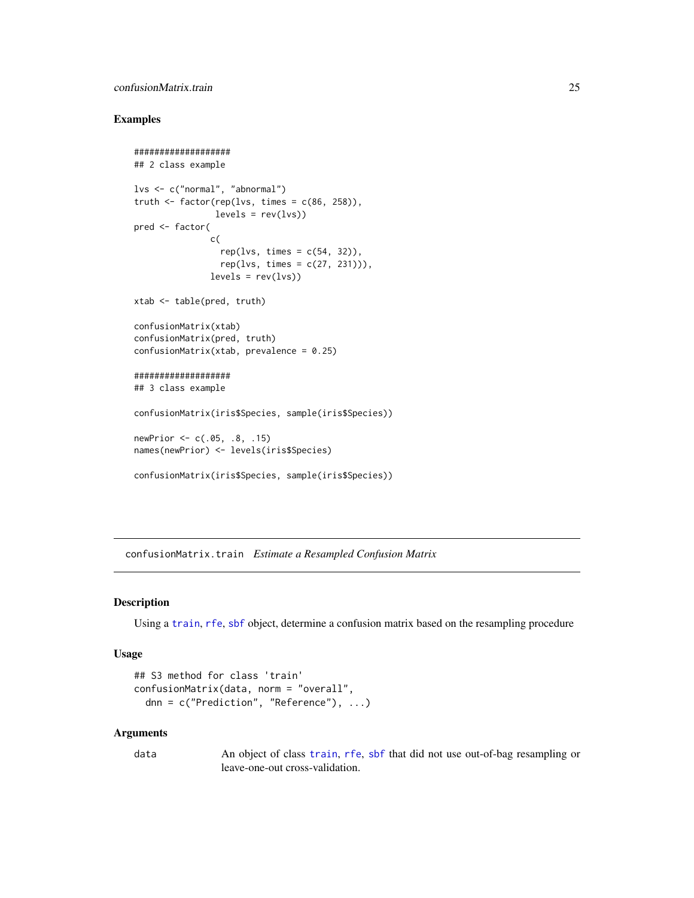## <span id="page-24-0"></span>confusionMatrix.train 25

## Examples

```
###################
## 2 class example
lvs <- c("normal", "abnormal")
truth \leq factor(rep(lvs, times = c(86, 258)),
                levels = rev(lvs)pred <- factor(
               c(
                 rep(lvs, times = c(54, 32)),rep(lvs, times = c(27, 231))),levels = rev(lvs)xtab <- table(pred, truth)
confusionMatrix(xtab)
confusionMatrix(pred, truth)
confusionMatrix(xtab, prevalence = 0.25)
###################
## 3 class example
confusionMatrix(iris$Species, sample(iris$Species))
newPrior <- c(.05, .8, .15)
names(newPrior) <- levels(iris$Species)
confusionMatrix(iris$Species, sample(iris$Species))
```
confusionMatrix.train *Estimate a Resampled Confusion Matrix*

#### Description

Using a [train](#page-153-1), [rfe](#page-125-1), [sbf](#page-138-1) object, determine a confusion matrix based on the resampling procedure

# Usage

```
## S3 method for class 'train'
confusionMatrix(data, norm = "overall",
  dnn = c("Prediction", "Reference"), ...)
```
#### Arguments

data An object of class [train](#page-153-1), [rfe](#page-125-1), [sbf](#page-138-1) that did not use out-of-bag resampling or leave-one-out cross-validation.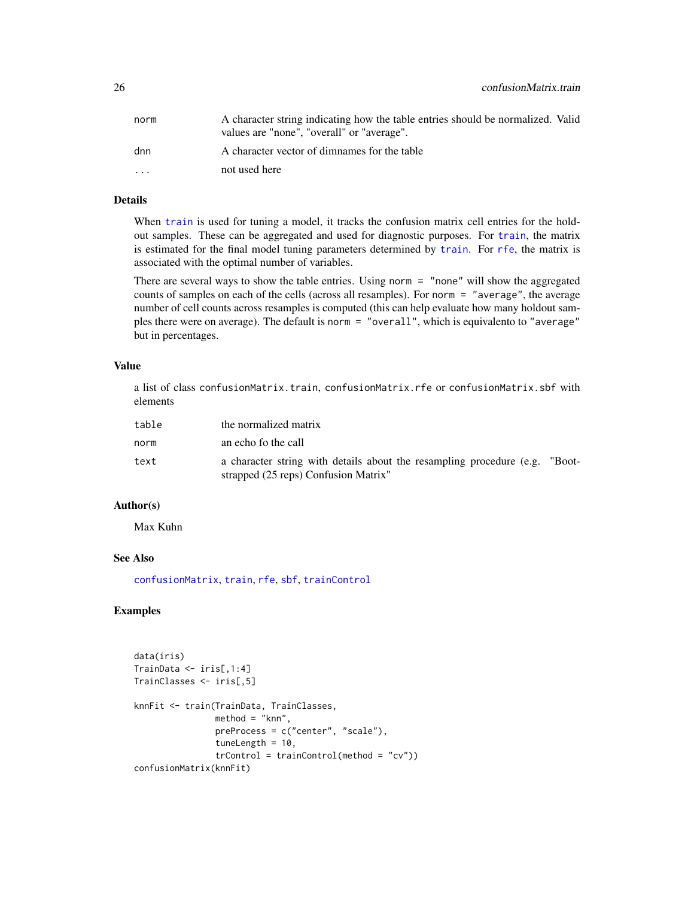| norm                    | A character string indicating how the table entries should be normalized. Valid<br>values are "none", "overall" or "average". |
|-------------------------|-------------------------------------------------------------------------------------------------------------------------------|
| dnn                     | A character vector of dimnames for the table                                                                                  |
| $\cdot$ $\cdot$ $\cdot$ | not used here                                                                                                                 |
|                         |                                                                                                                               |

# Details

When [train](#page-153-1) is used for tuning a model, it tracks the confusion matrix cell entries for the holdout samples. These can be aggregated and used for diagnostic purposes. For [train](#page-153-1), the matrix is estimated for the final model tuning parameters determined by [train](#page-153-1). For [rfe](#page-125-1), the matrix is associated with the optimal number of variables.

There are several ways to show the table entries. Using norm = "none" will show the aggregated counts of samples on each of the cells (across all resamples). For norm = "average", the average number of cell counts across resamples is computed (this can help evaluate how many holdout samples there were on average). The default is norm = "overall", which is equivalento to "average" but in percentages.

# Value

a list of class confusionMatrix.train, confusionMatrix.rfe or confusionMatrix.sbf with elements

| table | the normalized matrix                                                                                               |  |
|-------|---------------------------------------------------------------------------------------------------------------------|--|
| norm  | an echo fo the call                                                                                                 |  |
| text  | a character string with details about the resampling procedure (e.g. "Boot-<br>strapped (25 reps) Confusion Matrix" |  |

# Author(s)

Max Kuhn

# See Also

[confusionMatrix](#page-21-1), [train](#page-153-1), [rfe](#page-125-1), [sbf](#page-138-1), [trainControl](#page-158-1)

```
data(iris)
TrainData <- iris[,1:4]
TrainClasses <- iris[,5]
knnFit <- train(TrainData, TrainClasses,
                method = "knn",
                preProcess = c("center", "scale"),
                tuneLength = 10,
                trControl = trainControl(method = "cv"))
confusionMatrix(knnFit)
```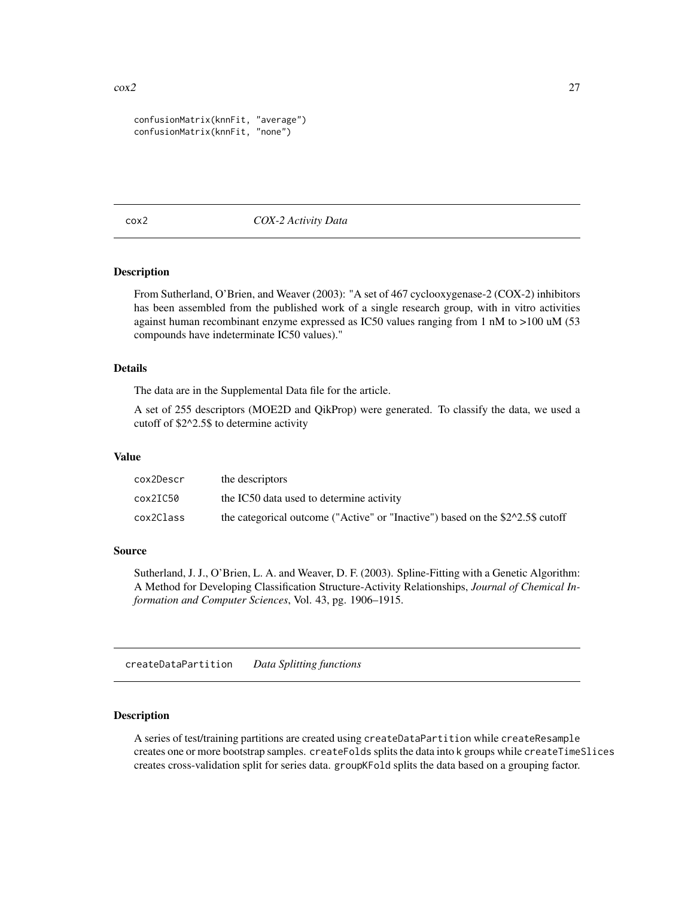```
confusionMatrix(knnFit, "average")
confusionMatrix(knnFit, "none")
```
#### cox2 *COX-2 Activity Data*

## Description

From Sutherland, O'Brien, and Weaver (2003): "A set of 467 cyclooxygenase-2 (COX-2) inhibitors has been assembled from the published work of a single research group, with in vitro activities against human recombinant enzyme expressed as IC50 values ranging from 1 nM to >100 uM (53 compounds have indeterminate IC50 values)."

## Details

The data are in the Supplemental Data file for the article.

A set of 255 descriptors (MOE2D and QikProp) were generated. To classify the data, we used a cutoff of \$2^2.5\$ to determine activity

## Value

| cox2Descr | the descriptors                                                                |
|-----------|--------------------------------------------------------------------------------|
| cox2IC50  | the IC50 data used to determine activity                                       |
| cox2Class | the categorical outcome ("Active" or "Inactive") based on the \$2^2.5\$ cutoff |

#### Source

Sutherland, J. J., O'Brien, L. A. and Weaver, D. F. (2003). Spline-Fitting with a Genetic Algorithm: A Method for Developing Classification Structure-Activity Relationships, *Journal of Chemical Information and Computer Sciences*, Vol. 43, pg. 1906–1915.

createDataPartition *Data Splitting functions*

#### Description

A series of test/training partitions are created using createDataPartition while createResample creates one or more bootstrap samples. createFolds splits the data into k groups while createTimeSlices creates cross-validation split for series data. groupKFold splits the data based on a grouping factor.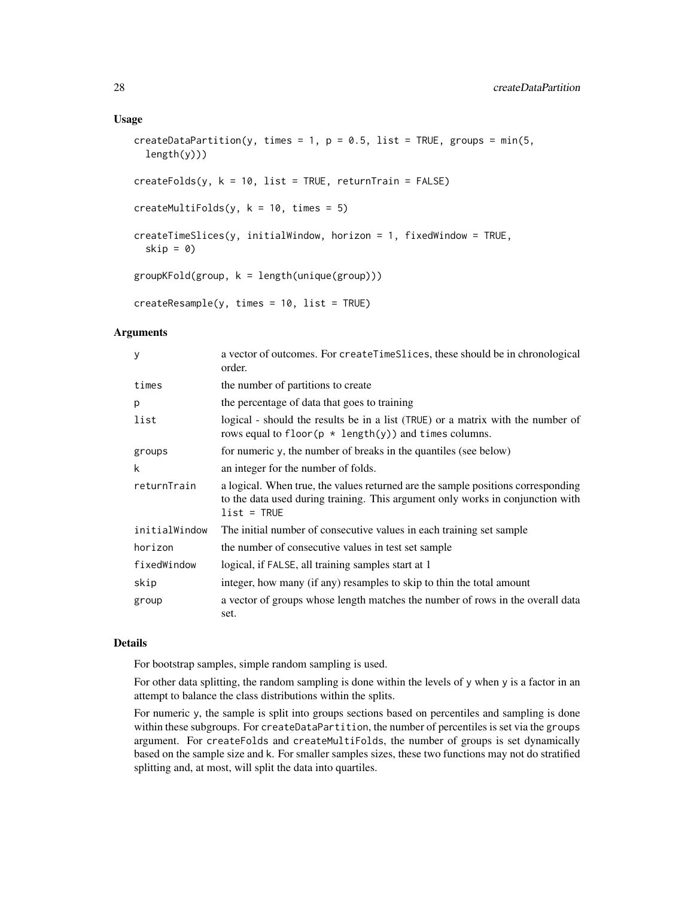#### Usage

```
createDataPartition(y, times = 1, p = 0.5, list = TRUE, groups = min(5,
  length(y))createFolds(y, k = 10, list = TRUE, returnTrain = FALSE)
createMultiFolds(y, k = 10, times = 5)createTimeSlices(y, initialWindow, horizon = 1, fixedWindow = TRUE,
  skip = 0)
groupKFold(group, k = length(unique(group)))
createResample(y, times = 10, list = TRUE)
```
#### Arguments

| У             | a vector of outcomes. For createTimeSlices, these should be in chronological<br>order.                                                                                              |
|---------------|-------------------------------------------------------------------------------------------------------------------------------------------------------------------------------------|
| times         | the number of partitions to create                                                                                                                                                  |
| p             | the percentage of data that goes to training                                                                                                                                        |
| list          | logical - should the results be in a list (TRUE) or a matrix with the number of<br>rows equal to floor( $p * length(y)$ ) and times columns.                                        |
| groups        | for numeric y, the number of breaks in the quantiles (see below)                                                                                                                    |
| k             | an integer for the number of folds.                                                                                                                                                 |
| returnTrain   | a logical. When true, the values returned are the sample positions corresponding<br>to the data used during training. This argument only works in conjunction with<br>$list = TRUE$ |
| initialWindow | The initial number of consecutive values in each training set sample                                                                                                                |
| horizon       | the number of consecutive values in test set sample                                                                                                                                 |
| fixedWindow   | logical, if FALSE, all training samples start at 1                                                                                                                                  |
| skip          | integer, how many (if any) resamples to skip to thin the total amount                                                                                                               |
| group         | a vector of groups whose length matches the number of rows in the overall data<br>set.                                                                                              |

## Details

For bootstrap samples, simple random sampling is used.

For other data splitting, the random sampling is done within the levels of y when y is a factor in an attempt to balance the class distributions within the splits.

For numeric y, the sample is split into groups sections based on percentiles and sampling is done within these subgroups. For createDataPartition, the number of percentiles is set via the groups argument. For createFolds and createMultiFolds, the number of groups is set dynamically based on the sample size and k. For smaller samples sizes, these two functions may not do stratified splitting and, at most, will split the data into quartiles.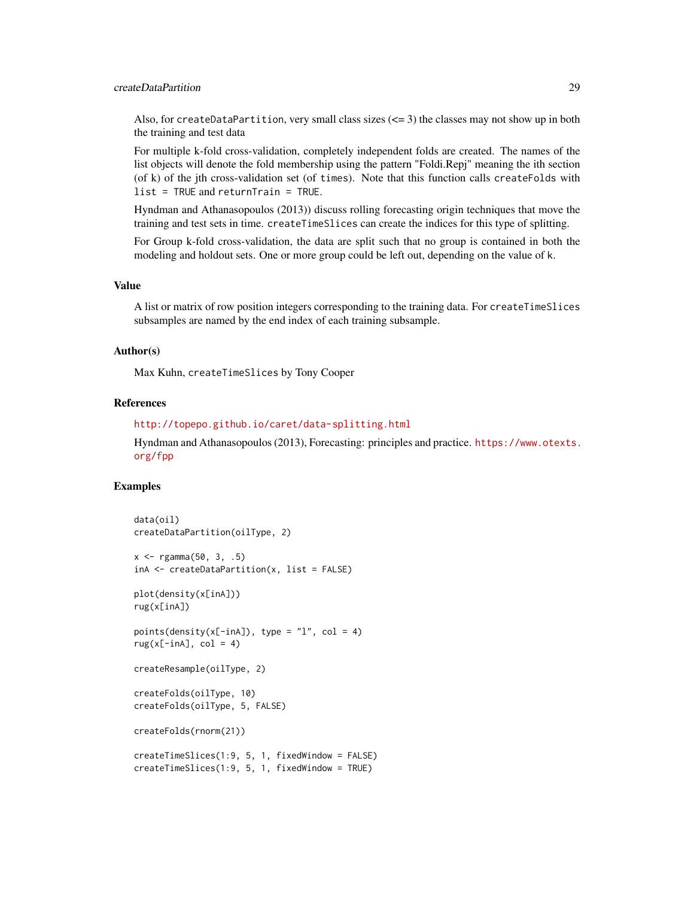## createDataPartition 29

Also, for createDataPartition, very small class sizes  $\left( \leq 3 \right)$  the classes may not show up in both the training and test data

For multiple k-fold cross-validation, completely independent folds are created. The names of the list objects will denote the fold membership using the pattern "Foldi.Repj" meaning the ith section (of k) of the jth cross-validation set (of times). Note that this function calls createFolds with list = TRUE and returnTrain = TRUE.

Hyndman and Athanasopoulos (2013)) discuss rolling forecasting origin techniques that move the training and test sets in time. createTimeSlices can create the indices for this type of splitting.

For Group k-fold cross-validation, the data are split such that no group is contained in both the modeling and holdout sets. One or more group could be left out, depending on the value of k.

#### Value

A list or matrix of row position integers corresponding to the training data. For createTimeSlices subsamples are named by the end index of each training subsample.

#### Author(s)

Max Kuhn, createTimeSlices by Tony Cooper

#### References

```
http://topepo.github.io/caret/data-splitting.html
```
Hyndman and Athanasopoulos (2013), Forecasting: principles and practice. [https://www.otexts.](https://www.otexts.org/fpp) [org/fpp](https://www.otexts.org/fpp)

```
data(oil)
createDataPartition(oilType, 2)
x \leq - rgamma(50, 3, .5)
inA <- createDataPartition(x, list = FALSE)
plot(density(x[inA]))
rug(x[inA])
points(density(x[-inA]), type = "l", col = 4)
rug(x[-inA], col = 4)createResample(oilType, 2)
createFolds(oilType, 10)
createFolds(oilType, 5, FALSE)
createFolds(rnorm(21))
createTimeSlices(1:9, 5, 1, fixedWindow = FALSE)
createTimeSlices(1:9, 5, 1, fixedWindow = TRUE)
```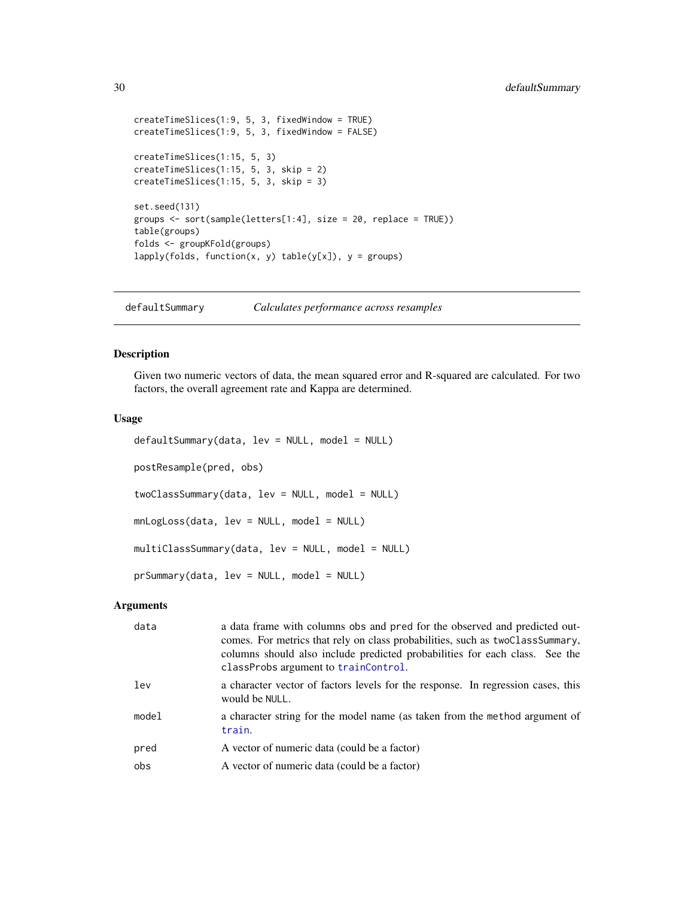```
createTimeSlices(1:9, 5, 3, fixedWindow = TRUE)
createTimeSlices(1:9, 5, 3, fixedWindow = FALSE)
createTimeSlices(1:15, 5, 3)
createTimeSlices(1:15, 5, 3, skip = 2)
createTimeSlices(1:15, 5, 3, skip = 3)
set.seed(131)
groups <- sort(sample(letters[1:4], size = 20, replace = TRUE))
table(groups)
folds <- groupKFold(groups)
lapply(folds, function(x, y) table(y[x]), y = groups)
```
defaultSummary *Calculates performance across resamples*

## Description

Given two numeric vectors of data, the mean squared error and R-squared are calculated. For two factors, the overall agreement rate and Kappa are determined.

## Usage

```
defaultSummary(data, lev = NULL, model = NULL)
postResample(pred, obs)
twoClassSummary(data, lev = NULL, model = NULL)
mnLogLoss(data, lev = NULL, model = NULL)
multiClassSummary(data, lev = NULL, model = NULL)
prSummary(data, lev = NULL, model = NULL)
```
# Arguments

| data  | a data frame with columns obs and pred for the observed and predicted out-<br>comes. For metrics that rely on class probabilities, such as two Class Summary,<br>columns should also include predicted probabilities for each class. See the<br>classProbs argument to trainControl. |
|-------|--------------------------------------------------------------------------------------------------------------------------------------------------------------------------------------------------------------------------------------------------------------------------------------|
| lev   | a character vector of factors levels for the response. In regression cases, this<br>would be NULL.                                                                                                                                                                                   |
| model | a character string for the model name (as taken from the method argument of<br>train.                                                                                                                                                                                                |
| pred  | A vector of numeric data (could be a factor)                                                                                                                                                                                                                                         |
| obs   | A vector of numeric data (could be a factor)                                                                                                                                                                                                                                         |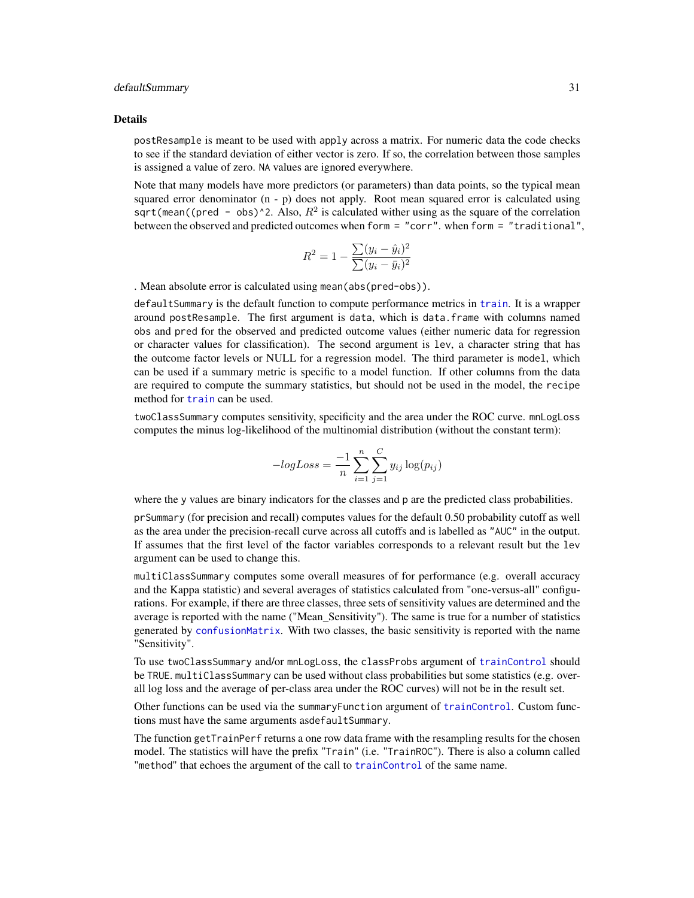#### defaultSummary 31

#### Details

postResample is meant to be used with apply across a matrix. For numeric data the code checks to see if the standard deviation of either vector is zero. If so, the correlation between those samples is assigned a value of zero. NA values are ignored everywhere.

Note that many models have more predictors (or parameters) than data points, so the typical mean squared error denominator  $(n - p)$  does not apply. Root mean squared error is calculated using sqrt(mean((pred - obs)^2. Also,  $R^2$  is calculated wither using as the square of the correlation between the observed and predicted outcomes when form = "corr". when form = "traditional",

$$
R^{2} = 1 - \frac{\sum (y_{i} - \hat{y}_{i})^{2}}{\sum (y_{i} - \bar{y}_{i})^{2}}
$$

. Mean absolute error is calculated using mean(abs(pred-obs)).

defaultSummary is the default function to compute performance metrics in [train](#page-153-1). It is a wrapper around postResample. The first argument is data, which is data.frame with columns named obs and pred for the observed and predicted outcome values (either numeric data for regression or character values for classification). The second argument is lev, a character string that has the outcome factor levels or NULL for a regression model. The third parameter is model, which can be used if a summary metric is specific to a model function. If other columns from the data are required to compute the summary statistics, but should not be used in the model, the recipe method for [train](#page-153-1) can be used.

twoClassSummary computes sensitivity, specificity and the area under the ROC curve. mnLogLoss computes the minus log-likelihood of the multinomial distribution (without the constant term):

$$
-logLoss = \frac{-1}{n} \sum_{i=1}^{n} \sum_{j=1}^{C} y_{ij} \log(p_{ij})
$$

where the y values are binary indicators for the classes and p are the predicted class probabilities.

prSummary (for precision and recall) computes values for the default 0.50 probability cutoff as well as the area under the precision-recall curve across all cutoffs and is labelled as "AUC" in the output. If assumes that the first level of the factor variables corresponds to a relevant result but the lev argument can be used to change this.

multiClassSummary computes some overall measures of for performance (e.g. overall accuracy and the Kappa statistic) and several averages of statistics calculated from "one-versus-all" configurations. For example, if there are three classes, three sets of sensitivity values are determined and the average is reported with the name ("Mean\_Sensitivity"). The same is true for a number of statistics generated by [confusionMatrix](#page-21-1). With two classes, the basic sensitivity is reported with the name "Sensitivity".

To use twoClassSummary and/or mnLogLoss, the classProbs argument of [trainControl](#page-158-1) should be TRUE. multiClassSummary can be used without class probabilities but some statistics (e.g. overall log loss and the average of per-class area under the ROC curves) will not be in the result set.

Other functions can be used via the summaryFunction argument of [trainControl](#page-158-1). Custom functions must have the same arguments asdefaultSummary.

The function getTrainPerf returns a one row data frame with the resampling results for the chosen model. The statistics will have the prefix "Train" (i.e. "TrainROC"). There is also a column called "method" that echoes the argument of the call to [trainControl](#page-158-1) of the same name.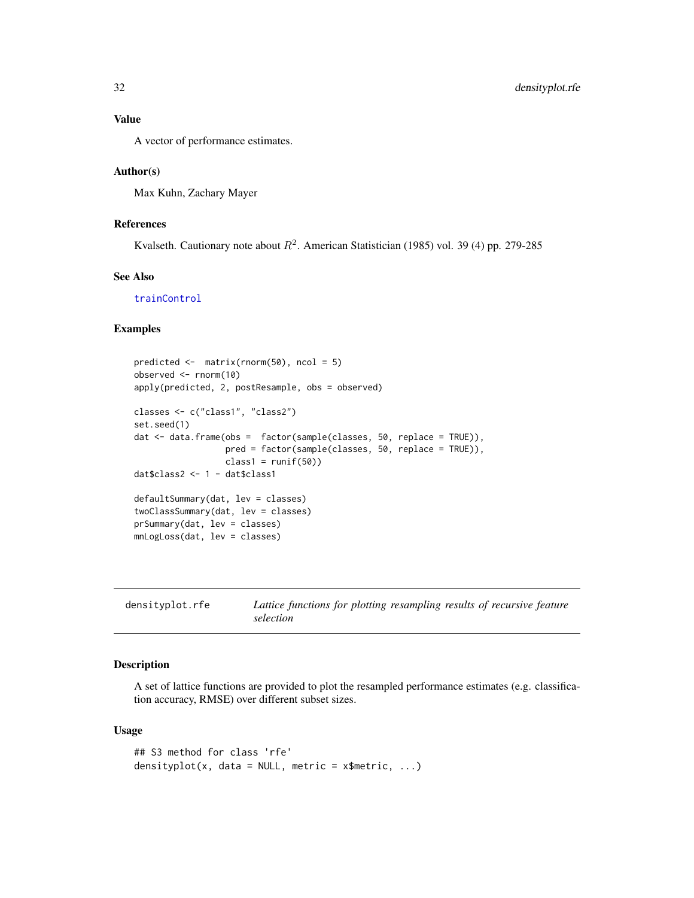# <span id="page-31-0"></span>Value

A vector of performance estimates.

## Author(s)

Max Kuhn, Zachary Mayer

# References

Kvalseth. Cautionary note about  $R^2$ . American Statistician (1985) vol. 39 (4) pp. 279-285

## See Also

[trainControl](#page-158-1)

#### Examples

```
predicted <- matrix(rnorm(50), ncol = 5)
observed <- rnorm(10)
apply(predicted, 2, postResample, obs = observed)
classes <- c("class1", "class2")
set.seed(1)
dat <- data.frame(obs = factor(sample(classes, 50, replace = TRUE)),
                  pred = factor(sample(classes, 50, replace = TRUE)),
                  class1 = runif(50)dat$class2 <- 1 - dat$class1
defaultSummary(dat, lev = classes)
twoClassSummary(dat, lev = classes)
prSummary(dat, lev = classes)
mnLogLoss(dat, lev = classes)
```

| densityplot.rfe | Lattice functions for plotting resampling results of recursive feature |
|-----------------|------------------------------------------------------------------------|
|                 | selection                                                              |

#### Description

A set of lattice functions are provided to plot the resampled performance estimates (e.g. classification accuracy, RMSE) over different subset sizes.

# Usage

```
## S3 method for class 'rfe'
densityplot(x, data = NULL, metric = x$metric, ...)
```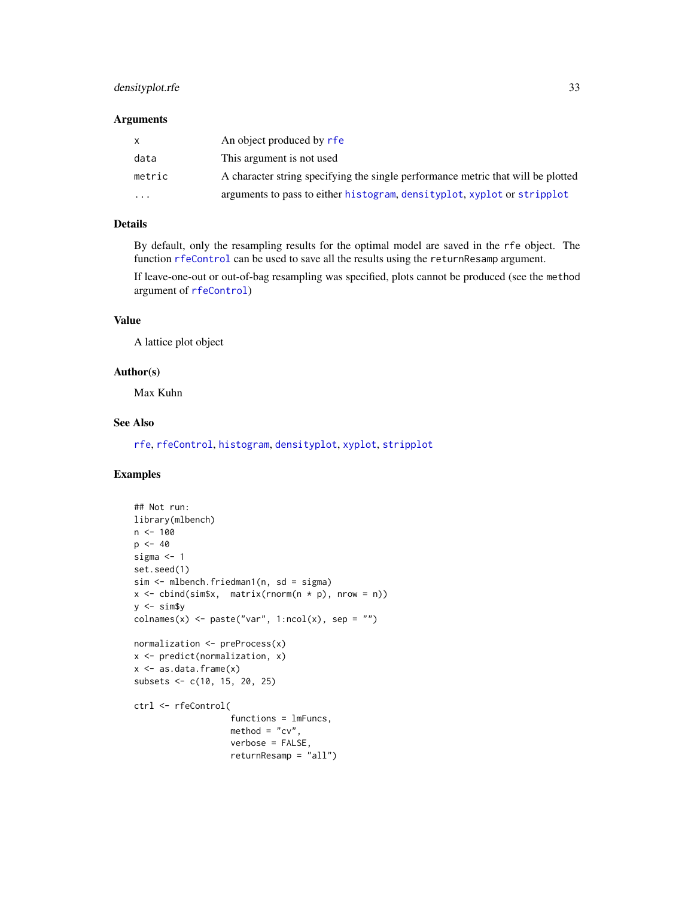# densityplot.rfe 33

### Arguments

| $\mathsf{x}$ | An object produced by rfe                                                        |
|--------------|----------------------------------------------------------------------------------|
| data         | This argument is not used                                                        |
| metric       | A character string specifying the single performance metric that will be plotted |
| $\cdot$      | arguments to pass to either histogram, densityplot, xyplot or stripplot          |

# Details

By default, only the resampling results for the optimal model are saved in the rfe object. The function [rfeControl](#page-128-1) can be used to save all the results using the returnResamp argument.

If leave-one-out or out-of-bag resampling was specified, plots cannot be produced (see the method argument of [rfeControl](#page-128-1))

## Value

A lattice plot object

### Author(s)

Max Kuhn

# See Also

[rfe](#page-125-1), [rfeControl](#page-128-1), [histogram](#page-0-0), [densityplot](#page-0-0), [xyplot](#page-0-0), [stripplot](#page-0-0)

```
## Not run:
library(mlbench)
n < - 100p \le -40sigma <- 1
set.seed(1)
sim <- mlbench.friedman1(n, sd = sigma)
x \le cbind(sim$x, matrix(rnorm(n * p), nrow = n))
y \le -\sin\frac{\pi}{2}ycolnames(x) <- paste("var", 1:ncol(x), sep = "")
normalization <- preProcess(x)
x <- predict(normalization, x)
x \leftarrow as.data-frame(x)subsets <- c(10, 15, 20, 25)
ctrl <- rfeControl(
                    functions = lmFuncs,
                    method = "cv",verbose = FALSE,
                    returnResamp = "all")
```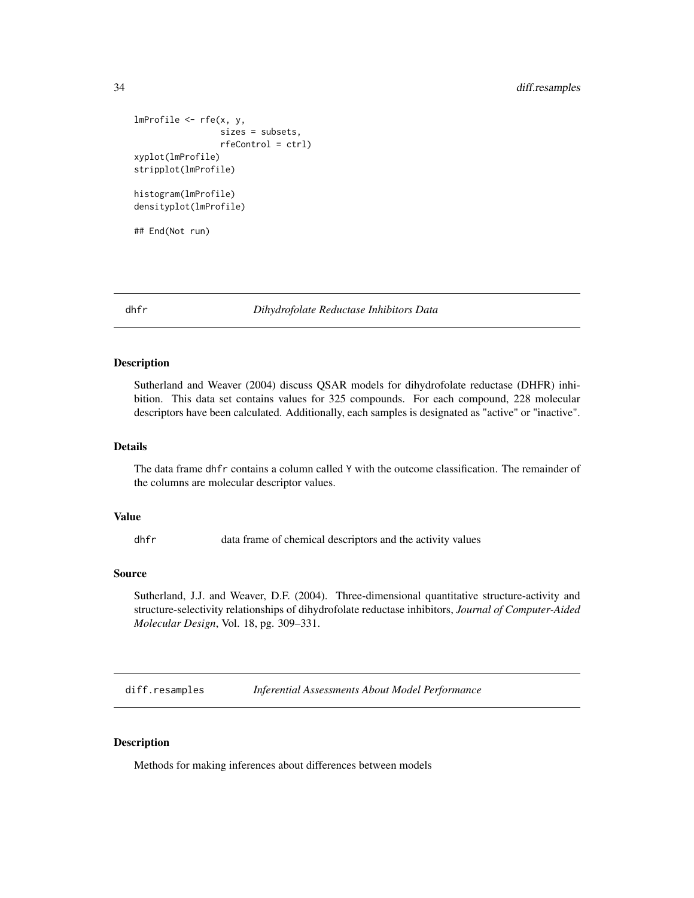```
lmProfitle < -rfe(x, y,sizes = subsets,
                 rfeControl = ctrl)
xyplot(lmProfile)
stripplot(lmProfile)
histogram(lmProfile)
densityplot(lmProfile)
## End(Not run)
```
dhfr *Dihydrofolate Reductase Inhibitors Data*

# Description

Sutherland and Weaver (2004) discuss QSAR models for dihydrofolate reductase (DHFR) inhibition. This data set contains values for 325 compounds. For each compound, 228 molecular descriptors have been calculated. Additionally, each samples is designated as "active" or "inactive".

#### Details

The data frame dhfr contains a column called Y with the outcome classification. The remainder of the columns are molecular descriptor values.

## Value

dhfr data frame of chemical descriptors and the activity values

#### Source

Sutherland, J.J. and Weaver, D.F. (2004). Three-dimensional quantitative structure-activity and structure-selectivity relationships of dihydrofolate reductase inhibitors, *Journal of Computer-Aided Molecular Design*, Vol. 18, pg. 309–331.

diff.resamples *Inferential Assessments About Model Performance*

# Description

Methods for making inferences about differences between models

<span id="page-33-0"></span>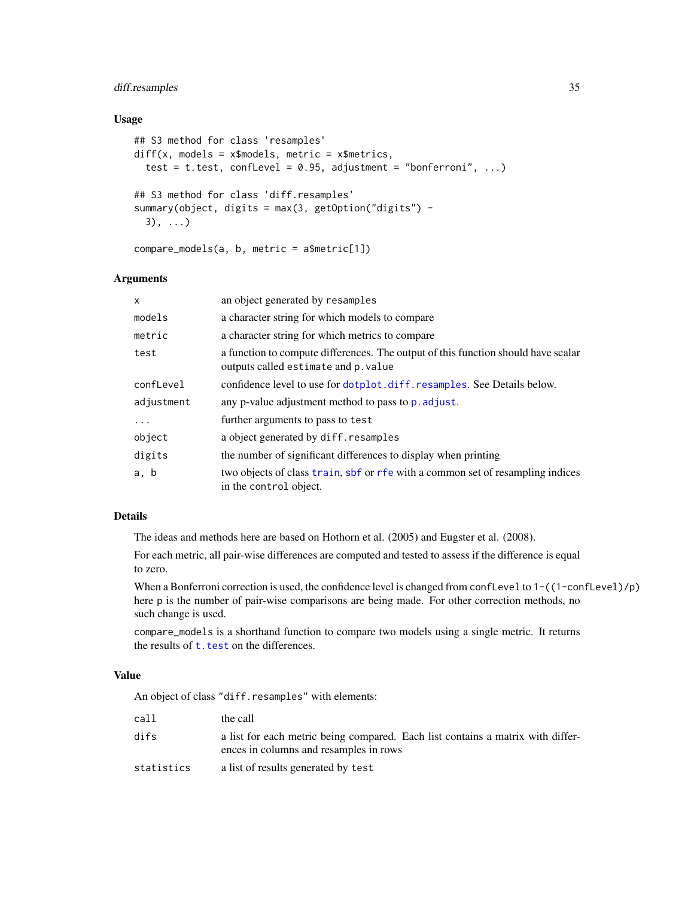# diff.resamples 35

## Usage

```
## S3 method for class 'resamples'
diff(x, models = x$models, metric = x$metrics,
  test = t.test, conflevel = 0.95, adjustment = "bonferroni", ...)
## S3 method for class 'diff.resamples'
summary(object, digits = max(3, getOption("digits") -
 3), ...)
compare_models(a, b, metric = a$metric[1])
```
# Arguments

| x          | an object generated by resamples                                                                                         |
|------------|--------------------------------------------------------------------------------------------------------------------------|
| models     | a character string for which models to compare                                                                           |
| metric     | a character string for which metrics to compare                                                                          |
| test       | a function to compute differences. The output of this function should have scalar<br>outputs called estimate and p.value |
| confLevel  | confidence level to use for dotplot.diff.resamples. See Details below.                                                   |
| adjustment | any p-value adjustment method to pass to p. adjust.                                                                      |
| $\ddots$ . | further arguments to pass to test                                                                                        |
| object     | a object generated by diff. resamples                                                                                    |
| digits     | the number of significant differences to display when printing                                                           |
| a, b       | two objects of class train, sbf or rfe with a common set of resampling indices<br>in the control object.                 |

## Details

The ideas and methods here are based on Hothorn et al. (2005) and Eugster et al. (2008).

For each metric, all pair-wise differences are computed and tested to assess if the difference is equal to zero.

When a Bonferroni correction is used, the confidence level is changed from conflevel to  $1 - ((1 - \text{confLevel})/p)$ here p is the number of pair-wise comparisons are being made. For other correction methods, no such change is used.

compare\_models is a shorthand function to compare two models using a single metric. It returns the results of [t.test](#page-0-0) on the differences.

# Value

An object of class "diff.resamples" with elements:

| call       | the call                                                                                                                  |
|------------|---------------------------------------------------------------------------------------------------------------------------|
| difs       | a list for each metric being compared. Each list contains a matrix with differ-<br>ences in columns and resamples in rows |
| statistics | a list of results generated by test                                                                                       |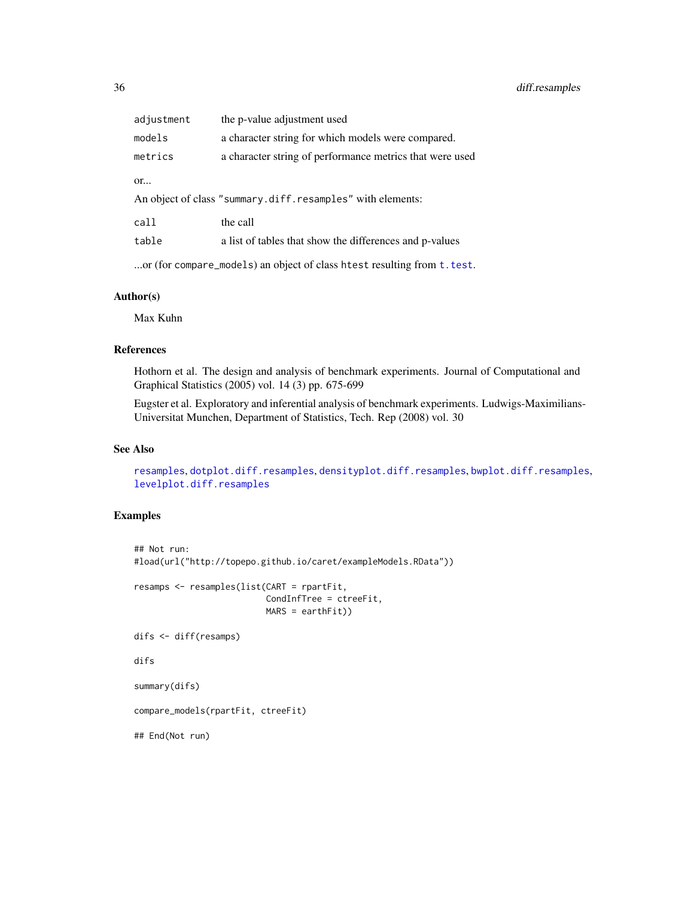| adjustment | the p-value adjustment used                                |
|------------|------------------------------------------------------------|
| models     | a character string for which models were compared.         |
| metrics    | a character string of performance metrics that were used   |
| or         | An object of class "summary.diff.resamples" with elements: |
| call       | the call                                                   |
| table      | a list of tables that show the differences and p-values    |
|            |                                                            |

...or (for compare\_models) an object of class htest resulting from [t.test](#page-0-0).

## Author(s)

Max Kuhn

# References

Hothorn et al. The design and analysis of benchmark experiments. Journal of Computational and Graphical Statistics (2005) vol. 14 (3) pp. 675-699

Eugster et al. Exploratory and inferential analysis of benchmark experiments. Ludwigs-Maximilians-Universitat Munchen, Department of Statistics, Tech. Rep (2008) vol. 30

# See Also

[resamples](#page-121-1), [dotplot.diff.resamples](#page-37-1), [densityplot.diff.resamples](#page-37-2), [bwplot.diff.resamples](#page-37-2), [levelplot.diff.resamples](#page-37-2)

```
## Not run:
#load(url("http://topepo.github.io/caret/exampleModels.RData"))
resamps <- resamples(list(CART = rpartFit,
                          CondInfTree = ctreeFit,
                          MARS = earthFit))
difs <- diff(resamps)
difs
summary(difs)
compare_models(rpartFit, ctreeFit)
## End(Not run)
```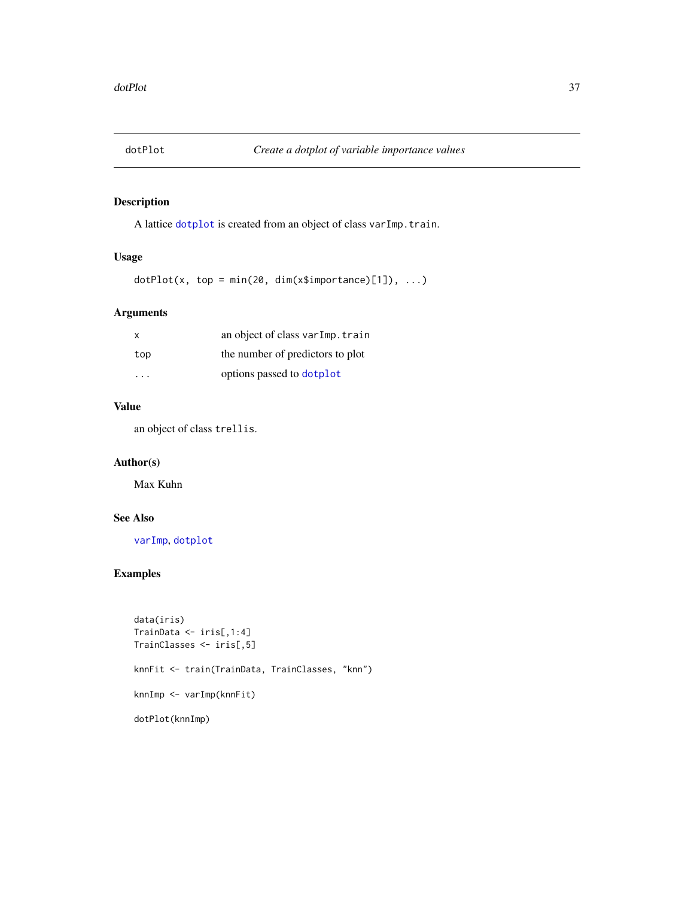# Description

A lattice [dotplot](#page-0-0) is created from an object of class varImp.train.

# Usage

 $dot(Plot(x, top = min(20, dim(x$simple) [1]), ...)$ 

# Arguments

| X   | an object of class varImp.train  |
|-----|----------------------------------|
| top | the number of predictors to plot |
| .   | options passed to dotplot        |

## Value

an object of class trellis.

# Author(s)

Max Kuhn

# See Also

[varImp](#page-197-0), [dotplot](#page-0-0)

```
data(iris)
TrainData <- iris[,1:4]
TrainClasses <- iris[,5]
knnFit <- train(TrainData, TrainClasses, "knn")
knnImp <- varImp(knnFit)
dotPlot(knnImp)
```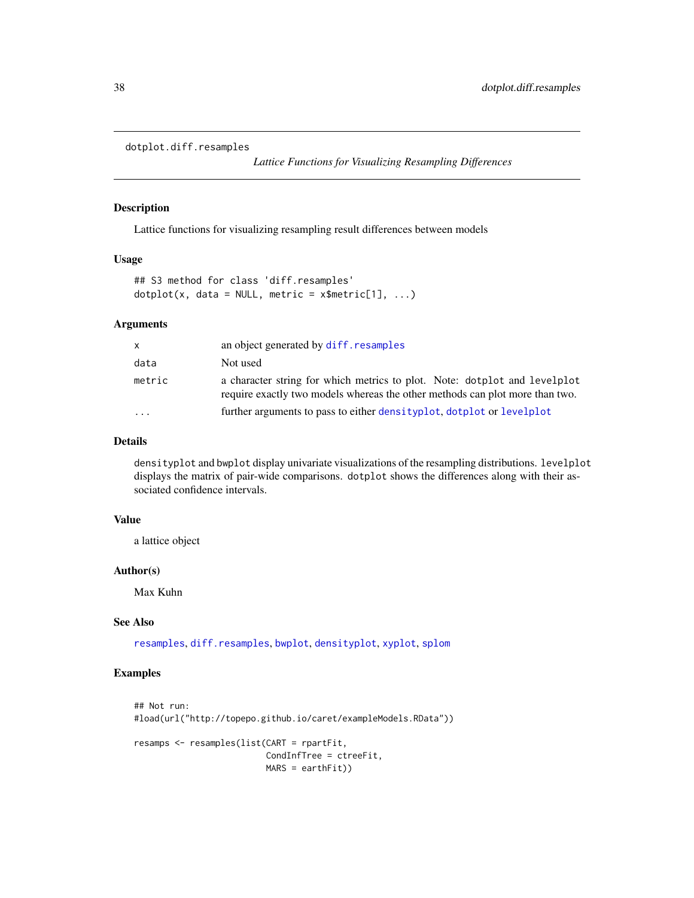```
dotplot.diff.resamples
```
*Lattice Functions for Visualizing Resampling Differences*

# Description

Lattice functions for visualizing resampling result differences between models

### Usage

## S3 method for class 'diff.resamples'  $dot(x, data = NULL, metric = x$metric[1], ...)$ 

# Arguments

| x.     | an object generated by diff. resamples                                                                                                                    |
|--------|-----------------------------------------------------------------------------------------------------------------------------------------------------------|
| data   | Not used                                                                                                                                                  |
| metric | a character string for which metrics to plot. Note: dotplot and levelplot<br>require exactly two models whereas the other methods can plot more than two. |
| .      | further arguments to pass to either densityplot, dotplot or levelplot                                                                                     |

## Details

densityplot and bwplot display univariate visualizations of the resampling distributions. levelplot displays the matrix of pair-wide comparisons. dotplot shows the differences along with their associated confidence intervals.

### Value

a lattice object

#### Author(s)

Max Kuhn

### See Also

[resamples](#page-121-0), [diff.resamples](#page-33-0), [bwplot](#page-0-0), [densityplot](#page-0-0), [xyplot](#page-0-0), [splom](#page-0-0)

```
## Not run:
#load(url("http://topepo.github.io/caret/exampleModels.RData"))
resamps <- resamples(list(CART = rpartFit,
                          CondInfTree = ctreeFit,
                          MARS = earthFit))
```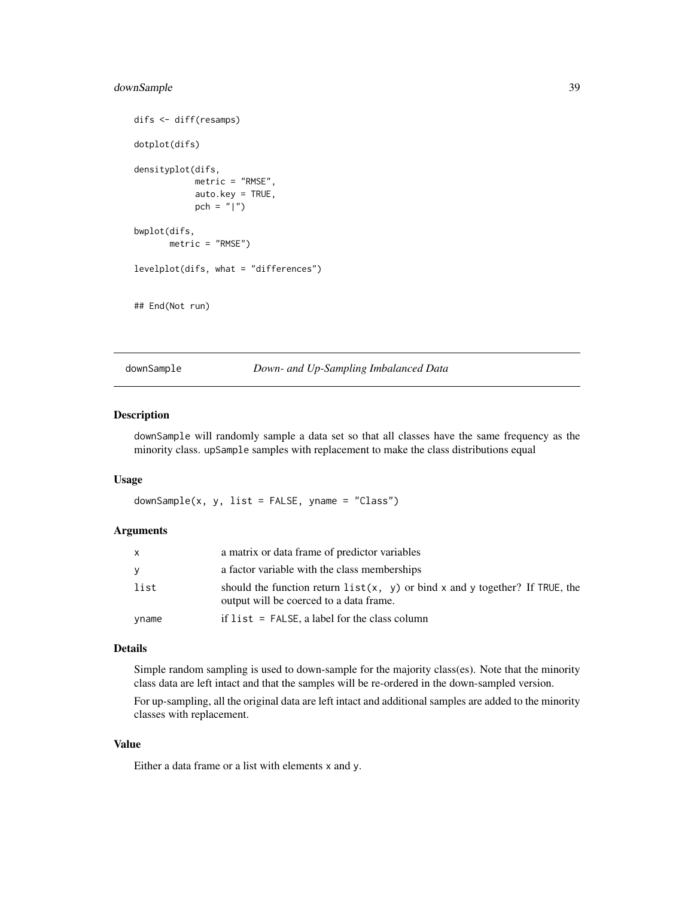# downSample 39

```
difs <- diff(resamps)
dotplot(difs)
densityplot(difs,
            metric = "RMSE",
            auto.key = TRUE,
            pch = "|")
bwplot(difs,
       metric = "RMSE")
levelplot(difs, what = "differences")
## End(Not run)
```
downSample *Down- and Up-Sampling Imbalanced Data*

# Description

downSample will randomly sample a data set so that all classes have the same frequency as the minority class. upSample samples with replacement to make the class distributions equal

# Usage

 $downSample(x, y, list = FALSE, yname = "Class")$ 

## Arguments

| $\mathsf{x}$ | a matrix or data frame of predictor variables                                                                             |
|--------------|---------------------------------------------------------------------------------------------------------------------------|
| <b>y</b>     | a factor variable with the class memberships                                                                              |
| list         | should the function return $list(x, y)$ or bind x and y together? If TRUE, the<br>output will be coerced to a data frame. |
| yname        | if $list = FALSE$ , a label for the class column                                                                          |

## Details

Simple random sampling is used to down-sample for the majority class(es). Note that the minority class data are left intact and that the samples will be re-ordered in the down-sampled version.

For up-sampling, all the original data are left intact and additional samples are added to the minority classes with replacement.

### Value

Either a data frame or a list with elements x and y.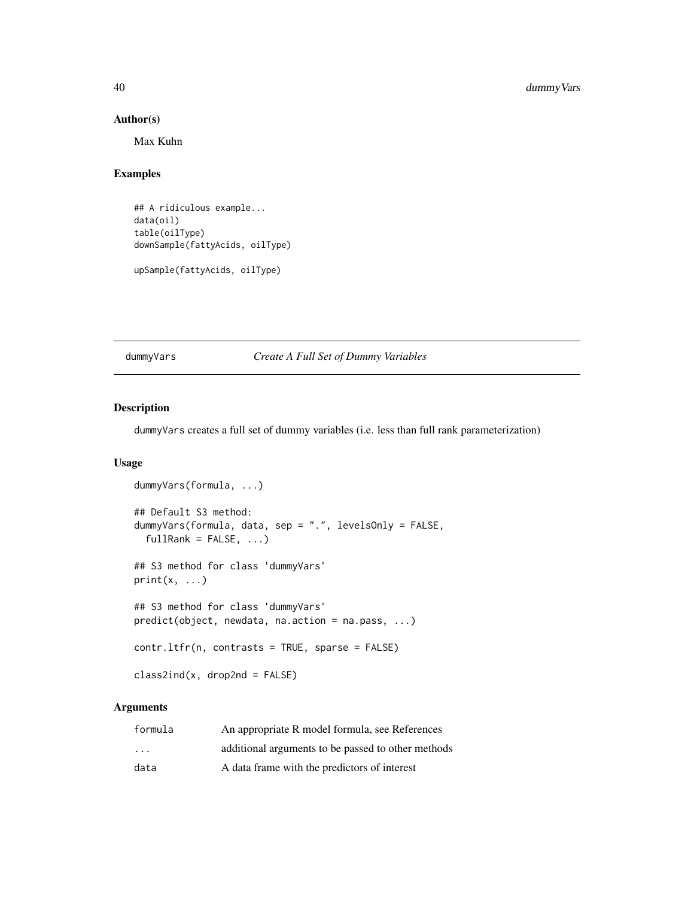## Author(s)

Max Kuhn

# Examples

## A ridiculous example... data(oil) table(oilType) downSample(fattyAcids, oilType)

upSample(fattyAcids, oilType)

dummyVars *Create A Full Set of Dummy Variables*

## Description

dummyVars creates a full set of dummy variables (i.e. less than full rank parameterization)

# Usage

```
dummyVars(formula, ...)
## Default S3 method:
dummyVars(formula, data, sep = ".", levelsOnly = FALSE,
  fullRank = FALSE, ...)## S3 method for class 'dummyVars'
print(x, \ldots)## S3 method for class 'dummyVars'
predict(object, newdata, na.action = na.pass, ...)
contr.ltfr(n, contrasts = TRUE, sparse = FALSE)
class2ind(x, drop2nd = FALSE)
```
## Arguments

| formula                 | An appropriate R model formula, see References     |
|-------------------------|----------------------------------------------------|
| $\cdot$ $\cdot$ $\cdot$ | additional arguments to be passed to other methods |
| data                    | A data frame with the predictors of interest       |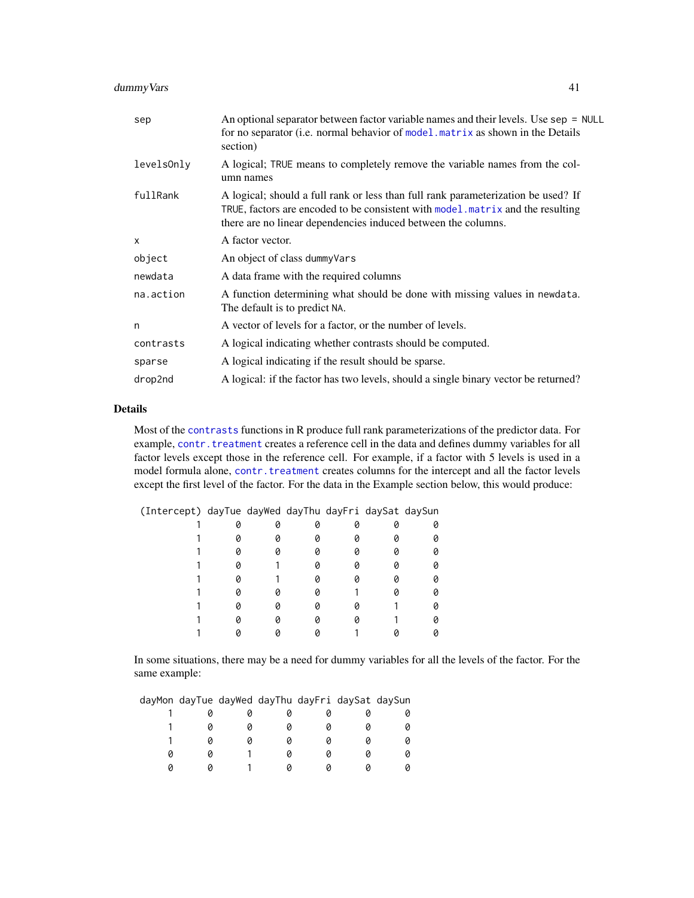# dummyVars 41

| sep        | An optional separator between factor variable names and their levels. Use sep = NULL<br>for no separator (i.e. normal behavior of model matrix as shown in the Details<br>section)                                                   |
|------------|--------------------------------------------------------------------------------------------------------------------------------------------------------------------------------------------------------------------------------------|
| levelsOnly | A logical; TRUE means to completely remove the variable names from the col-<br>umn names                                                                                                                                             |
| fullRank   | A logical; should a full rank or less than full rank parameterization be used? If<br>TRUE, factors are encoded to be consistent with model matrix and the resulting<br>there are no linear dependencies induced between the columns. |
| $\times$   | A factor vector.                                                                                                                                                                                                                     |
| object     | An object of class dummy Vars                                                                                                                                                                                                        |
| newdata    | A data frame with the required columns                                                                                                                                                                                               |
| na.action  | A function determining what should be done with missing values in newdata.<br>The default is to predict NA.                                                                                                                          |
| n          | A vector of levels for a factor, or the number of levels.                                                                                                                                                                            |
| contrasts  | A logical indicating whether contrasts should be computed.                                                                                                                                                                           |
| sparse     | A logical indicating if the result should be sparse.                                                                                                                                                                                 |
| drop2nd    | A logical: if the factor has two levels, should a single binary vector be returned?                                                                                                                                                  |

## Details

Most of the [contrasts](#page-0-0) functions in R produce full rank parameterizations of the predictor data. For example, [contr.treatment](#page-0-0) creates a reference cell in the data and defines dummy variables for all factor levels except those in the reference cell. For example, if a factor with 5 levels is used in a model formula alone, [contr.treatment](#page-0-0) creates columns for the intercept and all the factor levels except the first level of the factor. For the data in the Example section below, this would produce:

| (Intercept) dayTue dayWed dayThu dayFri daySat daySun |  |  |  |
|-------------------------------------------------------|--|--|--|
|                                                       |  |  |  |
|                                                       |  |  |  |
|                                                       |  |  |  |
|                                                       |  |  |  |
|                                                       |  |  |  |
|                                                       |  |  |  |
|                                                       |  |  |  |
|                                                       |  |  |  |
|                                                       |  |  |  |

In some situations, there may be a need for dummy variables for all the levels of the factor. For the same example:

| dayMon dayTue dayWed dayThu dayFri daySat daySun |  |  |  |
|--------------------------------------------------|--|--|--|
|                                                  |  |  |  |
|                                                  |  |  |  |
|                                                  |  |  |  |
|                                                  |  |  |  |
|                                                  |  |  |  |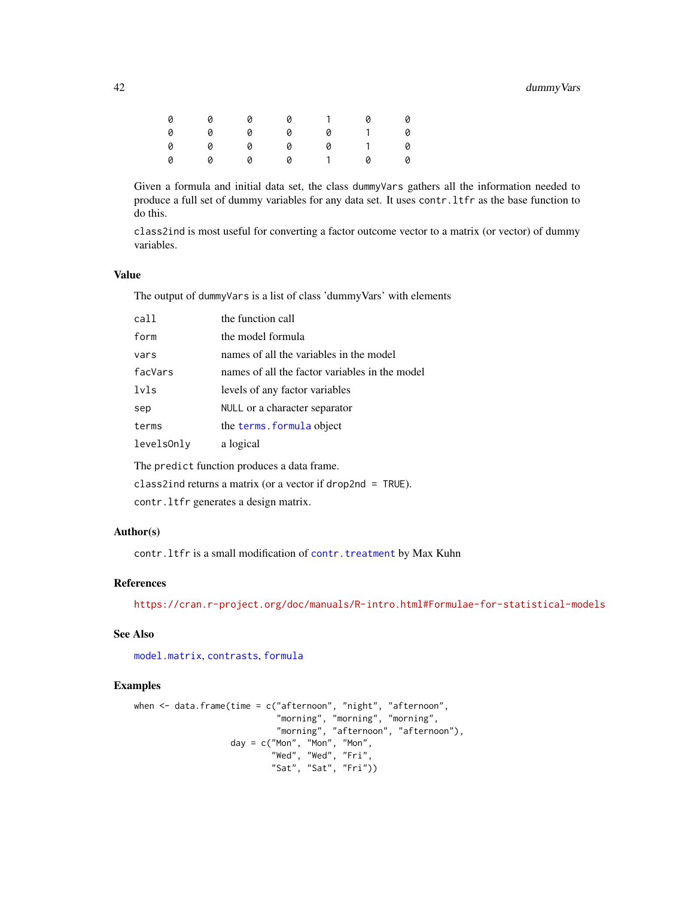# 42 dummyVars

| 0 | 0 0 0 1 0 0 |           |  |                          |
|---|-------------|-----------|--|--------------------------|
| 0 | 0 0 0 0 1 0 |           |  |                          |
| 0 | 0 0 0 0 1 0 |           |  |                          |
| 0 |             | 0 0 0 1 0 |  | $\overline{\phantom{a}}$ |

Given a formula and initial data set, the class dummyVars gathers all the information needed to produce a full set of dummy variables for any data set. It uses contr.ltfr as the base function to do this.

class2ind is most useful for converting a factor outcome vector to a matrix (or vector) of dummy variables.

## Value

The output of dummyVars is a list of class 'dummyVars' with elements

| call       | the function call                              |
|------------|------------------------------------------------|
| form       | the model formula                              |
| vars       | names of all the variables in the model        |
| facVars    | names of all the factor variables in the model |
| lvls       | levels of any factor variables                 |
| sep        | NULL or a character separator                  |
| terms      | the terms. formula object                      |
| levelsOnly | a logical                                      |
|            |                                                |

The predict function produces a data frame.

class2ind returns a matrix (or a vector if drop2nd = TRUE).

contr.ltfr generates a design matrix.

### Author(s)

contr.ltfr is a small modification of [contr.treatment](#page-0-0) by Max Kuhn

## References

<https://cran.r-project.org/doc/manuals/R-intro.html#Formulae-for-statistical-models>

### See Also

[model.matrix](#page-0-0), [contrasts](#page-0-0), [formula](#page-0-0)

```
when <- data.frame(time = c("afternoon", "night", "afternoon",
                            "morning", "morning", "morning",
                            "morning", "afternoon", "afternoon"),
                   day = c("Mon", "Mon", "Mon",
                           "Wed", "Wed", "Fri",
                           "Sat", "Sat", "Fri"))
```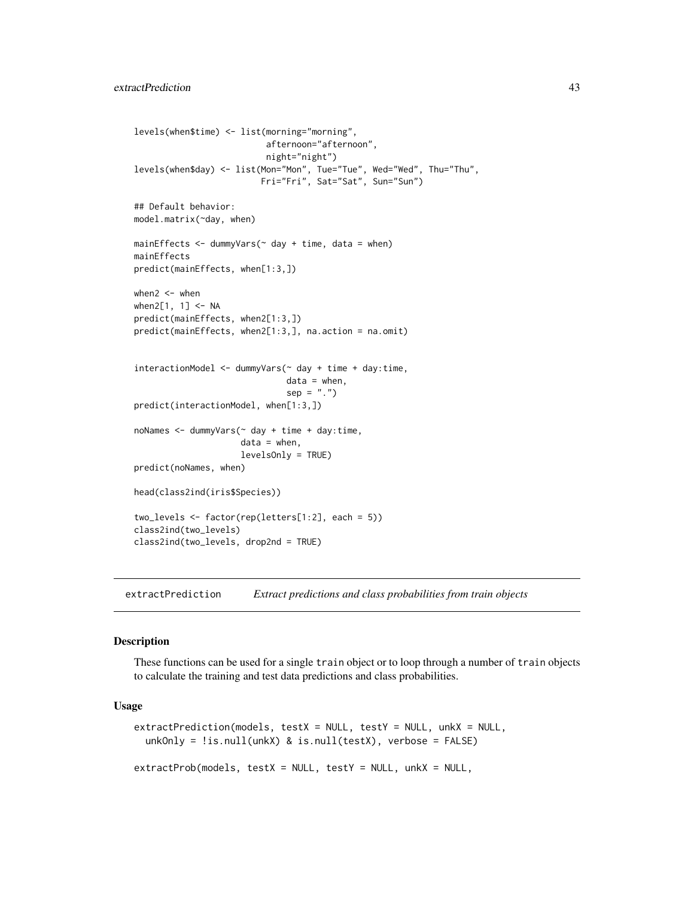```
levels(when$time) <- list(morning="morning",
                          afternoon="afternoon",
                          night="night")
levels(when$day) <- list(Mon="Mon", Tue="Tue", Wed="Wed", Thu="Thu",
                         Fri="Fri", Sat="Sat", Sun="Sun")
## Default behavior:
model.matrix(~day, when)
mainEffects < -dummyVars(~ day + time, data = when)mainEffects
predict(mainEffects, when[1:3,])
when2 < - when
when2[1, 1] <- NA
predict(mainEffects, when2[1:3,])
predict(mainEffects, when2[1:3,], na.action = na.omit)
interactionModel <- dummyVars(~ day + time + day:time,
                              data = when,
                              sep = "."predict(interactionModel, when[1:3,])
noNames <- dummyVars(~ day + time + day:time,
                     data = when,levelsOnly = TRUE)
predict(noNames, when)
head(class2ind(iris$Species))
two_levels <- factor(rep(letters[1:2], each = 5))
class2ind(two_levels)
class2ind(two_levels, drop2nd = TRUE)
```
extractPrediction *Extract predictions and class probabilities from train objects*

### Description

These functions can be used for a single train object or to loop through a number of train objects to calculate the training and test data predictions and class probabilities.

### Usage

```
extractPrediction(models, testX = NULL, testY = NULL, unkX = NULL,
  unkOnly = !is.null(unkX) & is.null(testX), verbose = FALSE)
extractProb(models, testX = NULL, testY = NULL, unkX = NULL,
```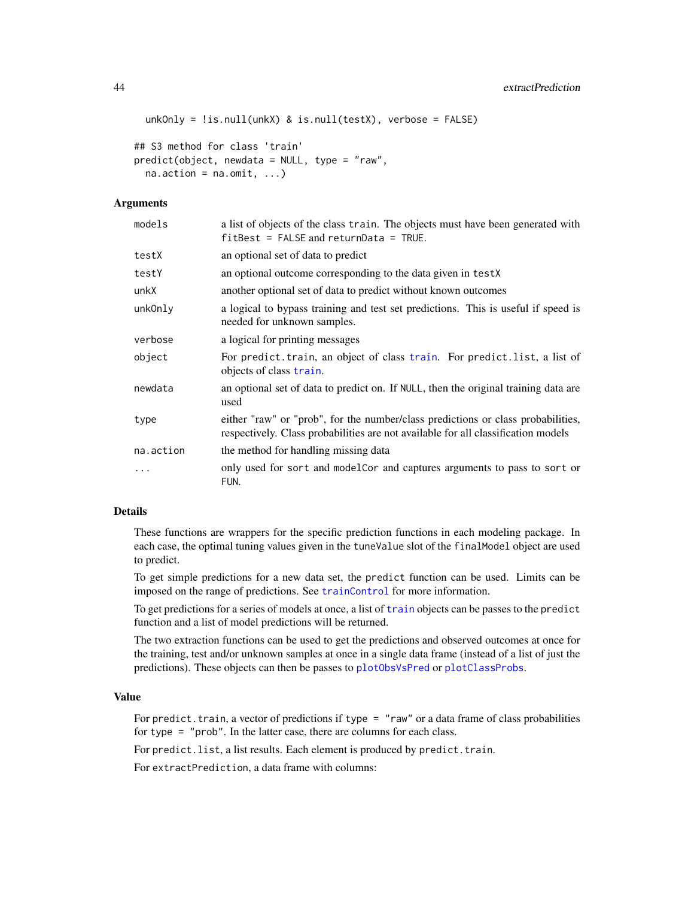```
unkOnly = !is.null(unkX) & is.null(testX), verbose = FALSE)
```

```
## S3 method for class 'train'
predict(object, newdata = NULL, type = "raw",
  na. action = na. omit, ...
```
### **Arguments**

| models    | a list of objects of the class train. The objects must have been generated with<br>$fitBest = FALSE and returnData = TRUE.$                                           |
|-----------|-----------------------------------------------------------------------------------------------------------------------------------------------------------------------|
| testX     | an optional set of data to predict                                                                                                                                    |
| testY     | an optional outcome corresponding to the data given in testX                                                                                                          |
| unkX      | another optional set of data to predict without known outcomes                                                                                                        |
| unkOnly   | a logical to bypass training and test set predictions. This is useful if speed is<br>needed for unknown samples.                                                      |
| verbose   | a logical for printing messages                                                                                                                                       |
| object    | For predict. train, an object of class train. For predict. list, a list of<br>objects of class train.                                                                 |
| newdata   | an optional set of data to predict on. If NULL, then the original training data are<br>used                                                                           |
| type      | either "raw" or "prob", for the number/class predictions or class probabilities,<br>respectively. Class probabilities are not available for all classification models |
| na.action | the method for handling missing data                                                                                                                                  |
| $\ddotsc$ | only used for sort and modelCor and captures arguments to pass to sort or<br>FUN.                                                                                     |

# Details

These functions are wrappers for the specific prediction functions in each modeling package. In each case, the optimal tuning values given in the tuneValue slot of the finalModel object are used to predict.

To get simple predictions for a new data set, the predict function can be used. Limits can be imposed on the range of predictions. See [trainControl](#page-158-0) for more information.

To get predictions for a series of models at once, a list of [train](#page-153-0) objects can be passes to the predict function and a list of model predictions will be returned.

The two extraction functions can be used to get the predictions and observed outcomes at once for the training, test and/or unknown samples at once in a single data frame (instead of a list of just the predictions). These objects can then be passes to [plotObsVsPred](#page-100-0) or [plotClassProbs](#page-99-0).

### Value

For predict. train, a vector of predictions if type  $=$  "raw" or a data frame of class probabilities for type = "prob". In the latter case, there are columns for each class.

For predict. list, a list results. Each element is produced by predict. train.

For extractPrediction, a data frame with columns: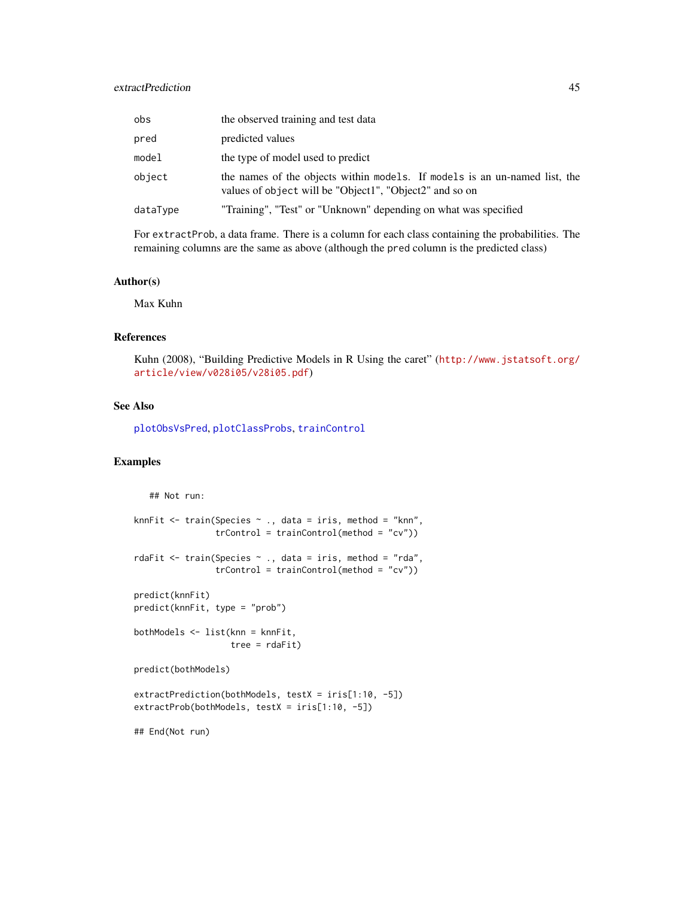# extractPrediction 45

| obs      | the observed training and test data                                                                                                   |
|----------|---------------------------------------------------------------------------------------------------------------------------------------|
| pred     | predicted values                                                                                                                      |
| model    | the type of model used to predict                                                                                                     |
| object   | the names of the objects within models. If models is an un-named list, the<br>values of object will be "Object1", "Object2" and so on |
| dataType | "Training", "Test" or "Unknown" depending on what was specified                                                                       |

For extractProb, a data frame. There is a column for each class containing the probabilities. The remaining columns are the same as above (although the pred column is the predicted class)

### Author(s)

Max Kuhn

## References

Kuhn (2008), "Building Predictive Models in R Using the caret" ([http://www.jstatsoft.org/](http://www.jstatsoft.org/article/view/v028i05/v28i05.pdf) [article/view/v028i05/v28i05.pdf](http://www.jstatsoft.org/article/view/v028i05/v28i05.pdf))

# See Also

[plotObsVsPred](#page-100-0), [plotClassProbs](#page-99-0), [trainControl](#page-158-0)

```
## Not run:
knnFit <- train(Species ~ ., data = iris, method = "knn",
                trControl = trainControl(method = "cv"))
rdaFit <- train(Species ~ ., data = iris, method = "rda",
                trControl = trainControl(method = "cv")predict(knnFit)
predict(knnFit, type = "prob")
bothModels <- list(knn = knnFit,
                  tree = rdaFit)
predict(bothModels)
extractPrediction(bothModels, testX = iris[1:10, -5])
extractProb(bothModels, testX = iris[1:10, -5])
## End(Not run)
```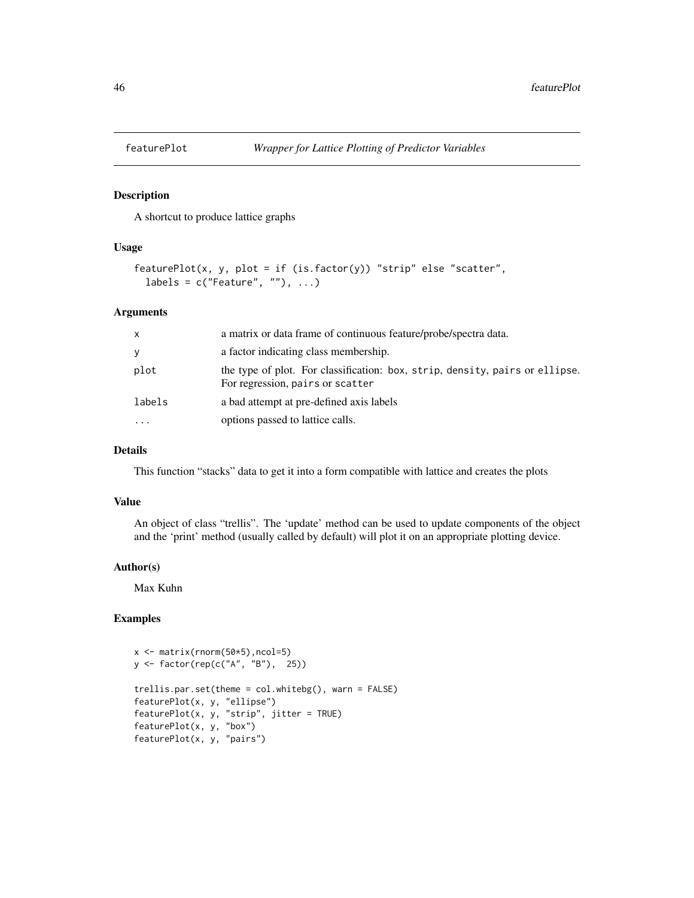### Description

A shortcut to produce lattice graphs

## Usage

```
featurePlot(x, y, plot = if (is.factor(y)) "strip" else "scatter",
 labels = c("Feature", ""), ...)
```
## Arguments

| $\mathsf{x}$ | a matrix or data frame of continuous feature/probe/spectra data.                                                 |
|--------------|------------------------------------------------------------------------------------------------------------------|
| У            | a factor indicating class membership.                                                                            |
| plot         | the type of plot. For classification: box, strip, density, pairs or ellipse.<br>For regression, pairs or scatter |
| labels       | a bad attempt at pre-defined axis labels                                                                         |
|              | options passed to lattice calls.                                                                                 |

## Details

This function "stacks" data to get it into a form compatible with lattice and creates the plots

### Value

An object of class "trellis". The 'update' method can be used to update components of the object and the 'print' method (usually called by default) will plot it on an appropriate plotting device.

## Author(s)

Max Kuhn

```
x <- matrix(rnorm(50*5),ncol=5)
y <- factor(rep(c("A", "B"), 25))
trellis.par.set(theme = col.whitebg(), warn = FALSE)
featurePlot(x, y, "ellipse")
featurePlot(x, y, "strip", jitter = TRUE)
featurePlot(x, y, "box")
featurePlot(x, y, "pairs")
```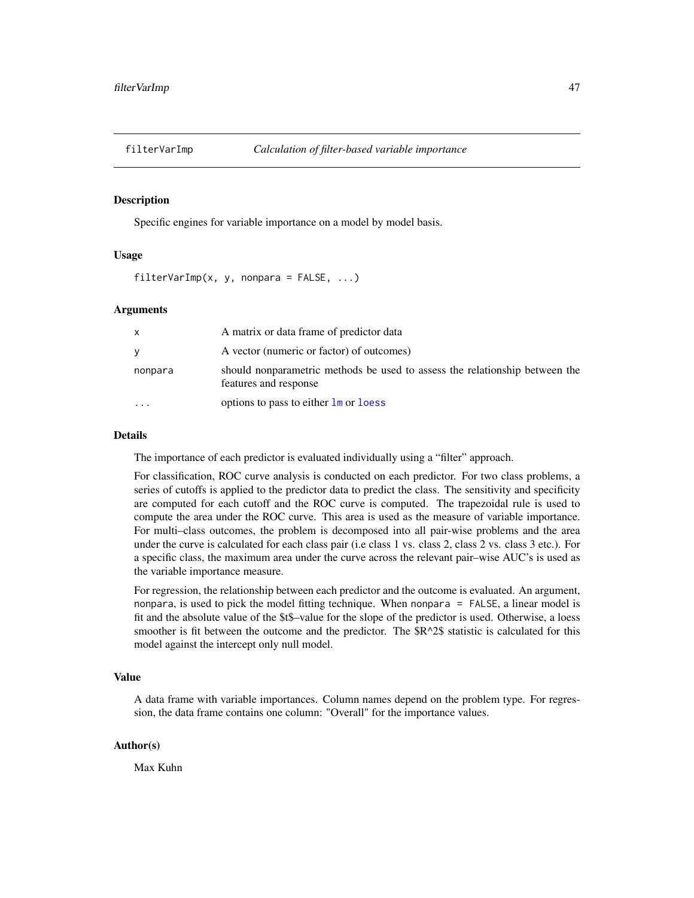### **Description**

Specific engines for variable importance on a model by model basis.

### Usage

```
filterVarImp(x, y, nonpara = FALSE, ...)
```
### Arguments

| X                       | A matrix or data frame of predictor data                                                             |
|-------------------------|------------------------------------------------------------------------------------------------------|
| V                       | A vector (numeric or factor) of outcomes)                                                            |
| nonpara                 | should nonparametric methods be used to assess the relationship between the<br>features and response |
| $\cdot$ $\cdot$ $\cdot$ | options to pass to either $\frac{1}{2}$ or loess                                                     |

### Details

The importance of each predictor is evaluated individually using a "filter" approach.

For classification, ROC curve analysis is conducted on each predictor. For two class problems, a series of cutoffs is applied to the predictor data to predict the class. The sensitivity and specificity are computed for each cutoff and the ROC curve is computed. The trapezoidal rule is used to compute the area under the ROC curve. This area is used as the measure of variable importance. For multi–class outcomes, the problem is decomposed into all pair-wise problems and the area under the curve is calculated for each class pair (i.e class 1 vs. class 2, class 2 vs. class 3 etc.). For a specific class, the maximum area under the curve across the relevant pair–wise AUC's is used as the variable importance measure.

For regression, the relationship between each predictor and the outcome is evaluated. An argument, nonpara, is used to pick the model fitting technique. When nonpara = FALSE, a linear model is fit and the absolute value of the \$t\$–value for the slope of the predictor is used. Otherwise, a loess smoother is fit between the outcome and the predictor. The  $R^2$  statistic is calculated for this model against the intercept only null model.

## Value

A data frame with variable importances. Column names depend on the problem type. For regression, the data frame contains one column: "Overall" for the importance values.

### Author(s)

Max Kuhn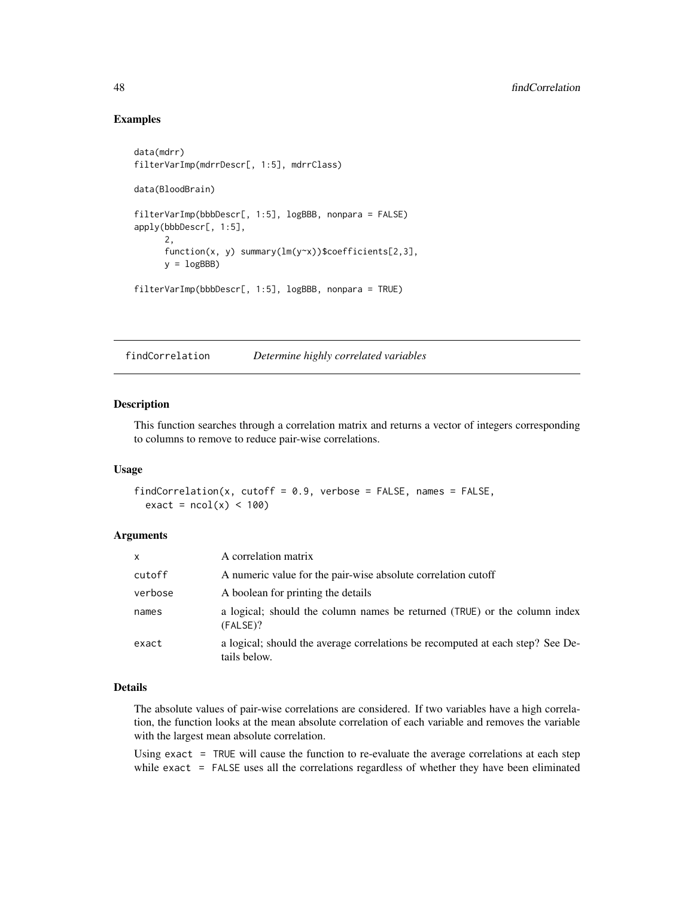## Examples

```
data(mdrr)
filterVarImp(mdrrDescr[, 1:5], mdrrClass)
data(BloodBrain)
filterVarImp(bbbDescr[, 1:5], logBBB, nonpara = FALSE)
apply(bbbDescr[, 1:5],
      2,
      function(x, y) summary(lm(y~x))$coefficients[2,3],
      y = \text{logBBB}filterVarImp(bbbDescr[, 1:5], logBBB, nonpara = TRUE)
```
findCorrelation *Determine highly correlated variables*

## Description

This function searches through a correlation matrix and returns a vector of integers corresponding to columns to remove to reduce pair-wise correlations.

#### Usage

 $findCorrelation(x, cutoff = 0.9, verbose = FALSE, names = FALSE,$  $exact = ncol(x) < 100$ 

## Arguments

| $\mathsf{x}$ | A correlation matrix                                                                           |
|--------------|------------------------------------------------------------------------------------------------|
| cutoff       | A numeric value for the pair-wise absolute correlation cutoff                                  |
| verbose      | A boolean for printing the details                                                             |
| names        | a logical; should the column names be returned (TRUE) or the column index<br>(FALSE)?          |
| exact        | a logical; should the average correlations be recomputed at each step? See De-<br>tails below. |

### Details

The absolute values of pair-wise correlations are considered. If two variables have a high correlation, the function looks at the mean absolute correlation of each variable and removes the variable with the largest mean absolute correlation.

Using exact = TRUE will cause the function to re-evaluate the average correlations at each step while exact = FALSE uses all the correlations regardless of whether they have been eliminated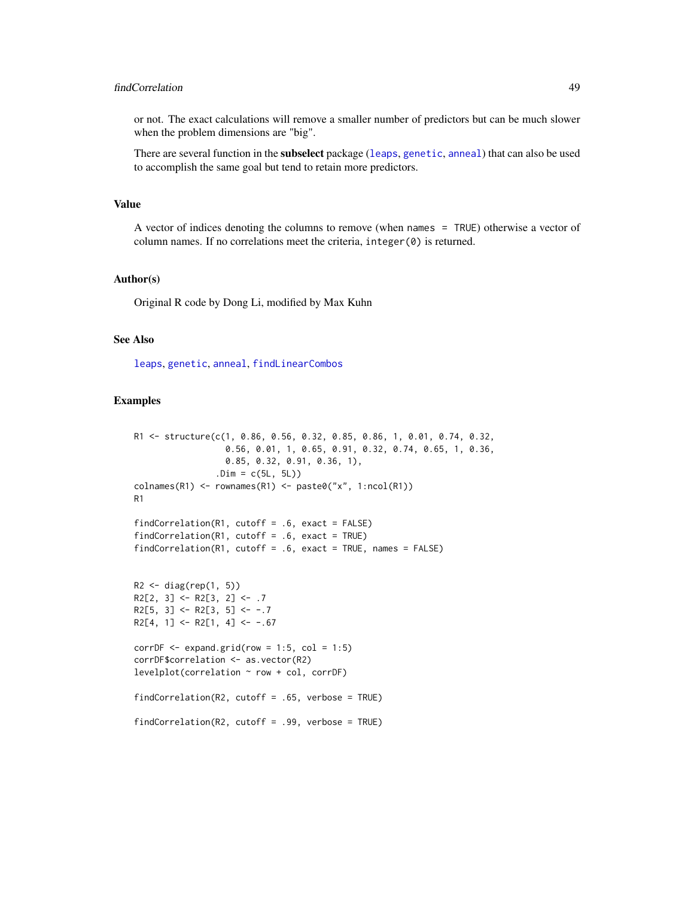## findCorrelation 49

or not. The exact calculations will remove a smaller number of predictors but can be much slower when the problem dimensions are "big".

There are several function in the subselect package ([leaps](#page-0-0), [genetic](#page-0-0), [anneal](#page-0-0)) that can also be used to accomplish the same goal but tend to retain more predictors.

## Value

A vector of indices denoting the columns to remove (when names = TRUE) otherwise a vector of column names. If no correlations meet the criteria, integer(0) is returned.

### Author(s)

Original R code by Dong Li, modified by Max Kuhn

## See Also

[leaps](#page-0-0), [genetic](#page-0-0), [anneal](#page-0-0), [findLinearCombos](#page-49-0)

```
R1 <- structure(c(1, 0.86, 0.56, 0.32, 0.85, 0.86, 1, 0.01, 0.74, 0.32,
                  0.56, 0.01, 1, 0.65, 0.91, 0.32, 0.74, 0.65, 1, 0.36,
                  0.85, 0.32, 0.91, 0.36, 1),
                .Dim = c(5L, 5L))
colnames(R1) <- rownames(R1) <- paste0("x", 1:ncol(R1))
R1
findCorrelation(R1, cutoff = .6, exact = FALSE)
findCorrelation(R1, cutoff = .6, exact = TRUE)
findCorrelation(R1, cutoff = .6, exact = TRUE, names = FALSE)R2 \leftarrow diag(rep(1, 5))R2[2, 3] <- R2[3, 2] <- .7
R2[5, 3] <- R2[3, 5] <- -.7
R2[4, 1] <- R2[1, 4] <- -.67
corrDF \le - expand.grid(row = 1:5, col = 1:5)
corrDF$correlation <- as.vector(R2)
levelplot(correlation ~ row + col, corrDF)
findCorrelation(R2, cutoff = .65, verbose = TRUE)
findCorrelation(R2, cutoff = .99, verbose = TRUE)
```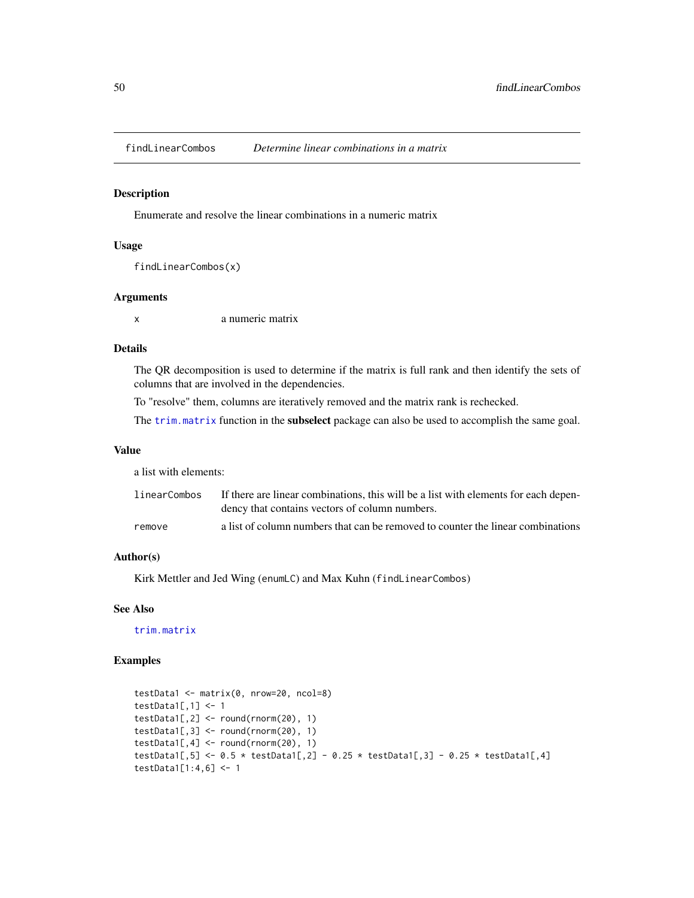<span id="page-49-0"></span>

### Description

Enumerate and resolve the linear combinations in a numeric matrix

### Usage

```
findLinearCombos(x)
```
### Arguments

x a numeric matrix

# Details

The QR decomposition is used to determine if the matrix is full rank and then identify the sets of columns that are involved in the dependencies.

To "resolve" them, columns are iteratively removed and the matrix rank is rechecked.

The [trim.matrix](#page-0-0) function in the **subselect** package can also be used to accomplish the same goal.

### Value

a list with elements:

| linearCombos | If there are linear combinations, this will be a list with elements for each depen-<br>dency that contains vectors of column numbers. |
|--------------|---------------------------------------------------------------------------------------------------------------------------------------|
| remove       | a list of column numbers that can be removed to counter the linear combinations                                                       |

## Author(s)

Kirk Mettler and Jed Wing (enumLC) and Max Kuhn (findLinearCombos)

## See Also

[trim.matrix](#page-0-0)

```
testData1 <- matrix(0, nrow=20, ncol=8)
testData1[,1] <- 1
testData1[,2] <- round(rnorm(20), 1)
testData1[,3] <- round(rnorm(20), 1)
testData1[, 4] \leftarrow round(rnorm(20), 1)testData1[,5] <- 0.5 * \text{ testData1}[,2] - 0.25 * \text{ testData1}[,3] - 0.25 * \text{ testData1}[,4]
testData1[1:4,6] <- 1
```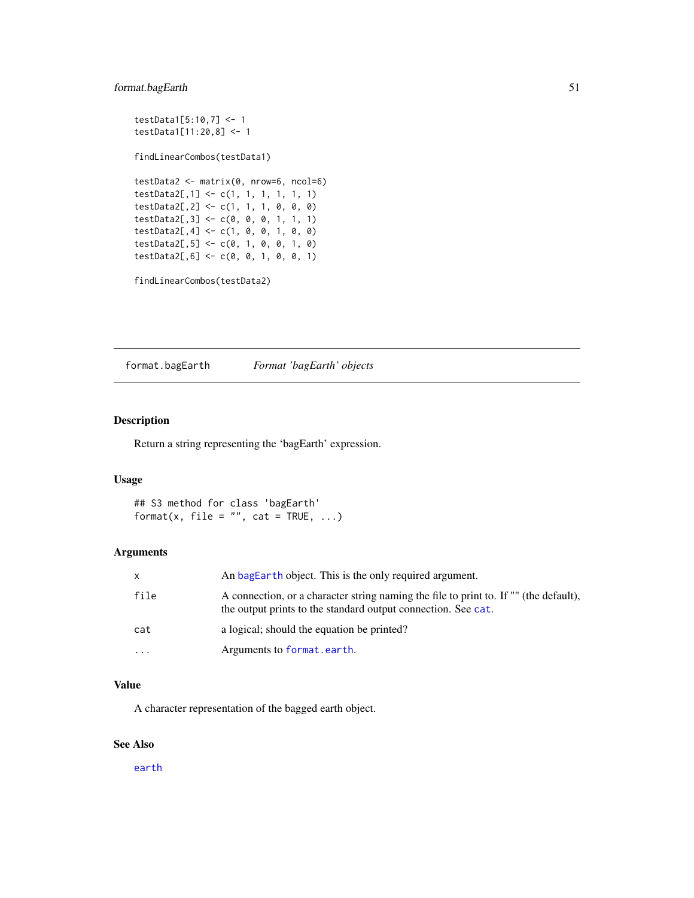# format.bagEarth 51

```
testData1[5:10,7] <- 1
testData1[11:20,8] <- 1
findLinearCombos(testData1)
testData2 <- matrix(0, nrow=6, ncol=6)
testData2[,1] <- c(1, 1, 1, 1, 1, 1)
testData2[,2] <- c(1, 1, 1, 0, 0, 0)
testData2[,3] <- c(0, 0, 0, 1, 1, 1)
testData2[, 4] < -c(1, 0, 0, 1, 0, 0)testData2[,5] <- c(0, 1, 0, 0, 1, 0)
testData2[,6] <- c(0, 0, 1, 0, 0, 1)
```

```
findLinearCombos(testData2)
```
format.bagEarth *Format 'bagEarth' objects*

## Description

Return a string representing the 'bagEarth' expression.

# Usage

## S3 method for class 'bagEarth' format(x, file =  $"$ , cat = TRUE, ...)

# Arguments

| X        | An bagEarth object. This is the only required argument.                                                                                                |
|----------|--------------------------------------------------------------------------------------------------------------------------------------------------------|
| file     | A connection, or a character string naming the file to print to. If "" (the default),<br>the output prints to the standard output connection. See cat. |
| cat      | a logical; should the equation be printed?                                                                                                             |
| $\cdots$ | Arguments to format.earth.                                                                                                                             |

## Value

A character representation of the bagged earth object.

# See Also

[earth](#page-0-0)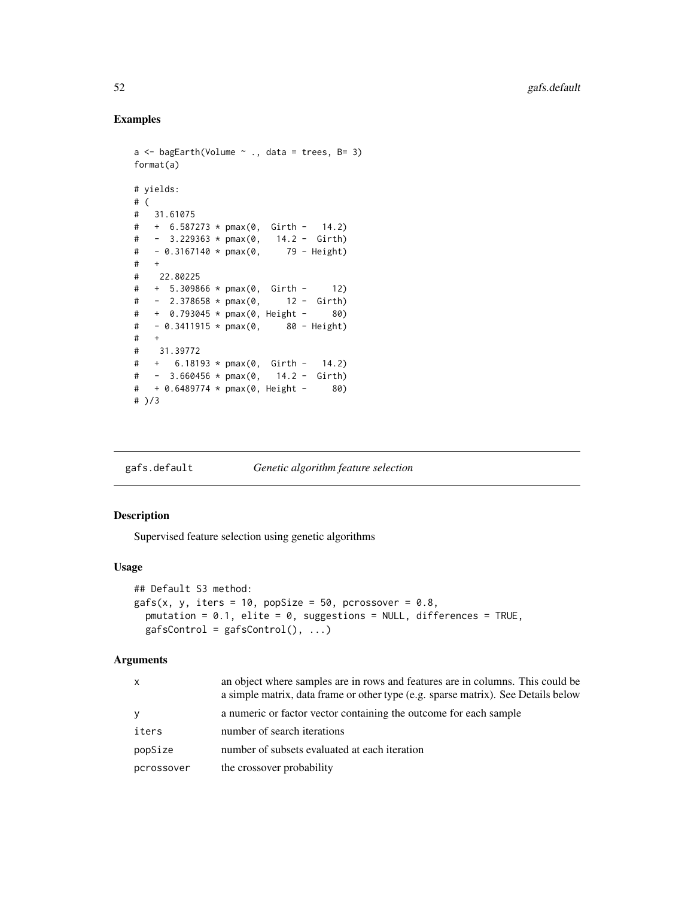## Examples

```
a \leftarrow bagEarth(Volume \sim ., data = trees, B= 3)
format(a)
# yields:
# (
# 31.61075
# + 6.587273 * pmax(0, Girth - 14.2)
# - 3.229363 * pmax(0, 14.2 - Girth)
# - 0.3167140 * pmax(0, 79 - Height)
# +
# 22.80225
# + 5.309866 * pmax(0, Girth - 12)
# - 2.378658 * pmax(0, 12 - Girth)
# + 0.793045 * pmax(0, Height - 80)
\# - 0.3411915 * pmax(0, 80 - Height)
# +
# 31.39772
# + 6.18193 * pmax(0, Girth - 14.2)
# - 3.660456 * pmax(0, 14.2 - Girth)
# + 0.6489774 * pmax(0, Height - 80)
# )/3
```
gafs.default *Genetic algorithm feature selection*

### <span id="page-51-0"></span>Description

Supervised feature selection using genetic algorithms

### Usage

```
## Default S3 method:
gafs(x, y, iter = 10, popSize = 50, prossover = 0.8,pmutation = 0.1, elite = 0, suggestions = NULL, differences = TRUE,
  gafsControl = gafsControl(), ...)
```
### Arguments

| x          | an object where samples are in rows and features are in columns. This could be<br>a simple matrix, data frame or other type (e.g. sparse matrix). See Details below |
|------------|---------------------------------------------------------------------------------------------------------------------------------------------------------------------|
| V          | a numeric or factor vector containing the outcome for each sample                                                                                                   |
| iters      | number of search iterations                                                                                                                                         |
| popSize    | number of subsets evaluated at each iteration                                                                                                                       |
| pcrossover | the crossover probability                                                                                                                                           |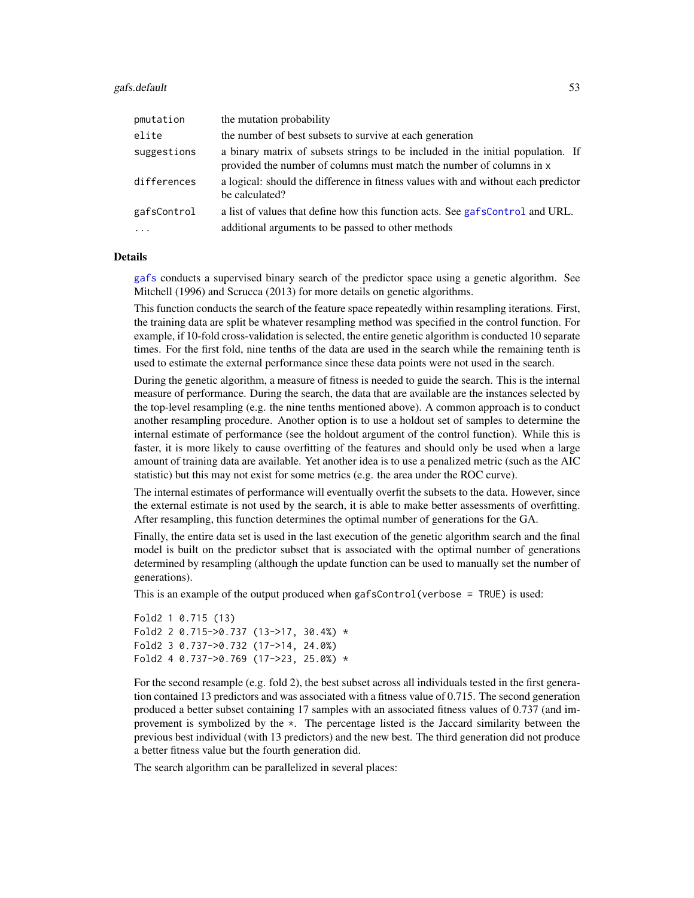### gafs.default 53

| pmutation   | the mutation probability                                                                                                                                |
|-------------|---------------------------------------------------------------------------------------------------------------------------------------------------------|
| elite       | the number of best subsets to survive at each generation                                                                                                |
| suggestions | a binary matrix of subsets strings to be included in the initial population. If<br>provided the number of columns must match the number of columns in x |
| differences | a logical: should the difference in fitness values with and without each predictor<br>be calculated?                                                    |
| gafsControl | a list of values that define how this function acts. See gafsControl and URL.                                                                           |
|             | additional arguments to be passed to other methods                                                                                                      |

### Details

[gafs](#page-51-0) conducts a supervised binary search of the predictor space using a genetic algorithm. See Mitchell (1996) and Scrucca (2013) for more details on genetic algorithms.

This function conducts the search of the feature space repeatedly within resampling iterations. First, the training data are split be whatever resampling method was specified in the control function. For example, if 10-fold cross-validation is selected, the entire genetic algorithm is conducted 10 separate times. For the first fold, nine tenths of the data are used in the search while the remaining tenth is used to estimate the external performance since these data points were not used in the search.

During the genetic algorithm, a measure of fitness is needed to guide the search. This is the internal measure of performance. During the search, the data that are available are the instances selected by the top-level resampling (e.g. the nine tenths mentioned above). A common approach is to conduct another resampling procedure. Another option is to use a holdout set of samples to determine the internal estimate of performance (see the holdout argument of the control function). While this is faster, it is more likely to cause overfitting of the features and should only be used when a large amount of training data are available. Yet another idea is to use a penalized metric (such as the AIC statistic) but this may not exist for some metrics (e.g. the area under the ROC curve).

The internal estimates of performance will eventually overfit the subsets to the data. However, since the external estimate is not used by the search, it is able to make better assessments of overfitting. After resampling, this function determines the optimal number of generations for the GA.

Finally, the entire data set is used in the last execution of the genetic algorithm search and the final model is built on the predictor subset that is associated with the optimal number of generations determined by resampling (although the update function can be used to manually set the number of generations).

This is an example of the output produced when gafsControl(verbose = TRUE) is used:

```
Fold2 1 0.715 (13)
Fold2 2 0.715->0.737 (13->17, 30.4%) *
Fold2 3 0.737->0.732 (17->14, 24.0%)
Fold2 4 0.737->0.769 (17->23, 25.0%) *
```
For the second resample (e.g. fold 2), the best subset across all individuals tested in the first generation contained 13 predictors and was associated with a fitness value of 0.715. The second generation produced a better subset containing 17 samples with an associated fitness values of 0.737 (and improvement is symbolized by the \*. The percentage listed is the Jaccard similarity between the previous best individual (with 13 predictors) and the new best. The third generation did not produce a better fitness value but the fourth generation did.

The search algorithm can be parallelized in several places: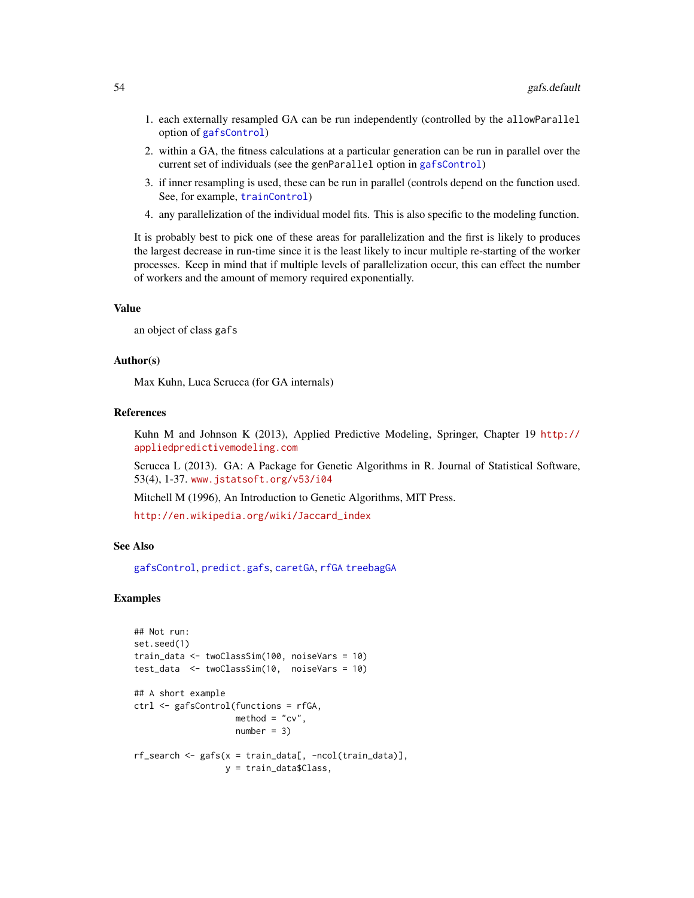- 1. each externally resampled GA can be run independently (controlled by the allowParallel option of [gafsControl](#page-54-0))
- 2. within a GA, the fitness calculations at a particular generation can be run in parallel over the current set of individuals (see the genParallel option in [gafsControl](#page-54-0))
- 3. if inner resampling is used, these can be run in parallel (controls depend on the function used. See, for example, [trainControl](#page-158-0))
- 4. any parallelization of the individual model fits. This is also specific to the modeling function.

It is probably best to pick one of these areas for parallelization and the first is likely to produces the largest decrease in run-time since it is the least likely to incur multiple re-starting of the worker processes. Keep in mind that if multiple levels of parallelization occur, this can effect the number of workers and the amount of memory required exponentially.

### Value

an object of class gafs

## Author(s)

Max Kuhn, Luca Scrucca (for GA internals)

### References

Kuhn M and Johnson K (2013), Applied Predictive Modeling, Springer, Chapter 19 [http://](http://appliedpredictivemodeling.com) [appliedpredictivemodeling.com](http://appliedpredictivemodeling.com)

Scrucca L (2013). GA: A Package for Genetic Algorithms in R. Journal of Statistical Software, 53(4), 1-37. <www.jstatsoft.org/v53/i04>

Mitchell M (1996), An Introduction to Genetic Algorithms, MIT Press.

[http://en.wikipedia.org/wiki/Jaccard\\_index](http://en.wikipedia.org/wiki/Jaccard_index)

## See Also

[gafsControl](#page-54-0), [predict.gafs](#page-108-0), [caretGA](#page-57-0), [rfGA](#page-57-0) [treebagGA](#page-57-0)

```
## Not run:
set.seed(1)
train_data <- twoClassSim(100, noiseVars = 10)
test_data <- twoClassSim(10, noiseVars = 10)
## A short example
ctrl <- gafsControl(functions = rfGA,
                    method = "cv",
                    number = 3rf\_search \leftarrow gafs(x = train\_data[, -ncol(train\_data)],y = train_data$Class,
```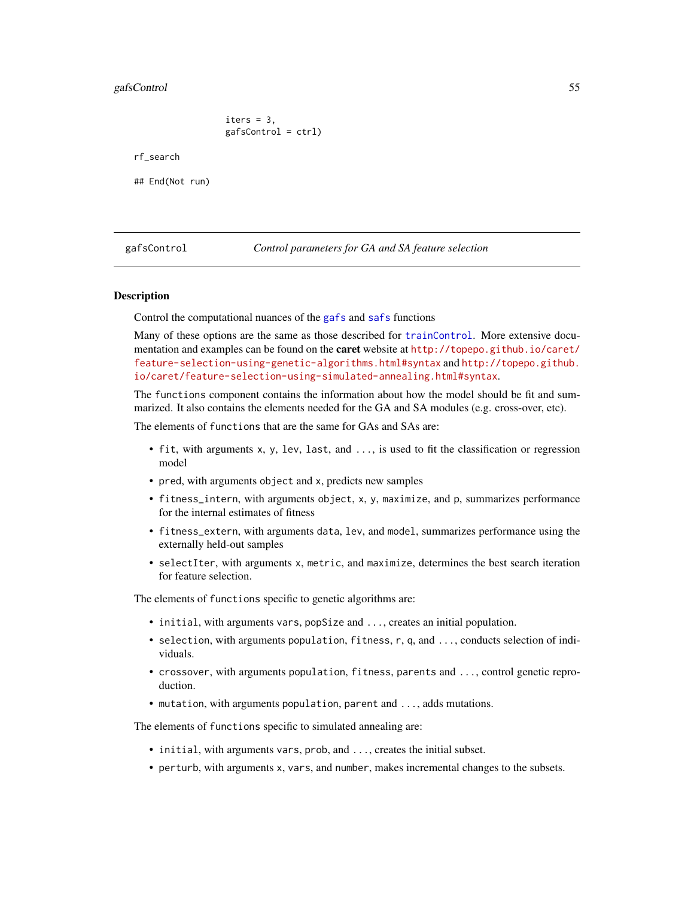### gafsControl 55

iters  $= 3$ , gafsControl = ctrl)

rf\_search

## End(Not run)

<span id="page-54-0"></span>gafsControl *Control parameters for GA and SA feature selection*

### Description

Control the computational nuances of the [gafs](#page-51-0) and [safs](#page-132-0) functions

Many of these options are the same as those described for [trainControl](#page-158-0). More extensive documentation and examples can be found on the **caret** website at [http://topepo.github.io/caret/](http://topepo.github.io/caret/feature-selection-using-genetic-algorithms.html#syntax) [feature-selection-using-genetic-algorithms.html#syntax](http://topepo.github.io/caret/feature-selection-using-genetic-algorithms.html#syntax) and [http://topepo.github.](http://topepo.github.io/caret/feature-selection-using-simulated-annealing.html#syntax) [io/caret/feature-selection-using-simulated-annealing.html#syntax](http://topepo.github.io/caret/feature-selection-using-simulated-annealing.html#syntax).

The functions component contains the information about how the model should be fit and summarized. It also contains the elements needed for the GA and SA modules (e.g. cross-over, etc).

The elements of functions that are the same for GAs and SAs are:

- fit, with arguments x, y, lev, last, and ..., is used to fit the classification or regression model
- pred, with arguments object and x, predicts new samples
- fitness\_intern, with arguments object, x, y, maximize, and p, summarizes performance for the internal estimates of fitness
- fitness\_extern, with arguments data, lev, and model, summarizes performance using the externally held-out samples
- selectIter, with arguments x, metric, and maximize, determines the best search iteration for feature selection.

The elements of functions specific to genetic algorithms are:

- initial, with arguments vars, popSize and ..., creates an initial population.
- selection, with arguments population, fitness, r, q, and ..., conducts selection of individuals.
- crossover, with arguments population, fitness, parents and ..., control genetic reproduction.
- mutation, with arguments population, parent and ..., adds mutations.

The elements of functions specific to simulated annealing are:

- initial, with arguments vars, prob, and ..., creates the initial subset.
- perturb, with arguments x, vars, and number, makes incremental changes to the subsets.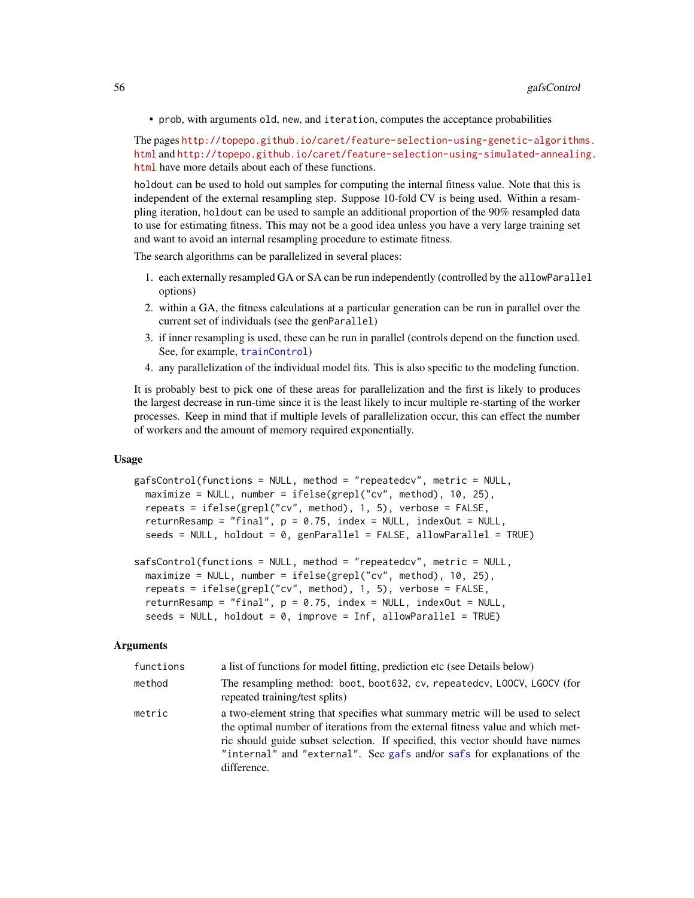• prob, with arguments old, new, and iteration, computes the acceptance probabilities

The pages [http://topepo.github.io/caret/feature-selection-using-genetic-algorithm](http://topepo.github.io/caret/feature-selection-using-genetic-algorithms.html)s. [html](http://topepo.github.io/caret/feature-selection-using-genetic-algorithms.html) and [http://topepo.github.io/caret/feature-selection-using-simulated-annealin](http://topepo.github.io/caret/feature-selection-using-simulated-annealing.html)g. [html](http://topepo.github.io/caret/feature-selection-using-simulated-annealing.html) have more details about each of these functions.

holdout can be used to hold out samples for computing the internal fitness value. Note that this is independent of the external resampling step. Suppose 10-fold CV is being used. Within a resampling iteration, holdout can be used to sample an additional proportion of the 90% resampled data to use for estimating fitness. This may not be a good idea unless you have a very large training set and want to avoid an internal resampling procedure to estimate fitness.

The search algorithms can be parallelized in several places:

- 1. each externally resampled GA or SA can be run independently (controlled by the allowParallel options)
- 2. within a GA, the fitness calculations at a particular generation can be run in parallel over the current set of individuals (see the genParallel)
- 3. if inner resampling is used, these can be run in parallel (controls depend on the function used. See, for example, [trainControl](#page-158-0))
- 4. any parallelization of the individual model fits. This is also specific to the modeling function.

It is probably best to pick one of these areas for parallelization and the first is likely to produces the largest decrease in run-time since it is the least likely to incur multiple re-starting of the worker processes. Keep in mind that if multiple levels of parallelization occur, this can effect the number of workers and the amount of memory required exponentially.

#### Usage

```
gafsControl(functions = NULL, method = "repeatedcv", metric = NULL,
 maximize = NULL, number = ifelse(grepl("cv", method), 10, 25),
  repeats = ifelse(grepl("cv", method), 1, 5), verbose = FALSE,
  returnResamp = "final", p = 0.75, index = NULL, indexOut = NULL,
  seeds = NULL, holdout = 0, genParallel = FALSE, allowParallel = TRUE)
```

```
safsControl(functions = NULL, method = "repeatedcv", metric = NULL,
 maximize = NULL, number = ifelse(grepl("cv", method), 10, 25),
 repeats = ifelse(grepl("cv", method), 1, 5), verbose = FALSE,
 returnResamp = "final", p = 0.75, index = NULL, indexOut = NULL,
 seeds = NULL, holdout = 0, improve = Inf, allowParallel = TRUE)
```
#### Arguments

| functions | a list of functions for model fitting, prediction etc (see Details below)                                                                                                                                                                                                                                                                     |  |
|-----------|-----------------------------------------------------------------------------------------------------------------------------------------------------------------------------------------------------------------------------------------------------------------------------------------------------------------------------------------------|--|
| method    | The resampling method: boot, boot632, cv, repeatedcv, LOOCV, LGOCV (for<br>repeated training/test splits)                                                                                                                                                                                                                                     |  |
| metric    | a two-element string that specifies what summary metric will be used to select<br>the optimal number of iterations from the external fitness value and which met-<br>ric should guide subset selection. If specified, this vector should have names<br>"internal" and "external". See gafs and/or safs for explanations of the<br>difference. |  |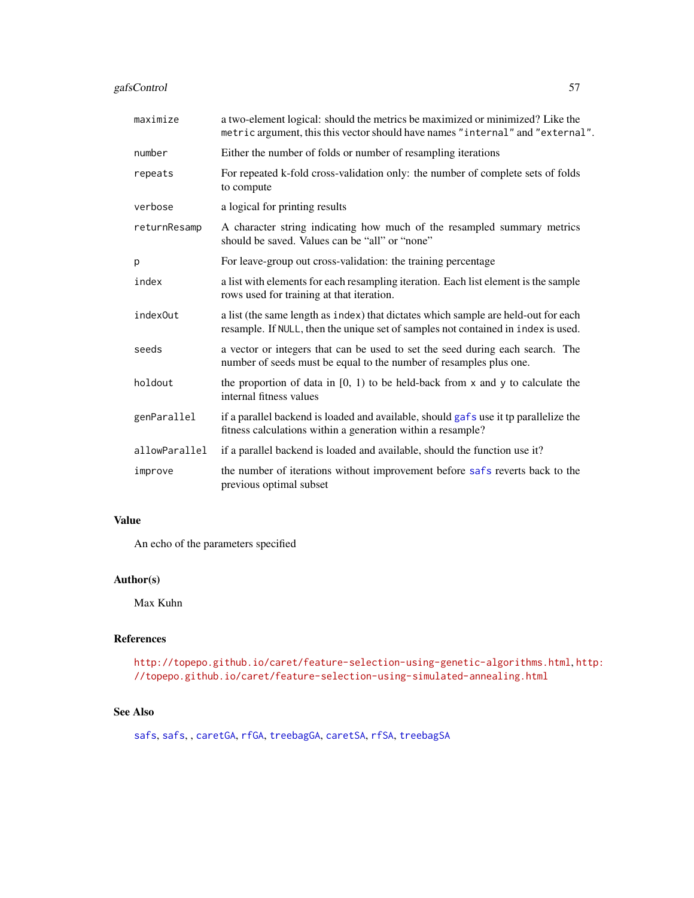# gafsControl 57

| maximize      | a two-element logical: should the metrics be maximized or minimized? Like the<br>metric argument, this this vector should have names "internal" and "external".         |
|---------------|-------------------------------------------------------------------------------------------------------------------------------------------------------------------------|
| number        | Either the number of folds or number of resampling iterations                                                                                                           |
| repeats       | For repeated k-fold cross-validation only: the number of complete sets of folds<br>to compute                                                                           |
| verbose       | a logical for printing results                                                                                                                                          |
| returnResamp  | A character string indicating how much of the resampled summary metrics<br>should be saved. Values can be "all" or "none"                                               |
| p             | For leave-group out cross-validation: the training percentage                                                                                                           |
| index         | a list with elements for each resampling iteration. Each list element is the sample<br>rows used for training at that iteration.                                        |
| index0ut      | a list (the same length as index) that dictates which sample are held-out for each<br>resample. If NULL, then the unique set of samples not contained in index is used. |
| seeds         | a vector or integers that can be used to set the seed during each search. The<br>number of seeds must be equal to the number of resamples plus one.                     |
| holdout       | the proportion of data in $[0, 1)$ to be held-back from x and y to calculate the<br>internal fitness values                                                             |
| genParallel   | if a parallel backend is loaded and available, should gafs use it tp parallelize the<br>fitness calculations within a generation within a resample?                     |
| allowParallel | if a parallel backend is loaded and available, should the function use it?                                                                                              |
| improve       | the number of iterations without improvement before safs reverts back to the<br>previous optimal subset                                                                 |

# Value

An echo of the parameters specified

# Author(s)

Max Kuhn

# References

<http://topepo.github.io/caret/feature-selection-using-genetic-algorithms.html>, [h](http://topepo.github.io/caret/feature-selection-using-simulated-annealing.html)ttp: [//topepo.github.io/caret/feature-selection-using-simulated-annealing.html](http://topepo.github.io/caret/feature-selection-using-simulated-annealing.html)

# See Also

[safs](#page-132-0), [safs](#page-132-0), , [caretGA](#page-57-0), [rfGA](#page-57-0), [treebagGA](#page-57-0), [caretSA](#page-135-0), [rfSA](#page-135-0), [treebagSA](#page-135-0)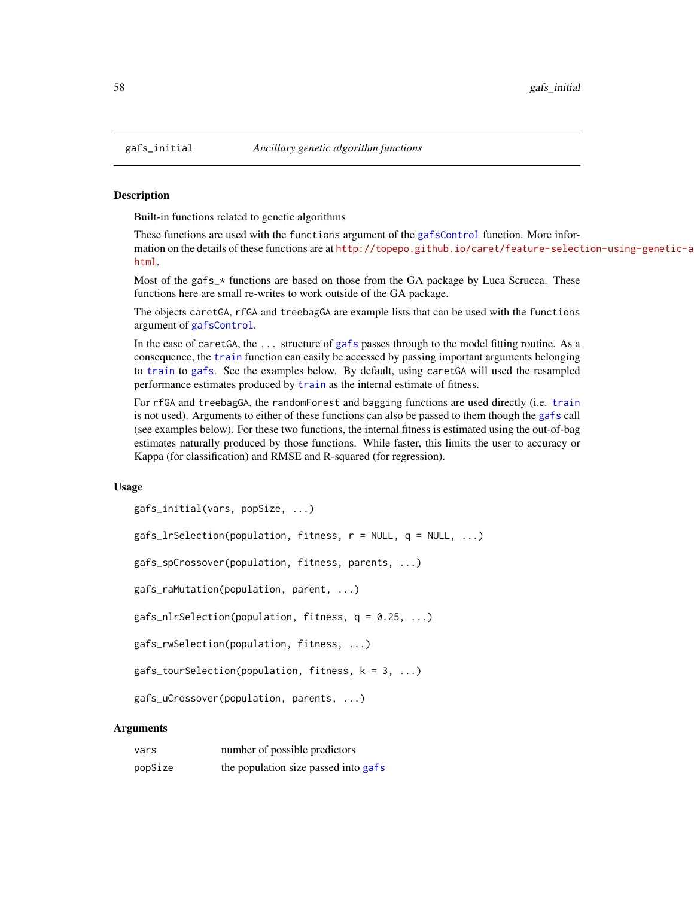### <span id="page-57-0"></span>Description

Built-in functions related to genetic algorithms

These functions are used with the functions argument of the [gafsControl](#page-54-0) function. More information on the details of these functions are at [http://topepo.github.io/caret/feature-select](http://topepo.github.io/caret/feature-selection-using-genetic-algorithms.html)ion-using-genetic-a [html](http://topepo.github.io/caret/feature-selection-using-genetic-algorithms.html).

Most of the gafs\_\* functions are based on those from the GA package by Luca Scrucca. These functions here are small re-writes to work outside of the GA package.

The objects caretGA, rfGA and treebagGA are example lists that can be used with the functions argument of [gafsControl](#page-54-0).

In the case of caretGA, the ... structure of [gafs](#page-51-0) passes through to the model fitting routine. As a consequence, the [train](#page-153-0) function can easily be accessed by passing important arguments belonging to [train](#page-153-0) to [gafs](#page-51-0). See the examples below. By default, using caretGA will used the resampled performance estimates produced by [train](#page-153-0) as the internal estimate of fitness.

For rfGA and treebagGA, the randomForest and bagging functions are used directly (i.e. [train](#page-153-0) is not used). Arguments to either of these functions can also be passed to them though the [gafs](#page-51-0) call (see examples below). For these two functions, the internal fitness is estimated using the out-of-bag estimates naturally produced by those functions. While faster, this limits the user to accuracy or Kappa (for classification) and RMSE and R-squared (for regression).

### Usage

```
gafs_initial(vars, popSize, ...)
```
gafs\_lrSelection(population, fitness, r = NULL, q = NULL, ...)

gafs\_spCrossover(population, fitness, parents, ...)

gafs\_raMutation(population, parent, ...)

gafs\_nlrSelection(population, fitness, q = 0.25, ...)

```
gafs_rwSelection(population, fitness, ...)
```
gafs\_tourSelection(population, fitness, k = 3, ...)

```
gafs_uCrossover(population, parents, ...)
```
### Arguments

| vars    | number of possible predictors        |
|---------|--------------------------------------|
| popSize | the population size passed into gafs |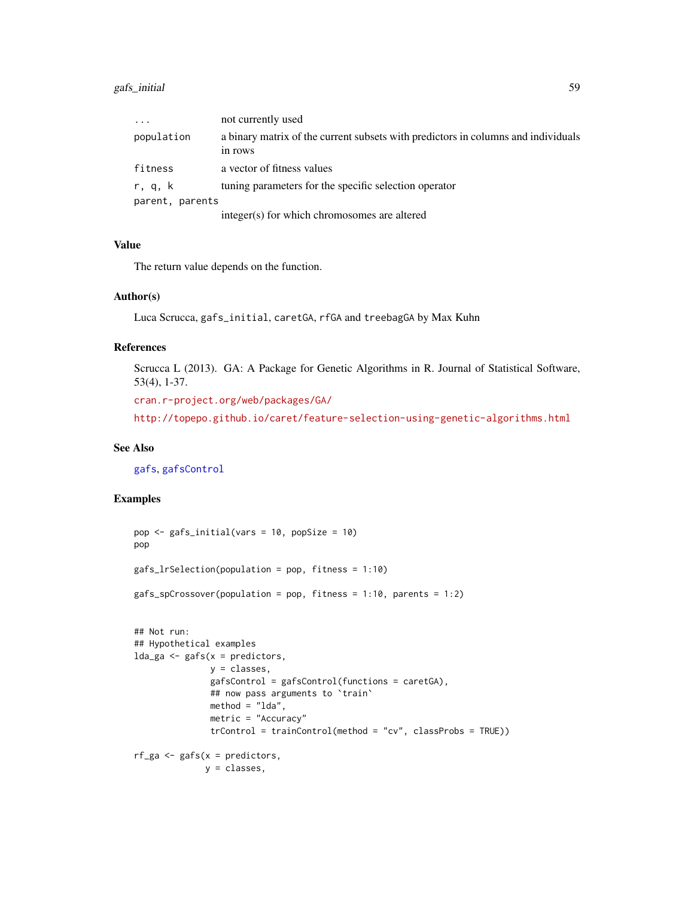# gafs\_initial 59

| $\cdot$         | not currently used                                                                           |
|-----------------|----------------------------------------------------------------------------------------------|
| population      | a binary matrix of the current subsets with predictors in columns and individuals<br>in rows |
| fitness         | a vector of fitness values                                                                   |
| r, q, k         | tuning parameters for the specific selection operator                                        |
| parent, parents |                                                                                              |
|                 | integer(s) for which chromosomes are altered                                                 |

### Value

The return value depends on the function.

## Author(s)

Luca Scrucca, gafs\_initial, caretGA, rfGA and treebagGA by Max Kuhn

## References

Scrucca L (2013). GA: A Package for Genetic Algorithms in R. Journal of Statistical Software, 53(4), 1-37.

<cran.r-project.org/web/packages/GA/>

<http://topepo.github.io/caret/feature-selection-using-genetic-algorithms.html>

## See Also

[gafs](#page-51-0), [gafsControl](#page-54-0)

```
pop <- gafs_initial(vars = 10, popSize = 10)
pop
gafs_lrSelection(population = pop, fitness = 1:10)
gafs_spCrossover(population = pop, fitness = 1:10, parents = 1:2)
## Not run:
## Hypothetical examples
lda_ga \leftarrow gafs(x = predictors,y = classes,
               gafsControl = gafsControl(functions = caretGA),
               ## now pass arguments to `train`
               method = "lda",
               metric = "Accuracy"
               trControl = trainControl(method = "cv", classProbs = TRUE))
rf_ga \leq gafs(x = predictors,
              y = classes,
```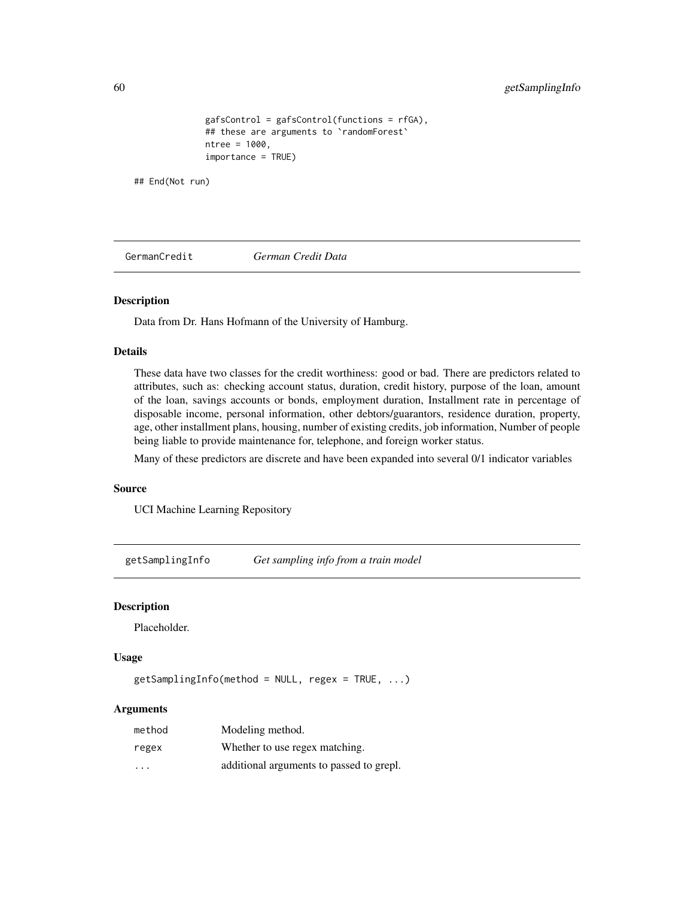```
gafsControl = gafsControl(functions = rfGA),
## these are arguments to `randomForest`
ntree = 1000,
importance = TRUE)
```
## End(Not run)

GermanCredit *German Credit Data*

# Description

Data from Dr. Hans Hofmann of the University of Hamburg.

## Details

These data have two classes for the credit worthiness: good or bad. There are predictors related to attributes, such as: checking account status, duration, credit history, purpose of the loan, amount of the loan, savings accounts or bonds, employment duration, Installment rate in percentage of disposable income, personal information, other debtors/guarantors, residence duration, property, age, other installment plans, housing, number of existing credits, job information, Number of people being liable to provide maintenance for, telephone, and foreign worker status.

Many of these predictors are discrete and have been expanded into several 0/1 indicator variables

## Source

UCI Machine Learning Repository

getSamplingInfo *Get sampling info from a train model*

## Description

Placeholder.

## Usage

 $getSamplingInfo(method = NULL, regex = TRUE, ...)$ 

### Arguments

| method | Modeling method.                         |
|--------|------------------------------------------|
| regex  | Whether to use regex matching.           |
| .      | additional arguments to passed to grepl. |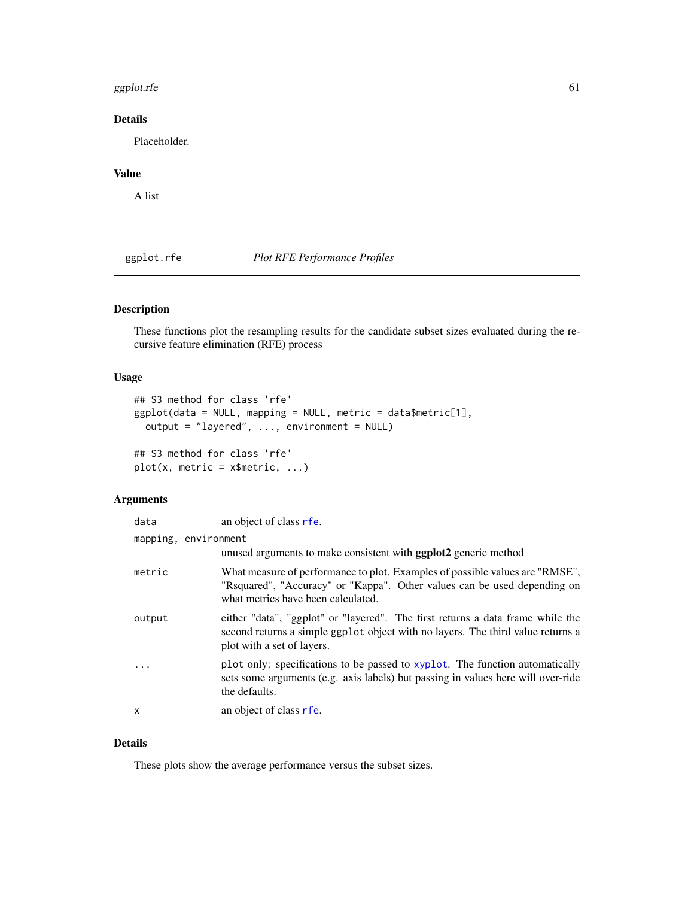### ggplot.rfe  $\qquad \qquad 61$

# Details

Placeholder.

# Value

A list

ggplot.rfe *Plot RFE Performance Profiles*

# Description

These functions plot the resampling results for the candidate subset sizes evaluated during the recursive feature elimination (RFE) process

## Usage

```
## S3 method for class 'rfe'
ggplot(data = NULL, mapping = NULL, metric = data$metric[1],
 output = "layered", ..., environment = NULL)
## S3 method for class 'rfe'
```

```
plot(x, metric = x$metric, ...)
```
# Arguments

| data                 | an object of class rfe.                                                                                                                                                                         |  |
|----------------------|-------------------------------------------------------------------------------------------------------------------------------------------------------------------------------------------------|--|
| mapping, environment | unused arguments to make consistent with <b>ggplot</b> 2 generic method                                                                                                                         |  |
| metric               | What measure of performance to plot. Examples of possible values are "RMSE",<br>"Requared", "Accuracy" or "Kappa". Other values can be used depending on<br>what metrics have been calculated.  |  |
| output               | either "data", "ggplot" or "layered". The first returns a data frame while the<br>second returns a simple ggplot object with no layers. The third value returns a<br>plot with a set of layers. |  |
| $\ddots$             | plot only: specifications to be passed to xyplot. The function automatically<br>sets some arguments (e.g. axis labels) but passing in values here will over-ride<br>the defaults.               |  |
| x                    | an object of class rfe.                                                                                                                                                                         |  |

## Details

These plots show the average performance versus the subset sizes.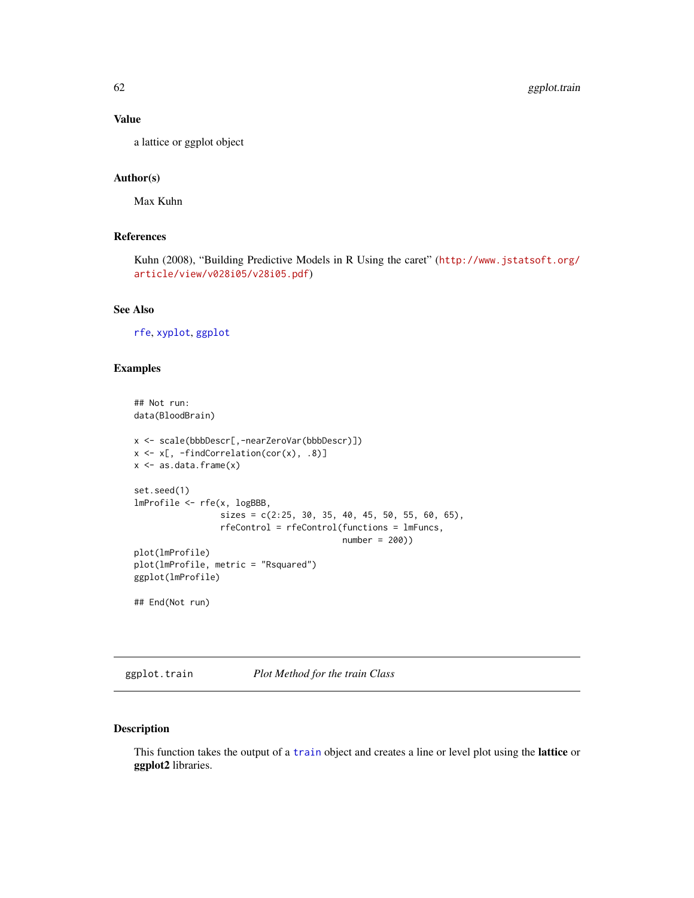## Value

a lattice or ggplot object

## Author(s)

Max Kuhn

# References

Kuhn (2008), "Building Predictive Models in R Using the caret" ([http://www.jstatsoft.org/](http://www.jstatsoft.org/article/view/v028i05/v28i05.pdf) [article/view/v028i05/v28i05.pdf](http://www.jstatsoft.org/article/view/v028i05/v28i05.pdf))

# See Also

[rfe](#page-125-0), [xyplot](#page-0-0), [ggplot](#page-0-0)

# Examples

```
## Not run:
data(BloodBrain)
x <- scale(bbbDescr[,-nearZeroVar(bbbDescr)])
x \leftarrow x[, -findCorrelation(cor(x), .8)]
x \leftarrow as.data-frame(x)set.seed(1)
lmProfile <- rfe(x, logBBB,
                  sizes = c(2:25, 30, 35, 40, 45, 50, 55, 60, 65),
                  rfeControl = rfeControl(functions = lmFuncs,
                                          number = 200))
plot(lmProfile)
plot(lmProfile, metric = "Rsquared")
ggplot(lmProfile)
## End(Not run)
```
ggplot.train *Plot Method for the train Class*

# Description

This function takes the output of a [train](#page-153-0) object and creates a line or level plot using the lattice or ggplot2 libraries.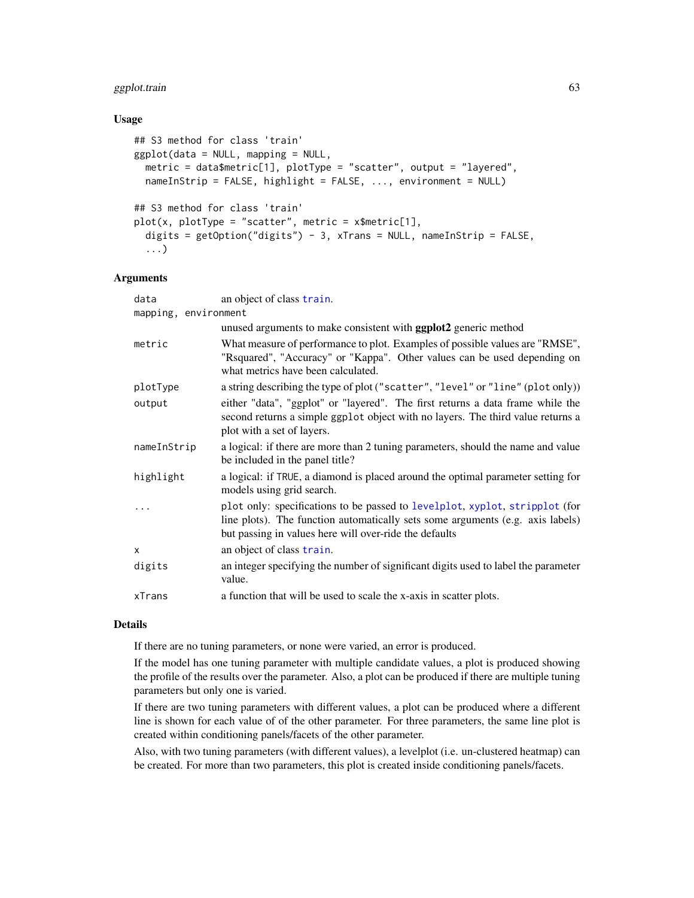# ggplot.train 63

## Usage

```
## S3 method for class 'train'
ggplot(data = NULL, mapping = NULL,
 metric = data$metric[1], plotType = "scatter", output = "layered",
 nameInStrip = FALSE, highlight = FALSE, ..., environment = NULL)
## S3 method for class 'train'
plot(x, plotType = "scatter", metric = x$metric[1],digits = getOption("digits") - 3, xTrans = NULL, nameInString = FALSE,
  ...)
```
## **Arguments**

| mapping, environment<br>unused arguments to make consistent with <b>ggplot2</b> generic method<br>What measure of performance to plot. Examples of possible values are "RMSE",                                          |
|-------------------------------------------------------------------------------------------------------------------------------------------------------------------------------------------------------------------------|
|                                                                                                                                                                                                                         |
|                                                                                                                                                                                                                         |
| "Rsquared", "Accuracy" or "Kappa". Other values can be used depending on<br>what metrics have been calculated.                                                                                                          |
| a string describing the type of plot ("scatter", "level" or "line" (plot only))                                                                                                                                         |
| either "data", "ggplot" or "layered". The first returns a data frame while the<br>second returns a simple ggplot object with no layers. The third value returns a<br>plot with a set of layers.                         |
| a logical: if there are more than 2 tuning parameters, should the name and value<br>be included in the panel title?                                                                                                     |
| a logical: if TRUE, a diamond is placed around the optimal parameter setting for<br>models using grid search.                                                                                                           |
| plot only: specifications to be passed to levelplot, xyplot, stripplot (for<br>line plots). The function automatically sets some arguments (e.g. axis labels)<br>but passing in values here will over-ride the defaults |
| an object of class train.                                                                                                                                                                                               |
| an integer specifying the number of significant digits used to label the parameter<br>value.                                                                                                                            |
| a function that will be used to scale the x-axis in scatter plots.                                                                                                                                                      |
|                                                                                                                                                                                                                         |

## Details

If there are no tuning parameters, or none were varied, an error is produced.

If the model has one tuning parameter with multiple candidate values, a plot is produced showing the profile of the results over the parameter. Also, a plot can be produced if there are multiple tuning parameters but only one is varied.

If there are two tuning parameters with different values, a plot can be produced where a different line is shown for each value of of the other parameter. For three parameters, the same line plot is created within conditioning panels/facets of the other parameter.

Also, with two tuning parameters (with different values), a levelplot (i.e. un-clustered heatmap) can be created. For more than two parameters, this plot is created inside conditioning panels/facets.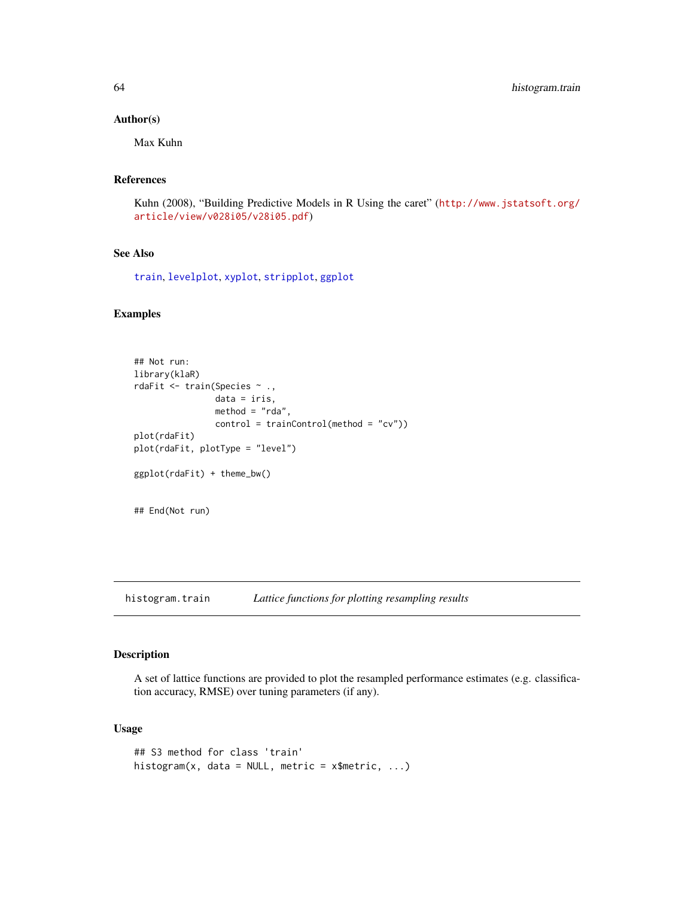### Author(s)

Max Kuhn

### References

Kuhn (2008), "Building Predictive Models in R Using the caret" ([http://www.jstatsoft.org/](http://www.jstatsoft.org/article/view/v028i05/v28i05.pdf) [article/view/v028i05/v28i05.pdf](http://www.jstatsoft.org/article/view/v028i05/v28i05.pdf))

# See Also

[train](#page-153-0), [levelplot](#page-0-0), [xyplot](#page-0-0), [stripplot](#page-0-0), [ggplot](#page-0-0)

### Examples

```
## Not run:
library(klaR)
rdaFit <- train(Species ~ .,
                data = iris,
                method = "rda",
                control = trainControl(method = "cv"))
plot(rdaFit)
plot(rdaFit, plotType = "level")
ggplot(rdaFit) + theme_bw()
## End(Not run)
```
histogram.train *Lattice functions for plotting resampling results*

# Description

A set of lattice functions are provided to plot the resampled performance estimates (e.g. classification accuracy, RMSE) over tuning parameters (if any).

## Usage

```
## S3 method for class 'train'
histogram(x, data = NULL, metric = x$metric, ...)
```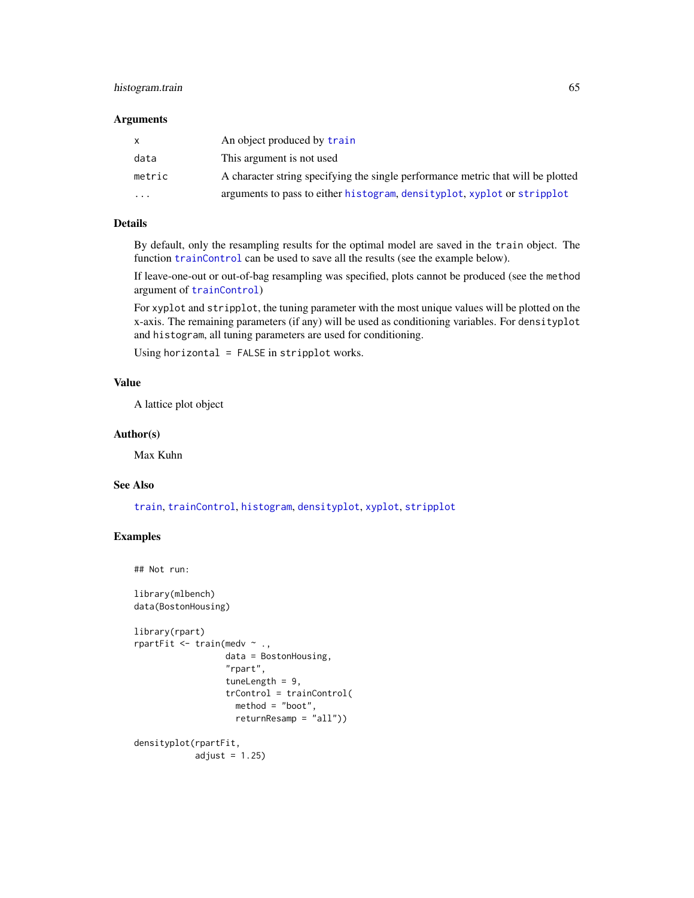# histogram.train 65

## Arguments

|           | An object produced by train                                                      |
|-----------|----------------------------------------------------------------------------------|
| data      | This argument is not used                                                        |
| metric    | A character string specifying the single performance metric that will be plotted |
| $\ddotsc$ | arguments to pass to either histogram, density plot, xyplot or stripplot         |

# Details

By default, only the resampling results for the optimal model are saved in the train object. The function [trainControl](#page-158-0) can be used to save all the results (see the example below).

If leave-one-out or out-of-bag resampling was specified, plots cannot be produced (see the method argument of [trainControl](#page-158-0))

For xyplot and stripplot, the tuning parameter with the most unique values will be plotted on the x-axis. The remaining parameters (if any) will be used as conditioning variables. For densityplot and histogram, all tuning parameters are used for conditioning.

Using horizontal = FALSE in stripplot works.

### Value

A lattice plot object

### Author(s)

Max Kuhn

## See Also

[train](#page-153-0), [trainControl](#page-158-0), [histogram](#page-0-0), [densityplot](#page-0-0), [xyplot](#page-0-0), [stripplot](#page-0-0)

```
## Not run:
```

```
library(mlbench)
data(BostonHousing)
```

```
library(rpart)
rpartFit \leq train(medv \sim .,
                  data = BostonHousing,
                  "rpart",
                  tuneLength = 9,
                  trControl = trainControl(
                    method = "boot",
                    returnResamp = "all"))
densityplot(rpartFit,
            adjust = 1.25)
```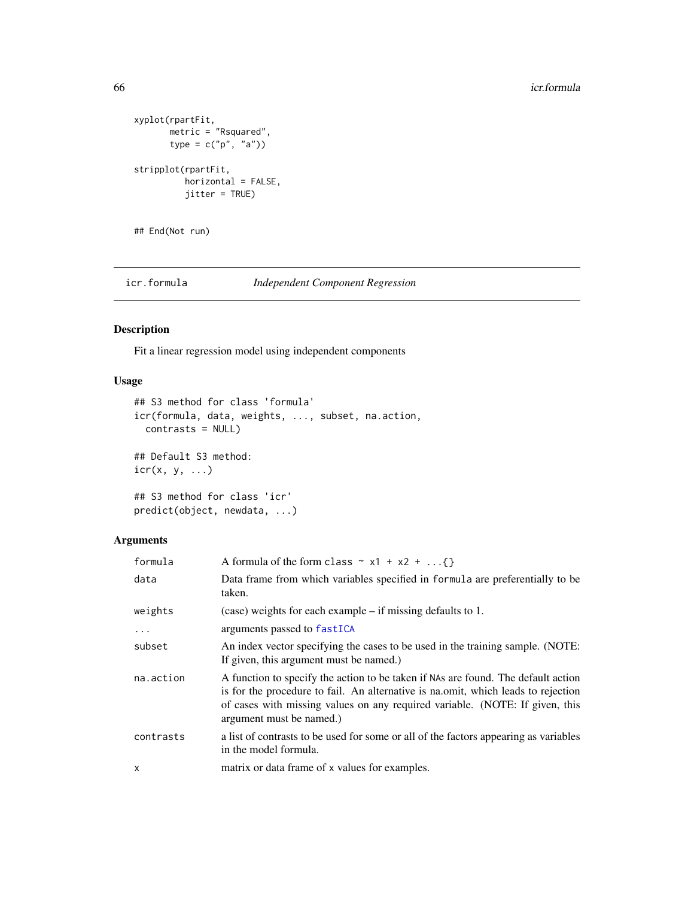```
xyplot(rpartFit,
      metric = "Rsquared",
      type = c("p", "a"))
stripplot(rpartFit,
         horizontal = FALSE,
         jitter = TRUE)
```
## End(Not run)

icr.formula *Independent Component Regression*

# Description

Fit a linear regression model using independent components

# Usage

```
## S3 method for class 'formula'
icr(formula, data, weights, ..., subset, na.action,
 contrasts = NULL)
## Default S3 method:
icr(x, y, ...)## S3 method for class 'icr'
predict(object, newdata, ...)
```
# Arguments

| formula   | A formula of the form class $\sim x1 + x2 + $                                                                                                                                                                                                                                       |
|-----------|-------------------------------------------------------------------------------------------------------------------------------------------------------------------------------------------------------------------------------------------------------------------------------------|
| data      | Data frame from which variables specified in formula are preferentially to be<br>taken.                                                                                                                                                                                             |
| weights   | $(case)$ weights for each example – if missing defaults to 1.                                                                                                                                                                                                                       |
| $\ddotsc$ | arguments passed to fastICA                                                                                                                                                                                                                                                         |
| subset    | An index vector specifying the cases to be used in the training sample. (NOTE:<br>If given, this argument must be named.)                                                                                                                                                           |
| na.action | A function to specify the action to be taken if NAs are found. The default action<br>is for the procedure to fail. An alternative is national, which leads to rejection<br>of cases with missing values on any required variable. (NOTE: If given, this<br>argument must be named.) |
| contrasts | a list of contrasts to be used for some or all of the factors appearing as variables<br>in the model formula.                                                                                                                                                                       |
| x         | matrix or data frame of x values for examples.                                                                                                                                                                                                                                      |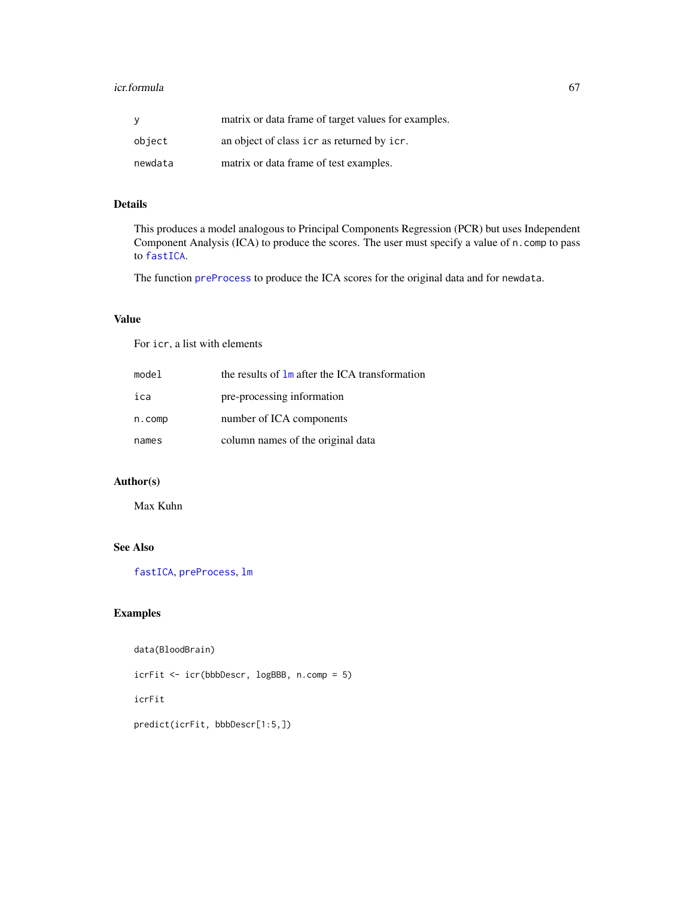### icr.formula 67

| ۷       | matrix or data frame of target values for examples. |
|---------|-----------------------------------------------------|
| object  | an object of class icr as returned by icr.          |
| newdata | matrix or data frame of test examples.              |

# Details

This produces a model analogous to Principal Components Regression (PCR) but uses Independent Component Analysis (ICA) to produce the scores. The user must specify a value of n.comp to pass to [fastICA](#page-0-0).

The function [preProcess](#page-112-0) to produce the ICA scores for the original data and for newdata.

# Value

For icr, a list with elements

| model  | the results of 1m after the ICA transformation |
|--------|------------------------------------------------|
| ica    | pre-processing information                     |
| n.comp | number of ICA components                       |
| names  | column names of the original data              |

# Author(s)

Max Kuhn

# See Also

[fastICA](#page-0-0), [preProcess](#page-112-0), [lm](#page-0-0)

# Examples

```
data(BloodBrain)
```
icrFit <- icr(bbbDescr, logBBB, n.comp = 5)

icrFit

predict(icrFit, bbbDescr[1:5,])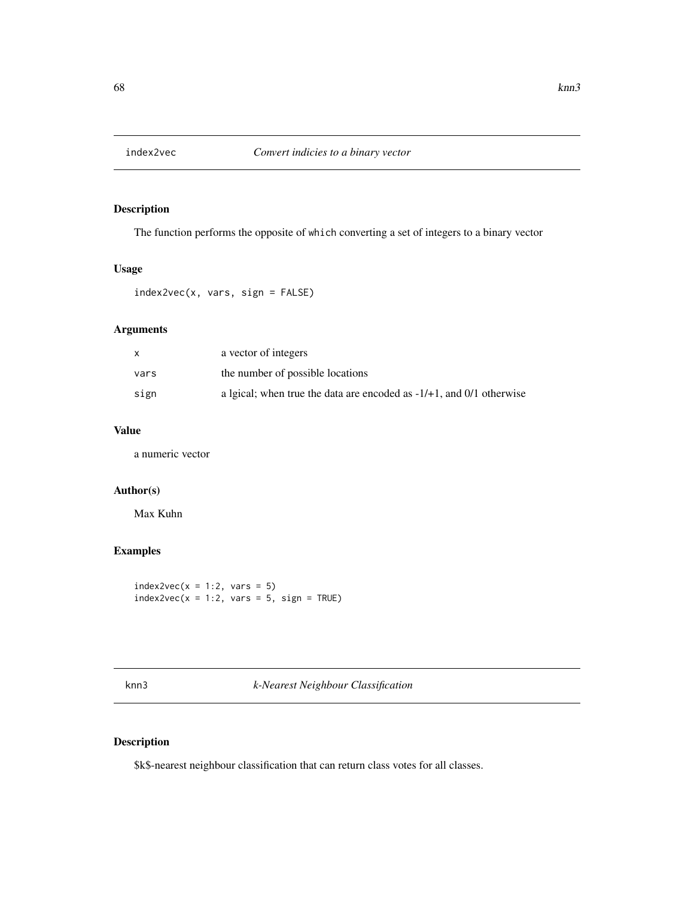# Description

The function performs the opposite of which converting a set of integers to a binary vector

## Usage

index2vec(x, vars, sign = FALSE)

## Arguments

|      | a vector of integers                                                    |
|------|-------------------------------------------------------------------------|
| vars | the number of possible locations                                        |
| sign | a lgical; when true the data are encoded as $-1/+1$ , and 0/1 otherwise |

# Value

a numeric vector

### Author(s)

Max Kuhn

# Examples

 $index2vec(x = 1:2, vars = 5)$  $index2vec(x = 1:2, vars = 5, sign = TRUE)$ 

knn3 *k-Nearest Neighbour Classification*

# Description

\$k\$-nearest neighbour classification that can return class votes for all classes.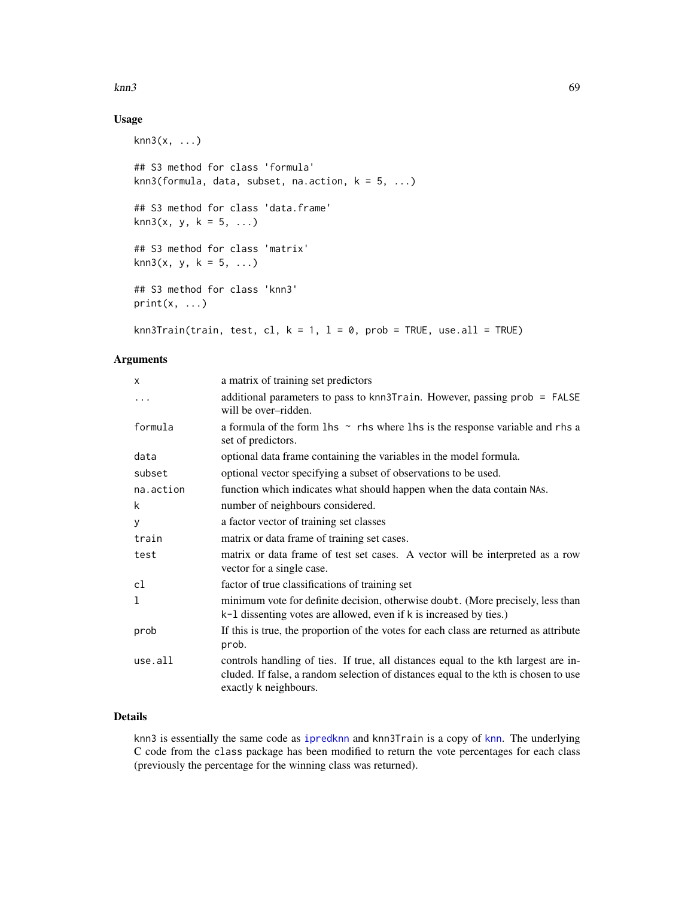### $kmn3$  69

# Usage

```
knn3(x, \ldots)## S3 method for class 'formula'
knn3(formula, data, subset, na.action, k = 5, ...)
## S3 method for class 'data.frame'
kmn3(x, y, k = 5, ...)## S3 method for class 'matrix'
kmn3(x, y, k = 5, ...)## S3 method for class 'knn3'
print(x, \ldots)
```
knn3Train(train, test, cl,  $k = 1$ ,  $l = 0$ , prob = TRUE, use.all = TRUE)

## Arguments

| X         | a matrix of training set predictors                                                                                                                                                                |
|-----------|----------------------------------------------------------------------------------------------------------------------------------------------------------------------------------------------------|
| $\ddots$  | additional parameters to pass to knn3Train. However, passing prob = FALSE<br>will be over-ridden.                                                                                                  |
| formula   | a formula of the form $\ln s \sim$ rhs where $\ln s$ is the response variable and rhs a<br>set of predictors.                                                                                      |
| data      | optional data frame containing the variables in the model formula.                                                                                                                                 |
| subset    | optional vector specifying a subset of observations to be used.                                                                                                                                    |
| na.action | function which indicates what should happen when the data contain NAs.                                                                                                                             |
| k         | number of neighbours considered.                                                                                                                                                                   |
| y         | a factor vector of training set classes                                                                                                                                                            |
| train     | matrix or data frame of training set cases.                                                                                                                                                        |
| test      | matrix or data frame of test set cases. A vector will be interpreted as a row<br>vector for a single case.                                                                                         |
| cl        | factor of true classifications of training set                                                                                                                                                     |
| 1         | minimum vote for definite decision, otherwise doubt. (More precisely, less than<br>k-1 dissenting votes are allowed, even if k is increased by ties.)                                              |
| prob      | If this is true, the proportion of the votes for each class are returned as attribute<br>prob.                                                                                                     |
| use.all   | controls handling of ties. If true, all distances equal to the kth largest are in-<br>cluded. If false, a random selection of distances equal to the kth is chosen to use<br>exactly k neighbours. |

# Details

knn3 is essentially the same code as [ipredknn](#page-0-0) and [knn](#page-0-0)3Train is a copy of knn. The underlying C code from the class package has been modified to return the vote percentages for each class (previously the percentage for the winning class was returned).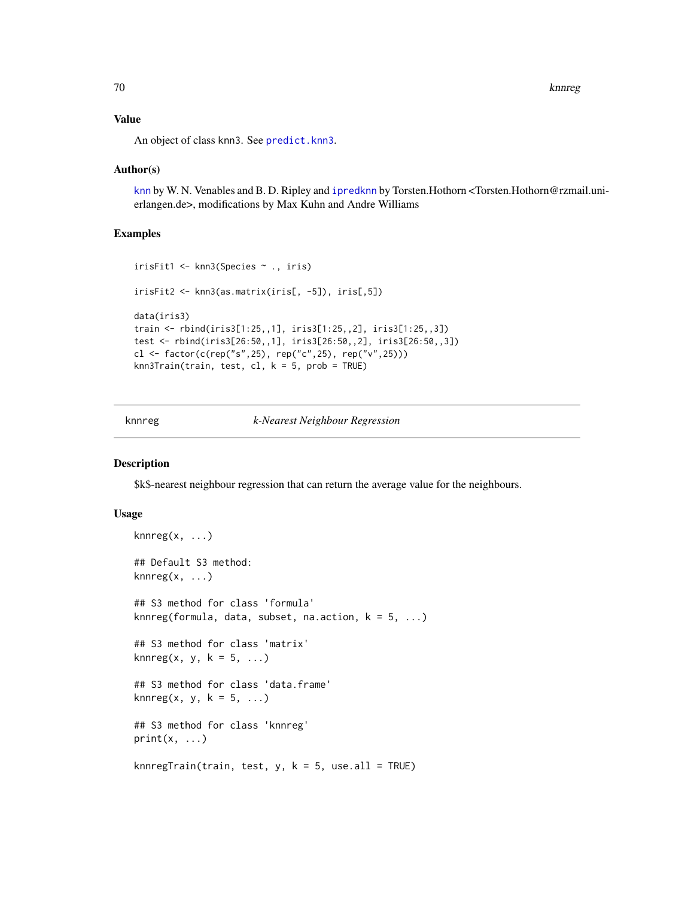70 knnreg

## Value

An object of class knn3. See [predict.knn3](#page-109-0).

### Author(s)

[knn](#page-0-0) by W. N. Venables and B. D. Ripley and [ipredknn](#page-0-0) by Torsten.Hothorn <Torsten.Hothorn@rzmail.unierlangen.de>, modifications by Max Kuhn and Andre Williams

## Examples

```
irisFit1 <- knn3(Species ~ ., iris)
irisFit2 <- knn3(as.matrix(iris[, -5]), iris[,5])
data(iris3)
train <- rbind(iris3[1:25,,1], iris3[1:25,,2], iris3[1:25,,3])
test <- rbind(iris3[26:50,,1], iris3[26:50,,2], iris3[26:50,,3])
cl <- factor(c(rep("s",25), rep("c",25), rep("v",25)))
knn3Train(train, test, cl, k = 5, prob = TRUE)
```
knnreg *k-Nearest Neighbour Regression*

### Description

\$k\$-nearest neighbour regression that can return the average value for the neighbours.

## Usage

```
knnreg(x, \ldots)## Default S3 method:
knnreg(x, ...)
## S3 method for class 'formula'
knnreg(formula, data, subset, na.action, k = 5, ...)
## S3 method for class 'matrix'
knnreg(x, y, k = 5, ...)
## S3 method for class 'data.frame'
knnreg(x, y, k = 5, ...)
## S3 method for class 'knnreg'
print(x, \ldots)knnregTrain(train, test, y, k = 5, use.all = TRUE)
```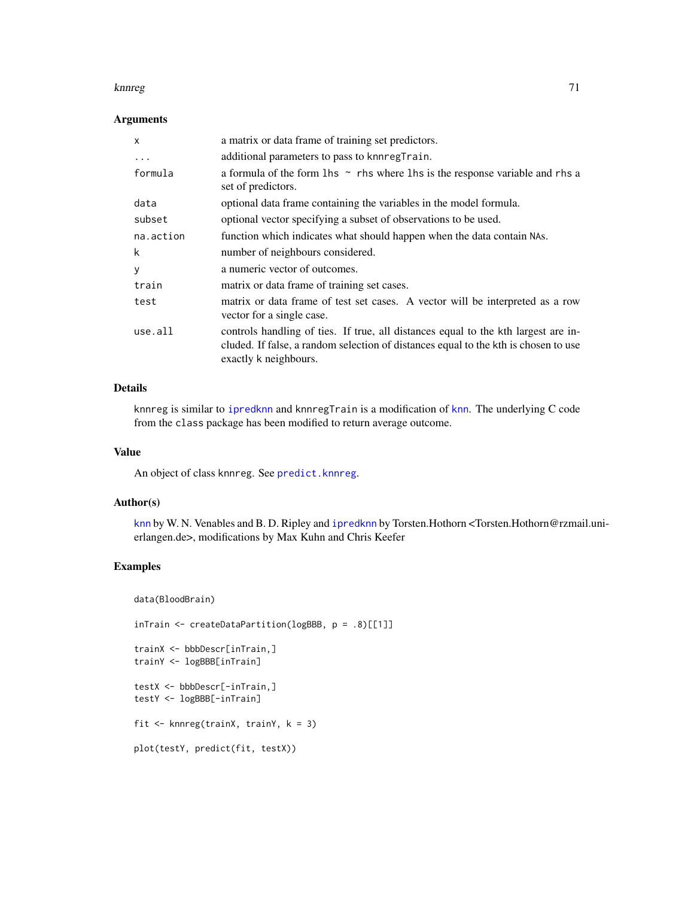### knnreg til 1992 og større at den en større at de større at de større at de større at 1992 og større at 1993 og

## Arguments

| $\mathsf{x}$ | a matrix or data frame of training set predictors.                                                                                                                                                 |
|--------------|----------------------------------------------------------------------------------------------------------------------------------------------------------------------------------------------------|
| .            | additional parameters to pass to knnregTrain.                                                                                                                                                      |
| formula      | a formula of the form $\ln s \sim$ rhs where $\ln s$ is the response variable and rhs a<br>set of predictors.                                                                                      |
| data         | optional data frame containing the variables in the model formula.                                                                                                                                 |
| subset       | optional vector specifying a subset of observations to be used.                                                                                                                                    |
| na.action    | function which indicates what should happen when the data contain NAs.                                                                                                                             |
| k            | number of neighbours considered.                                                                                                                                                                   |
| У            | a numeric vector of outcomes.                                                                                                                                                                      |
| train        | matrix or data frame of training set cases.                                                                                                                                                        |
| test         | matrix or data frame of test set cases. A vector will be interpreted as a row<br>vector for a single case.                                                                                         |
| use.all      | controls handling of ties. If true, all distances equal to the kth largest are in-<br>cluded. If false, a random selection of distances equal to the kth is chosen to use<br>exactly k neighbours. |

# Details

knnreg is similar to [ipredknn](#page-0-0) and [knn](#page-0-0)regTrain is a modification of knn. The underlying C code from the class package has been modified to return average outcome.

### Value

An object of class knnreg. See [predict.knnreg](#page-110-0).

## Author(s)

[knn](#page-0-0) by W. N. Venables and B. D. Ripley and [ipredknn](#page-0-0) by Torsten.Hothorn <Torsten.Hothorn@rzmail.unierlangen.de>, modifications by Max Kuhn and Chris Keefer

# Examples

data(BloodBrain)

inTrain <- createDataPartition(logBBB, p = .8)[[1]]

```
trainX <- bbbDescr[inTrain,]
trainY <- logBBB[inTrain]
```
testX <- bbbDescr[-inTrain,] testY <- logBBB[-inTrain]

fit <- knnreg(trainX, trainY, k = 3)

```
plot(testY, predict(fit, testX))
```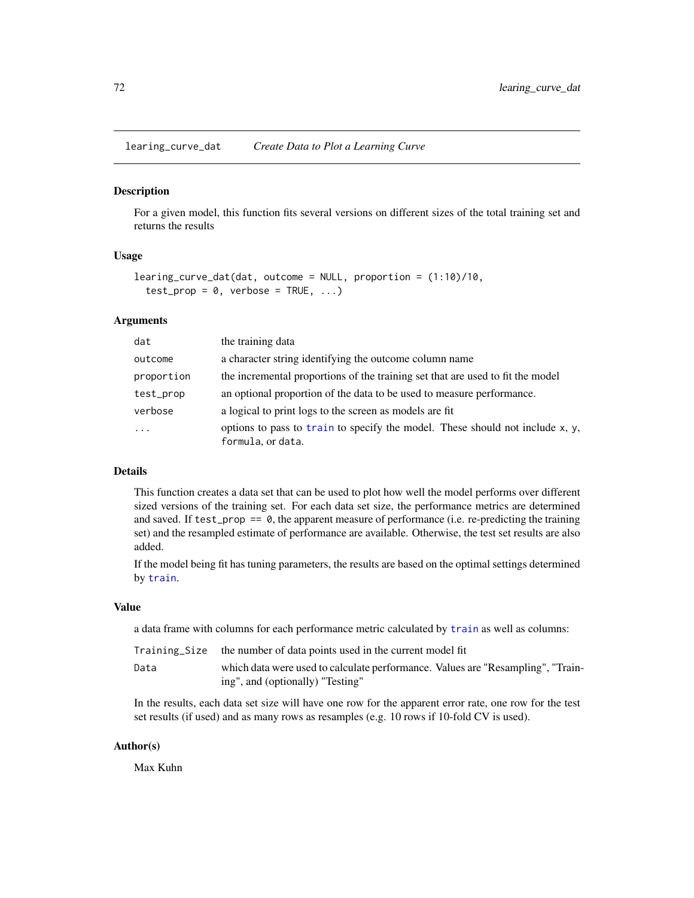learing\_curve\_dat *Create Data to Plot a Learning Curve*

#### Description

For a given model, this function fits several versions on different sizes of the total training set and returns the results

# Usage

```
learing_curve_dat(dat, outcome = NULL, proportion = (1:10)/10,
  test\_prop = 0, verbose = TRUE, ...)
```
### Arguments

| dat        | the training data                                                                                  |
|------------|----------------------------------------------------------------------------------------------------|
| outcome    | a character string identifying the outcome column name                                             |
| proportion | the incremental proportions of the training set that are used to fit the model                     |
| test_prop  | an optional proportion of the data to be used to measure performance.                              |
| verbose    | a logical to print logs to the screen as models are fit                                            |
| $\ddots$ . | options to pass to train to specify the model. These should not include x, y,<br>formula, or data. |

# Details

This function creates a data set that can be used to plot how well the model performs over different sized versions of the training set. For each data set size, the performance metrics are determined and saved. If  $test\_prop == 0$ , the apparent measure of performance (i.e. re-predicting the training set) and the resampled estimate of performance are available. Otherwise, the test set results are also added.

If the model being fit has tuning parameters, the results are based on the optimal settings determined by [train](#page-153-0).

#### Value

a data frame with columns for each performance metric calculated by [train](#page-153-0) as well as columns:

|      | Training Size the number of data points used in the current model fit                                               |
|------|---------------------------------------------------------------------------------------------------------------------|
| Data | which data were used to calculate performance. Values are "Resampling", "Train-<br>ing", and (optionally) "Testing" |

In the results, each data set size will have one row for the apparent error rate, one row for the test set results (if used) and as many rows as resamples (e.g. 10 rows if 10-fold CV is used).

### Author(s)

Max Kuhn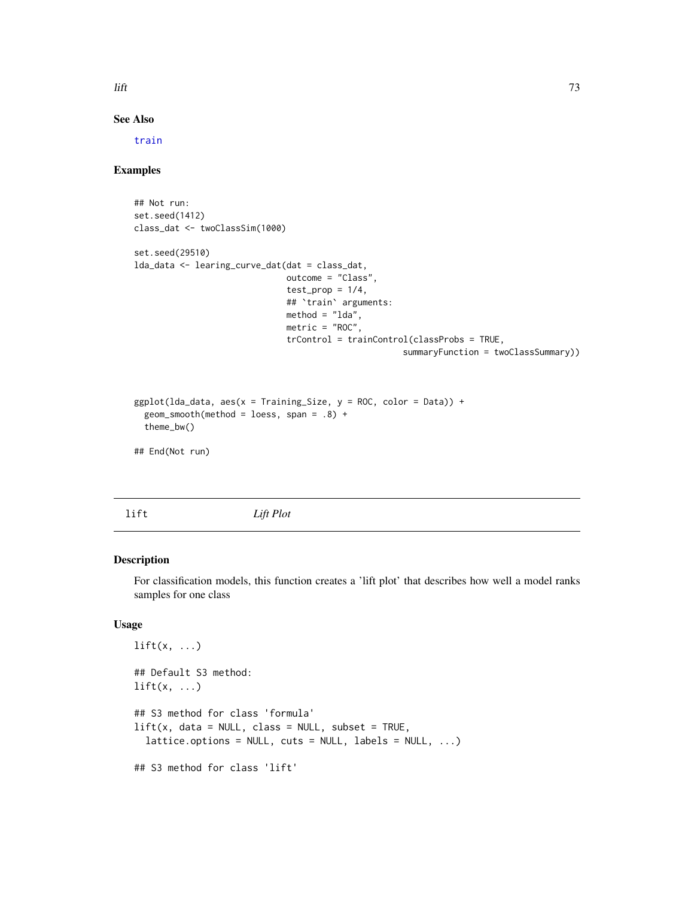$\frac{1}{10}$  lift  $\frac{1}{2}$  and  $\frac{1}{2}$  and  $\frac{1}{2}$  and  $\frac{1}{2}$  and  $\frac{1}{2}$  and  $\frac{1}{2}$  and  $\frac{1}{2}$  and  $\frac{1}{2}$  and  $\frac{1}{2}$  and  $\frac{1}{2}$  and  $\frac{1}{2}$  and  $\frac{1}{2}$  and  $\frac{1}{2}$  and  $\frac{1}{2}$  and  $\frac{1}{2}$ 

## See Also

[train](#page-153-0)

## Examples

```
## Not run:
set.seed(1412)
class_dat <- twoClassSim(1000)
set.seed(29510)
lda_data <- learing_curve_dat(dat = class_dat,
                              outcome = "Class",
                              test\_prop = 1/4,
                              ## `train` arguments:
                              method = "lda",metric = "ROC",
                              trControl = trainControl(classProbs = TRUE,
                                                     summaryFunction = twoClassSummary))
ggplot(lda_data, aes(x = Training_size, y = ROC, color = Data)) +geom_smooth(method = loess, span = .8) +
  theme_bw()
```
## End(Not run)

<span id="page-72-0"></span>lift *Lift Plot*

### Description

For classification models, this function creates a 'lift plot' that describes how well a model ranks samples for one class

#### Usage

```
lift(x, \ldots)## Default S3 method:
lift(x, \ldots)## S3 method for class 'formula'
lift(x, data = NULL, class = NULL, subset = TRUE,lattice. options = NULL, cuts = NULL, labels = NULL, ...)
## S3 method for class 'lift'
```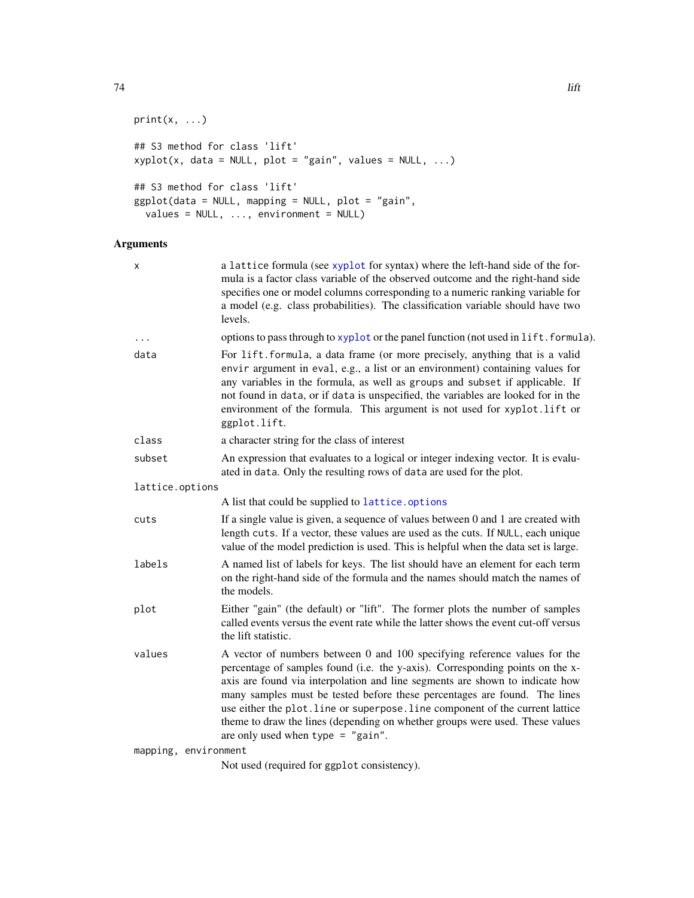```
print(x, \ldots)## S3 method for class 'lift'
xyplot(x, data = NULL, plot = "gain", values = NULL, ...)## S3 method for class 'lift'
ggplot(data = NULL, mapping = NULL, plot = "gain",
  values = NULL, ..., environment = NULL)
```
# Arguments

| x                    | a lattice formula (see xyplot for syntax) where the left-hand side of the for-<br>mula is a factor class variable of the observed outcome and the right-hand side<br>specifies one or model columns corresponding to a numeric ranking variable for<br>a model (e.g. class probabilities). The classification variable should have two<br>levels.                                                                                                                                                                               |
|----------------------|---------------------------------------------------------------------------------------------------------------------------------------------------------------------------------------------------------------------------------------------------------------------------------------------------------------------------------------------------------------------------------------------------------------------------------------------------------------------------------------------------------------------------------|
| $\ddots$             | options to pass through to xyplot or the panel function (not used in lift. formula).                                                                                                                                                                                                                                                                                                                                                                                                                                            |
| data                 | For lift.formula, a data frame (or more precisely, anything that is a valid<br>envir argument in eval, e.g., a list or an environment) containing values for<br>any variables in the formula, as well as groups and subset if applicable. If<br>not found in data, or if data is unspecified, the variables are looked for in the<br>environment of the formula. This argument is not used for xyplot.lift or<br>ggplot.lift.                                                                                                   |
| class                | a character string for the class of interest                                                                                                                                                                                                                                                                                                                                                                                                                                                                                    |
| subset               | An expression that evaluates to a logical or integer indexing vector. It is evalu-<br>ated in data. Only the resulting rows of data are used for the plot.                                                                                                                                                                                                                                                                                                                                                                      |
| lattice.options      |                                                                                                                                                                                                                                                                                                                                                                                                                                                                                                                                 |
|                      | A list that could be supplied to lattice.options                                                                                                                                                                                                                                                                                                                                                                                                                                                                                |
| cuts                 | If a single value is given, a sequence of values between 0 and 1 are created with<br>length cuts. If a vector, these values are used as the cuts. If NULL, each unique<br>value of the model prediction is used. This is helpful when the data set is large.                                                                                                                                                                                                                                                                    |
| labels               | A named list of labels for keys. The list should have an element for each term<br>on the right-hand side of the formula and the names should match the names of<br>the models.                                                                                                                                                                                                                                                                                                                                                  |
| plot                 | Either "gain" (the default) or "lift". The former plots the number of samples<br>called events versus the event rate while the latter shows the event cut-off versus<br>the lift statistic.                                                                                                                                                                                                                                                                                                                                     |
| values               | A vector of numbers between 0 and 100 specifying reference values for the<br>percentage of samples found (i.e. the y-axis). Corresponding points on the x-<br>axis are found via interpolation and line segments are shown to indicate how<br>many samples must be tested before these percentages are found. The lines<br>use either the plot. line or superpose. line component of the current lattice<br>theme to draw the lines (depending on whether groups were used. These values<br>are only used when type $=$ "gain". |
| mapping, environment |                                                                                                                                                                                                                                                                                                                                                                                                                                                                                                                                 |
|                      | Not used (required for ggplot consistency).                                                                                                                                                                                                                                                                                                                                                                                                                                                                                     |

74 lift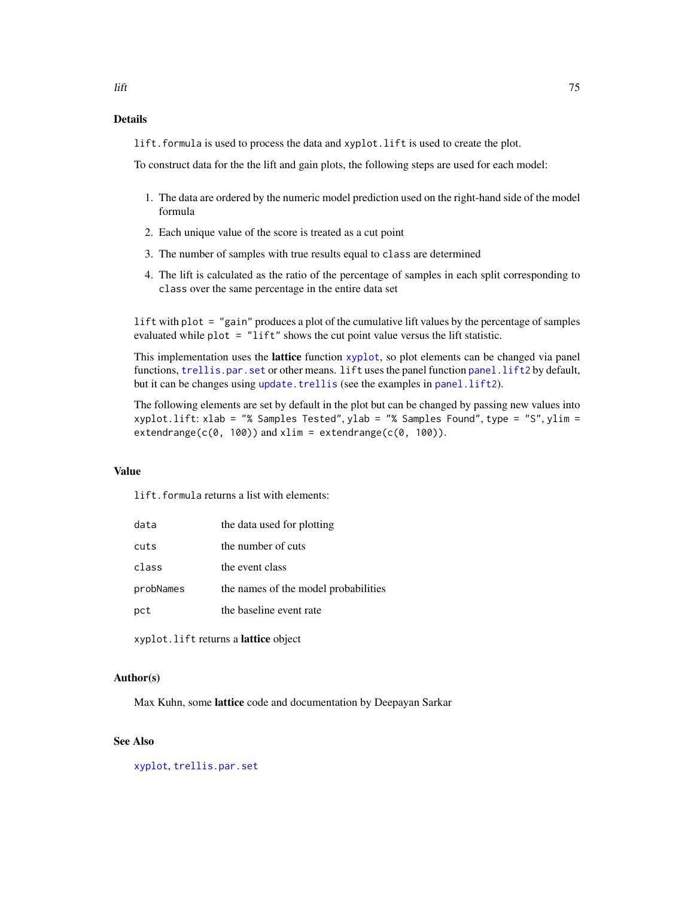lift.formula is used to process the data and xyplot.lift is used to create the plot.

To construct data for the the lift and gain plots, the following steps are used for each model:

- 1. The data are ordered by the numeric model prediction used on the right-hand side of the model formula
- 2. Each unique value of the score is treated as a cut point
- 3. The number of samples with true results equal to class are determined
- 4. The lift is calculated as the ratio of the percentage of samples in each split corresponding to class over the same percentage in the entire data set

lift with plot = "gain" produces a plot of the cumulative lift values by the percentage of samples evaluated while plot = "lift" shows the cut point value versus the lift statistic.

This implementation uses the lattice function [xyplot](#page-0-0), so plot elements can be changed via panel functions, [trellis.par.set](#page-0-0) or other means. lift uses the panel function [panel.lift2](#page-90-0) by default, but it can be changes using [update.trellis](#page-0-0) (see the examples in [panel.lift2](#page-90-0)).

The following elements are set by default in the plot but can be changed by passing new values into xyplot.lift: xlab = "% Samples Tested", ylab = "% Samples Found", type = "S", ylim =  $extendrange(c(0, 100))$  and  $xlim = extendrange(c(0, 100)).$ 

#### Value

lift.formula returns a list with elements:

| data      | the data used for plotting           |
|-----------|--------------------------------------|
| cuts      | the number of cuts                   |
| class     | the event class                      |
| probNames | the names of the model probabilities |
| pct       | the baseline event rate              |

xyplot.lift returns a lattice object

#### Author(s)

Max Kuhn, some lattice code and documentation by Deepayan Sarkar

## See Also

[xyplot](#page-0-0), [trellis.par.set](#page-0-0)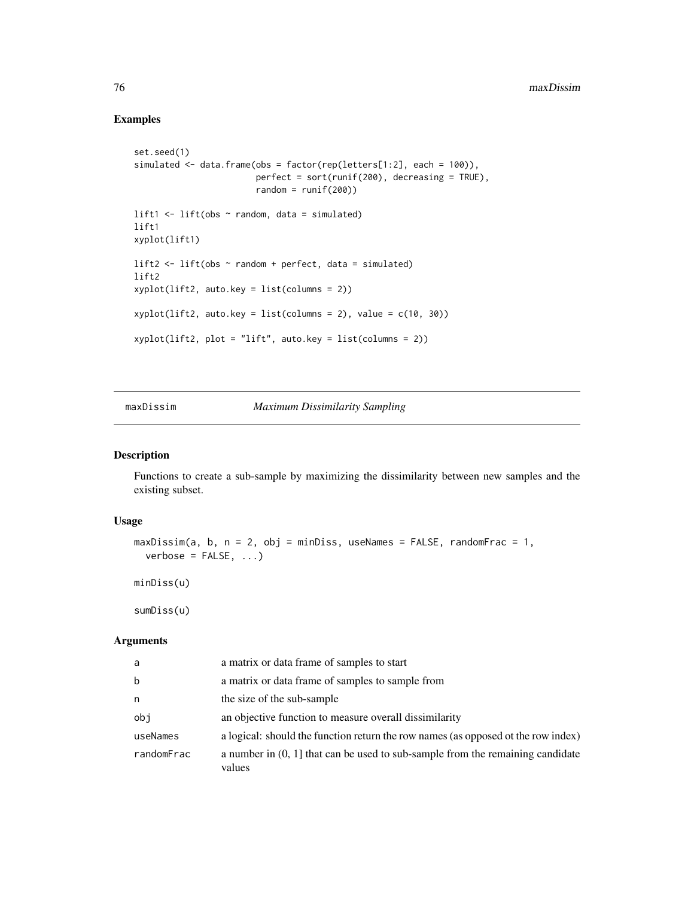# Examples

```
set.seed(1)
simulated <- data.frame(obs = factor(rep(letters[1:2], each = 100)),
                        perfect = sort(runif(200), decreasing = TRUE),
                        random = runif(200)lift1 <- lift(obs ~ random, data = simulated)
lift1
xyplot(lift1)
lift2 \leftarrow lift(obs \sim random + perfect, data = simulated)
lift2
xyplot(lift2, auto.key = list(columns = 2))
xyplot(lift2, auto.key = list(columes = 2), value = c(10, 30))xyplot(lift2, plot = "lift", auto.key = list(columns = 2))
```
maxDissim *Maximum Dissimilarity Sampling*

## Description

Functions to create a sub-sample by maximizing the dissimilarity between new samples and the existing subset.

#### Usage

```
maxDissim(a, b, n = 2, obj = minDiss, useNames = FALSE, randomFrac = 1,verbose = FALSE, ...)
```
minDiss(u)

sumDiss(u)

#### Arguments

| a          | a matrix or data frame of samples to start                                                 |
|------------|--------------------------------------------------------------------------------------------|
| b          | a matrix or data frame of samples to sample from                                           |
| n          | the size of the sub-sample                                                                 |
| obi        | an objective function to measure overall dissimilarity                                     |
| useNames   | a logical: should the function return the row names (as opposed ot the row index)          |
| randomFrac | a number in $(0, 1]$ that can be used to sub-sample from the remaining candidate<br>values |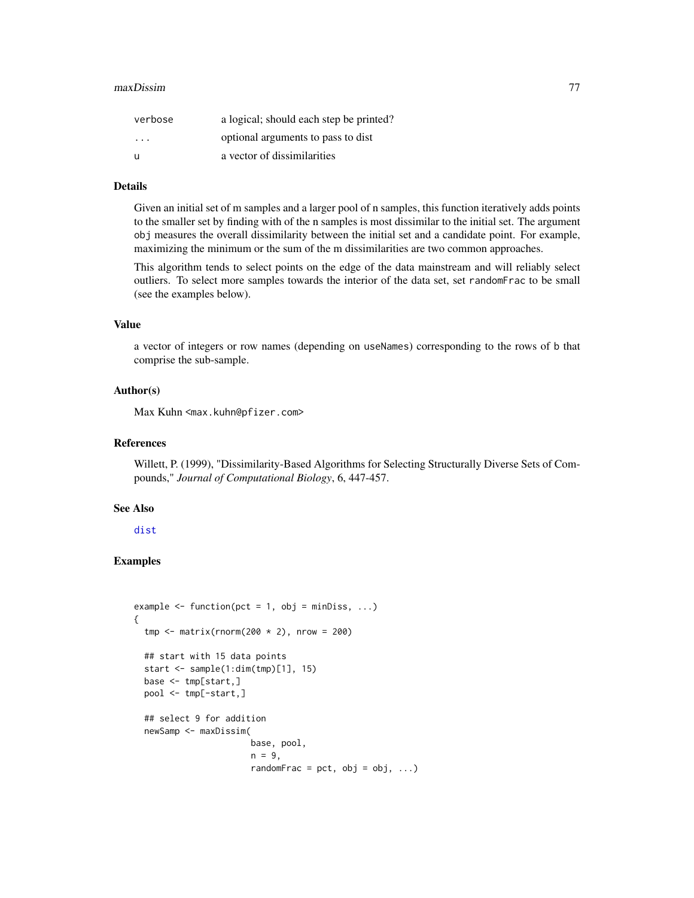#### maxDissim 77

| verbose                 | a logical; should each step be printed? |
|-------------------------|-----------------------------------------|
| $\cdot$ $\cdot$ $\cdot$ | optional arguments to pass to dist      |
| u                       | a vector of dissimilarities             |

## Details

Given an initial set of m samples and a larger pool of n samples, this function iteratively adds points to the smaller set by finding with of the n samples is most dissimilar to the initial set. The argument obj measures the overall dissimilarity between the initial set and a candidate point. For example, maximizing the minimum or the sum of the m dissimilarities are two common approaches.

This algorithm tends to select points on the edge of the data mainstream and will reliably select outliers. To select more samples towards the interior of the data set, set randomFrac to be small (see the examples below).

## Value

a vector of integers or row names (depending on useNames) corresponding to the rows of b that comprise the sub-sample.

### Author(s)

Max Kuhn <max.kuhn@pfizer.com>

#### References

Willett, P. (1999), "Dissimilarity-Based Algorithms for Selecting Structurally Diverse Sets of Compounds," *Journal of Computational Biology*, 6, 447-457.

#### See Also

[dist](#page-0-0)

```
example \leq function(pct = 1, obj = minDiss, ...)
{
 tmp \leftarrow matrix(rnorm(200 \times 2), nrow = 200)## start with 15 data points
 start <- sample(1:dim(tmp)[1], 15)
 base <- tmp[start,]
 pool <- tmp[-start,]
 ## select 9 for addition
 newSamp <- maxDissim(
                        base, pool,
                        n = 9,
                        randomFrac = pct, obj = obj, ...)
```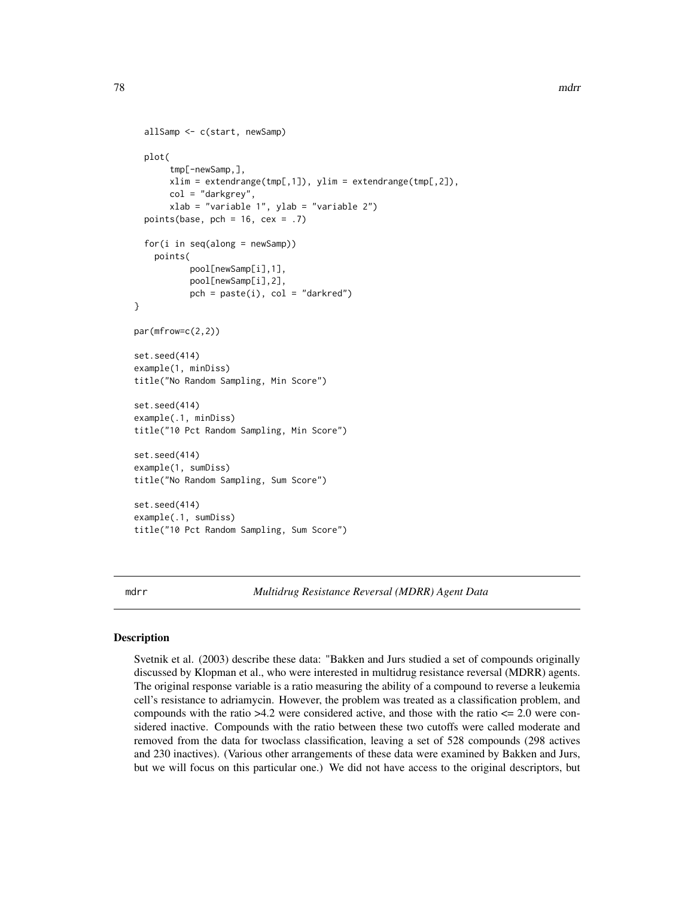```
allSamp <- c(start, newSamp)
 plot(
       tmp[-newSamp,],
       xlim = extendrange(tmp[,1]), ylim = extendrange(tmp[,2]),
       col = "darkgrey",
       xlab = "variable 1", ylab = "variable 2")
 points(base, pch = 16, cex = .7)
 for(i in seq(along = newSamp))
    points(
           pool[newSamp[i],1],
           pool[newSamp[i],2],
           pch = paste(i), col = "darkred")}
par(mfrow=c(2,2))
set.seed(414)
example(1, minDiss)
title("No Random Sampling, Min Score")
set.seed(414)
example(.1, minDiss)
title("10 Pct Random Sampling, Min Score")
set.seed(414)
example(1, sumDiss)
title("No Random Sampling, Sum Score")
set.seed(414)
example(.1, sumDiss)
title("10 Pct Random Sampling, Sum Score")
```
mdrr *Multidrug Resistance Reversal (MDRR) Agent Data*

#### Description

Svetnik et al. (2003) describe these data: "Bakken and Jurs studied a set of compounds originally discussed by Klopman et al., who were interested in multidrug resistance reversal (MDRR) agents. The original response variable is a ratio measuring the ability of a compound to reverse a leukemia cell's resistance to adriamycin. However, the problem was treated as a classification problem, and compounds with the ratio  $>4.2$  were considered active, and those with the ratio  $\leq 2.0$  were considered inactive. Compounds with the ratio between these two cutoffs were called moderate and removed from the data for twoclass classification, leaving a set of 528 compounds (298 actives and 230 inactives). (Various other arrangements of these data were examined by Bakken and Jurs, but we will focus on this particular one.) We did not have access to the original descriptors, but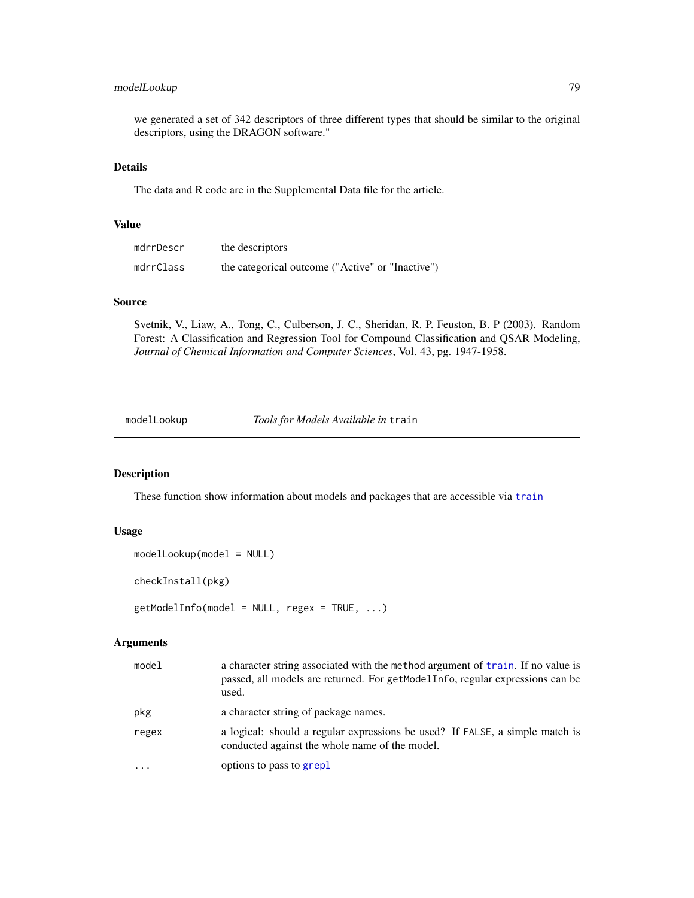# modelLookup 79

we generated a set of 342 descriptors of three different types that should be similar to the original descriptors, using the DRAGON software."

### Details

The data and R code are in the Supplemental Data file for the article.

## Value

| mdrrDescr | the descriptors                                  |
|-----------|--------------------------------------------------|
| mdrrClass | the categorical outcome ("Active" or "Inactive") |

### Source

Svetnik, V., Liaw, A., Tong, C., Culberson, J. C., Sheridan, R. P. Feuston, B. P (2003). Random Forest: A Classification and Regression Tool for Compound Classification and QSAR Modeling, *Journal of Chemical Information and Computer Sciences*, Vol. 43, pg. 1947-1958.

modelLookup *Tools for Models Available in* train

# Description

These function show information about models and packages that are accessible via [train](#page-153-0)

# Usage

```
modelLookup(model = NULL)
```
checkInstall(pkg)

getModelInfo(model = NULL, regex = TRUE, ...)

### Arguments

| model | a character string associated with the method argument of train. If no value is<br>passed, all models are returned. For getModelInfo, regular expressions can be<br>used. |  |
|-------|---------------------------------------------------------------------------------------------------------------------------------------------------------------------------|--|
| pkg   | a character string of package names.                                                                                                                                      |  |
| regex | a logical: should a regular expressions be used? If FALSE, a simple match is<br>conducted against the whole name of the model.                                            |  |
|       | options to pass to grep1                                                                                                                                                  |  |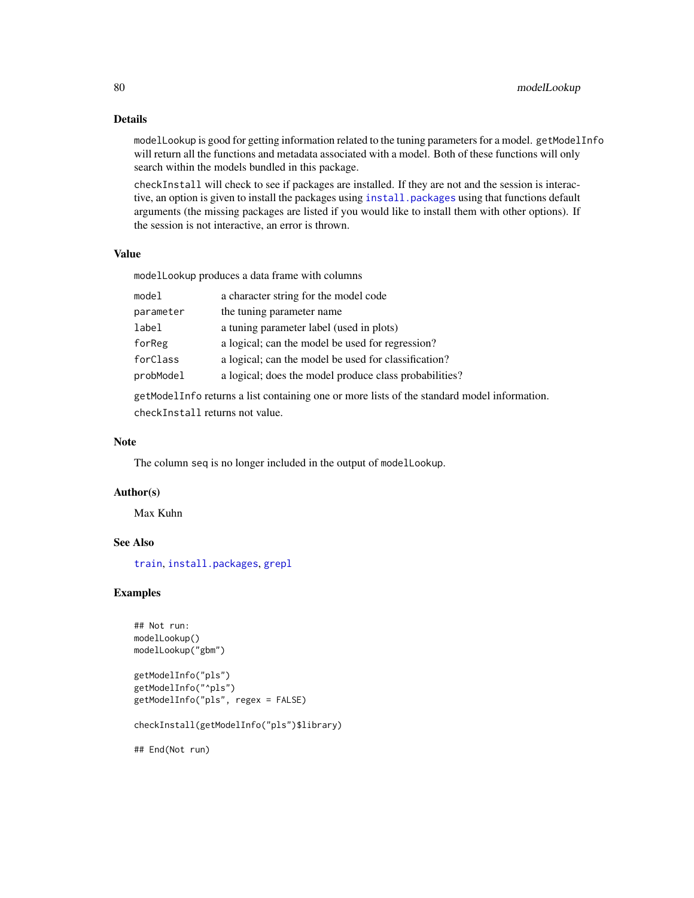## Details

modelLookup is good for getting information related to the tuning parameters for a model. getModelInfo will return all the functions and metadata associated with a model. Both of these functions will only search within the models bundled in this package.

checkInstall will check to see if packages are installed. If they are not and the session is interactive, an option is given to install the packages using install. packages using that functions default arguments (the missing packages are listed if you would like to install them with other options). If the session is not interactive, an error is thrown.

#### Value

modelLookup produces a data frame with columns

| model                           | a character string for the model code                                                       |
|---------------------------------|---------------------------------------------------------------------------------------------|
| parameter                       | the tuning parameter name                                                                   |
| label                           | a tuning parameter label (used in plots)                                                    |
| forReg                          | a logical; can the model be used for regression?                                            |
| forClass                        | a logical; can the model be used for classification?                                        |
| probModel                       | a logical; does the model produce class probabilities?                                      |
|                                 | getModelInfo returns a list containing one or more lists of the standard model information. |
| checkInstall returns not value. |                                                                                             |

# Note

The column seq is no longer included in the output of modelLookup.

## Author(s)

Max Kuhn

# See Also

[train](#page-153-0), [install.packages](#page-0-0), [grepl](#page-0-0)

## Examples

```
## Not run:
modelLookup()
modelLookup("gbm")
getModelInfo("pls")
getModelInfo("^pls")
getModelInfo("pls", regex = FALSE)
```
checkInstall(getModelInfo("pls")\$library)

## End(Not run)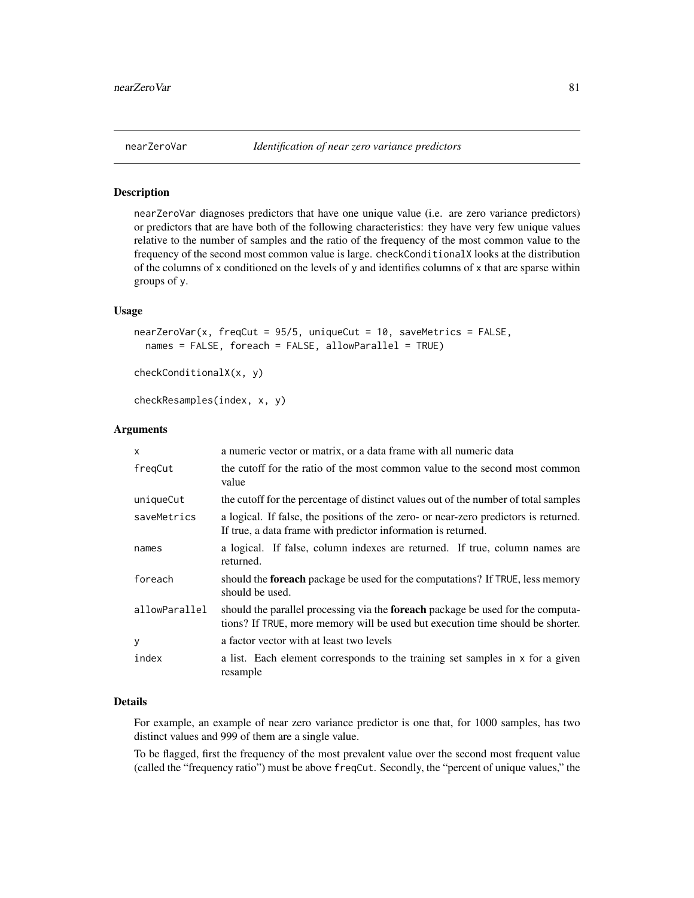#### Description

nearZeroVar diagnoses predictors that have one unique value (i.e. are zero variance predictors) or predictors that are have both of the following characteristics: they have very few unique values relative to the number of samples and the ratio of the frequency of the most common value to the frequency of the second most common value is large. checkConditionalX looks at the distribution of the columns of x conditioned on the levels of y and identifies columns of x that are sparse within groups of y.

#### Usage

```
nearZeroVar(x, freqCut = 95/5, uniqueCut = 10, saveMetrics = FALSE,
 names = FALSE, foreach = FALSE, allowParallel = TRUE)
```

```
checkConditionalX(x, y)
```
checkResamples(index, x, y)

## Arguments

| $\mathsf{x}$  | a numeric vector or matrix, or a data frame with all numeric data                                                                                                        |
|---------------|--------------------------------------------------------------------------------------------------------------------------------------------------------------------------|
| freqCut       | the cutoff for the ratio of the most common value to the second most common<br>value                                                                                     |
| uniqueCut     | the cutoff for the percentage of distinct values out of the number of total samples                                                                                      |
| saveMetrics   | a logical. If false, the positions of the zero- or near-zero predictors is returned.<br>If true, a data frame with predictor information is returned.                    |
| names         | a logical. If false, column indexes are returned. If true, column names are<br>returned.                                                                                 |
| foreach       | should the <b>foreach</b> package be used for the computations? If TRUE, less memory<br>should be used.                                                                  |
| allowParallel | should the parallel processing via the <b>foreach</b> package be used for the computa-<br>tions? If TRUE, more memory will be used but execution time should be shorter. |
| У             | a factor vector with at least two levels                                                                                                                                 |
| index         | a list. Each element corresponds to the training set samples in x for a given<br>resample                                                                                |

## Details

For example, an example of near zero variance predictor is one that, for 1000 samples, has two distinct values and 999 of them are a single value.

To be flagged, first the frequency of the most prevalent value over the second most frequent value (called the "frequency ratio") must be above freqCut. Secondly, the "percent of unique values," the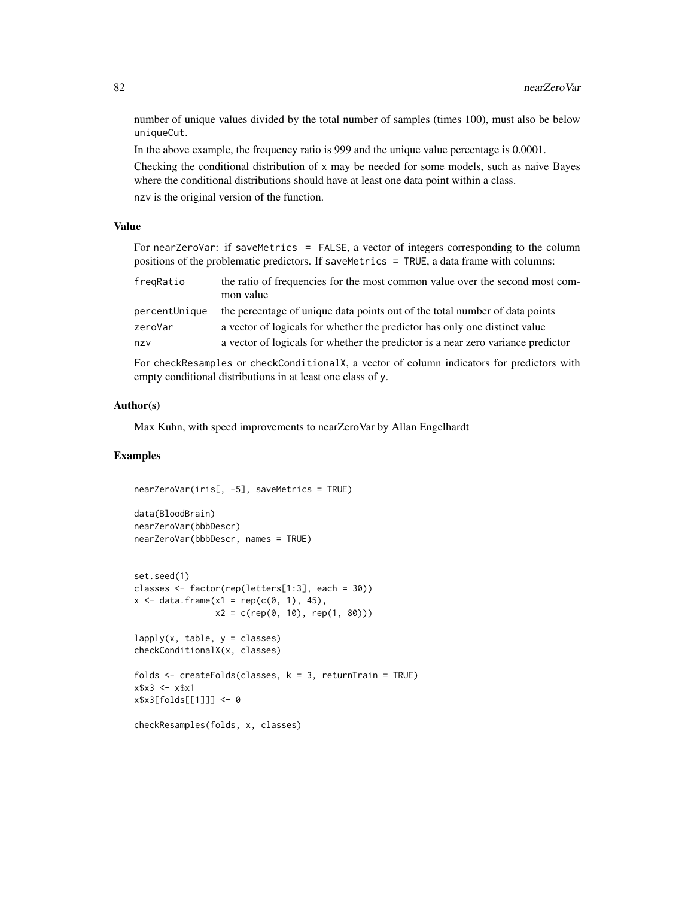number of unique values divided by the total number of samples (times 100), must also be below uniqueCut.

In the above example, the frequency ratio is 999 and the unique value percentage is 0.0001.

Checking the conditional distribution of x may be needed for some models, such as naive Bayes where the conditional distributions should have at least one data point within a class. nzv is the original version of the function.

## Value

For nearZeroVar: if saveMetrics = FALSE, a vector of integers corresponding to the column positions of the problematic predictors. If saveMetrics = TRUE, a data frame with columns:

| fregRatio     | the ratio of frequencies for the most common value over the second most com-<br>mon value |
|---------------|-------------------------------------------------------------------------------------------|
| percentUnique | the percentage of unique data points out of the total number of data points               |
| zeroVar       | a vector of logicals for whether the predictor has only one distinct value                |
| nzv           | a vector of logicals for whether the predictor is a near zero variance predictor          |

For checkResamples or checkConditionalX, a vector of column indicators for predictors with empty conditional distributions in at least one class of y.

#### Author(s)

Max Kuhn, with speed improvements to nearZeroVar by Allan Engelhardt

```
nearZeroVar(iris[, -5], saveMetrics = TRUE)
data(BloodBrain)
nearZeroVar(bbbDescr)
nearZeroVar(bbbDescr, names = TRUE)
set.seed(1)
classes <- factor(rep(letters[1:3], each = 30))
x \le - data.frame(x1 = rep(c(0, 1), 45),
                x2 = c(\text{rep}(0, 10), \text{rep}(1, 80)))lapply(x, table, y = classes)checkConditionalX(x, classes)
folds \leq createFolds(classes, k = 3, returnTrain = TRUE)
x $x3 \le -x $x1x$x3[folds[[1]]] <- 0
checkResamples(folds, x, classes)
```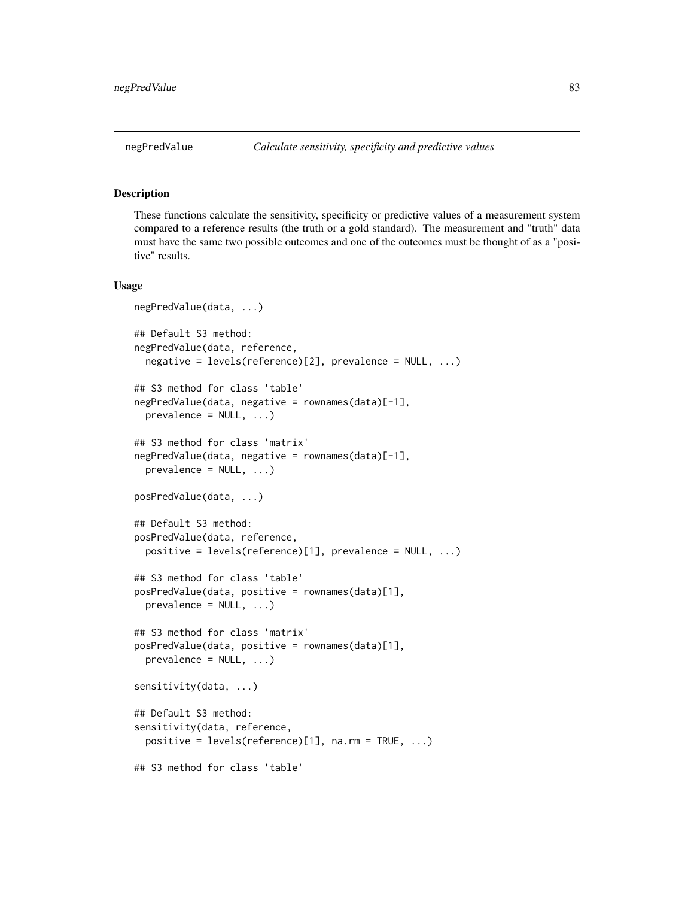### Description

These functions calculate the sensitivity, specificity or predictive values of a measurement system compared to a reference results (the truth or a gold standard). The measurement and "truth" data must have the same two possible outcomes and one of the outcomes must be thought of as a "positive" results.

### Usage

```
negPredValue(data, ...)
## Default S3 method:
negPredValue(data, reference,
 negative = levels(reference)[2], prevalence = NULL, ...)
## S3 method for class 'table'
negPredValue(data, negative = rownames(data)[-1],
 prevalence = NULL, ...## S3 method for class 'matrix'
negPredValue(data, negative = rownames(data)[-1],
 prevalence = NULL, ...posPredValue(data, ...)
## Default S3 method:
posPredValue(data, reference,
 positive = levels(reference)[1], prevalence = NULL, ...)## S3 method for class 'table'
posPredValue(data, positive = rownames(data)[1],
 prevalence = NULL, ...## S3 method for class 'matrix'
posPredValue(data, positive = rownames(data)[1],
 prevalence = NULL, ...sensitivity(data, ...)
## Default S3 method:
sensitivity(data, reference,
 positive = levels(reference)[1], na.rm = TRUE, ...)
## S3 method for class 'table'
```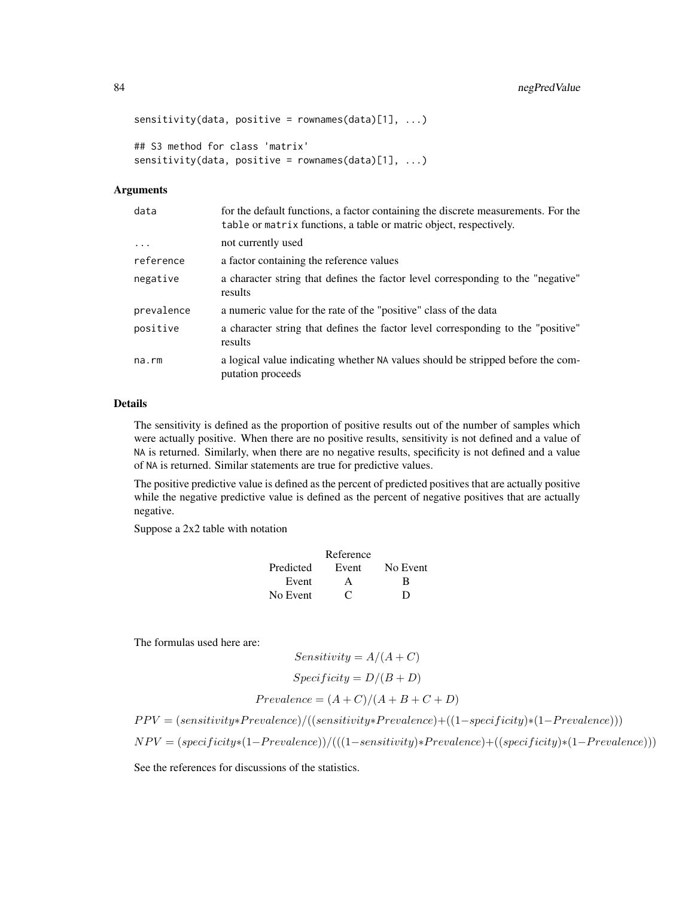```
sensitivity(data, positive = rownames(data)[1], ...)## S3 method for class 'matrix'
sensitivity(data, positive = rownames(data)[1], ...)
```
#### Arguments

| data       | for the default functions, a factor containing the discrete measurements. For the<br>table or matrix functions, a table or matric object, respectively. |
|------------|---------------------------------------------------------------------------------------------------------------------------------------------------------|
| $\ddotsc$  | not currently used                                                                                                                                      |
| reference  | a factor containing the reference values                                                                                                                |
| negative   | a character string that defines the factor level corresponding to the "negative"<br>results                                                             |
| prevalence | a numeric value for the rate of the "positive" class of the data                                                                                        |
| positive   | a character string that defines the factor level corresponding to the "positive"<br>results                                                             |
| na.rm      | a logical value indicating whether NA values should be stripped before the com-<br>putation proceeds                                                    |

#### Details

The sensitivity is defined as the proportion of positive results out of the number of samples which were actually positive. When there are no positive results, sensitivity is not defined and a value of NA is returned. Similarly, when there are no negative results, specificity is not defined and a value of NA is returned. Similar statements are true for predictive values.

The positive predictive value is defined as the percent of predicted positives that are actually positive while the negative predictive value is defined as the percent of negative positives that are actually negative.

Suppose a 2x2 table with notation

|           | Reference      |          |
|-----------|----------------|----------|
| Predicted | Event          | No Event |
| Event     |                | R        |
| No Event  | $\mathfrak{c}$ | D        |

The formulas used here are:

Sensitivity = 
$$
A/(A + C)
$$
  
\nSpecificity =  $D/(B + D)$   
\nPrevalence =  $(A + C)/(A + B + C + D)$ 

 $PPV = (sensitivity*Prevalence)/((sensitivity*Prevalence)+( (1-specificity)*(1-Prevalence)))$ 

 $NPV = (specificity * (1–Prevalence)) / (((1-sensitivity) * Prevalence) + ((specificity) * (1–Prevalence)))$ 

See the references for discussions of the statistics.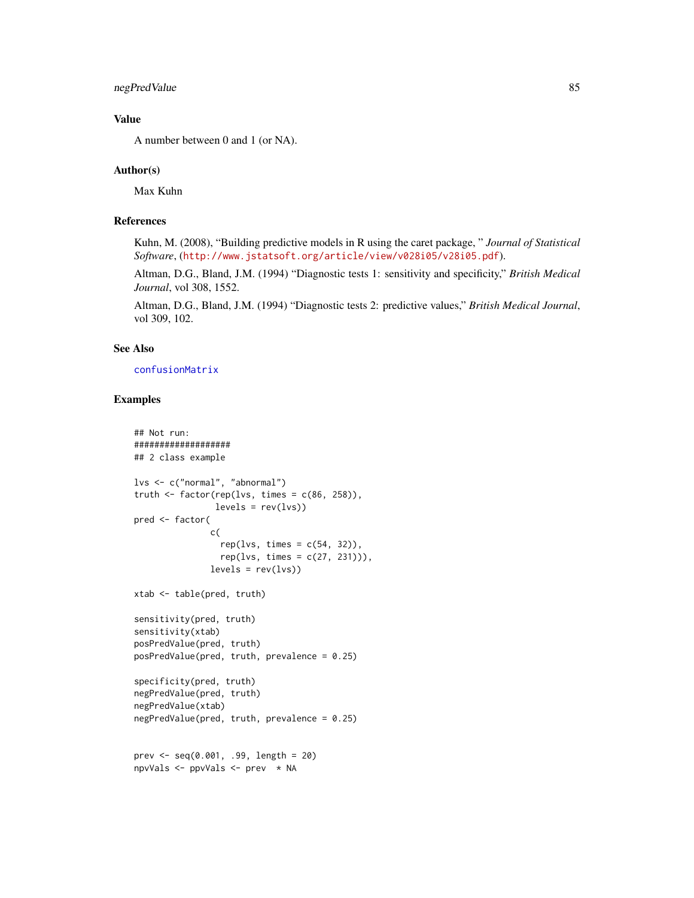## negPredValue 85

## Value

A number between 0 and 1 (or NA).

### Author(s)

Max Kuhn

## References

Kuhn, M. (2008), "Building predictive models in R using the caret package, " *Journal of Statistical Software*, (<http://www.jstatsoft.org/article/view/v028i05/v28i05.pdf>).

Altman, D.G., Bland, J.M. (1994) "Diagnostic tests 1: sensitivity and specificity," *British Medical Journal*, vol 308, 1552.

Altman, D.G., Bland, J.M. (1994) "Diagnostic tests 2: predictive values," *British Medical Journal*, vol 309, 102.

# See Also

[confusionMatrix](#page-21-0)

```
## Not run:
###################
## 2 class example
lvs <- c("normal", "abnormal")
truth \leq factor(rep(lvs, times = c(86, 258)),
                levels = rev(lvs)pred <- factor(
               c(
                 rep(lvs, times = c(54, 32)),rep(lvs, times = c(27, 231))),levels = rev(lvs)xtab <- table(pred, truth)
sensitivity(pred, truth)
sensitivity(xtab)
posPredValue(pred, truth)
posPredValue(pred, truth, prevalence = 0.25)
specificity(pred, truth)
negPredValue(pred, truth)
negPredValue(xtab)
negPredValue(pred, truth, prevalence = 0.25)
prev <- seq(0.001, .99, length = 20)
npvVals <- ppvVals <- prev * NA
```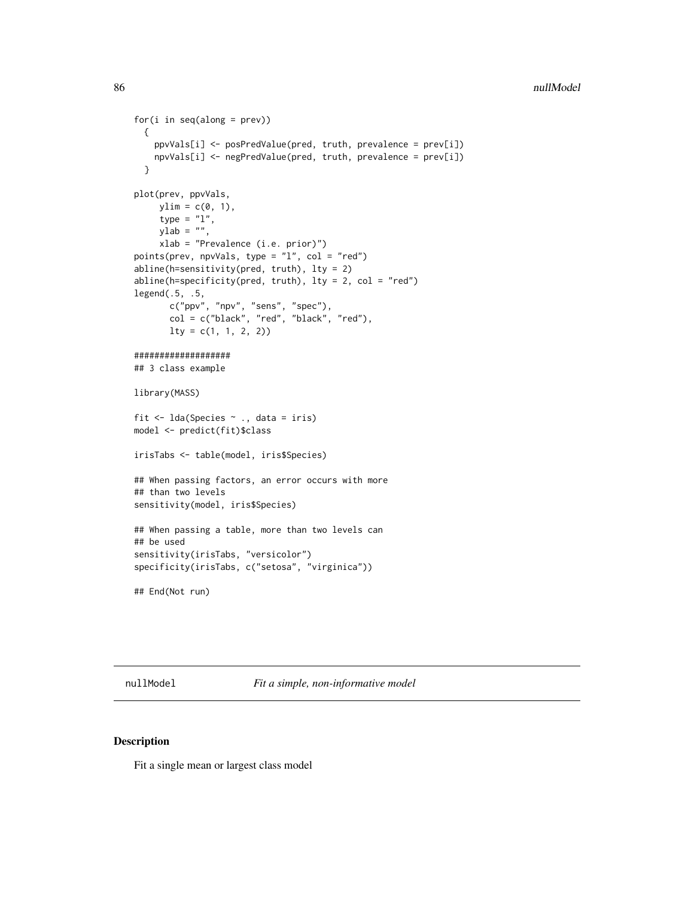```
for(i in seq(along = prev))
 {
   ppvVals[i] <- posPredValue(pred, truth, prevalence = prev[i])
   npvVals[i] <- negPredValue(pred, truth, prevalence = prev[i])
  }
plot(prev, ppvVals,
    ylim = c(0, 1),type = "1",ylab = ",
    xlab = "Prevalence (i.e. prior)")
points(prev, npvVals, type = "l", col = "red")
abline(h=sensitivity(pred, truth), lty = 2)
abline(h=specificity(pred, truth), lty = 2, col = "red")
legend(.5, .5,
       c("ppv", "npv", "sens", "spec"),
       col = c("black", "red", "black", "red"),
       lty = c(1, 1, 2, 2)###################
## 3 class example
library(MASS)
fit <- lda(Species ~ ., data = iris)
model <- predict(fit)$class
irisTabs <- table(model, iris$Species)
## When passing factors, an error occurs with more
## than two levels
sensitivity(model, iris$Species)
## When passing a table, more than two levels can
## be used
sensitivity(irisTabs, "versicolor")
specificity(irisTabs, c("setosa", "virginica"))
## End(Not run)
```
nullModel *Fit a simple, non-informative model*

# Description

Fit a single mean or largest class model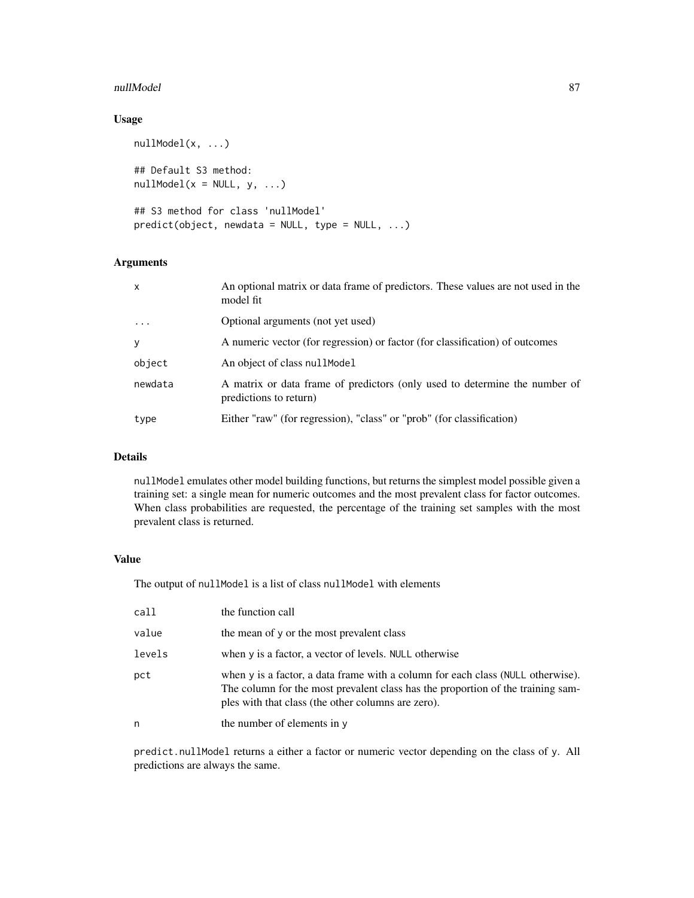### nullModel 87

# Usage

```
nullModel(x, ...)
## Default S3 method:
nullModel(x = NULL, y, ...)## S3 method for class 'nullModel'
predict(object, newdata = NULL, type = NULL, ...)
```
# Arguments

| $\mathsf{x}$ | An optional matrix or data frame of predictors. These values are not used in the<br>model fit        |
|--------------|------------------------------------------------------------------------------------------------------|
| $\ddots$ .   | Optional arguments (not yet used)                                                                    |
| y            | A numeric vector (for regression) or factor (for classification) of outcomes                         |
| object       | An object of class nullel Model                                                                      |
| newdata      | A matrix or data frame of predictors (only used to determine the number of<br>predictions to return) |
| type         | Either "raw" (for regression), "class" or "prob" (for classification)                                |

## Details

nullModel emulates other model building functions, but returns the simplest model possible given a training set: a single mean for numeric outcomes and the most prevalent class for factor outcomes. When class probabilities are requested, the percentage of the training set samples with the most prevalent class is returned.

## Value

The output of nullModel is a list of class nullModel with elements

| call   | the function call                                                                                                                                                                                                        |
|--------|--------------------------------------------------------------------------------------------------------------------------------------------------------------------------------------------------------------------------|
| value  | the mean of y or the most prevalent class                                                                                                                                                                                |
| levels | when y is a factor, a vector of levels. NULL otherwise                                                                                                                                                                   |
| pct    | when y is a factor, a data frame with a column for each class (NULL otherwise).<br>The column for the most prevalent class has the proportion of the training sam-<br>ples with that class (the other columns are zero). |
| n      | the number of elements in y                                                                                                                                                                                              |

predict.nullModel returns a either a factor or numeric vector depending on the class of y. All predictions are always the same.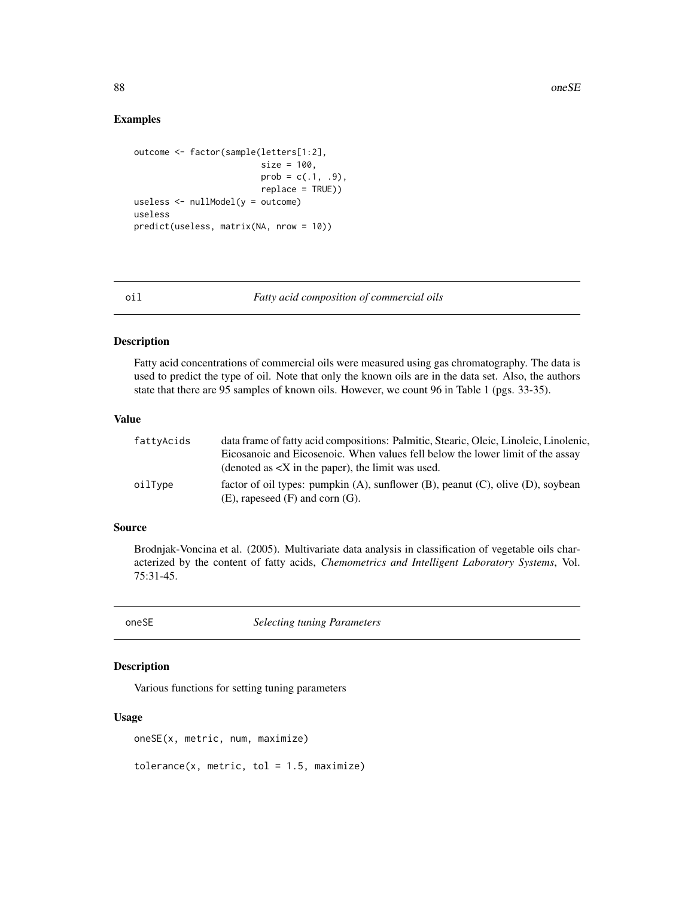### Examples

```
outcome <- factor(sample(letters[1:2],
                         size = 100,
                         prob = c(.1, .9),
                         replace = TRUE))
useless <- nullModel(y = outcome)
useless
predict(useless, matrix(NA, nrow = 10))
```
### oil *Fatty acid composition of commercial oils*

#### Description

Fatty acid concentrations of commercial oils were measured using gas chromatography. The data is used to predict the type of oil. Note that only the known oils are in the data set. Also, the authors state that there are 95 samples of known oils. However, we count 96 in Table 1 (pgs. 33-35).

### Value

| fattyAcids | data frame of fatty acid compositions: Palmitic, Stearic, Oleic, Linoleic, Linolenic,       |
|------------|---------------------------------------------------------------------------------------------|
|            | Eicosanoic and Eicosenoic. When values fell below the lower limit of the assay              |
|            | (denoted as $\langle X \rangle$ in the paper), the limit was used.                          |
| oilTvpe    | factor of oil types: pumpkin $(A)$ , sunflower $(B)$ , peanut $(C)$ , olive $(D)$ , soybean |
|            | $(E)$ , rapeseed $(F)$ and corn $(G)$ .                                                     |

#### Source

Brodnjak-Voncina et al. (2005). Multivariate data analysis in classification of vegetable oils characterized by the content of fatty acids, *Chemometrics and Intelligent Laboratory Systems*, Vol. 75:31-45.

oneSE *Selecting tuning Parameters*

# Description

Various functions for setting tuning parameters

### Usage

oneSE(x, metric, num, maximize)

 $tolerance(x, metric, tol = 1.5, maximize)$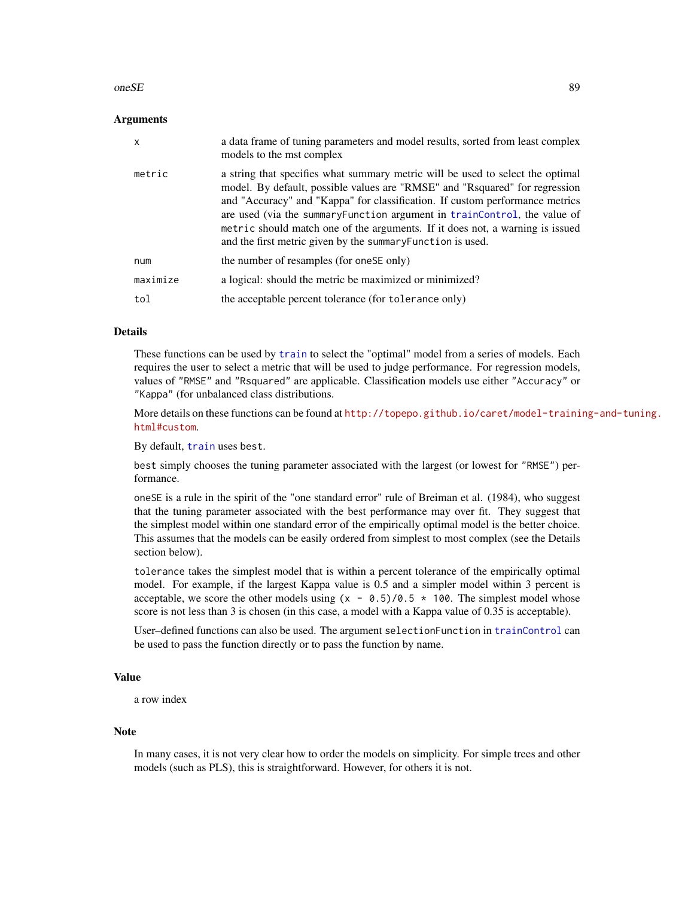#### $\omega$ one $SE$  89

### **Arguments**

| $\mathsf{x}$ | a data frame of tuning parameters and model results, sorted from least complex<br>models to the mst complex                                                                                                                                                                                                                                                                                                                                                                |
|--------------|----------------------------------------------------------------------------------------------------------------------------------------------------------------------------------------------------------------------------------------------------------------------------------------------------------------------------------------------------------------------------------------------------------------------------------------------------------------------------|
| metric       | a string that specifies what summary metric will be used to select the optimal<br>model. By default, possible values are "RMSE" and "Rsquared" for regression<br>and "Accuracy" and "Kappa" for classification. If custom performance metrics<br>are used (via the summary Function argument in trainControl, the value of<br>metric should match one of the arguments. If it does not, a warning is issued<br>and the first metric given by the summary Function is used. |
| num          | the number of resamples (for one SE only)                                                                                                                                                                                                                                                                                                                                                                                                                                  |
| maximize     | a logical: should the metric be maximized or minimized?                                                                                                                                                                                                                                                                                                                                                                                                                    |
| tol          | the acceptable percent tolerance (for tolerance only)                                                                                                                                                                                                                                                                                                                                                                                                                      |

# Details

These functions can be used by [train](#page-153-0) to select the "optimal" model from a series of models. Each requires the user to select a metric that will be used to judge performance. For regression models, values of "RMSE" and "Rsquared" are applicable. Classification models use either "Accuracy" or "Kappa" (for unbalanced class distributions.

More details on these functions can be found at [http://topepo.github.io/caret/model-traini](http://topepo.github.io/caret/model-training-and-tuning.html#custom)ng-and-tuning. [html#custom](http://topepo.github.io/caret/model-training-and-tuning.html#custom).

By default, [train](#page-153-0) uses best.

best simply chooses the tuning parameter associated with the largest (or lowest for "RMSE") performance.

oneSE is a rule in the spirit of the "one standard error" rule of Breiman et al. (1984), who suggest that the tuning parameter associated with the best performance may over fit. They suggest that the simplest model within one standard error of the empirically optimal model is the better choice. This assumes that the models can be easily ordered from simplest to most complex (see the Details section below).

tolerance takes the simplest model that is within a percent tolerance of the empirically optimal model. For example, if the largest Kappa value is 0.5 and a simpler model within 3 percent is acceptable, we score the other models using  $(x - 0.5)/0.5 \times 100$ . The simplest model whose score is not less than 3 is chosen (in this case, a model with a Kappa value of 0.35 is acceptable).

User–defined functions can also be used. The argument selectionFunction in [trainControl](#page-158-0) can be used to pass the function directly or to pass the function by name.

### Value

a row index

#### Note

In many cases, it is not very clear how to order the models on simplicity. For simple trees and other models (such as PLS), this is straightforward. However, for others it is not.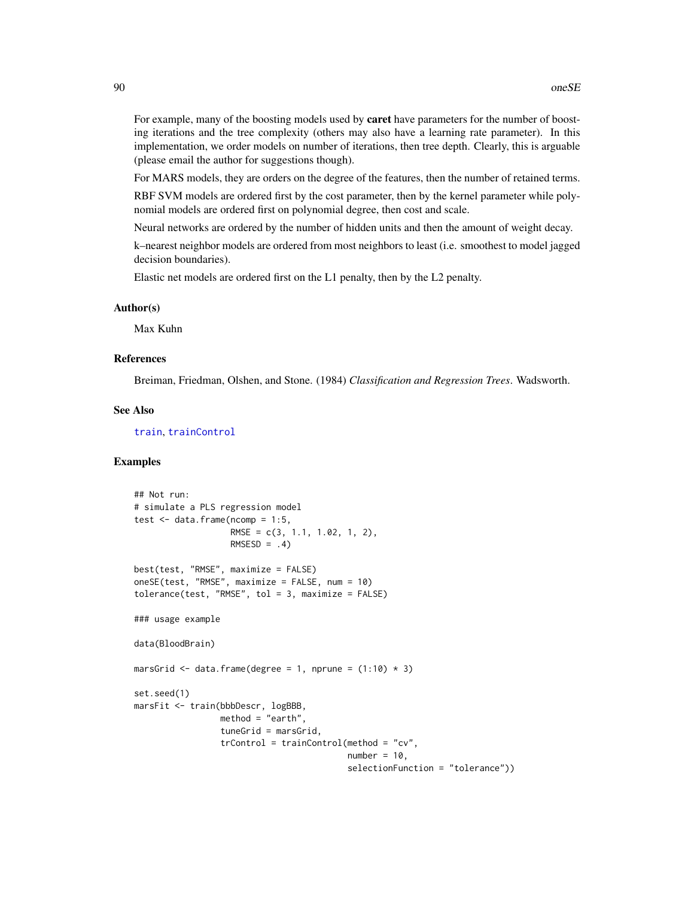For example, many of the boosting models used by **caret** have parameters for the number of boosting iterations and the tree complexity (others may also have a learning rate parameter). In this implementation, we order models on number of iterations, then tree depth. Clearly, this is arguable (please email the author for suggestions though).

For MARS models, they are orders on the degree of the features, then the number of retained terms.

RBF SVM models are ordered first by the cost parameter, then by the kernel parameter while polynomial models are ordered first on polynomial degree, then cost and scale.

Neural networks are ordered by the number of hidden units and then the amount of weight decay.

k–nearest neighbor models are ordered from most neighbors to least (i.e. smoothest to model jagged decision boundaries).

Elastic net models are ordered first on the L1 penalty, then by the L2 penalty.

#### Author(s)

Max Kuhn

#### References

Breiman, Friedman, Olshen, and Stone. (1984) *Classification and Regression Trees*. Wadsworth.

## See Also

[train](#page-153-0), [trainControl](#page-158-0)

```
## Not run:
# simulate a PLS regression model
test \leq data.frame(ncomp = 1:5,
                   RMSE = c(3, 1.1, 1.02, 1, 2),
                   RMSESD = .4)best(test, "RMSE", maximize = FALSE)
oneSE(test, "RMSE", maximize = FALSE, num = 10)
tolerance(test, "RMSE", tol = 3, maximize = FALSE)### usage example
data(BloodBrain)
marsGrid \leq data.frame(degree = 1, nprune = (1:10) * 3)
set.seed(1)
marsFit <- train(bbbDescr, logBBB,
                 method = "earth",
                 tuneGrid = marsGrid,
                 trControl = trainControl(method = "cv",
                                          number = 10,
                                          selectionFunction = "tolerance"))
```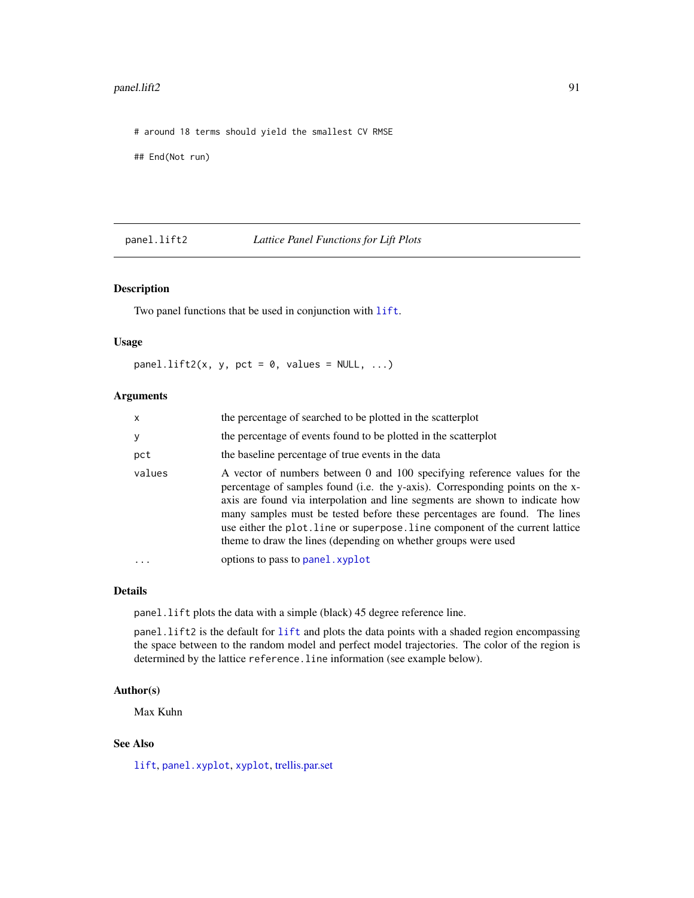#### panel.lift2 91

# around 18 terms should yield the smallest CV RMSE

## End(Not run)

<span id="page-90-0"></span>

panel.lift2 *Lattice Panel Functions for Lift Plots*

## Description

Two panel functions that be used in conjunction with [lift](#page-72-0).

### Usage

panel.lift2(x, y, pct = 0, values = NULL, ...)

## Arguments

| X      | the percentage of searched to be plotted in the scatterplot                                                                                                                                                                                                                                                                                                                                                                                                                |
|--------|----------------------------------------------------------------------------------------------------------------------------------------------------------------------------------------------------------------------------------------------------------------------------------------------------------------------------------------------------------------------------------------------------------------------------------------------------------------------------|
| У      | the percentage of events found to be plotted in the scatterplot                                                                                                                                                                                                                                                                                                                                                                                                            |
| pct    | the baseline percentage of true events in the data                                                                                                                                                                                                                                                                                                                                                                                                                         |
| values | A vector of numbers between 0 and 100 specifying reference values for the<br>percentage of samples found (i.e. the y-axis). Corresponding points on the x-<br>axis are found via interpolation and line segments are shown to indicate how<br>many samples must be tested before these percentages are found. The lines<br>use either the plot. line or superpose. line component of the current lattice<br>theme to draw the lines (depending on whether groups were used |
|        | options to pass to panel, xyplot                                                                                                                                                                                                                                                                                                                                                                                                                                           |

### Details

panel.lift plots the data with a simple (black) 45 degree reference line.

panel.lift2 is the default for [lift](#page-72-0) and plots the data points with a shaded region encompassing the space between to the random model and perfect model trajectories. The color of the region is determined by the lattice reference.line information (see example below).

#### Author(s)

Max Kuhn

## See Also

[lift](#page-72-0), [panel.xyplot](#page-0-0), [xyplot](#page-0-0), [trellis.par.set](#page-0-0)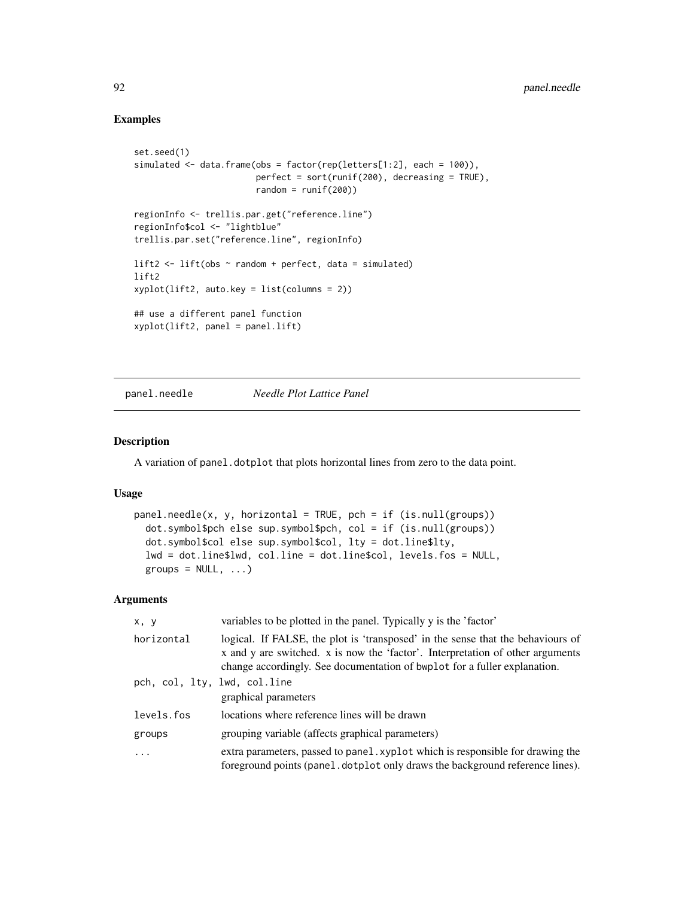## Examples

```
set.seed(1)
simulated \leq data.frame(obs = factor(rep(letters[1:2], each = 100)),
                        perfect = sort(runif(200), decreasing = TRUE),
                        random = runif(200)regionInfo <- trellis.par.get("reference.line")
regionInfo$col <- "lightblue"
trellis.par.set("reference.line", regionInfo)
lift2 \leftarrow lift(obs \sim random + perfect, data = simulated)
lift2
xyplot(lift2, auto.key = list(columns = 2))
## use a different panel function
xyplot(lift2, panel = panel.lift)
```
<span id="page-91-0"></span>panel.needle *Needle Plot Lattice Panel*

#### Description

A variation of panel.dotplot that plots horizontal lines from zero to the data point.

### Usage

```
panel.needle(x, y, horizontal = TRUE, pch = if (is.null(groups))
  dot.symbol$pch else sup.symbol$pch, col = if (is.null(groups))
  dot.symbol$col else sup.symbol$col, lty = dot.line$lty,
  lwd = dot.line$lwd, col.line = dot.line$col, levels.fos = NULL,
  groups = NULL, ...,)
```
# Arguments

| x, y                         | variables to be plotted in the panel. Typically y is the 'factor'                                                                                                                                                                              |
|------------------------------|------------------------------------------------------------------------------------------------------------------------------------------------------------------------------------------------------------------------------------------------|
| horizontal                   | logical. If FALSE, the plot is 'transposed' in the sense that the behaviours of<br>x and y are switched. x is now the 'factor'. Interpretation of other arguments<br>change accordingly. See documentation of bwplot for a fuller explanation. |
| pch, col, lty, lwd, col.line | graphical parameters                                                                                                                                                                                                                           |
| levels.fos                   | locations where reference lines will be drawn                                                                                                                                                                                                  |
| groups                       | grouping variable (affects graphical parameters)                                                                                                                                                                                               |
| .                            | extra parameters, passed to panel xyplot which is responsible for drawing the<br>foreground points (panel. dotplot only draws the background reference lines).                                                                                 |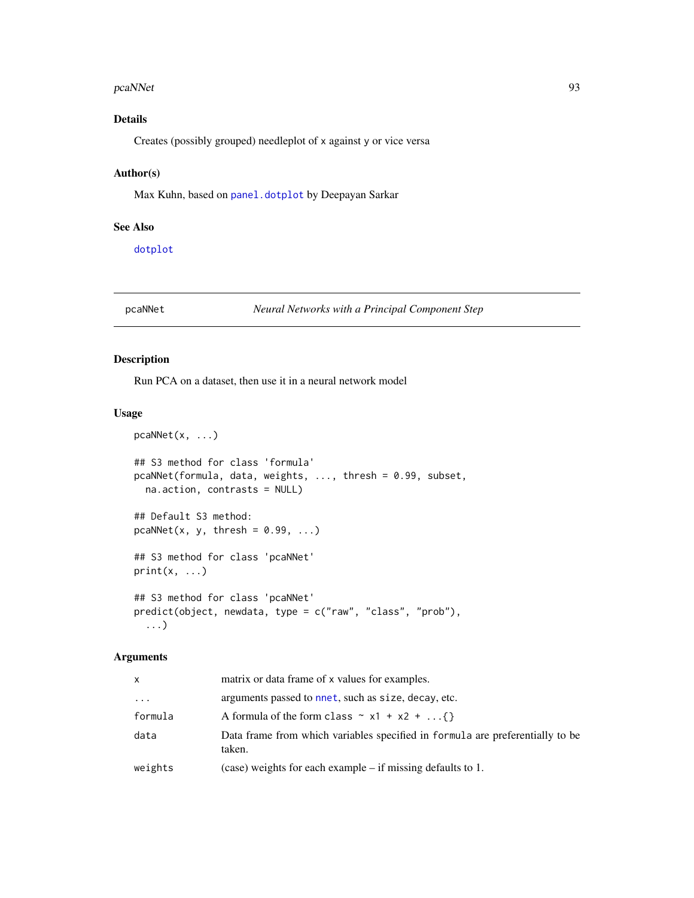#### pcaNNet 93

# Details

Creates (possibly grouped) needleplot of x against y or vice versa

### Author(s)

Max Kuhn, based on [panel.dotplot](#page-0-0) by Deepayan Sarkar

## See Also

[dotplot](#page-0-0)

# pcaNNet *Neural Networks with a Principal Component Step*

### Description

Run PCA on a dataset, then use it in a neural network model

## Usage

```
pcaNNet(x, ...)
## S3 method for class 'formula'
pcaNNet(formula, data, weights, ..., thresh = 0.99, subset,
 na.action, contrasts = NULL)
## Default S3 method:
pcaNNet(x, y, thresh = 0.99, ...)
## S3 method for class 'pcaNNet'
print(x, \ldots)## S3 method for class 'pcaNNet'
predict(object, newdata, type = c("raw", "class", "prob"),
```
## Arguments

...)

| x        | matrix or data frame of x values for examples.                                          |
|----------|-----------------------------------------------------------------------------------------|
| $\cdots$ | arguments passed to nnet, such as size, decay, etc.                                     |
| formula  | A formula of the form class $\sim x1 + x2 + $                                           |
| data     | Data frame from which variables specified in formula are preferentially to be<br>taken. |
| weights  | $(case)$ weights for each example – if missing defaults to 1.                           |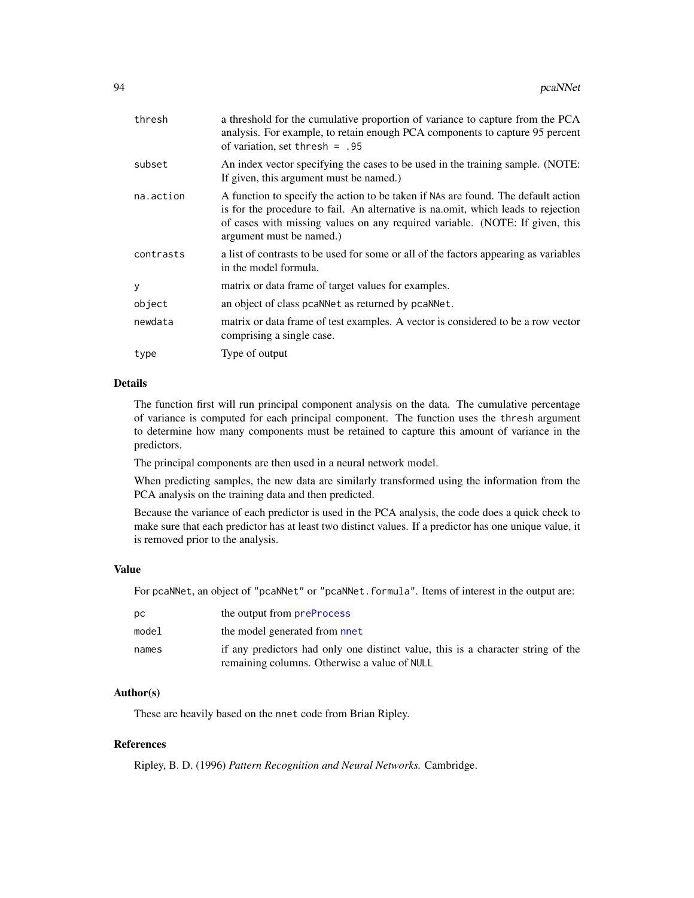| thresh    | a threshold for the cumulative proportion of variance to capture from the PCA<br>analysis. For example, to retain enough PCA components to capture 95 percent<br>of variation, set thresh = $.95$                                                                                   |
|-----------|-------------------------------------------------------------------------------------------------------------------------------------------------------------------------------------------------------------------------------------------------------------------------------------|
| subset    | An index vector specifying the cases to be used in the training sample. (NOTE:<br>If given, this argument must be named.)                                                                                                                                                           |
| na.action | A function to specify the action to be taken if NAs are found. The default action<br>is for the procedure to fail. An alternative is national, which leads to rejection<br>of cases with missing values on any required variable. (NOTE: If given, this<br>argument must be named.) |
| contrasts | a list of contrasts to be used for some or all of the factors appearing as variables<br>in the model formula.                                                                                                                                                                       |
| у         | matrix or data frame of target values for examples.                                                                                                                                                                                                                                 |
| object    | an object of class pcaNNet as returned by pcaNNet.                                                                                                                                                                                                                                  |
| newdata   | matrix or data frame of test examples. A vector is considered to be a row vector<br>comprising a single case.                                                                                                                                                                       |
| type      | Type of output                                                                                                                                                                                                                                                                      |
|           |                                                                                                                                                                                                                                                                                     |

### Details

The function first will run principal component analysis on the data. The cumulative percentage of variance is computed for each principal component. The function uses the thresh argument to determine how many components must be retained to capture this amount of variance in the predictors.

The principal components are then used in a neural network model.

When predicting samples, the new data are similarly transformed using the information from the PCA analysis on the training data and then predicted.

Because the variance of each predictor is used in the PCA analysis, the code does a quick check to make sure that each predictor has at least two distinct values. If a predictor has one unique value, it is removed prior to the analysis.

### Value

For pcaNNet, an object of "pcaNNet" or "pcaNNet.formula". Items of interest in the output are:

| DС    | the output from <b>preProcess</b>                                                |
|-------|----------------------------------------------------------------------------------|
| model | the model generated from nnet                                                    |
| names | if any predictors had only one distinct value, this is a character string of the |
|       | remaining columns. Otherwise a value of NULL                                     |

## Author(s)

These are heavily based on the nnet code from Brian Ripley.

## References

Ripley, B. D. (1996) *Pattern Recognition and Neural Networks.* Cambridge.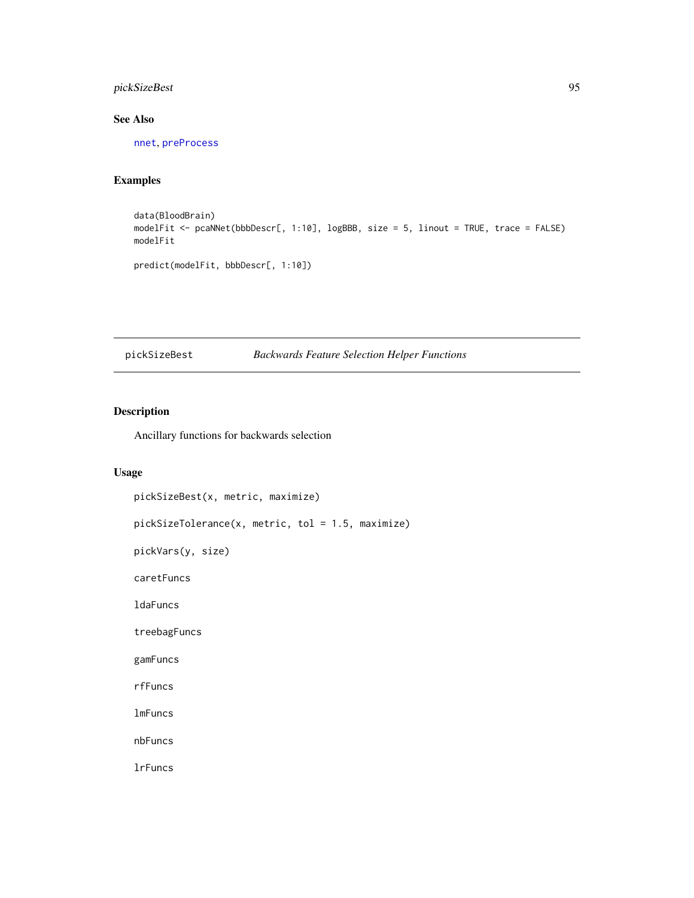# pickSizeBest 95

## See Also

[nnet](#page-0-0), [preProcess](#page-112-0)

# Examples

```
data(BloodBrain)
modelFit <- pcaNNet(bbbDescr[, 1:10], logBBB, size = 5, linout = TRUE, trace = FALSE)
modelFit
predict(modelFit, bbbDescr[, 1:10])
```
# pickSizeBest *Backwards Feature Selection Helper Functions*

# Description

Ancillary functions for backwards selection

### Usage

```
pickSizeBest(x, metric, maximize)
pickSizeTolerance(x, metric, tol = 1.5, maximize)
pickVars(y, size)
caretFuncs
ldaFuncs
treebagFuncs
gamFuncs
rfFuncs
lmFuncs
nbFuncs
lrFuncs
```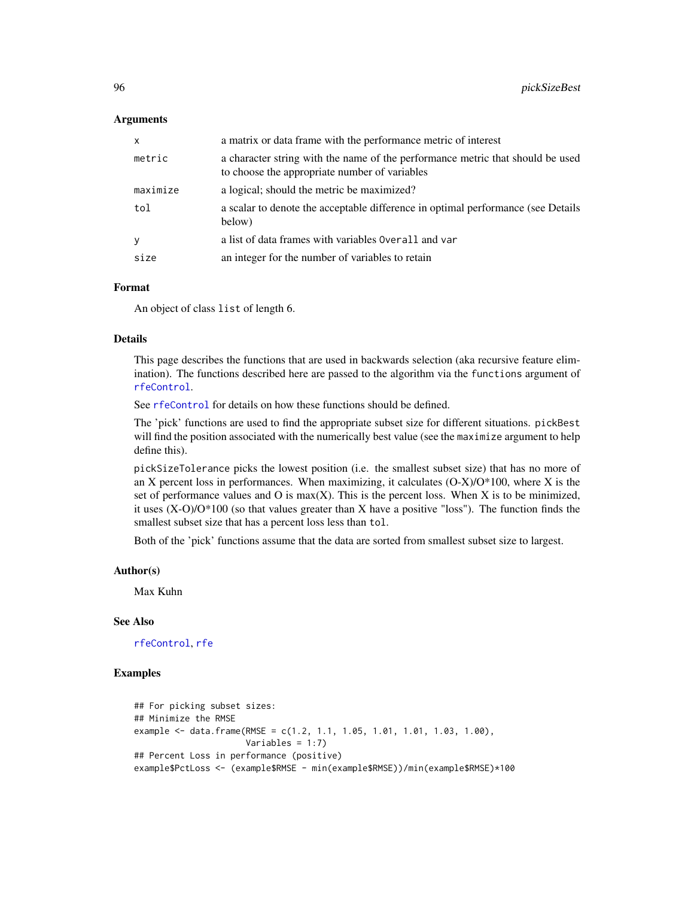### Arguments

| x        | a matrix or data frame with the performance metric of interest                                                                  |
|----------|---------------------------------------------------------------------------------------------------------------------------------|
| metric   | a character string with the name of the performance metric that should be used<br>to choose the appropriate number of variables |
| maximize | a logical; should the metric be maximized?                                                                                      |
| tol      | a scalar to denote the acceptable difference in optimal performance (see Details<br>below)                                      |
| У        | a list of data frames with variables Overall and var                                                                            |
| size     | an integer for the number of variables to retain                                                                                |

### Format

An object of class list of length 6.

### Details

This page describes the functions that are used in backwards selection (aka recursive feature elimination). The functions described here are passed to the algorithm via the functions argument of [rfeControl](#page-128-0).

See [rfeControl](#page-128-0) for details on how these functions should be defined.

The 'pick' functions are used to find the appropriate subset size for different situations. pickBest will find the position associated with the numerically best value (see the maximize argument to help define this).

pickSizeTolerance picks the lowest position (i.e. the smallest subset size) that has no more of an X percent loss in performances. When maximizing, it calculates  $(O-X)/O^*100$ , where X is the set of performance values and O is  $max(X)$ . This is the percent loss. When X is to be minimized, it uses  $(X-O)/O^*100$  (so that values greater than X have a positive "loss"). The function finds the smallest subset size that has a percent loss less than tol.

Both of the 'pick' functions assume that the data are sorted from smallest subset size to largest.

#### Author(s)

Max Kuhn

### See Also

[rfeControl](#page-128-0), [rfe](#page-125-0)

```
## For picking subset sizes:
## Minimize the RMSE
example \leq data.frame(RMSE = c(1.2, 1.1, 1.05, 1.01, 1.01, 1.03, 1.00),
                      Variables = 1:7)
## Percent Loss in performance (positive)
example$PctLoss <- (example$RMSE - min(example$RMSE))/min(example$RMSE)*100
```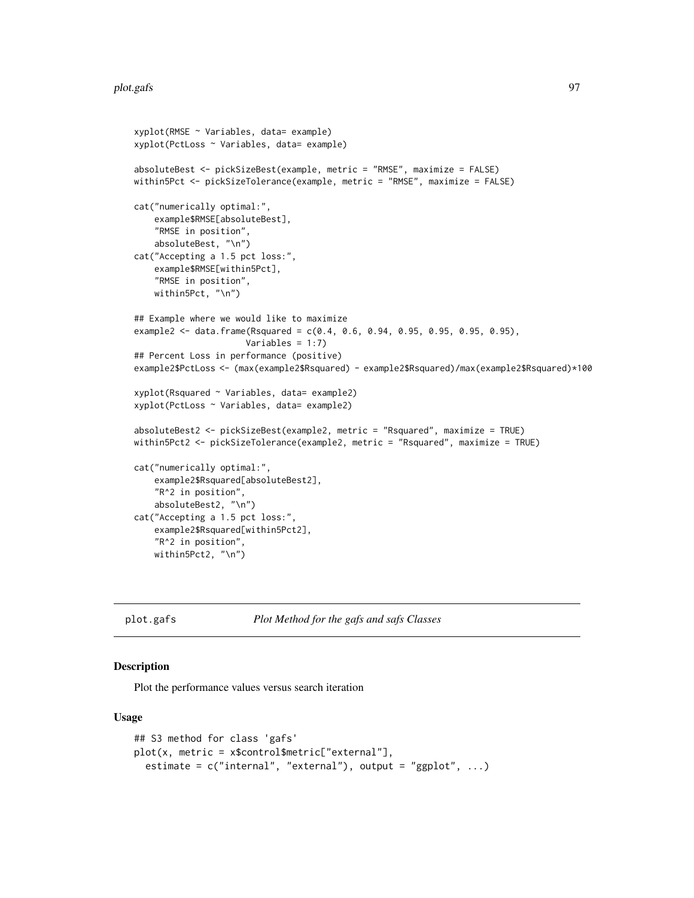```
xyplot(RMSE ~ Variables, data= example)
xyplot(PctLoss ~ Variables, data= example)
absoluteBest <- pickSizeBest(example, metric = "RMSE", maximize = FALSE)
within5Pct <- pickSizeTolerance(example, metric = "RMSE", maximize = FALSE)
cat("numerically optimal:",
    example$RMSE[absoluteBest],
    "RMSE in position",
    absoluteBest, "\n")
cat("Accepting a 1.5 pct loss:",
    example$RMSE[within5Pct],
    "RMSE in position",
   within5Pct, "\n")
## Example where we would like to maximize
example2 <- data.frame(Rsquared = c(0.4, 0.6, 0.94, 0.95, 0.95, 0.95, 0.95),
                      Variables = 1:7)
## Percent Loss in performance (positive)
example2$PctLoss <- (max(example2$Rsquared) - example2$Rsquared)/max(example2$Rsquared)*100
xyplot(Rsquared ~ Variables, data= example2)
xyplot(PctLoss ~ Variables, data= example2)
absoluteBest2 <- pickSizeBest(example2, metric = "Rsquared", maximize = TRUE)
within5Pct2 <- pickSizeTolerance(example2, metric = "Rsquared", maximize = TRUE)
cat("numerically optimal:",
    example2$Rsquared[absoluteBest2],
    "R^2 in position",
    absoluteBest2, "\n")
cat("Accepting a 1.5 pct loss:",
    example2$Rsquared[within5Pct2],
    "R^2 in position",
   within5Pct2, "\n")
```
plot.gafs *Plot Method for the gafs and safs Classes*

### Description

Plot the performance values versus search iteration

### Usage

```
## S3 method for class 'gafs'
plot(x, metric = x$control$metric["external"],
 estimate = c("internal", "external"), output = "ggplot", ...)
```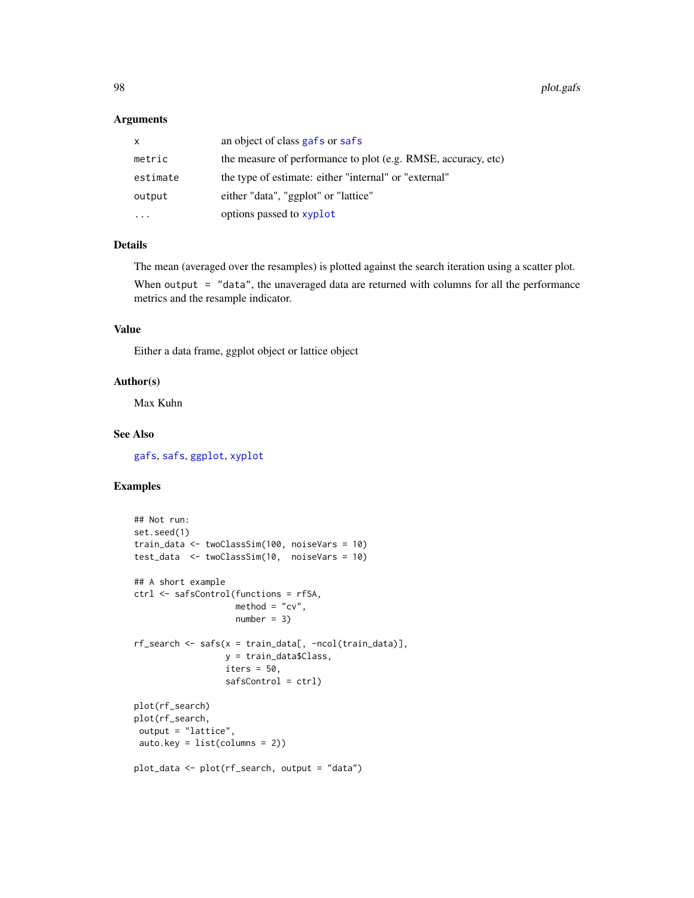### Arguments

| X        | an object of class gafs or safs                               |
|----------|---------------------------------------------------------------|
| metric   | the measure of performance to plot (e.g. RMSE, accuracy, etc) |
| estimate | the type of estimate: either "internal" or "external"         |
| output   | either "data", "ggplot" or "lattice"                          |
|          | options passed to xyplot                                      |

# Details

The mean (averaged over the resamples) is plotted against the search iteration using a scatter plot.

When output = "data", the unaveraged data are returned with columns for all the performance metrics and the resample indicator.

## Value

Either a data frame, ggplot object or lattice object

## Author(s)

Max Kuhn

### See Also

[gafs](#page-51-0), [safs](#page-132-0), [ggplot](#page-0-0), [xyplot](#page-0-0)

```
## Not run:
set.seed(1)
train_data <- twoClassSim(100, noiseVars = 10)
test_data <- twoClassSim(10, noiseVars = 10)
## A short example
ctrl <- safsControl(functions = rfSA,
                    method = "cv",number = 3rf\_search \leftarrow safs(x = train\_data[, -ncol(train\_data)],y = train_data$Class,
                  iters = 50,
                  safsControl = ctrl)
plot(rf_search)
plot(rf_search,
output = "lattice",
 auto.key = list(columns = 2))
plot_data <- plot(rf_search, output = "data")
```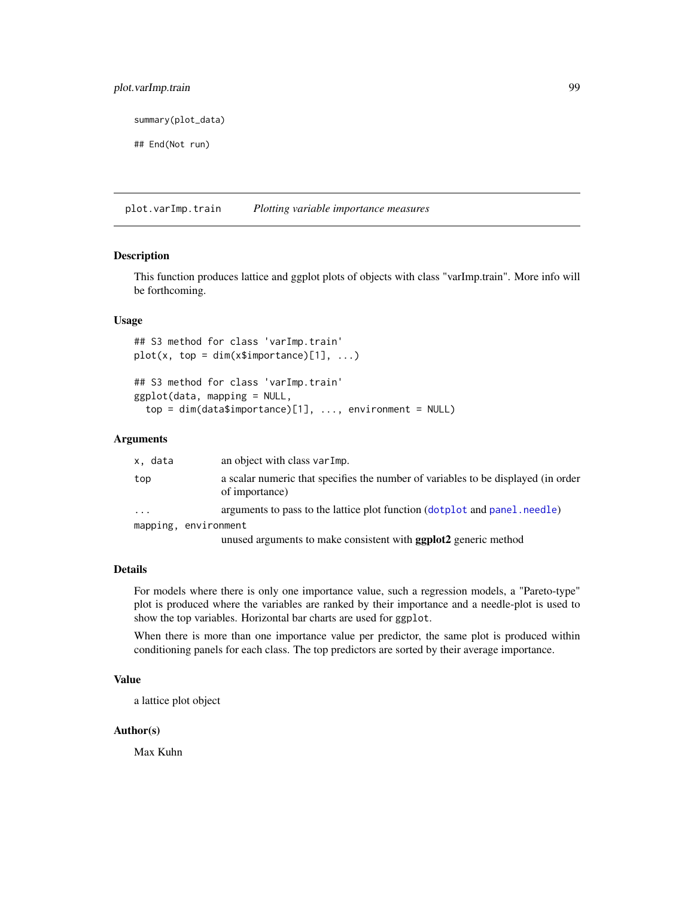# plot.varImp.train 99

summary(plot\_data)

## End(Not run)

plot.varImp.train *Plotting variable importance measures*

## Description

This function produces lattice and ggplot plots of objects with class "varImp.train". More info will be forthcoming.

### Usage

```
## S3 method for class 'varImp.train'
plot(x, top = dim(x$simple) [1], ...)
```

```
## S3 method for class 'varImp.train'
ggplot(data, mapping = NULL,
 top = dim(data$importance)[1], ..., environment = NULL)
```
### Arguments

| x, data    | an object with class varImp.                                                                        |
|------------|-----------------------------------------------------------------------------------------------------|
| top        | a scalar numeric that specifies the number of variables to be displayed (in order<br>of importance) |
| $\ddots$ . | arguments to pass to the lattice plot function (dotplot and panel, needle)                          |
|            | mapping, environment                                                                                |
|            | unused arguments to make consistent with <b>ggplot2</b> generic method                              |

#### Details

For models where there is only one importance value, such a regression models, a "Pareto-type" plot is produced where the variables are ranked by their importance and a needle-plot is used to show the top variables. Horizontal bar charts are used for ggplot.

When there is more than one importance value per predictor, the same plot is produced within conditioning panels for each class. The top predictors are sorted by their average importance.

## Value

a lattice plot object

## Author(s)

Max Kuhn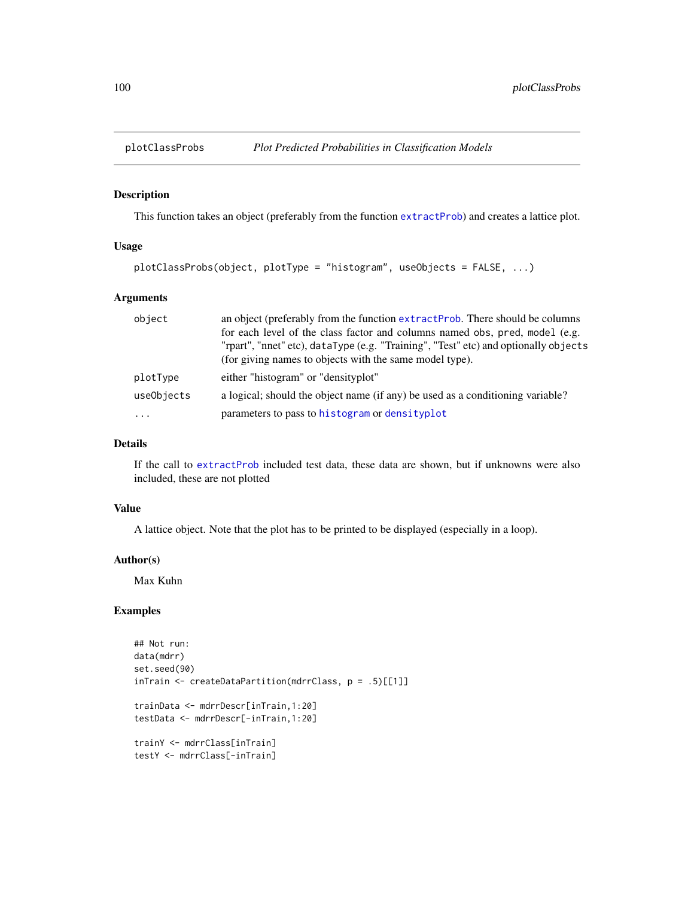## Description

This function takes an object (preferably from the function [extractProb](#page-42-0)) and creates a lattice plot.

## Usage

```
plotClassProbs(object, plotType = "histogram", useObjects = FALSE, ...)
```
# Arguments

| object     | an object (preferably from the function extractProb. There should be columns        |
|------------|-------------------------------------------------------------------------------------|
|            | for each level of the class factor and columns named obs, pred, model (e.g.         |
|            | "rpart", "nnet" etc), dataType (e.g. "Training", "Test" etc) and optionally objects |
|            | (for giving names to objects with the same model type).                             |
| plotType   | either "histogram" or "densityplot"                                                 |
| useObjects | a logical; should the object name (if any) be used as a conditioning variable?      |
| $\cdots$   | parameters to pass to histogram or densityplot                                      |

### Details

If the call to [extractProb](#page-42-0) included test data, these data are shown, but if unknowns were also included, these are not plotted

## Value

A lattice object. Note that the plot has to be printed to be displayed (especially in a loop).

### Author(s)

Max Kuhn

```
## Not run:
data(mdrr)
set.seed(90)
inTrain <- createDataPartition(mdrrClass, p = .5)[[1]]
trainData <- mdrrDescr[inTrain,1:20]
testData <- mdrrDescr[-inTrain,1:20]
trainY <- mdrrClass[inTrain]
testY <- mdrrClass[-inTrain]
```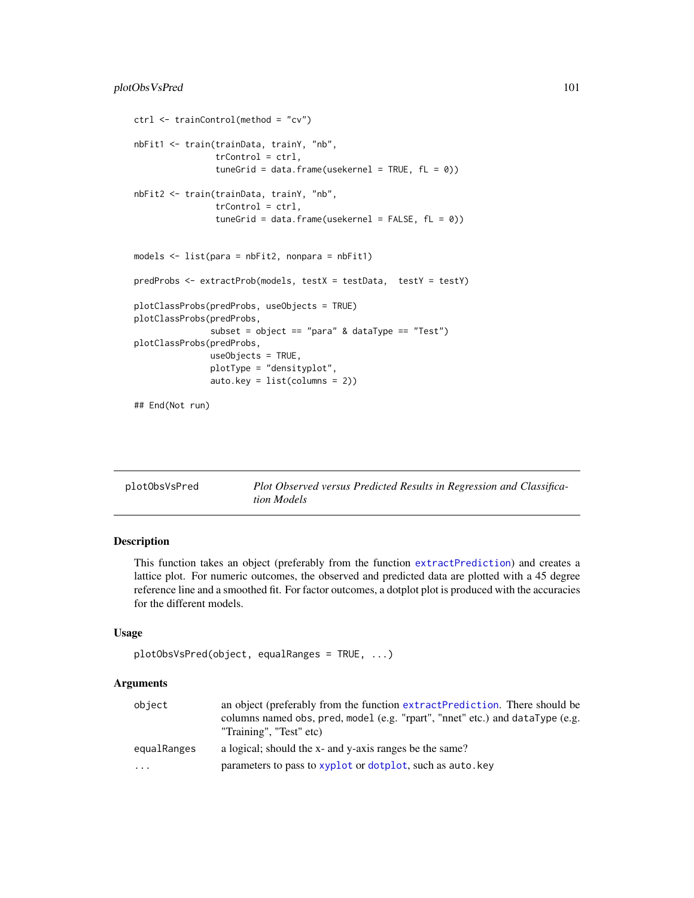```
ctrl <- trainControl(method = "cv")
nbFit1 <- train(trainData, trainY, "nb",
                trControl = ctrl,
                tuneGrid = data.frame(usekernel = TRUE, fL = 0))
nbFit2 <- train(trainData, trainY, "nb",
                trControl = ctrl,
                tuneGrid = data.frame(usekernel = FALSE, fL = 0))
models <- list(para = nbFit2, nonpara = nbFit1)
predProbs <- extractProb(models, testX = testData, testY = testY)
plotClassProbs(predProbs, useObjects = TRUE)
plotClassProbs(predProbs,
               subset = object == "para" & dataType == "Test")
plotClassProbs(predProbs,
               useObjects = TRUE,
               plotType = "densityplot",
               auto.key = list(columns = 2))
## End(Not run)
```

| plotObsVsPred | Plot Observed versus Predicted Results in Regression and Classifica- |
|---------------|----------------------------------------------------------------------|
|               | <i>tion Models</i>                                                   |

## Description

This function takes an object (preferably from the function [extractPrediction](#page-42-1)) and creates a lattice plot. For numeric outcomes, the observed and predicted data are plotted with a 45 degree reference line and a smoothed fit. For factor outcomes, a dotplot plot is produced with the accuracies for the different models.

## Usage

```
plotObsVsPred(object, equalRanges = TRUE, ...)
```
### Arguments

| object                  | an object (preferably from the function extractPrediction. There should be<br>columns named obs, pred, model (e.g. "rpart", "nnet" etc.) and dataType (e.g.<br>"Training", "Test" etc) |
|-------------------------|----------------------------------------------------------------------------------------------------------------------------------------------------------------------------------------|
| equalRanges             | a logical; should the x- and y-axis ranges be the same?                                                                                                                                |
| $\cdot$ $\cdot$ $\cdot$ | parameters to pass to xyplot or dotplot, such as auto.key                                                                                                                              |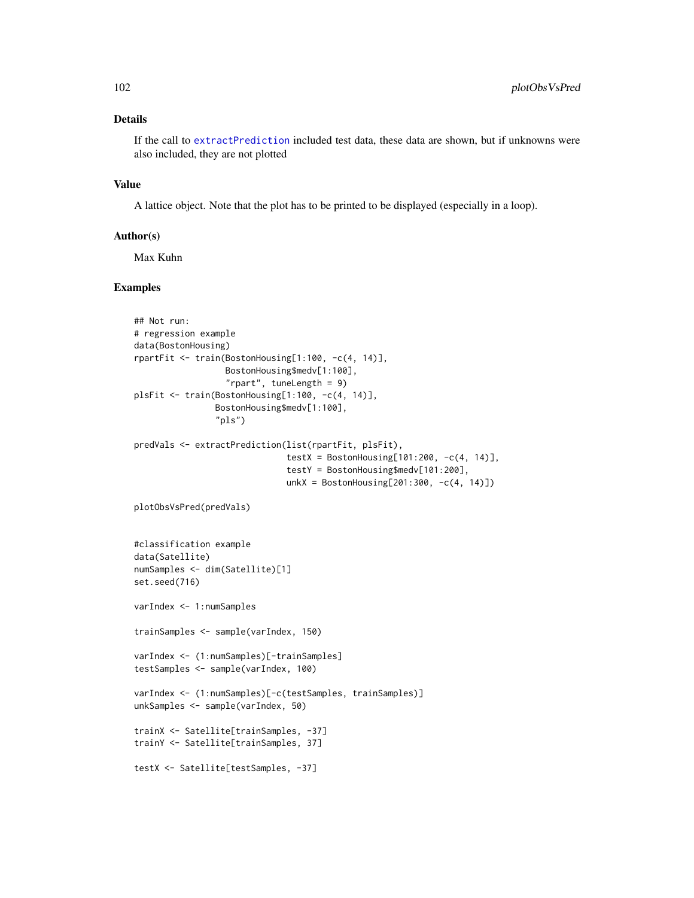## Details

If the call to [extractPrediction](#page-42-1) included test data, these data are shown, but if unknowns were also included, they are not plotted

### Value

A lattice object. Note that the plot has to be printed to be displayed (especially in a loop).

### Author(s)

Max Kuhn

```
## Not run:
# regression example
data(BostonHousing)
rpartFit <- train(BostonHousing[1:100, -c(4, 14)],
                  BostonHousing$medv[1:100],
                  "rpart", tuneLength = 9)
plsFit <- train(BostonHousing[1:100, -c(4, 14)],
                BostonHousing$medv[1:100],
                "pls")
predVals <- extractPrediction(list(rpartFit, plsFit),
                              testX = BostonHousing[101:200, -c(4, 14)],
                              testY = BostonHousing$medv[101:200],
                              unkX = BostonHouseing[201:300, -c(4, 14)])plotObsVsPred(predVals)
#classification example
data(Satellite)
numSamples <- dim(Satellite)[1]
set.seed(716)
varIndex <- 1:numSamples
trainSamples <- sample(varIndex, 150)
varIndex <- (1:numSamples)[-trainSamples]
testSamples <- sample(varIndex, 100)
varIndex <- (1:numSamples)[-c(testSamples, trainSamples)]
unkSamples <- sample(varIndex, 50)
trainX <- Satellite[trainSamples, -37]
trainY <- Satellite[trainSamples, 37]
testX <- Satellite[testSamples, -37]
```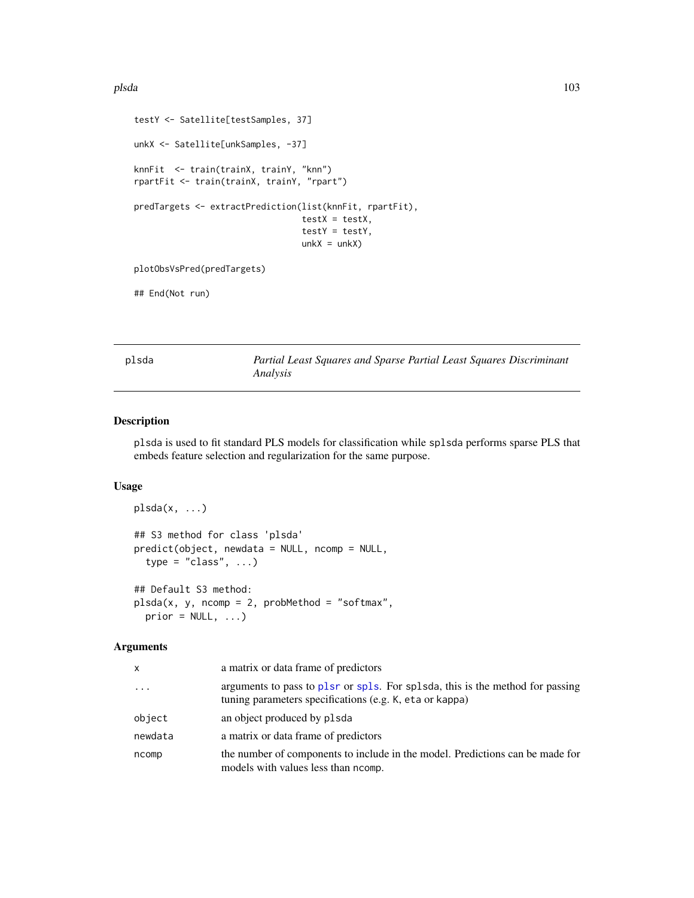```
testY <- Satellite[testSamples, 37]
unkX <- Satellite[unkSamples, -37]
knnFit <- train(trainX, trainY, "knn")
rpartFit <- train(trainX, trainY, "rpart")
predTargets <- extractPrediction(list(knnFit, rpartFit),
                                 testX = testX,testY = testY,
                                 unkX = unkX)plotObsVsPred(predTargets)
```
## End(Not run)

plsda *Partial Least Squares and Sparse Partial Least Squares Discriminant Analysis*

### Description

plsda is used to fit standard PLS models for classification while splsda performs sparse PLS that embeds feature selection and regularization for the same purpose.

## Usage

```
plsda(x, \ldots)## S3 method for class 'plsda'
predict(object, newdata = NULL, ncomp = NULL,
  type = "class", ...)## Default S3 method:
plsda(x, y, ncomp = 2, probMethod = "softmax",
  prior = NULL, ...)
```
#### Arguments

| x        | a matrix or data frame of predictors                                                                                                     |
|----------|------------------------------------------------------------------------------------------------------------------------------------------|
| $\cdots$ | arguments to pass to plsr or spls. For splsda, this is the method for passing<br>tuning parameters specifications (e.g. K, eta or kappa) |
| object   | an object produced by plsda                                                                                                              |
| newdata  | a matrix or data frame of predictors                                                                                                     |
| ncomp    | the number of components to include in the model. Predictions can be made for<br>models with values less than normp.                     |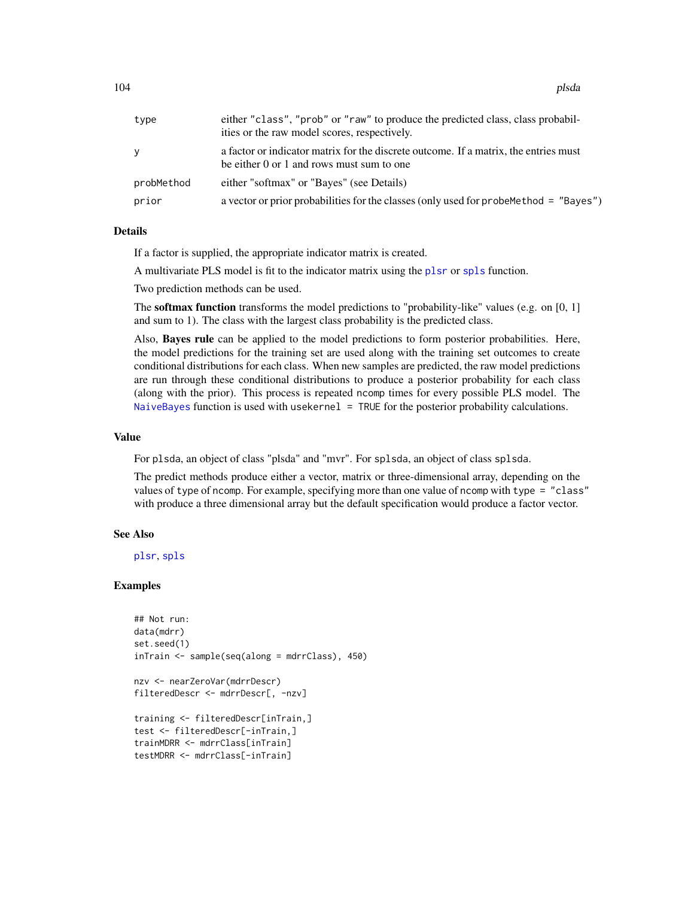| type       | either "class", "prob" or "raw" to produce the predicted class, class probabil-<br>ities or the raw model scores, respectively.   |
|------------|-----------------------------------------------------------------------------------------------------------------------------------|
| y          | a factor or indicator matrix for the discrete outcome. If a matrix, the entries must<br>be either 0 or 1 and rows must sum to one |
| probMethod | either "softmax" or "Bayes" (see Details)                                                                                         |
| prior      | a vector or prior probabilities for the classes (only used for probehethod = "Bayes")                                             |

## Details

If a factor is supplied, the appropriate indicator matrix is created.

A multivariate PLS model is fit to the indicator matrix using the [plsr](#page-0-0) or [spls](#page-0-0) function.

Two prediction methods can be used.

The **softmax function** transforms the model predictions to "probability-like" values (e.g. on [0, 1] and sum to 1). The class with the largest class probability is the predicted class.

Also, Bayes rule can be applied to the model predictions to form posterior probabilities. Here, the model predictions for the training set are used along with the training set outcomes to create conditional distributions for each class. When new samples are predicted, the raw model predictions are run through these conditional distributions to produce a posterior probability for each class (along with the prior). This process is repeated ncomp times for every possible PLS model. The [NaiveBayes](#page-0-0) function is used with usekernel = TRUE for the posterior probability calculations.

### Value

For plsda, an object of class "plsda" and "mvr". For splsda, an object of class splsda.

The predict methods produce either a vector, matrix or three-dimensional array, depending on the values of type of ncomp. For example, specifying more than one value of ncomp with type = "class" with produce a three dimensional array but the default specification would produce a factor vector.

#### See Also

[plsr](#page-0-0), [spls](#page-0-0)

```
## Not run:
data(mdrr)
set.seed(1)
inTrain <- sample(seq(along = mdrrClass), 450)
nzv <- nearZeroVar(mdrrDescr)
filteredDescr <- mdrrDescr[, -nzv]
training <- filteredDescr[inTrain,]
test <- filteredDescr[-inTrain,]
trainMDRR <- mdrrClass[inTrain]
testMDRR <- mdrrClass[-inTrain]
```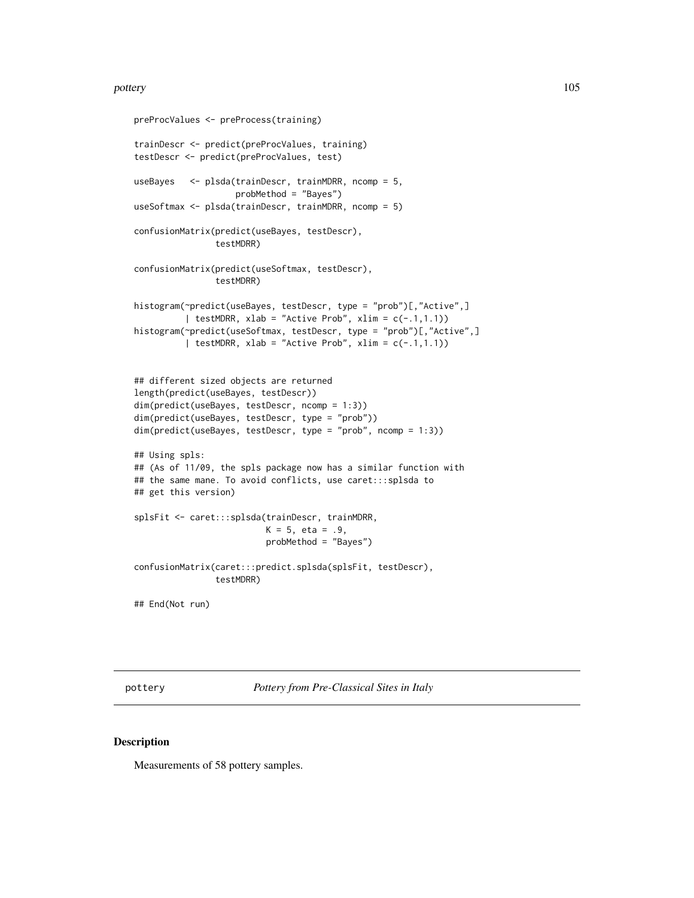#### pottery and the set of the set of the set of the set of the set of the set of the set of the set of the set of the set of the set of the set of the set of the set of the set of the set of the set of the set of the set of t

```
preProcValues <- preProcess(training)
trainDescr <- predict(preProcValues, training)
testDescr <- predict(preProcValues, test)
useBayes <- plsda(trainDescr, trainMDRR, ncomp = 5,
                    probMethod = "Bayes")
useSoftmax <- plsda(trainDescr, trainMDRR, ncomp = 5)
confusionMatrix(predict(useBayes, testDescr),
                testMDRR)
confusionMatrix(predict(useSoftmax, testDescr),
                testMDRR)
histogram(~predict(useBayes, testDescr, type = "prob")[,"Active",]
          | testMDRR, xlab = "Active Prob", xlim = c(-.1,1.1))
histogram(~predict(useSoftmax, testDescr, type = "prob")[,"Active",]
          | testMDRR, xlab = "Active Prob", xlim = c(-.1,1.1))
## different sized objects are returned
length(predict(useBayes, testDescr))
dim(predict(useBayes, testDescr, ncomp = 1:3))
dim(predict(useBayes, testDescr, type = "prob"))
dim(predict(useBayes, testDescr, type = "prob", ncomp = 1:3))
## Using spls:
## (As of 11/09, the spls package now has a similar function with
## the same mane. To avoid conflicts, use caret:::splsda to
## get this version)
splsFit <- caret:::splsda(trainDescr, trainMDRR,
                          K = 5, eta = .9,
                          probMethod = "Bayes")
confusionMatrix(caret:::predict.splsda(splsFit, testDescr),
                testMDRR)
## End(Not run)
```
pottery *Pottery from Pre-Classical Sites in Italy*

### Description

Measurements of 58 pottery samples.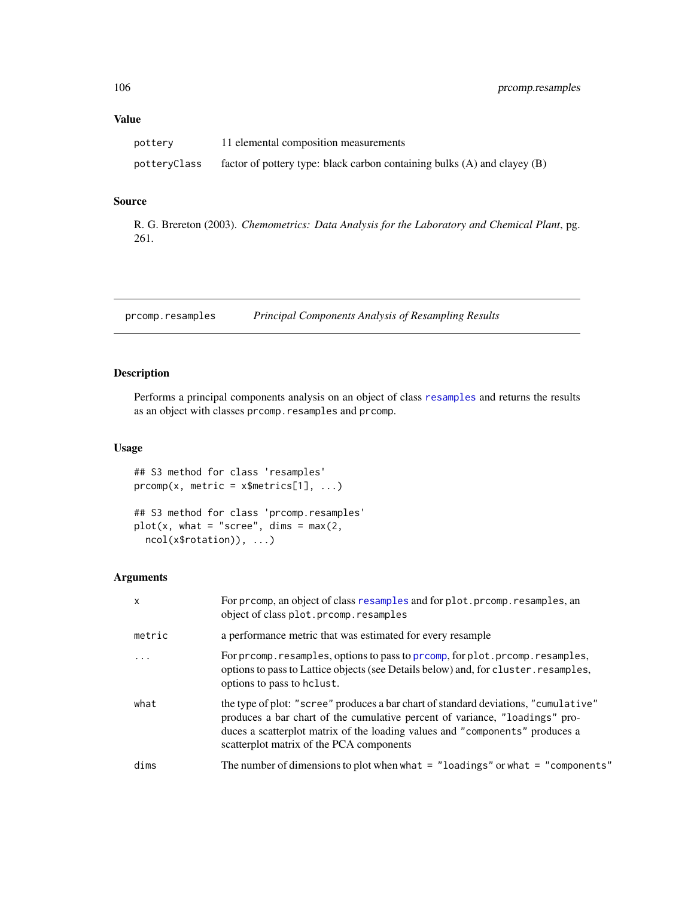# Value

| pottery      | 11 elemental composition measurements                                        |
|--------------|------------------------------------------------------------------------------|
| potteryClass | factor of pottery type: black carbon containing bulks $(A)$ and clayey $(B)$ |

# Source

R. G. Brereton (2003). *Chemometrics: Data Analysis for the Laboratory and Chemical Plant*, pg. 261.

prcomp.resamples *Principal Components Analysis of Resampling Results*

# Description

Performs a principal components analysis on an object of class [resamples](#page-121-0) and returns the results as an object with classes prcomp.resamples and prcomp.

# Usage

## S3 method for class 'resamples'  $proomp(x, metric = x$metrics[1], ...)$ ## S3 method for class 'prcomp.resamples'

 $plot(x, what = "screen", dims = max(2,$ ncol(x\$rotation)), ...)

### Arguments

| $\mathsf{x}$ | For preomp, an object of class resamples and for plot. preomp. resamples, an<br>object of class plot.prcomp.resamples                                                                                                                                                                          |
|--------------|------------------------------------------------------------------------------------------------------------------------------------------------------------------------------------------------------------------------------------------------------------------------------------------------|
| metric       | a performance metric that was estimated for every resample                                                                                                                                                                                                                                     |
|              | For prcomp. resamples, options to pass to prcomp, for plot. prcomp. resamples,<br>options to pass to Lattice objects (see Details below) and, for cluster. resamples,<br>options to pass to hclust.                                                                                            |
| what         | the type of plot: "scree" produces a bar chart of standard deviations, "cumulative"<br>produces a bar chart of the cumulative percent of variance, "loadings" pro-<br>duces a scatterplot matrix of the loading values and "components" produces a<br>scatterplot matrix of the PCA components |
| dims         | The number of dimensions to plot when what $=$ "loadings" or what $=$ "components"                                                                                                                                                                                                             |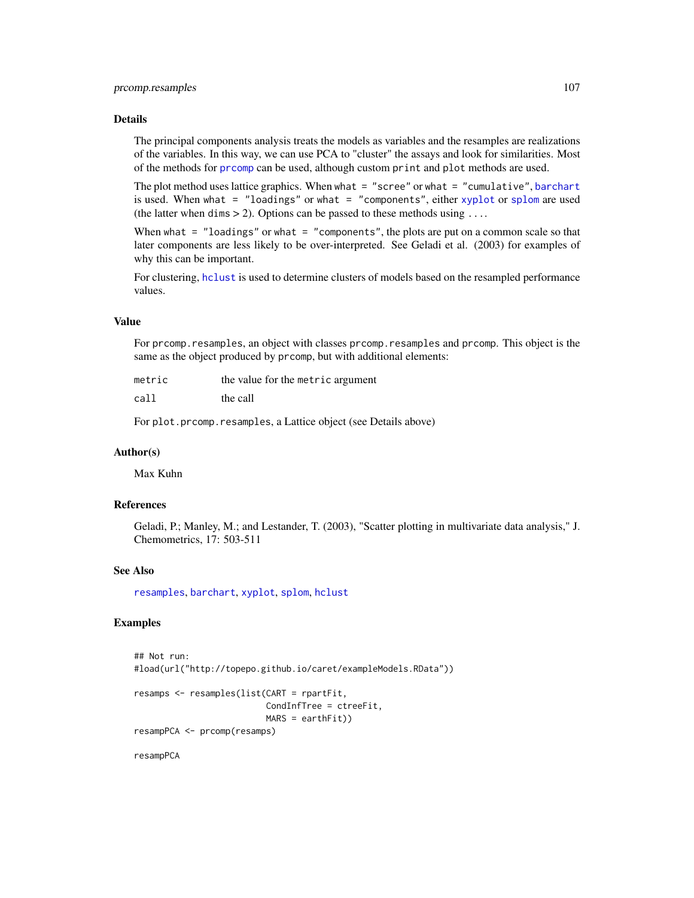## Details

The principal components analysis treats the models as variables and the resamples are realizations of the variables. In this way, we can use PCA to "cluster" the assays and look for similarities. Most of the methods for [prcomp](#page-0-0) can be used, although custom print and plot methods are used.

The plot method uses lattice graphics. When what = "scree" or what = "cumulative", [barchart](#page-0-0) is used. When what = "loadings" or what = "components", either [xyplot](#page-0-0) or [splom](#page-0-0) are used (the latter when dims  $> 2$ ). Options can be passed to these methods using ...

When what  $=$  "loadings" or what  $=$  "components", the plots are put on a common scale so that later components are less likely to be over-interpreted. See Geladi et al. (2003) for examples of why this can be important.

For clustering, [hclust](#page-0-0) is used to determine clusters of models based on the resampled performance values.

## Value

For prcomp.resamples, an object with classes prcomp.resamples and prcomp. This object is the same as the object produced by prcomp, but with additional elements:

| metric | the value for the metric argument |
|--------|-----------------------------------|
| call   | the call                          |

For plot.prcomp.resamples, a Lattice object (see Details above)

### Author(s)

Max Kuhn

# References

Geladi, P.; Manley, M.; and Lestander, T. (2003), "Scatter plotting in multivariate data analysis," J. Chemometrics, 17: 503-511

## See Also

[resamples](#page-121-0), [barchart](#page-0-0), [xyplot](#page-0-0), [splom](#page-0-0), [hclust](#page-0-0)

# Examples

```
## Not run:
#load(url("http://topepo.github.io/caret/exampleModels.RData"))
resamps <- resamples(list(CART = rpartFit,
                          CondInfTree = ctreeFit,
                          MARS = earthFit)resampPCA <- prcomp(resamps)
```
resampPCA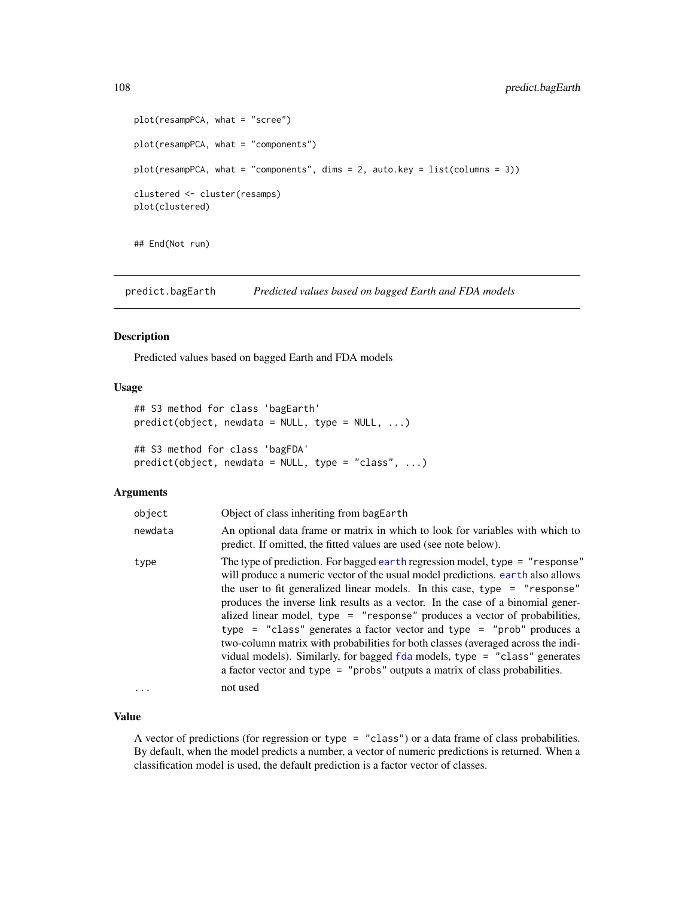```
plot(resampPCA, what = "scree")
plot(resampPCA, what = "components")
plot(resampPCA, what = "components", dims = 2, auto.key = list(columns = 3))
clustered <- cluster(resamps)
plot(clustered)
```
## End(Not run)

predict.bagEarth *Predicted values based on bagged Earth and FDA models*

# Description

Predicted values based on bagged Earth and FDA models

# Usage

```
## S3 method for class 'bagEarth'
predict(object, newdata = NULL, type = NULL, ...)## S3 method for class 'bagFDA'
predict(object, newdata = NULL, type = "class", ...)
```
## Arguments

| object  | Object of class inheriting from bagEarth                                                                                                                                                                                                                                                                                                                                                                                                                                                                                                                                                                                                                                                                                                                 |
|---------|----------------------------------------------------------------------------------------------------------------------------------------------------------------------------------------------------------------------------------------------------------------------------------------------------------------------------------------------------------------------------------------------------------------------------------------------------------------------------------------------------------------------------------------------------------------------------------------------------------------------------------------------------------------------------------------------------------------------------------------------------------|
| newdata | An optional data frame or matrix in which to look for variables with which to<br>predict. If omitted, the fitted values are used (see note below).                                                                                                                                                                                                                                                                                                                                                                                                                                                                                                                                                                                                       |
| type    | The type of prediction. For bagged earth regression model, type = "response"<br>will produce a numeric vector of the usual model predictions, earth also allows<br>the user to fit generalized linear models. In this case, type $=$ "response"<br>produces the inverse link results as a vector. In the case of a binomial gener-<br>alized linear model, type = "response" produces a vector of probabilities,<br>type = "class" generates a factor vector and type = "prob" produces a<br>two-column matrix with probabilities for both classes (averaged across the indi-<br>vidual models). Similarly, for bagged fda models, type = "class" generates<br>a factor vector and type $=$ "probs" outputs a matrix of class probabilities.<br>not used |
| $\cdot$ |                                                                                                                                                                                                                                                                                                                                                                                                                                                                                                                                                                                                                                                                                                                                                          |

## Value

A vector of predictions (for regression or type = "class") or a data frame of class probabilities. By default, when the model predicts a number, a vector of numeric predictions is returned. When a classification model is used, the default prediction is a factor vector of classes.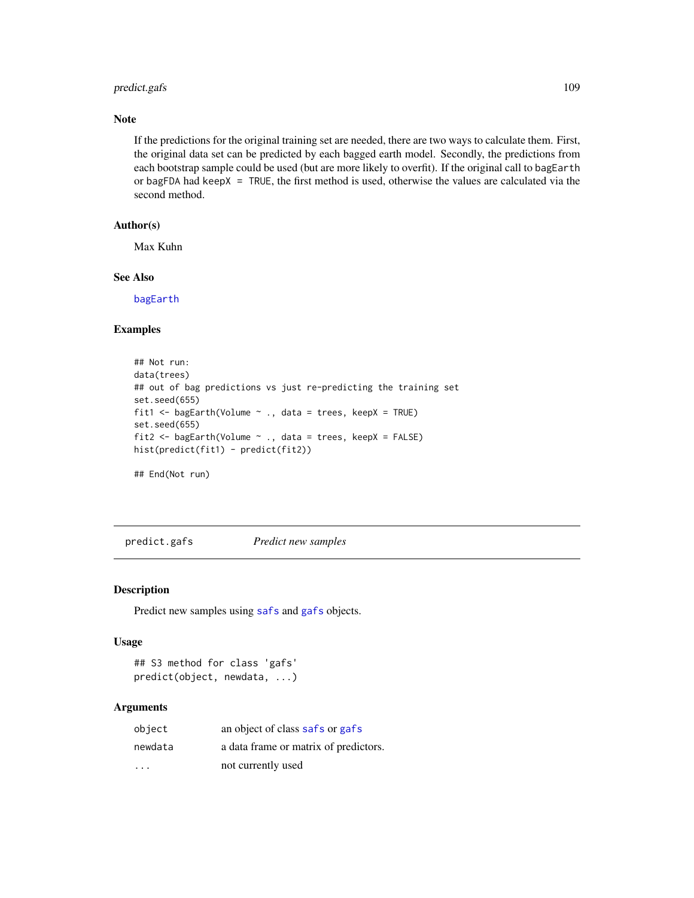# predict.gafs 109

#### Note

If the predictions for the original training set are needed, there are two ways to calculate them. First, the original data set can be predicted by each bagged earth model. Secondly, the predictions from each bootstrap sample could be used (but are more likely to overfit). If the original call to bagEarth or bagFDA had keepX = TRUE, the first method is used, otherwise the values are calculated via the second method.

# Author(s)

Max Kuhn

#### See Also

[bagEarth](#page-9-0)

# Examples

```
## Not run:
data(trees)
## out of bag predictions vs just re-predicting the training set
set.seed(655)
fit1 <- bagEarth(Volume ~ ., data = trees, keepX = TRUE)
set.seed(655)
fit2 <- bagEarth(Volume ~ ., data = trees, keepX = FALSE)
hist(predict(fit1) - predict(fit2))
```
## End(Not run)

predict.gafs *Predict new samples*

#### <span id="page-108-0"></span>Description

Predict new samples using [safs](#page-132-0) and [gafs](#page-51-0) objects.

#### Usage

```
## S3 method for class 'gafs'
predict(object, newdata, ...)
```
## Arguments

| object                  | an object of class safs or gafs       |
|-------------------------|---------------------------------------|
| newdata                 | a data frame or matrix of predictors. |
| $\cdot$ $\cdot$ $\cdot$ | not currently used                    |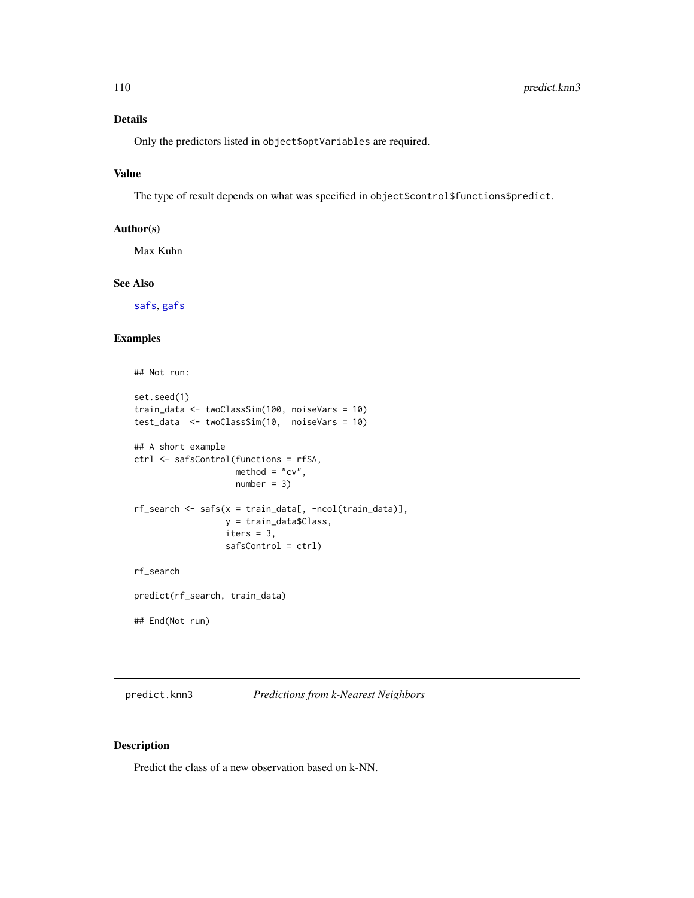# Details

Only the predictors listed in object\$optVariables are required.

## Value

The type of result depends on what was specified in object\$control\$functions\$predict.

## Author(s)

Max Kuhn

#### See Also

[safs](#page-132-0), [gafs](#page-51-0)

## Examples

```
## Not run:
set.seed(1)
train_data <- twoClassSim(100, noiseVars = 10)
test_data <- twoClassSim(10, noiseVars = 10)
## A short example
ctrl <- safsControl(functions = rfSA,
                     \text{method} = "cv",number = 3)
rf\_search \leftarrow safs(x = train\_data[, -ncol(train\_data)],y = train_data$Class,
                  iters = 3,
                  safsControl = ctrl)
rf_search
predict(rf_search, train_data)
## End(Not run)
```
predict.knn3 *Predictions from k-Nearest Neighbors*

#### Description

Predict the class of a new observation based on k-NN.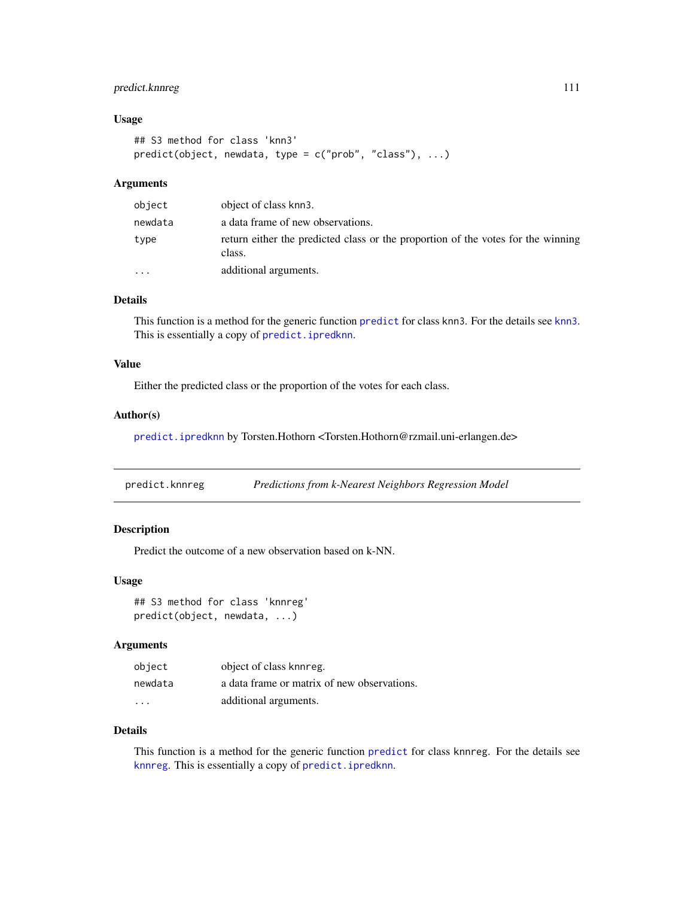# predict.knnreg 111

## Usage

```
## S3 method for class 'knn3'
predict(object, newdata, type = c("prob", "class"), ...)
```
## Arguments

| object    | object of class knn3.                                                                      |
|-----------|--------------------------------------------------------------------------------------------|
| newdata   | a data frame of new observations.                                                          |
| type      | return either the predicted class or the proportion of the votes for the winning<br>class. |
| $\ddotsc$ | additional arguments.                                                                      |

## Details

This function is a method for the generic function [predict](#page-0-0) for class [knn3](#page-67-0). For the details see knn3. This is essentially a copy of [predict.ipredknn](#page-0-0).

## Value

Either the predicted class or the proportion of the votes for each class.

#### Author(s)

[predict.ipredknn](#page-0-0) by Torsten.Hothorn <Torsten.Hothorn@rzmail.uni-erlangen.de>

predict.knnreg *Predictions from k-Nearest Neighbors Regression Model*

# Description

Predict the outcome of a new observation based on k-NN.

## Usage

## S3 method for class 'knnreg' predict(object, newdata, ...)

#### Arguments

| object  | object of class knnreg.                     |
|---------|---------------------------------------------|
| newdata | a data frame or matrix of new observations. |
| $\cdot$ | additional arguments.                       |

## Details

This function is a method for the generic function [predict](#page-0-0) for class knnreg. For the details see [knnreg](#page-69-0). This is essentially a copy of [predict.ipredknn](#page-0-0).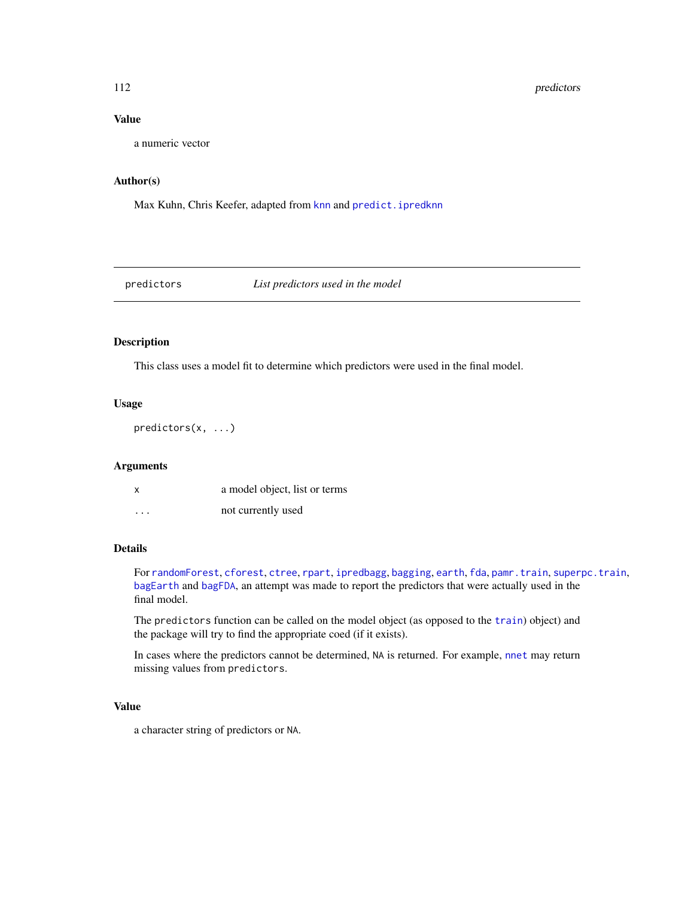# Value

a numeric vector

## Author(s)

Max Kuhn, Chris Keefer, adapted from [knn](#page-0-0) and [predict.ipredknn](#page-0-0)

predictors *List predictors used in the model*

# Description

This class uses a model fit to determine which predictors were used in the final model.

#### Usage

predictors(x, ...)

#### Arguments

| x       | a model object, list or terms |
|---------|-------------------------------|
| $\cdot$ | not currently used            |

## Details

For [randomForest](#page-0-0), [cforest](#page-0-0), [ctree](#page-0-0), [rpart](#page-0-0), [ipredbagg](#page-0-0), [bagging](#page-0-0), [earth](#page-0-0), [fda](#page-0-0), [pamr.train](#page-0-0), [superpc.train](#page-0-0), [bagEarth](#page-9-0) and [bagFDA](#page-11-0), an attempt was made to report the predictors that were actually used in the final model.

The predictors function can be called on the model object (as opposed to the [train](#page-153-0)) object) and the package will try to find the appropriate coed (if it exists).

In cases where the predictors cannot be determined, NA is returned. For example, [nnet](#page-0-0) may return missing values from predictors.

## Value

a character string of predictors or NA.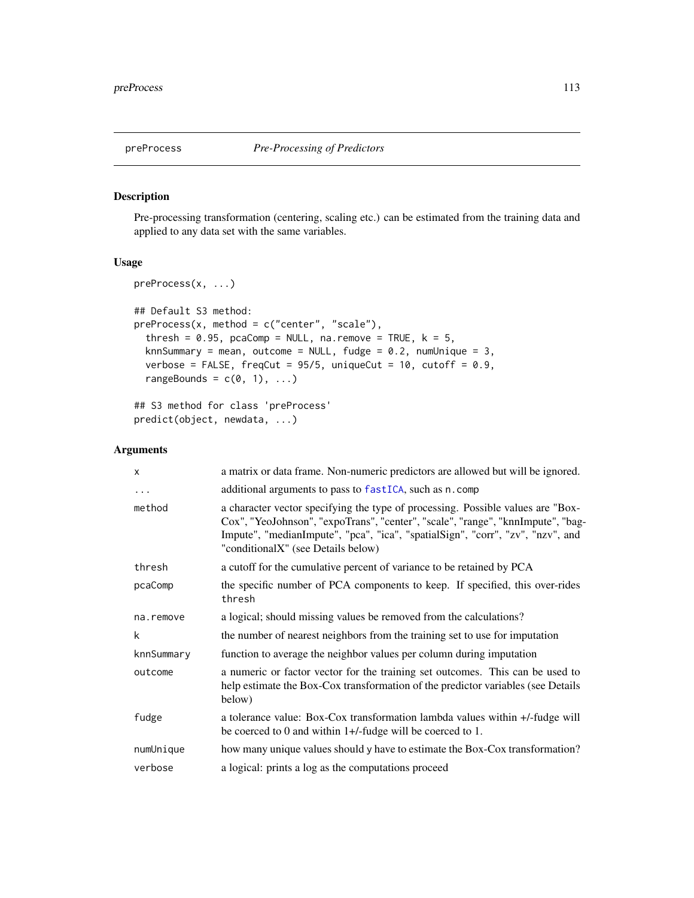# Description

Pre-processing transformation (centering, scaling etc.) can be estimated from the training data and applied to any data set with the same variables.

# Usage

```
preProcess(x, ...)
## Default S3 method:
preProcess(x, method = c("center", "scale"),thresh = 0.95, pcaComp = NULL, na.remove = TRUE, k = 5,
  knnSummary = mean, outcome = NULL, fudge = 0.2, numUnique = 3,
  verbose = FALSE, freqCut = 95/5, uniqueCut = 10, cutoff = 0.9,
  rangeBounds = c(0, 1), ...## S3 method for class 'preProcess'
```

```
predict(object, newdata, ...)
```
## Arguments

| X          | a matrix or data frame. Non-numeric predictors are allowed but will be ignored.                                                                                                                                                                                                            |
|------------|--------------------------------------------------------------------------------------------------------------------------------------------------------------------------------------------------------------------------------------------------------------------------------------------|
| $\cdots$   | additional arguments to pass to fastICA, such as n. comp                                                                                                                                                                                                                                   |
| method     | a character vector specifying the type of processing. Possible values are "Box-<br>Cox", "YeoJohnson", "expoTrans", "center", "scale", "range", "knnImpute", "bag-<br>Impute", "medianImpute", "pca", "ica", "spatialSign", "corr", "zv", "nzv", and<br>"conditionalX" (see Details below) |
| thresh     | a cutoff for the cumulative percent of variance to be retained by PCA                                                                                                                                                                                                                      |
| pcaComp    | the specific number of PCA components to keep. If specified, this over-rides<br>thresh                                                                                                                                                                                                     |
| na.remove  | a logical; should missing values be removed from the calculations?                                                                                                                                                                                                                         |
| k          | the number of nearest neighbors from the training set to use for imputation                                                                                                                                                                                                                |
| knnSummary | function to average the neighbor values per column during imputation                                                                                                                                                                                                                       |
| outcome    | a numeric or factor vector for the training set outcomes. This can be used to<br>help estimate the Box-Cox transformation of the predictor variables (see Details<br>below)                                                                                                                |
| fudge      | a tolerance value: Box-Cox transformation lambda values within +/-fudge will<br>be coerced to 0 and within $1+/-$ fudge will be coerced to 1.                                                                                                                                              |
| numUnique  | how many unique values should y have to estimate the Box-Cox transformation?                                                                                                                                                                                                               |
| verbose    | a logical: prints a log as the computations proceed                                                                                                                                                                                                                                        |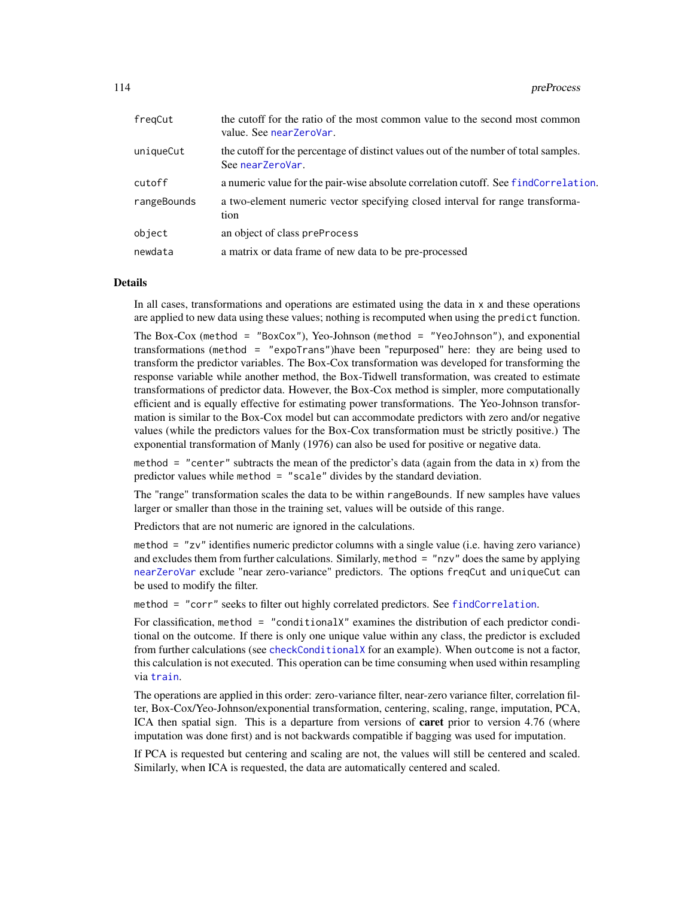| fregCut     | the cutoff for the ratio of the most common value to the second most common<br>value. See nearZeroVar.   |
|-------------|----------------------------------------------------------------------------------------------------------|
| uniqueCut   | the cutoff for the percentage of distinct values out of the number of total samples.<br>See nearZeroVar. |
| cutoff      | a numeric value for the pair-wise absolute correlation cutoff. See findCorrelation.                      |
| rangeBounds | a two-element numeric vector specifying closed interval for range transforma-<br>tion                    |
| object      | an object of class preProcess                                                                            |
| newdata     | a matrix or data frame of new data to be pre-processed                                                   |

#### Details

In all cases, transformations and operations are estimated using the data in x and these operations are applied to new data using these values; nothing is recomputed when using the predict function.

The Box-Cox (method = "BoxCox"), Yeo-Johnson (method = "YeoJohnson"), and exponential transformations (method = "expoTrans")have been "repurposed" here: they are being used to transform the predictor variables. The Box-Cox transformation was developed for transforming the response variable while another method, the Box-Tidwell transformation, was created to estimate transformations of predictor data. However, the Box-Cox method is simpler, more computationally efficient and is equally effective for estimating power transformations. The Yeo-Johnson transformation is similar to the Box-Cox model but can accommodate predictors with zero and/or negative values (while the predictors values for the Box-Cox transformation must be strictly positive.) The exponential transformation of Manly (1976) can also be used for positive or negative data.

method = "center" subtracts the mean of the predictor's data (again from the data in  $x$ ) from the predictor values while method = "scale" divides by the standard deviation.

The "range" transformation scales the data to be within rangeBounds. If new samples have values larger or smaller than those in the training set, values will be outside of this range.

Predictors that are not numeric are ignored in the calculations.

method = "zv" identifies numeric predictor columns with a single value (i.e. having zero variance) and excludes them from further calculations. Similarly, method = "nzv" does the same by applying [nearZeroVar](#page-80-0) exclude "near zero-variance" predictors. The options freqCut and uniqueCut can be used to modify the filter.

method = "corr" seeks to filter out highly correlated predictors. See [findCorrelation](#page-47-0).

For classification, method = "conditionalX" examines the distribution of each predictor conditional on the outcome. If there is only one unique value within any class, the predictor is excluded from further calculations (see [checkConditionalX](#page-80-1) for an example). When outcome is not a factor, this calculation is not executed. This operation can be time consuming when used within resampling via [train](#page-153-0).

The operations are applied in this order: zero-variance filter, near-zero variance filter, correlation filter, Box-Cox/Yeo-Johnson/exponential transformation, centering, scaling, range, imputation, PCA, ICA then spatial sign. This is a departure from versions of caret prior to version 4.76 (where imputation was done first) and is not backwards compatible if bagging was used for imputation.

If PCA is requested but centering and scaling are not, the values will still be centered and scaled. Similarly, when ICA is requested, the data are automatically centered and scaled.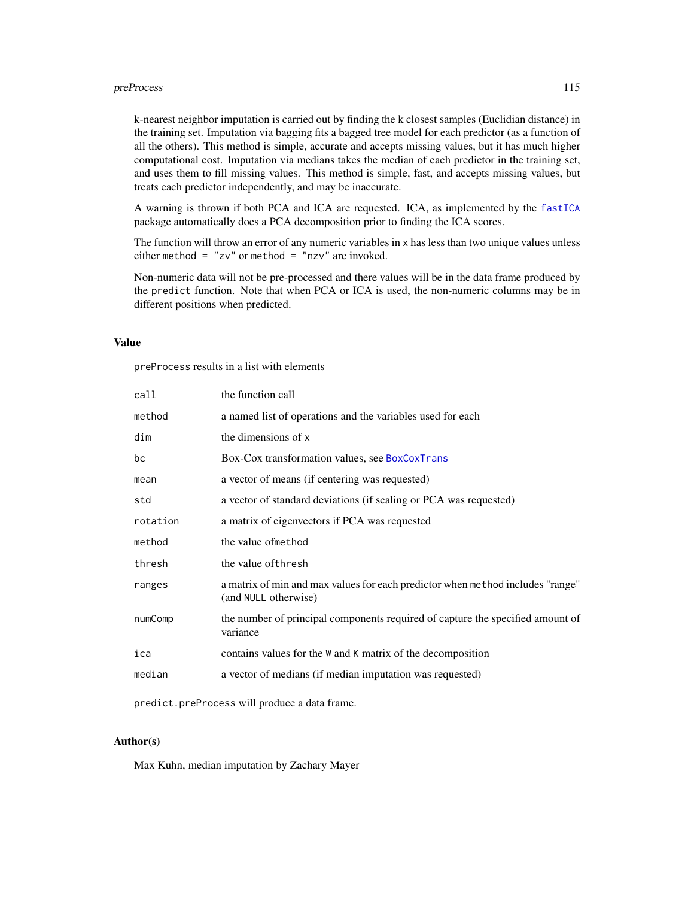#### preProcess and the set of the set of the set of the set of the set of the set of the set of the set of the set of the set of the set of the set of the set of the set of the set of the set of the set of the set of the set o

k-nearest neighbor imputation is carried out by finding the k closest samples (Euclidian distance) in the training set. Imputation via bagging fits a bagged tree model for each predictor (as a function of all the others). This method is simple, accurate and accepts missing values, but it has much higher computational cost. Imputation via medians takes the median of each predictor in the training set, and uses them to fill missing values. This method is simple, fast, and accepts missing values, but treats each predictor independently, and may be inaccurate.

A warning is thrown if both PCA and ICA are requested. ICA, as implemented by the [fastICA](#page-0-0) package automatically does a PCA decomposition prior to finding the ICA scores.

The function will throw an error of any numeric variables in x has less than two unique values unless either method =  $"zv"$  or method =  $"nzv"$  are invoked.

Non-numeric data will not be pre-processed and there values will be in the data frame produced by the predict function. Note that when PCA or ICA is used, the non-numeric columns may be in different positions when predicted.

## Value

preProcess results in a list with elements

| call     | the function call                                                                                      |
|----------|--------------------------------------------------------------------------------------------------------|
| method   | a named list of operations and the variables used for each                                             |
| dim      | the dimensions of x                                                                                    |
| bc       | Box-Cox transformation values, see BoxCoxTrans                                                         |
| mean     | a vector of means (if centering was requested)                                                         |
| std      | a vector of standard deviations (if scaling or PCA was requested)                                      |
| rotation | a matrix of eigenvectors if PCA was requested                                                          |
| method   | the value of method                                                                                    |
| thresh   | the value of thresh                                                                                    |
| ranges   | a matrix of min and max values for each predictor when method includes "range"<br>(and NULL otherwise) |
| numComp  | the number of principal components required of capture the specified amount of<br>variance             |
| ica      | contains values for the W and K matrix of the decomposition                                            |
| median   | a vector of medians (if median imputation was requested)                                               |
|          |                                                                                                        |

predict.preProcess will produce a data frame.

## Author(s)

Max Kuhn, median imputation by Zachary Mayer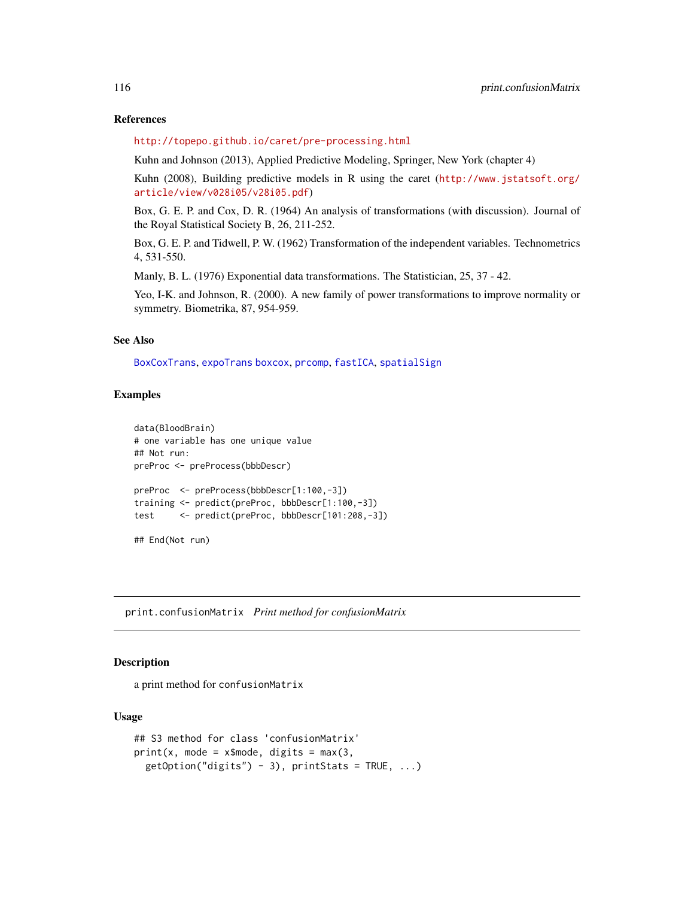#### References

<http://topepo.github.io/caret/pre-processing.html>

Kuhn and Johnson (2013), Applied Predictive Modeling, Springer, New York (chapter 4)

Kuhn (2008), Building predictive models in R using the caret ([http://www.jstatsoft.org/](http://www.jstatsoft.org/article/view/v028i05/v28i05.pdf) [article/view/v028i05/v28i05.pdf](http://www.jstatsoft.org/article/view/v028i05/v28i05.pdf))

Box, G. E. P. and Cox, D. R. (1964) An analysis of transformations (with discussion). Journal of the Royal Statistical Society B, 26, 211-252.

Box, G. E. P. and Tidwell, P. W. (1962) Transformation of the independent variables. Technometrics 4, 531-550.

Manly, B. L. (1976) Exponential data transformations. The Statistician, 25, 37 - 42.

Yeo, I-K. and Johnson, R. (2000). A new family of power transformations to improve normality or symmetry. Biometrika, 87, 954-959.

## See Also

[BoxCoxTrans](#page-13-0), [expoTrans](#page-13-1) [boxcox](#page-0-0), [prcomp](#page-0-0), [fastICA](#page-0-0), [spatialSign](#page-148-0)

## Examples

```
data(BloodBrain)
# one variable has one unique value
## Not run:
preProc <- preProcess(bbbDescr)
preProc <- preProcess(bbbDescr[1:100,-3])
training <- predict(preProc, bbbDescr[1:100,-3])
test <- predict(preProc, bbbDescr[101:208,-3])
## End(Not run)
```
print.confusionMatrix *Print method for confusionMatrix*

#### Description

a print method for confusionMatrix

#### Usage

```
## S3 method for class 'confusionMatrix'
print(x, mode = xImode, digits = max(3,
 getOption("digits") - 3), prints = TRUE, ...)
```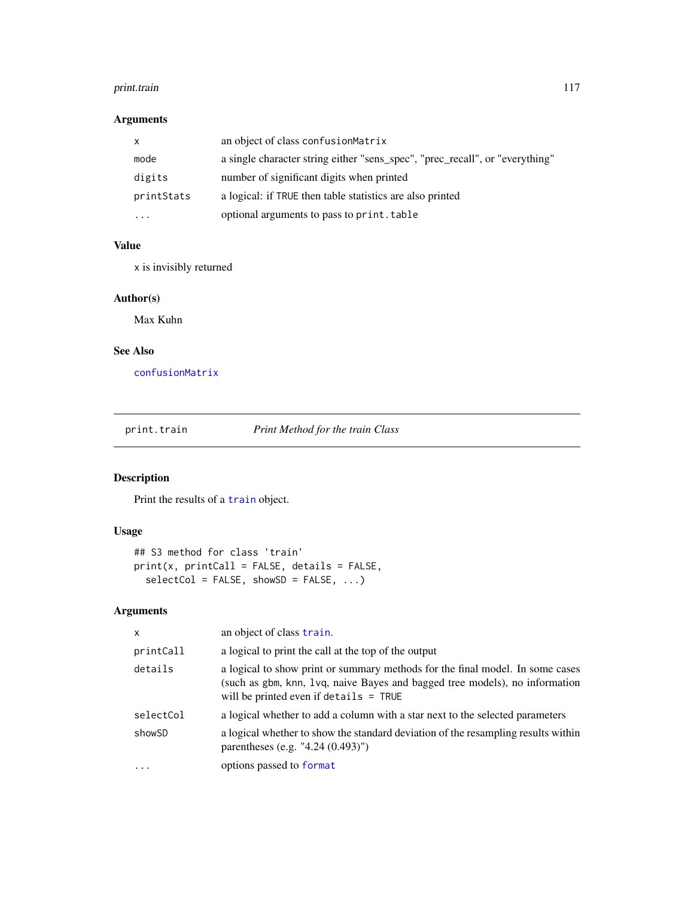#### print.train 117

# Arguments

|            | an object of class confusion Matrix                                          |
|------------|------------------------------------------------------------------------------|
| mode       | a single character string either "sens_spec", "prec_recall", or "everything" |
| digits     | number of significant digits when printed                                    |
| printStats | a logical: if TRUE then table statistics are also printed                    |
| .          | optional arguments to pass to print. table                                   |

# Value

x is invisibly returned

## Author(s)

Max Kuhn

# See Also

[confusionMatrix](#page-21-0)

print.train *Print Method for the train Class*

# Description

Print the results of a [train](#page-153-0) object.

# Usage

```
## S3 method for class 'train'
print(x, printCall = FALSE, details = FALSE,
  selectCol = FALSE, showSD = FALSE, ...)
```
# Arguments

| X         | an object of class train.                                                                                                                                                                                |
|-----------|----------------------------------------------------------------------------------------------------------------------------------------------------------------------------------------------------------|
| printCall | a logical to print the call at the top of the output                                                                                                                                                     |
| details   | a logical to show print or summary methods for the final model. In some cases<br>(such as gbm, knn, 1vq, naive Bayes and bagged tree models), no information<br>will be printed even if details $=$ TRUE |
| selectCol | a logical whether to add a column with a star next to the selected parameters                                                                                                                            |
| showSD    | a logical whether to show the standard deviation of the resampling results within<br>parentheses (e.g. "4.24 $(0.493)$ ")                                                                                |
| $\cdot$   | options passed to format                                                                                                                                                                                 |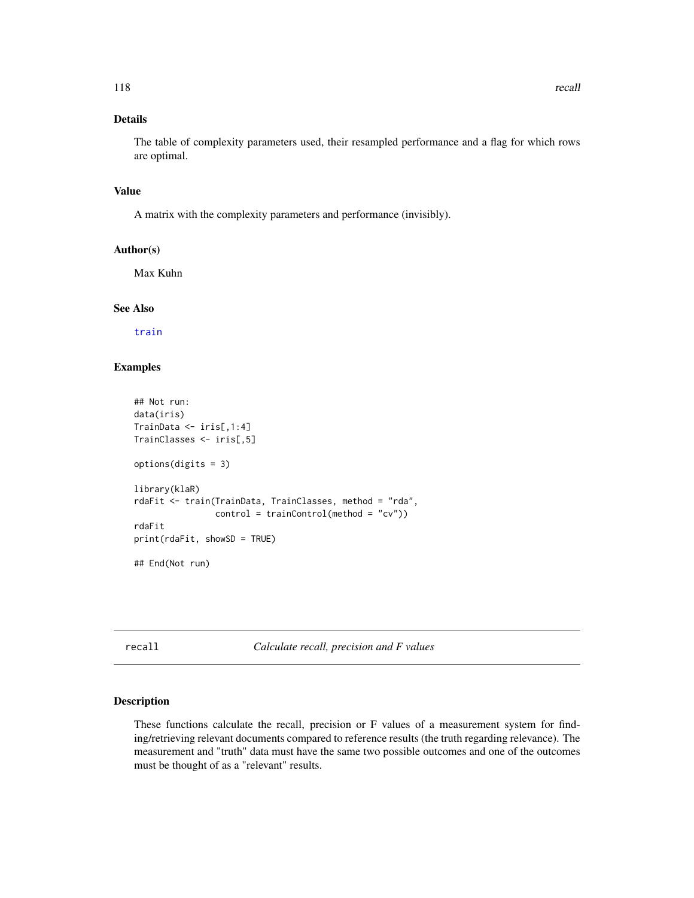# Details

The table of complexity parameters used, their resampled performance and a flag for which rows are optimal.

#### Value

A matrix with the complexity parameters and performance (invisibly).

# Author(s)

Max Kuhn

## See Also

[train](#page-153-0)

# Examples

```
## Not run:
data(iris)
TrainData <- iris[,1:4]
TrainClasses <- iris[,5]
options(digits = 3)
library(klaR)
rdaFit <- train(TrainData, TrainClasses, method = "rda",
                control = trainControl(method = "cv")rdaFit
print(rdaFit, showSD = TRUE)
## End(Not run)
```
recall *Calculate recall, precision and F values*

# Description

These functions calculate the recall, precision or F values of a measurement system for finding/retrieving relevant documents compared to reference results (the truth regarding relevance). The measurement and "truth" data must have the same two possible outcomes and one of the outcomes must be thought of as a "relevant" results.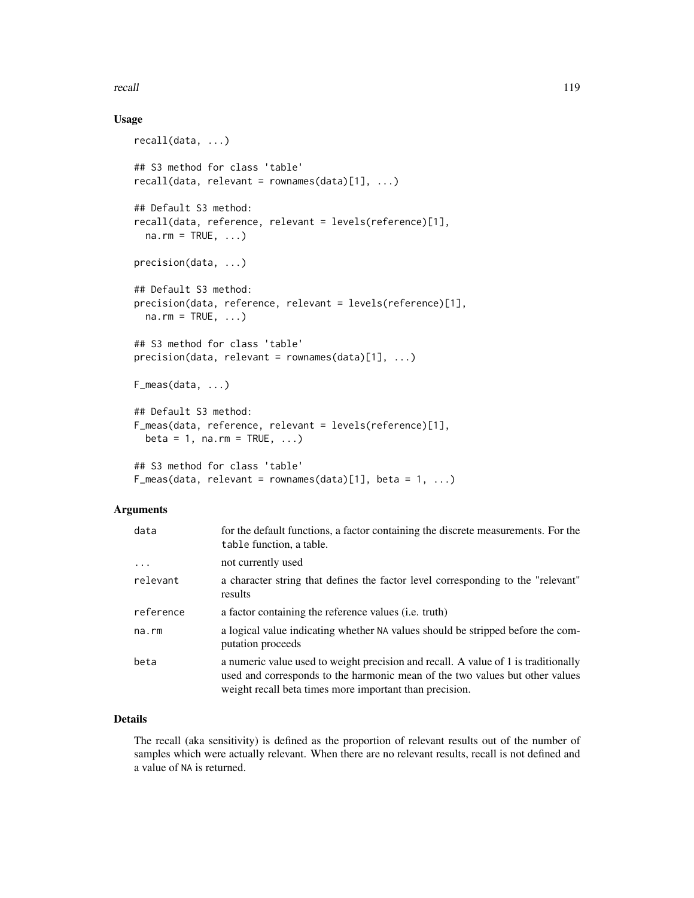recall and the contract of the contract of the contract of the contract of the contract of the contract of the contract of the contract of the contract of the contract of the contract of the contract of the contract of the

## Usage

```
recall(data, ...)
## S3 method for class 'table'
recall(data, relevant = rownames(data)[1], ...)## Default S3 method:
recall(data, reference, relevant = levels(reference)[1],
  na.rm = TRUE, ...precision(data, ...)
## Default S3 method:
precision(data, reference, relevant = levels(reference)[1],
 na.rm = TRUE, ...)## S3 method for class 'table'
precision(data, relevant = rownames(data)[1], ...)F_meas(data, ...)
## Default S3 method:
F_meas(data, reference, relevant = levels(reference)[1],
 beta = 1, na.rm = TRUE, \ldots)
## S3 method for class 'table'
F_meas(data, relevant = rownames(data)[1], beta = 1, ...)
```
## Arguments

| data      | for the default functions, a factor containing the discrete measurements. For the<br>table function, a table.                                                                                                                 |
|-----------|-------------------------------------------------------------------------------------------------------------------------------------------------------------------------------------------------------------------------------|
| $\cdots$  | not currently used                                                                                                                                                                                                            |
| relevant  | a character string that defines the factor level corresponding to the "relevant"<br>results                                                                                                                                   |
| reference | a factor containing the reference values ( <i>i.e.</i> truth)                                                                                                                                                                 |
| na.rm     | a logical value indicating whether NA values should be stripped before the com-<br>putation proceeds                                                                                                                          |
| beta      | a numeric value used to weight precision and recall. A value of 1 is traditionally<br>used and corresponds to the harmonic mean of the two values but other values<br>weight recall beta times more important than precision. |

## Details

The recall (aka sensitivity) is defined as the proportion of relevant results out of the number of samples which were actually relevant. When there are no relevant results, recall is not defined and a value of NA is returned.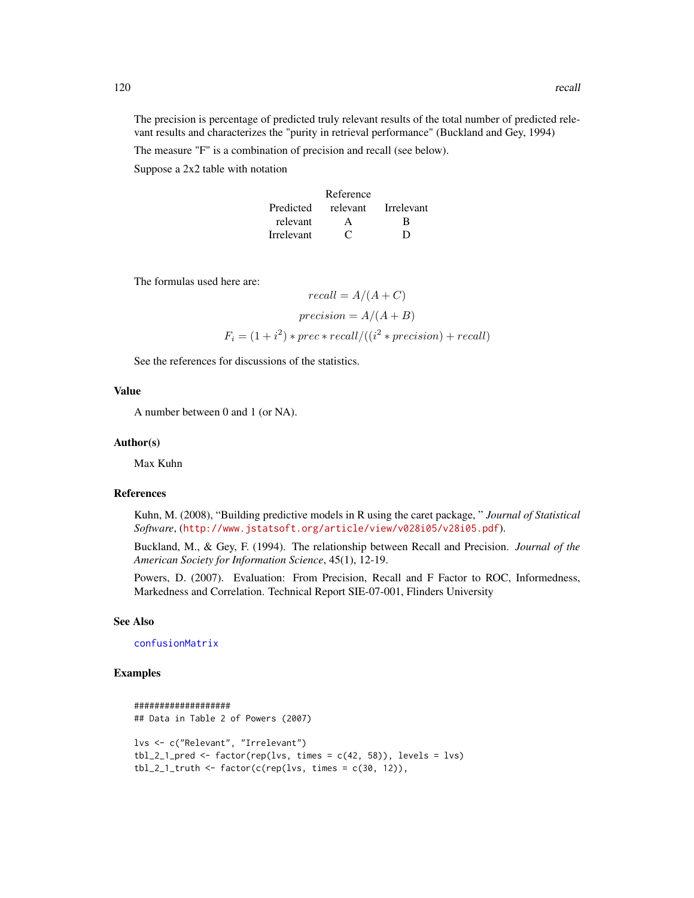The precision is percentage of predicted truly relevant results of the total number of predicted relevant results and characterizes the "purity in retrieval performance" (Buckland and Gey, 1994)

The measure "F" is a combination of precision and recall (see below). Suppose a 2x2 table with notation

|            | Reference           |   |
|------------|---------------------|---|
| Predicted  | relevant Irrelevant |   |
| relevant   | A                   | R |
| Irrelevant | C                   | D |

The formulas used here are:

$$
recall = A/(A + C)
$$

$$
precision = A/(A + B)
$$

$$
F_i = (1 + i^2) * prec * recall/((i^2 * precision) + recall)
$$

See the references for discussions of the statistics.

#### Value

A number between 0 and 1 (or NA).

#### Author(s)

Max Kuhn

#### References

Kuhn, M. (2008), "Building predictive models in R using the caret package, " *Journal of Statistical Software*, (<http://www.jstatsoft.org/article/view/v028i05/v28i05.pdf>).

Buckland, M., & Gey, F. (1994). The relationship between Recall and Precision. *Journal of the American Society for Information Science*, 45(1), 12-19.

Powers, D. (2007). Evaluation: From Precision, Recall and F Factor to ROC, Informedness, Markedness and Correlation. Technical Report SIE-07-001, Flinders University

#### See Also

[confusionMatrix](#page-21-0)

## Examples

```
###################
## Data in Table 2 of Powers (2007)
lvs <- c("Relevant", "Irrelevant")
tbl_2_1_pred <- factor(rep(lvs, times = c(42, 58)), levels = lvs)
tbl_2_l_ttruth <- factor(c(rep(lvs, times = c(30, 12)),
```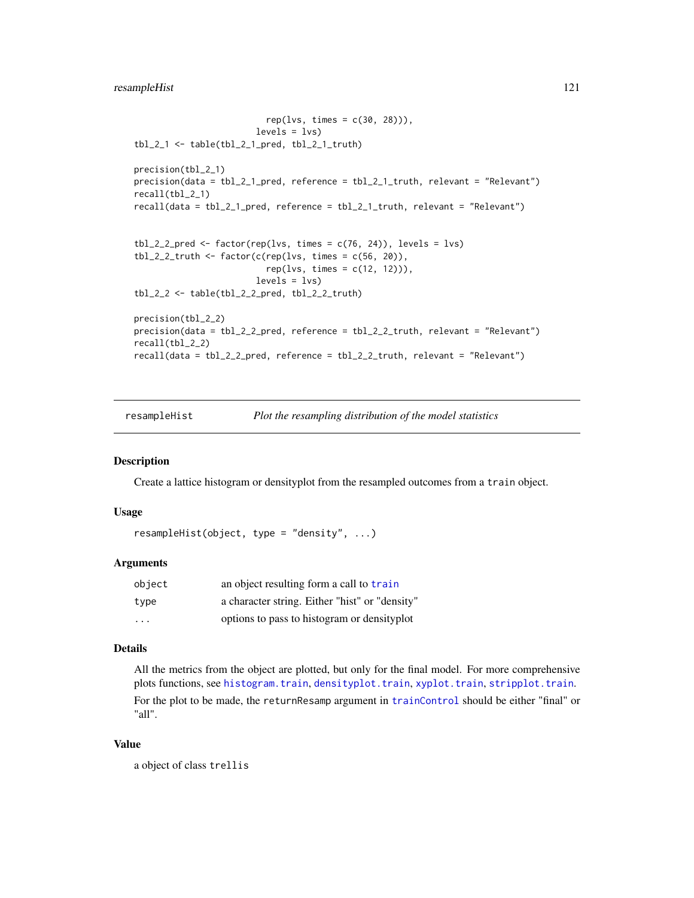```
rep(lvs, times = c(30, 28)),
                        levels = lvs)tbl_2_1 <- table(tbl_2_1_pred, tbl_2_1_truth)
precision(tbl_2_1)
precision(data = tbl_2_1_pred, reference = tbl_2_1_truth, relevant = "Relevant")
recall(tbl_2_1)
recall(data = tbl_2_1_pred, reference = tbl_2_1_truth, relevant = "Relevant")
tbl_2_2_pred <- factor(rep(lvs, times = c(76, 24)), levels = lvs)
tbl_2_2_truth <- factor(c(rep(lvs, times = c(56, 20)),
                          rep(lvs, times = c(12, 12))),levels = lvs)tbl_2_2 <- table(tbl_2_2_pred, tbl_2_2_truth)
precision(tbl_2_2)
precision(data = tbl_2_2_pred, reference = tbl_2_2_truth, relevant = "Relevant")
recall(tbl_2_2)
recall(data = tbl_2_2_pred, reference = tbl_2_2_truth, relevant = "Relevant")
```
resampleHist *Plot the resampling distribution of the model statistics*

## Description

Create a lattice histogram or densityplot from the resampled outcomes from a train object.

#### Usage

```
resampleHist(object, type = "density", ...)
```
#### **Arguments**

| object | an object resulting form a call to train       |
|--------|------------------------------------------------|
| type   | a character string. Either "hist" or "density" |
| .      | options to pass to histogram or density plot   |

#### Details

All the metrics from the object are plotted, but only for the final model. For more comprehensive plots functions, see [histogram.train](#page-63-0), [densityplot.train](#page-63-1), [xyplot.train](#page-63-1), [stripplot.train](#page-63-1). For the plot to be made, the returnResamp argument in [trainControl](#page-158-0) should be either "final" or "all".

## Value

a object of class trellis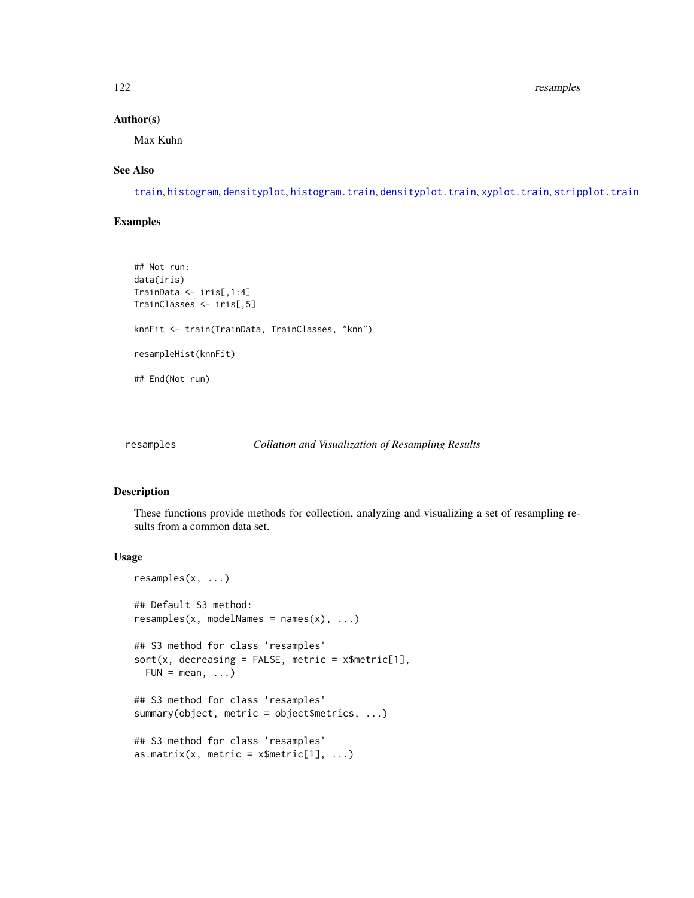#### 122 resamples

## Author(s)

Max Kuhn

#### See Also

[train](#page-153-0), [histogram](#page-0-0), [densityplot](#page-0-0), [histogram.train](#page-63-0), [densityplot.train](#page-63-1), [xyplot.train](#page-63-1), [stripplot.train](#page-63-1)

## Examples

```
## Not run:
data(iris)
TrainData <- iris[,1:4]
TrainClasses <- iris[,5]
knnFit <- train(TrainData, TrainClasses, "knn")
resampleHist(knnFit)
## End(Not run)
```

```
resamples Collation and Visualization of Resampling Results
```
# Description

These functions provide methods for collection, analyzing and visualizing a set of resampling results from a common data set.

#### Usage

```
resamples(x, ...)
## Default S3 method:
resamples(x, modelNames = names(x), ...)## S3 method for class 'resamples'
sort(x, decreasing = FALSE, metric = x$metric[1],
 FUN = mean, ...## S3 method for class 'resamples'
summary(object, metric = object$metrics, ...)
## S3 method for class 'resamples'
as.matrix(x, metric = x$metric[1], ...)
```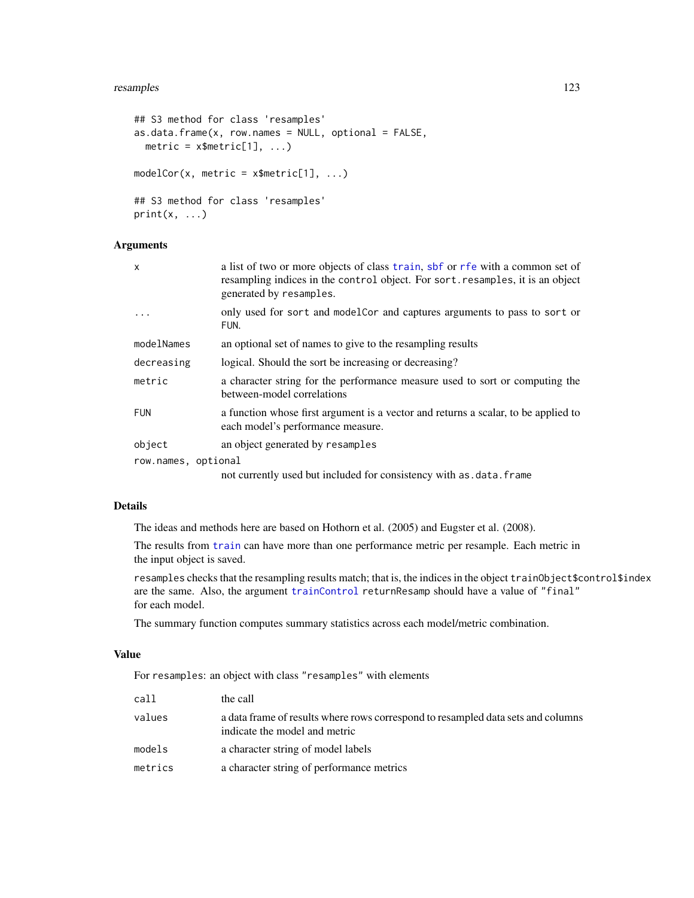#### resamples and the state of the state of the state of the state of the state of the state of the state of the state of the state of the state of the state of the state of the state of the state of the state of the state of

```
## S3 method for class 'resamples'
as.data. frame(x, row. names = NULL, optional = FALSE,metric = x$metric[1], ...modelCor(x, metric = x$metric[1], ...)## S3 method for class 'resamples'
print(x, \ldots)
```
## Arguments

| X                   | a list of two or more objects of class train, sbf or rfe with a common set of<br>resampling indices in the control object. For sort. resamples, it is an object<br>generated by resamples. |
|---------------------|--------------------------------------------------------------------------------------------------------------------------------------------------------------------------------------------|
| $\ddots$            | only used for sort and model Cor and captures arguments to pass to sort or<br>FUN.                                                                                                         |
| modelNames          | an optional set of names to give to the resampling results                                                                                                                                 |
| decreasing          | logical. Should the sort be increasing or decreasing?                                                                                                                                      |
| metric              | a character string for the performance measure used to sort or computing the<br>between-model correlations                                                                                 |
| <b>FUN</b>          | a function whose first argument is a vector and returns a scalar, to be applied to<br>each model's performance measure.                                                                    |
| object              | an object generated by resamples                                                                                                                                                           |
| row.names, optional |                                                                                                                                                                                            |
|                     | not currently used but included for consistency with as . data. frame                                                                                                                      |

## Details

The ideas and methods here are based on Hothorn et al. (2005) and Eugster et al. (2008).

The results from [train](#page-153-0) can have more than one performance metric per resample. Each metric in the input object is saved.

resamples checks that the resampling results match; that is, the indices in the object trainObject\$control\$index are the same. Also, the argument [trainControl](#page-158-0) returnResamp should have a value of "final" for each model.

The summary function computes summary statistics across each model/metric combination.

# Value

For resamples: an object with class "resamples" with elements

| call    | the call                                                                                                          |
|---------|-------------------------------------------------------------------------------------------------------------------|
| values  | a data frame of results where rows correspond to resampled data sets and columns<br>indicate the model and metric |
| models  | a character string of model labels                                                                                |
| metrics | a character string of performance metrics                                                                         |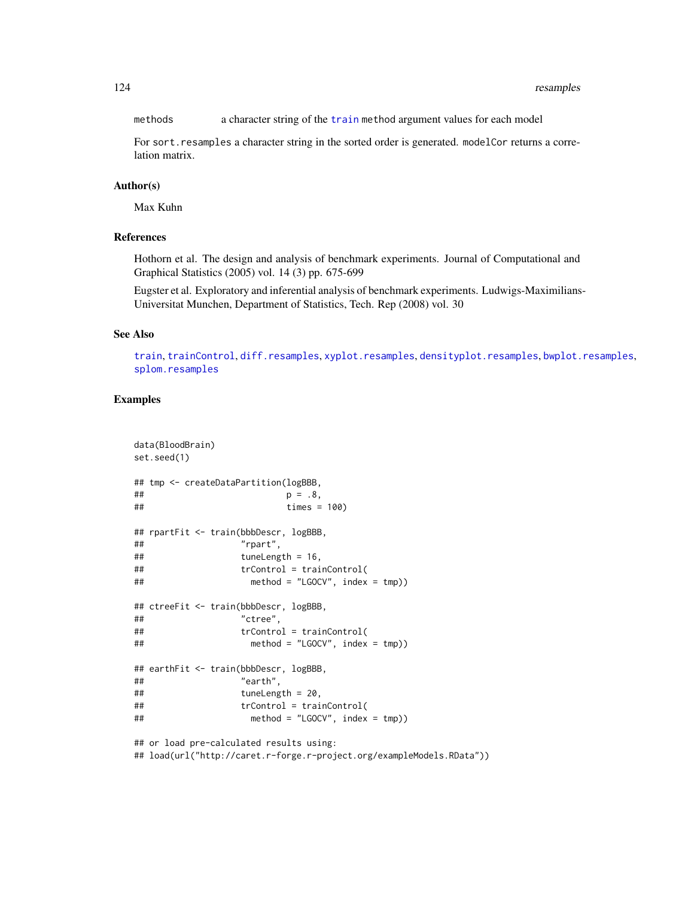methods a character string of the [train](#page-153-0) method argument values for each model

For sort. resamples a character string in the sorted order is generated. modelCor returns a correlation matrix.

## Author(s)

Max Kuhn

# References

Hothorn et al. The design and analysis of benchmark experiments. Journal of Computational and Graphical Statistics (2005) vol. 14 (3) pp. 675-699

Eugster et al. Exploratory and inferential analysis of benchmark experiments. Ludwigs-Maximilians-Universitat Munchen, Department of Statistics, Tech. Rep (2008) vol. 30

#### See Also

[train](#page-153-0), [trainControl](#page-158-0), [diff.resamples](#page-33-0), [xyplot.resamples](#page-204-0), [densityplot.resamples](#page-204-1), [bwplot.resamples](#page-204-1), [splom.resamples](#page-204-1)

# Examples

```
data(BloodBrain)
set.seed(1)
## tmp <- createDataPartition(logBBB,
## p = .8,
## times = 100)
## rpartFit <- train(bbbDescr, logBBB,
## "rpart",
\# tuneLength = 16,
## trControl = trainControl(
## method = "LGOCV", index = tmp))
## ctreeFit <- train(bbbDescr, logBBB,
## "ctree",
## trControl = trainControl(
## method = "LGOCV", index = tmp))
## earthFit <- train(bbbDescr, logBBB,
## "earth",
## tuneLength = 20,
## trControl = trainControl(
## method = "LGOCV", index = tmp))
## or load pre-calculated results using:
## load(url("http://caret.r-forge.r-project.org/exampleModels.RData"))
```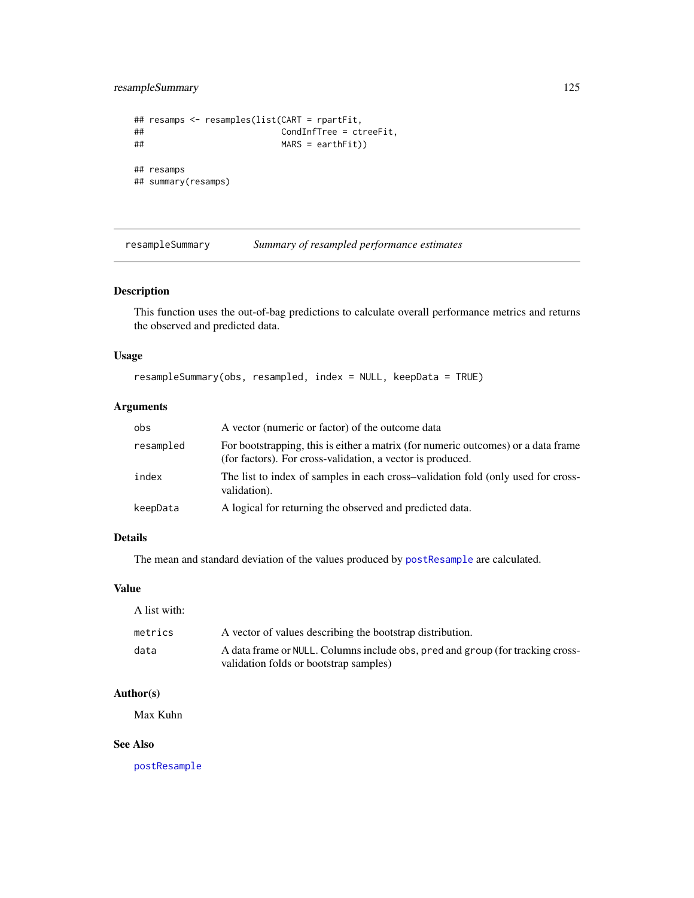resampleSummary 125

```
## resamps <- resamples(list(CART = rpartFit,
## CondInfTree = ctreeFit,
## MARS = earthFit))
## resamps
## summary(resamps)
```
resampleSummary *Summary of resampled performance estimates*

#### Description

This function uses the out-of-bag predictions to calculate overall performance metrics and returns the observed and predicted data.

#### Usage

resampleSummary(obs, resampled, index = NULL, keepData = TRUE)

## Arguments

| obs       | A vector (numeric or factor) of the outcome data                                                                                                |
|-----------|-------------------------------------------------------------------------------------------------------------------------------------------------|
| resampled | For bootstrapping, this is either a matrix (for numeric outcomes) or a data frame<br>(for factors). For cross-validation, a vector is produced. |
| index     | The list to index of samples in each cross-validation fold (only used for cross-<br>validation).                                                |
| keepData  | A logical for returning the observed and predicted data.                                                                                        |

# Details

The mean and standard deviation of the values produced by [postResample](#page-29-0) are calculated.

#### Value

A list with: metrics A vector of values describing the bootstrap distribution.

# data A data frame or NULL. Columns include obs, pred and group (for tracking crossvalidation folds or bootstrap samples)

# Author(s)

Max Kuhn

## See Also

[postResample](#page-29-0)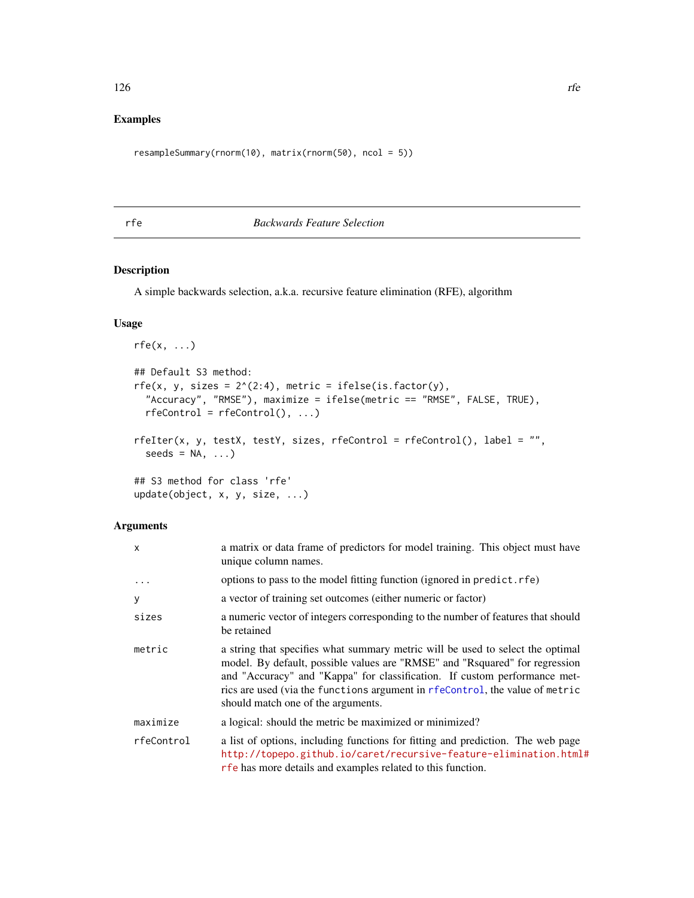# Examples

```
resampleSummary(rnorm(10), matrix(rnorm(50), ncol = 5))
```
<span id="page-125-0"></span>

# rfe *Backwards Feature Selection*

## Description

A simple backwards selection, a.k.a. recursive feature elimination (RFE), algorithm

# Usage

```
rfe(x, \ldots)## Default S3 method:
rfe(x, y, sizes = 2^(2:4), metric = ifelse(is.factor(y),"Accuracy", "RMSE"), maximize = ifelse(metric == "RMSE", FALSE, TRUE),
  rfeControl = rfeControl(), ...)rfeIter(x, y, testX, testY, sizes, rfeControl = rfeControl(), label = "",
  seeds = NA, ...)## S3 method for class 'rfe'
update(object, x, y, size, ...)
```
#### Arguments

| x          | a matrix or data frame of predictors for model training. This object must have<br>unique column names.                                                                                                                                                                                                                                                           |  |
|------------|------------------------------------------------------------------------------------------------------------------------------------------------------------------------------------------------------------------------------------------------------------------------------------------------------------------------------------------------------------------|--|
| $\ddots$ . | options to pass to the model fitting function (ignored in predict. rfe)                                                                                                                                                                                                                                                                                          |  |
| y          | a vector of training set outcomes (either numeric or factor)                                                                                                                                                                                                                                                                                                     |  |
| sizes      | a numeric vector of integers corresponding to the number of features that should<br>be retained                                                                                                                                                                                                                                                                  |  |
| metric     | a string that specifies what summary metric will be used to select the optimal<br>model. By default, possible values are "RMSE" and "Rsquared" for regression<br>and "Accuracy" and "Kappa" for classification. If custom performance met-<br>rics are used (via the functions argument in rfeControl, the value of metric<br>should match one of the arguments. |  |
| maximize   | a logical: should the metric be maximized or minimized?                                                                                                                                                                                                                                                                                                          |  |
| rfeControl | a list of options, including functions for fitting and prediction. The web page<br>http://topepo.github.io/caret/recursive-feature-elimination.html#<br>rfe has more details and examples related to this function.                                                                                                                                              |  |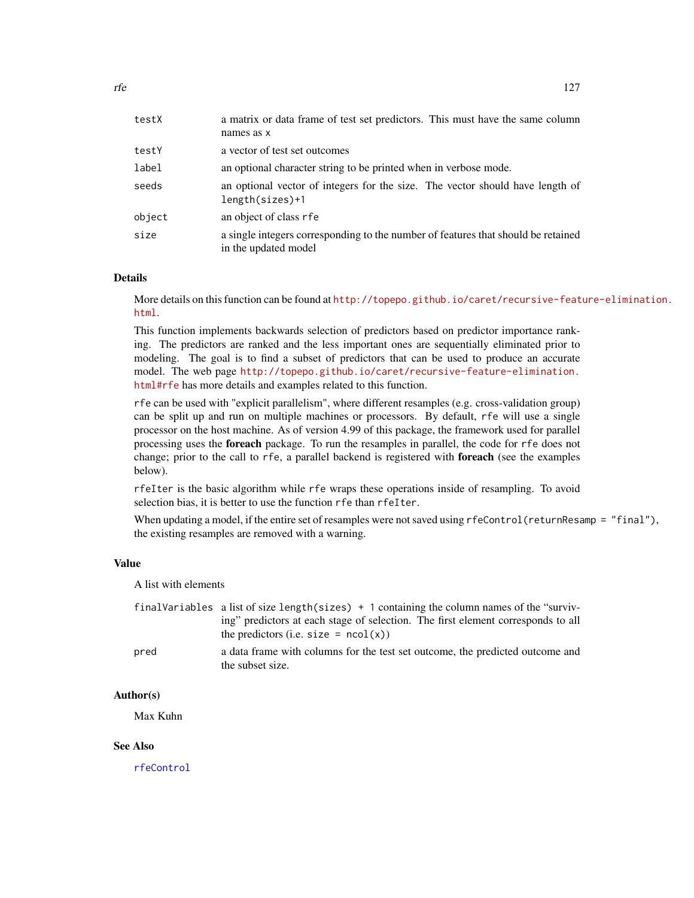| testX  | a matrix or data frame of test set predictors. This must have the same column<br>names as x               |
|--------|-----------------------------------------------------------------------------------------------------------|
| testY  | a vector of test set outcomes                                                                             |
| label  | an optional character string to be printed when in verbose mode.                                          |
| seeds  | an optional vector of integers for the size. The vector should have length of<br>length(sizes)+1          |
| object | an object of class rfe                                                                                    |
| size   | a single integers corresponding to the number of features that should be retained<br>in the updated model |

#### Details

More details on this function can be found at [http://topepo.github.io/caret/recursive-feat](http://topepo.github.io/caret/recursive-feature-elimination.html)ure-elimination. [html](http://topepo.github.io/caret/recursive-feature-elimination.html).

This function implements backwards selection of predictors based on predictor importance ranking. The predictors are ranked and the less important ones are sequentially eliminated prior to modeling. The goal is to find a subset of predictors that can be used to produce an accurate model. The web page [http://topepo.github.io/caret/recursive-feature-elimination.](http://topepo.github.io/caret/recursive-feature-elimination.html#rfe) [html#rfe](http://topepo.github.io/caret/recursive-feature-elimination.html#rfe) has more details and examples related to this function.

rfe can be used with "explicit parallelism", where different resamples (e.g. cross-validation group) can be split up and run on multiple machines or processors. By default, rfe will use a single processor on the host machine. As of version 4.99 of this package, the framework used for parallel processing uses the foreach package. To run the resamples in parallel, the code for rfe does not change; prior to the call to rfe, a parallel backend is registered with **foreach** (see the examples below).

rfeIter is the basic algorithm while rfe wraps these operations inside of resampling. To avoid selection bias, it is better to use the function rfe than rfeIter.

When updating a model, if the entire set of resamples were not saved using  $rfeControl(returResamp = "final"),$ the existing resamples are removed with a warning.

## Value

A list with elements

|      | finalVariables a list of size length(sizes) + 1 containing the column names of the "surviv-       |  |
|------|---------------------------------------------------------------------------------------------------|--|
|      | ing" predictors at each stage of selection. The first element corresponds to all                  |  |
|      | the predictors (i.e. size = $ncol(x)$ )                                                           |  |
| pred | a data frame with columns for the test set outcome, the predicted outcome and<br>the subset size. |  |

## Author(s)

Max Kuhn

#### See Also

[rfeControl](#page-128-0)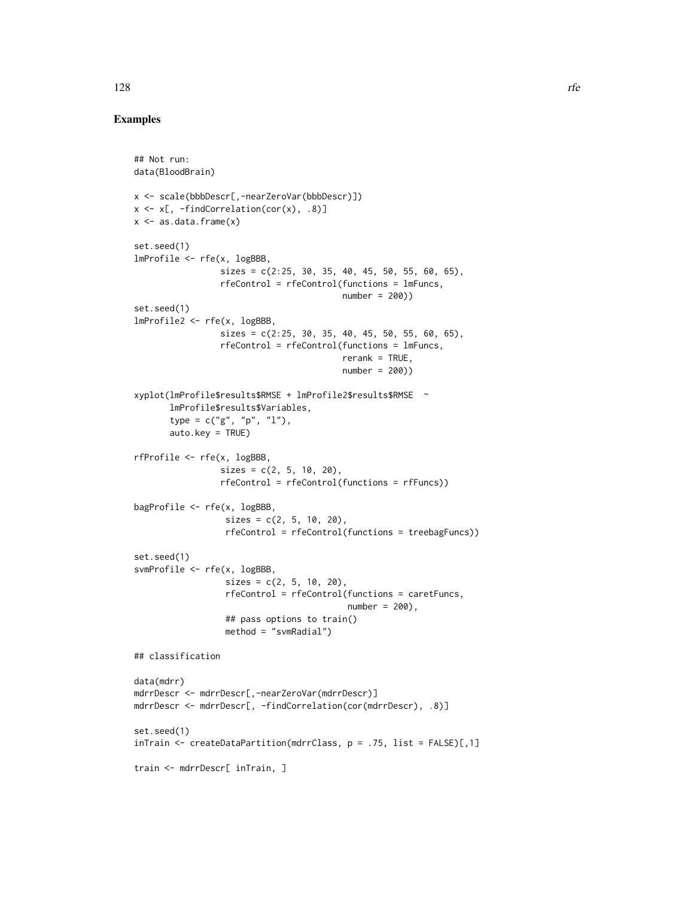## Examples

```
## Not run:
data(BloodBrain)
x <- scale(bbbDescr[,-nearZeroVar(bbbDescr)])
x \leq x[, -findCorrelation(cor(x), .8)]
x \leq -as.data frame(x)set.seed(1)
lmProfile <- rfe(x, logBBB,
                 sizes = c(2:25, 30, 35, 40, 45, 50, 55, 60, 65),rfeControl = rfeControl(functions = lmFuncs,
                                         number = 200))
set.seed(1)
lmProfile2 <- rfe(x, logBBB,
                 sizes = c(2:25, 30, 35, 40, 45, 50, 55, 60, 65),rfeControl = rfeControl(functions = lmFuncs,
                                         rerank = TRUE,
                                         number = 200))
xyplot(lmProfile$results$RMSE + lmProfile2$results$RMSE ~
       lmProfile$results$Variables,
       type = c("g", "p", "l"),
       auto.key = TRUE)
rfProfile <- rfe(x, logBBB,
                 sizes = c(2, 5, 10, 20),
                 rfeControl = rfeControl(functions = rfFuncs))
bagProfile <- rfe(x, logBBB,
                  sizes = c(2, 5, 10, 20),
                  rfeControl = rfeControl(functions = treebagFuncs))
set.seed(1)
svmProfile <- rfe(x, logBBB,
                  sizes = c(2, 5, 10, 20),
                  rfeControl = rfeControl(functions = caretFuncs,
                                          number = 200,
                  ## pass options to train()
                  method = "svmRadial")
## classification
data(mdrr)
mdrrDescr <- mdrrDescr[,-nearZeroVar(mdrrDescr)]
mdrrDescr <- mdrrDescr[, -findCorrelation(cor(mdrrDescr), .8)]
set.seed(1)
inTrain <- createDataPartition(mdrrClass, p = .75, list = FALSE)[,1]
train <- mdrrDescr[ inTrain, ]
```
128 rfe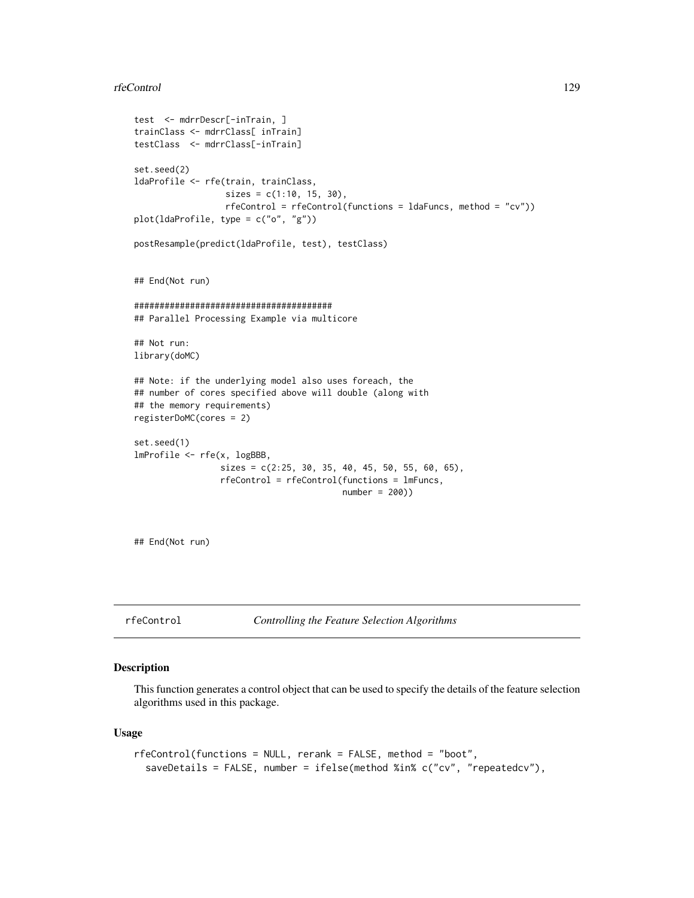#### rfeControl 129

```
test <- mdrrDescr[-inTrain, ]
trainClass <- mdrrClass[ inTrain]
testClass <- mdrrClass[-inTrain]
set.seed(2)
ldaProfile <- rfe(train, trainClass,
                  sizes = c(1:10, 15, 30),rfeControl = rfeControl(functions = ldaFuncs, method = "cv"))
plot(ldaProfile, type = c("o", "g"))
postResample(predict(ldaProfile, test), testClass)
## End(Not run)
#######################################
## Parallel Processing Example via multicore
## Not run:
library(doMC)
## Note: if the underlying model also uses foreach, the
## number of cores specified above will double (along with
## the memory requirements)
registerDoMC(cores = 2)
set.seed(1)
lmProfile <- rfe(x, logBBB,
                 sizes = c(2:25, 30, 35, 40, 45, 50, 55, 60, 65),
                 rfeControl = rfeControl(functions = lmFuncs,
                                         number = 200))
```
## End(Not run)

<span id="page-128-0"></span>rfeControl *Controlling the Feature Selection Algorithms*

#### Description

This function generates a control object that can be used to specify the details of the feature selection algorithms used in this package.

#### Usage

```
rfeControl(functions = NULL, rerank = FALSE, method = "boot",
  saveDetails = FALSE, number = ifelse(method %in% c("cv", "repeatedcv"),
```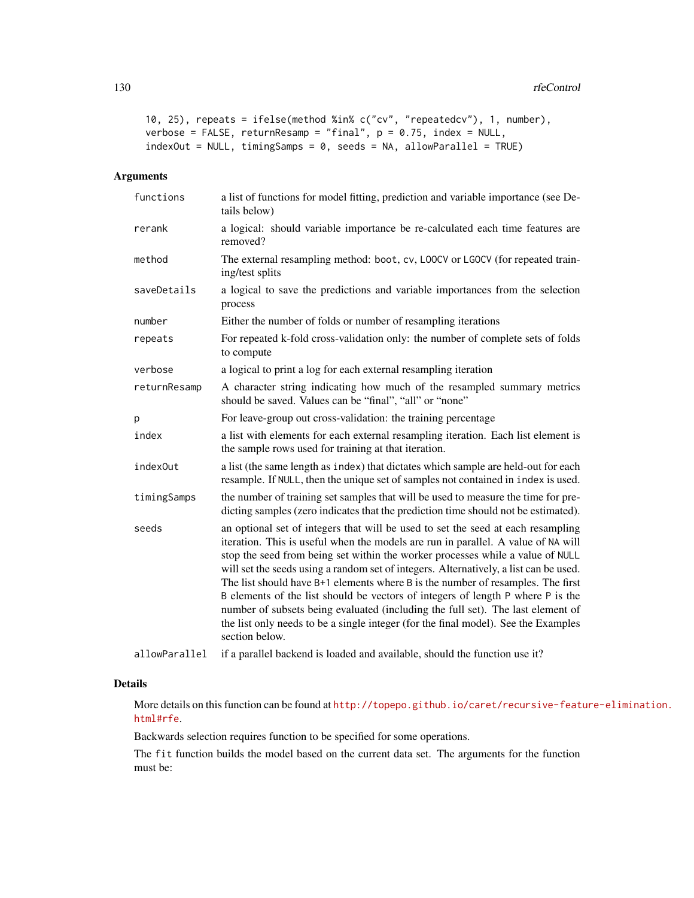```
10, 25), repeats = ifelse(method %in% c("cv", "repeatedcv"), 1, number),
verbose = FALSE, returnResamp = "final", p = 0.75, index = NULL,
indexOut = NULL, timingSamples = 0, seeds = NA, allowParallel = TRUE)
```
# Arguments

| functions     | a list of functions for model fitting, prediction and variable importance (see De-<br>tails below)                                                                                                                                                                                                                                                                                                                                                                                                                                                                                                                                                                                                                |  |
|---------------|-------------------------------------------------------------------------------------------------------------------------------------------------------------------------------------------------------------------------------------------------------------------------------------------------------------------------------------------------------------------------------------------------------------------------------------------------------------------------------------------------------------------------------------------------------------------------------------------------------------------------------------------------------------------------------------------------------------------|--|
| rerank        | a logical: should variable importance be re-calculated each time features are<br>removed?                                                                                                                                                                                                                                                                                                                                                                                                                                                                                                                                                                                                                         |  |
| method        | The external resampling method: boot, cv, LOOCV or LGOCV (for repeated train-<br>ing/test splits                                                                                                                                                                                                                                                                                                                                                                                                                                                                                                                                                                                                                  |  |
| saveDetails   | a logical to save the predictions and variable importances from the selection<br>process                                                                                                                                                                                                                                                                                                                                                                                                                                                                                                                                                                                                                          |  |
| number        | Either the number of folds or number of resampling iterations                                                                                                                                                                                                                                                                                                                                                                                                                                                                                                                                                                                                                                                     |  |
| repeats       | For repeated k-fold cross-validation only: the number of complete sets of folds<br>to compute                                                                                                                                                                                                                                                                                                                                                                                                                                                                                                                                                                                                                     |  |
| verbose       | a logical to print a log for each external resampling iteration                                                                                                                                                                                                                                                                                                                                                                                                                                                                                                                                                                                                                                                   |  |
| returnResamp  | A character string indicating how much of the resampled summary metrics<br>should be saved. Values can be "final", "all" or "none"                                                                                                                                                                                                                                                                                                                                                                                                                                                                                                                                                                                |  |
| р             | For leave-group out cross-validation: the training percentage                                                                                                                                                                                                                                                                                                                                                                                                                                                                                                                                                                                                                                                     |  |
| index         | a list with elements for each external resampling iteration. Each list element is<br>the sample rows used for training at that iteration.                                                                                                                                                                                                                                                                                                                                                                                                                                                                                                                                                                         |  |
| index0ut      | a list (the same length as index) that dictates which sample are held-out for each<br>resample. If NULL, then the unique set of samples not contained in index is used.                                                                                                                                                                                                                                                                                                                                                                                                                                                                                                                                           |  |
| timingSamps   | the number of training set samples that will be used to measure the time for pre-<br>dicting samples (zero indicates that the prediction time should not be estimated).                                                                                                                                                                                                                                                                                                                                                                                                                                                                                                                                           |  |
| seeds         | an optional set of integers that will be used to set the seed at each resampling<br>iteration. This is useful when the models are run in parallel. A value of NA will<br>stop the seed from being set within the worker processes while a value of NULL<br>will set the seeds using a random set of integers. Alternatively, a list can be used.<br>The list should have B+1 elements where B is the number of resamples. The first<br>B elements of the list should be vectors of integers of length P where P is the<br>number of subsets being evaluated (including the full set). The last element of<br>the list only needs to be a single integer (for the final model). See the Examples<br>section below. |  |
| allowParallel | if a parallel backend is loaded and available, should the function use it?                                                                                                                                                                                                                                                                                                                                                                                                                                                                                                                                                                                                                                        |  |

## Details

More details on this function can be found at [http://topepo.github.io/caret/recursive-feat](http://topepo.github.io/caret/recursive-feature-elimination.html#rfe)ure-elimination. [html#rfe](http://topepo.github.io/caret/recursive-feature-elimination.html#rfe).

Backwards selection requires function to be specified for some operations.

The fit function builds the model based on the current data set. The arguments for the function must be: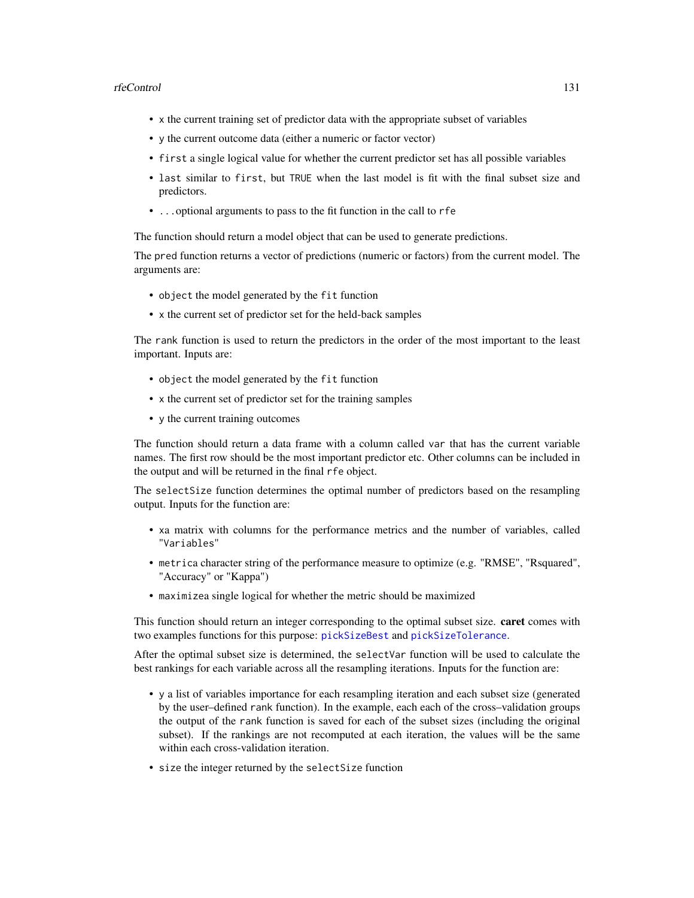#### rfeControl 131

- x the current training set of predictor data with the appropriate subset of variables
- y the current outcome data (either a numeric or factor vector)
- first a single logical value for whether the current predictor set has all possible variables
- last similar to first, but TRUE when the last model is fit with the final subset size and predictors.
- ...optional arguments to pass to the fit function in the call to rfe

The function should return a model object that can be used to generate predictions.

The pred function returns a vector of predictions (numeric or factors) from the current model. The arguments are:

- object the model generated by the fit function
- x the current set of predictor set for the held-back samples

The rank function is used to return the predictors in the order of the most important to the least important. Inputs are:

- object the model generated by the fit function
- x the current set of predictor set for the training samples
- y the current training outcomes

The function should return a data frame with a column called var that has the current variable names. The first row should be the most important predictor etc. Other columns can be included in the output and will be returned in the final rfe object.

The selectSize function determines the optimal number of predictors based on the resampling output. Inputs for the function are:

- xa matrix with columns for the performance metrics and the number of variables, called "Variables"
- metrica character string of the performance measure to optimize (e.g. "RMSE", "Rsquared", "Accuracy" or "Kappa")
- maximizea single logical for whether the metric should be maximized

This function should return an integer corresponding to the optimal subset size. **caret** comes with two examples functions for this purpose: [pickSizeBest](#page-94-0) and [pickSizeTolerance](#page-94-1).

After the optimal subset size is determined, the selectVar function will be used to calculate the best rankings for each variable across all the resampling iterations. Inputs for the function are:

- y a list of variables importance for each resampling iteration and each subset size (generated by the user–defined rank function). In the example, each each of the cross–validation groups the output of the rank function is saved for each of the subset sizes (including the original subset). If the rankings are not recomputed at each iteration, the values will be the same within each cross-validation iteration.
- size the integer returned by the selectSize function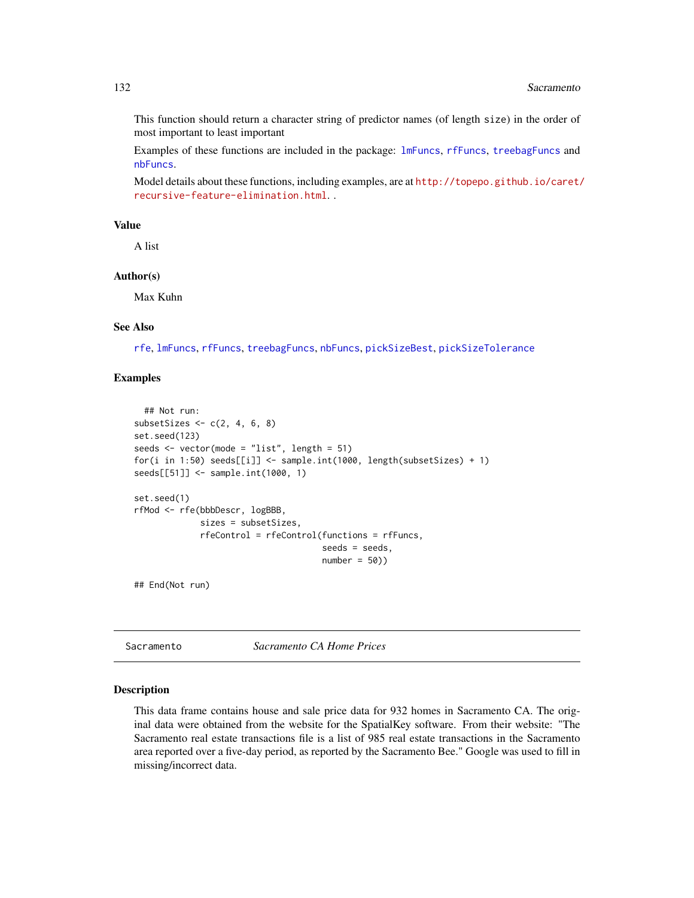This function should return a character string of predictor names (of length size) in the order of most important to least important

Examples of these functions are included in the package: [lmFuncs](#page-94-1), [rfFuncs](#page-94-1), [treebagFuncs](#page-94-1) and [nbFuncs](#page-94-1).

Model details about these functions, including examples, are at [http://topepo.github.io/caret/](http://topepo.github.io/caret/recursive-feature-elimination.html) [recursive-feature-elimination.html](http://topepo.github.io/caret/recursive-feature-elimination.html). .

# Value

A list

## Author(s)

Max Kuhn

## See Also

[rfe](#page-125-0), [lmFuncs](#page-94-1), [rfFuncs](#page-94-1), [treebagFuncs](#page-94-1), [nbFuncs](#page-94-1), [pickSizeBest](#page-94-0), [pickSizeTolerance](#page-94-1)

## Examples

```
## Not run:
subsetSizes \leq c(2, 4, 6, 8)set.seed(123)
seeds <- vector(mode = "list", length = 51)
for(i in 1:50) seeds[[i]] <- sample.int(1000, length(subsetSizes) + 1)
seeds[[51]] <- sample.int(1000, 1)
set.seed(1)
rfMod <- rfe(bbbDescr, logBBB,
             sizes = subsetSizes,
             rfeControl = rfeControl(functions = rfFuncs,
                                     seeds = seeds,
                                     number = 50)
```
## End(Not run)

Sacramento *Sacramento CA Home Prices*

#### Description

This data frame contains house and sale price data for 932 homes in Sacramento CA. The original data were obtained from the website for the SpatialKey software. From their website: "The Sacramento real estate transactions file is a list of 985 real estate transactions in the Sacramento area reported over a five-day period, as reported by the Sacramento Bee." Google was used to fill in missing/incorrect data.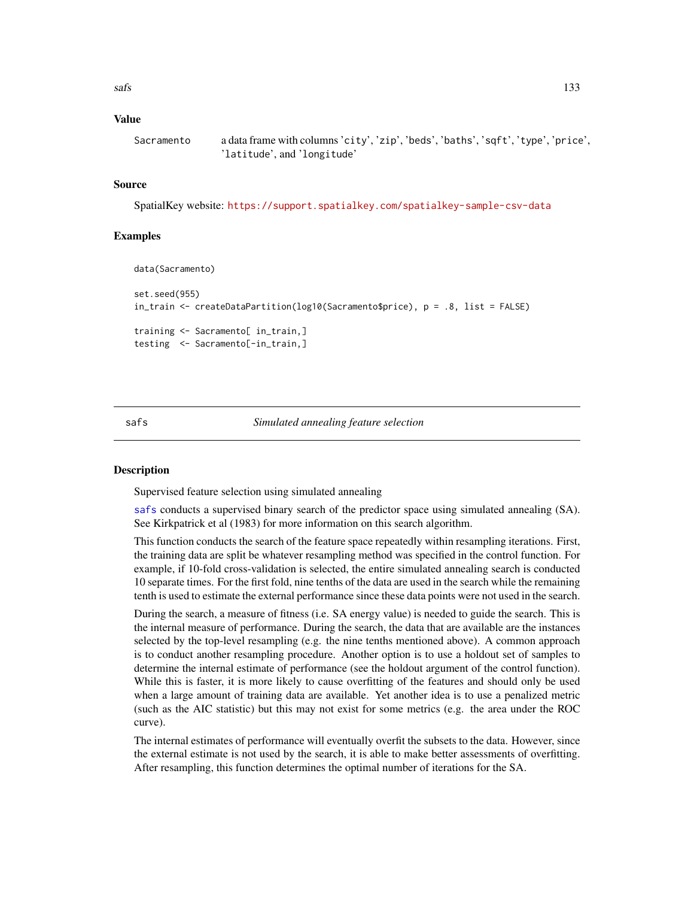## Value

```
Sacramento a data frame with columns 'city', 'zip', 'beds', 'baths', 'sqft', 'type', 'price',
                  'latitude', and 'longitude'
```
#### Source

SpatialKey website: <https://support.spatialkey.com/spatialkey-sample-csv-data>

## Examples

```
data(Sacramento)
set.seed(955)
in_train <- createDataPartition(log10(Sacramento$price), p = .8, list = FALSE)
training <- Sacramento[ in_train,]
testing <- Sacramento[-in_train,]
```
#### <span id="page-132-0"></span>safs *Simulated annealing feature selection*

#### **Description**

Supervised feature selection using simulated annealing

[safs](#page-132-0) conducts a supervised binary search of the predictor space using simulated annealing (SA). See Kirkpatrick et al (1983) for more information on this search algorithm.

This function conducts the search of the feature space repeatedly within resampling iterations. First, the training data are split be whatever resampling method was specified in the control function. For example, if 10-fold cross-validation is selected, the entire simulated annealing search is conducted 10 separate times. For the first fold, nine tenths of the data are used in the search while the remaining tenth is used to estimate the external performance since these data points were not used in the search.

During the search, a measure of fitness (i.e. SA energy value) is needed to guide the search. This is the internal measure of performance. During the search, the data that are available are the instances selected by the top-level resampling (e.g. the nine tenths mentioned above). A common approach is to conduct another resampling procedure. Another option is to use a holdout set of samples to determine the internal estimate of performance (see the holdout argument of the control function). While this is faster, it is more likely to cause overfitting of the features and should only be used when a large amount of training data are available. Yet another idea is to use a penalized metric (such as the AIC statistic) but this may not exist for some metrics (e.g. the area under the ROC curve).

The internal estimates of performance will eventually overfit the subsets to the data. However, since the external estimate is not used by the search, it is able to make better assessments of overfitting. After resampling, this function determines the optimal number of iterations for the SA.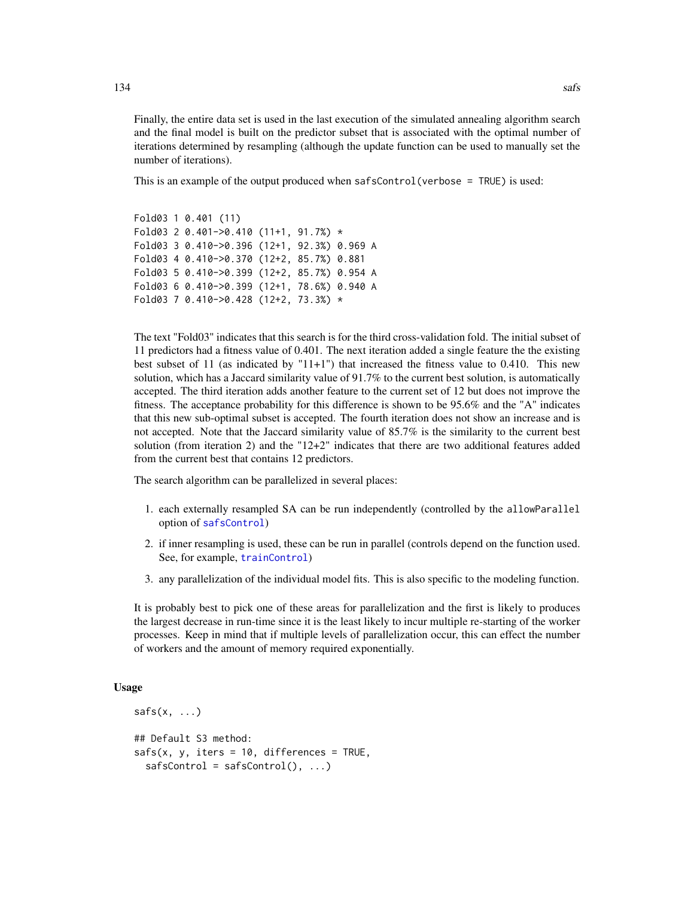Finally, the entire data set is used in the last execution of the simulated annealing algorithm search and the final model is built on the predictor subset that is associated with the optimal number of iterations determined by resampling (although the update function can be used to manually set the number of iterations).

This is an example of the output produced when safsControl(verbose = TRUE) is used:

```
Fold03 1 0.401 (11)
Fold03 2 0.401->0.410 (11+1, 91.7%) *
Fold03 3 0.410->0.396 (12+1, 92.3%) 0.969 A
Fold03 4 0.410->0.370 (12+2, 85.7%) 0.881
Fold03 5 0.410->0.399 (12+2, 85.7%) 0.954 A
Fold03 6 0.410->0.399 (12+1, 78.6%) 0.940 A
Fold03 7 0.410->0.428 (12+2, 73.3%) *
```
The text "Fold03" indicates that this search is for the third cross-validation fold. The initial subset of 11 predictors had a fitness value of 0.401. The next iteration added a single feature the the existing best subset of 11 (as indicated by "11+1") that increased the fitness value to 0.410. This new solution, which has a Jaccard similarity value of 91.7% to the current best solution, is automatically accepted. The third iteration adds another feature to the current set of 12 but does not improve the fitness. The acceptance probability for this difference is shown to be 95.6% and the "A" indicates that this new sub-optimal subset is accepted. The fourth iteration does not show an increase and is not accepted. Note that the Jaccard similarity value of 85.7% is the similarity to the current best solution (from iteration 2) and the " $12+2$ " indicates that there are two additional features added from the current best that contains 12 predictors.

The search algorithm can be parallelized in several places:

- 1. each externally resampled SA can be run independently (controlled by the allowParallel option of [safsControl](#page-54-0))
- 2. if inner resampling is used, these can be run in parallel (controls depend on the function used. See, for example, [trainControl](#page-158-0))
- 3. any parallelization of the individual model fits. This is also specific to the modeling function.

It is probably best to pick one of these areas for parallelization and the first is likely to produces the largest decrease in run-time since it is the least likely to incur multiple re-starting of the worker processes. Keep in mind that if multiple levels of parallelization occur, this can effect the number of workers and the amount of memory required exponentially.

#### Usage

```
safs(x, \ldots)## Default S3 method:
safs(x, y, iter = 10, differences = TRUE,safsControl = safsControl(), ...)
```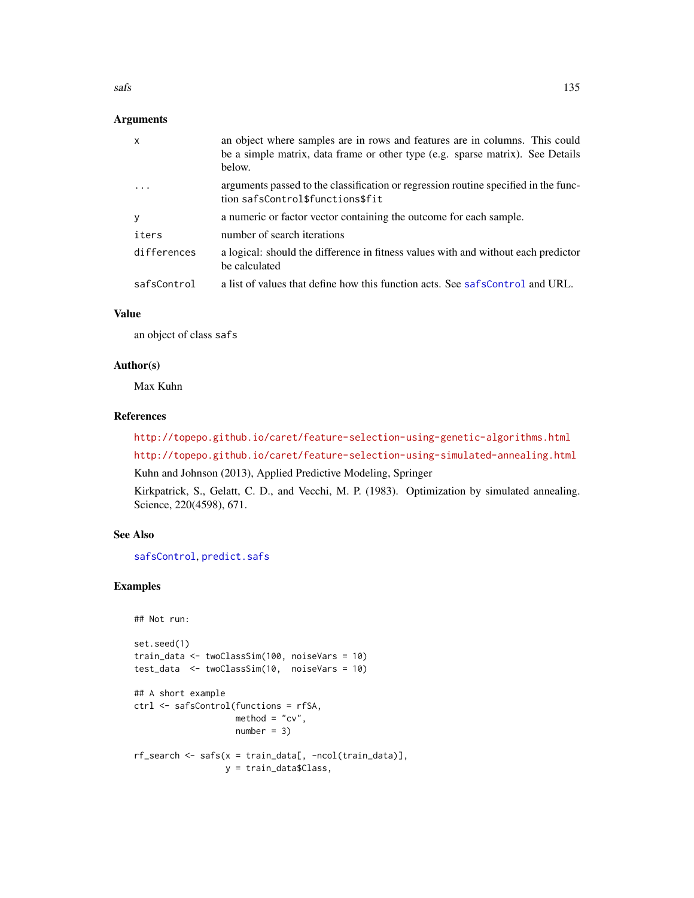## Arguments

| $\mathsf{x}$ | an object where samples are in rows and features are in columns. This could<br>be a simple matrix, data frame or other type (e.g. sparse matrix). See Details<br>below. |
|--------------|-------------------------------------------------------------------------------------------------------------------------------------------------------------------------|
| $\ddotsc$    | arguments passed to the classification or regression routine specified in the func-<br>tion safsControl\$functions\$fit                                                 |
| У            | a numeric or factor vector containing the outcome for each sample.                                                                                                      |
| iters        | number of search iterations                                                                                                                                             |
| differences  | a logical: should the difference in fitness values with and without each predictor<br>be calculated                                                                     |
| safsControl  | a list of values that define how this function acts. See safsControl and URL.                                                                                           |

#### Value

an object of class safs

#### Author(s)

Max Kuhn

#### References

<http://topepo.github.io/caret/feature-selection-using-genetic-algorithms.html> <http://topepo.github.io/caret/feature-selection-using-simulated-annealing.html>

Kuhn and Johnson (2013), Applied Predictive Modeling, Springer

Kirkpatrick, S., Gelatt, C. D., and Vecchi, M. P. (1983). Optimization by simulated annealing. Science, 220(4598), 671.

## See Also

[safsControl](#page-54-0), [predict.safs](#page-108-0)

# Examples

```
## Not run:
set.seed(1)
train_data <- twoClassSim(100, noiseVars = 10)
test_data <- twoClassSim(10, noiseVars = 10)
## A short example
ctrl <- safsControl(functions = rfSA,
                   method = "cv",
                   number = 3rf_search <- safs(x = train_data[, -ncol(train_data)],
                 y = train_data$Class,
```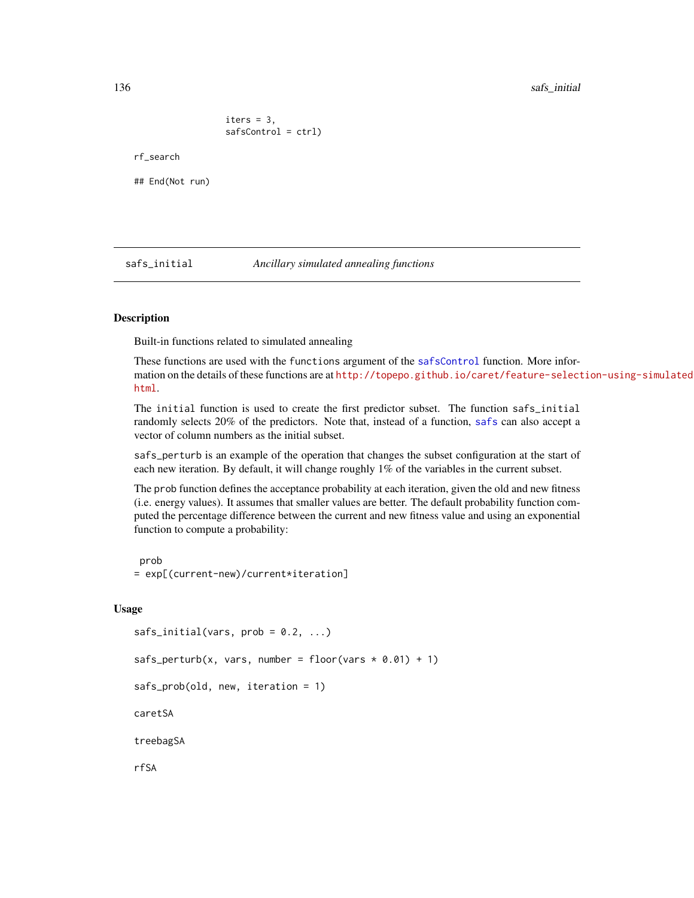iters  $= 3$ , safsControl = ctrl)

## End(Not run)

rf\_search

safs\_initial *Ancillary simulated annealing functions*

## **Description**

Built-in functions related to simulated annealing

These functions are used with the functions argument of the [safsControl](#page-54-0) function. More information on the details of these functions are at [http://topepo.github.io/caret/feature-select](http://topepo.github.io/caret/feature-selection-using-simulated-annealing.html)ion-using-simulated [html](http://topepo.github.io/caret/feature-selection-using-simulated-annealing.html).

The initial function is used to create the first predictor subset. The function safs\_initial randomly selects 20% of the predictors. Note that, instead of a function, [safs](#page-132-0) can also accept a vector of column numbers as the initial subset.

safs\_perturb is an example of the operation that changes the subset configuration at the start of each new iteration. By default, it will change roughly 1% of the variables in the current subset.

The prob function defines the acceptance probability at each iteration, given the old and new fitness (i.e. energy values). It assumes that smaller values are better. The default probability function computed the percentage difference between the current and new fitness value and using an exponential function to compute a probability:

prob = exp[(current-new)/current\*iteration]

#### Usage

```
safs_initial(vars, prob = 0.2, ...)safs_perturb(x, vars, number = floor(vars * 0.01) + 1)safs_prob(old, new, iteration = 1)
caretSA
treebagSA
rfSA
```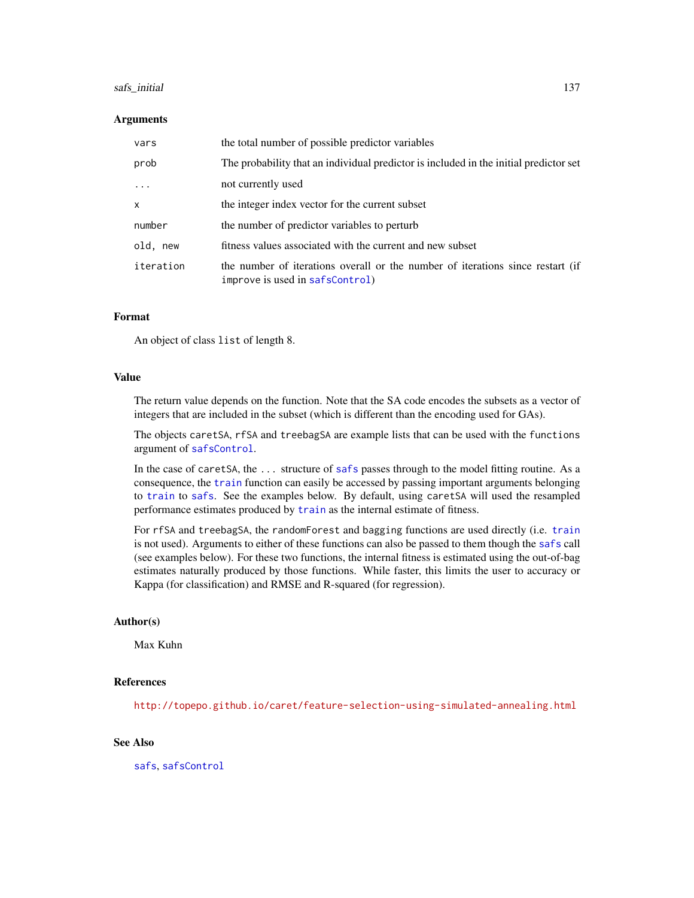#### safs\_initial 137

#### **Arguments**

| vars         | the total number of possible predictor variables                                                                  |
|--------------|-------------------------------------------------------------------------------------------------------------------|
| prob         | The probability that an individual predictor is included in the initial predictor set                             |
| $\ddots$ .   | not currently used                                                                                                |
| $\mathsf{x}$ | the integer index vector for the current subset                                                                   |
| number       | the number of predictor variables to perturb                                                                      |
| old, new     | fitness values associated with the current and new subset                                                         |
| iteration    | the number of iterations overall or the number of iterations since restart (if<br>improve is used in safsControl) |

#### Format

An object of class list of length 8.

#### Value

The return value depends on the function. Note that the SA code encodes the subsets as a vector of integers that are included in the subset (which is different than the encoding used for GAs).

The objects caretSA, rfSA and treebagSA are example lists that can be used with the functions argument of [safsControl](#page-54-0).

In the case of caretSA, the ... structure of [safs](#page-132-0) passes through to the model fitting routine. As a consequence, the [train](#page-153-0) function can easily be accessed by passing important arguments belonging to [train](#page-153-0) to [safs](#page-132-0). See the examples below. By default, using caretSA will used the resampled performance estimates produced by [train](#page-153-0) as the internal estimate of fitness.

For rfSA and treebagSA, the randomForest and bagging functions are used directly (i.e. [train](#page-153-0) is not used). Arguments to either of these functions can also be passed to them though the [safs](#page-132-0) call (see examples below). For these two functions, the internal fitness is estimated using the out-of-bag estimates naturally produced by those functions. While faster, this limits the user to accuracy or Kappa (for classification) and RMSE and R-squared (for regression).

#### Author(s)

Max Kuhn

#### References

<http://topepo.github.io/caret/feature-selection-using-simulated-annealing.html>

#### See Also

[safs](#page-132-0), [safsControl](#page-54-0)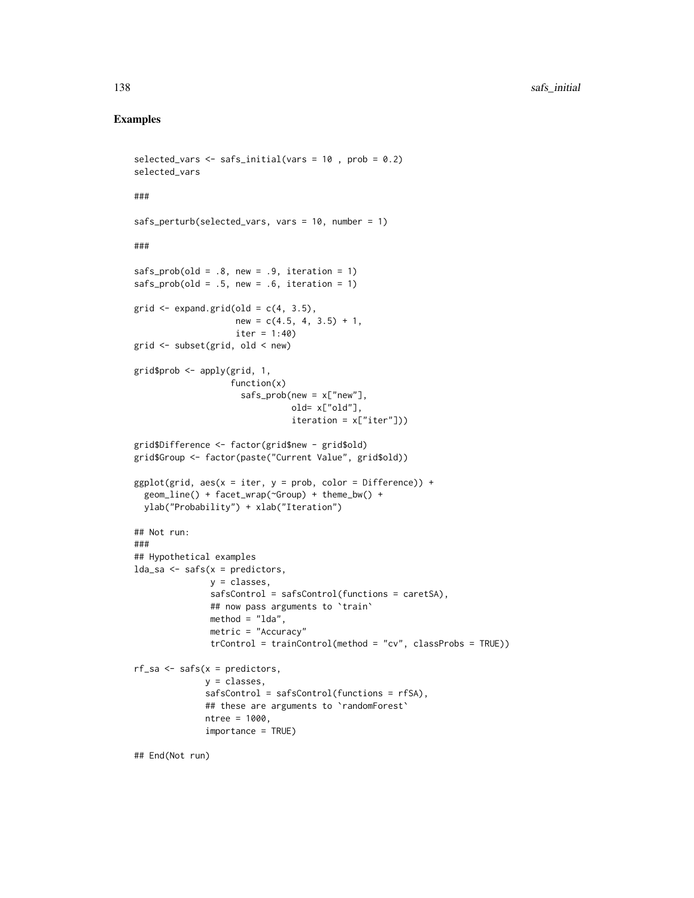## Examples

```
selected_vars <- safs_initial(vars = 10 , prob = 0.2)
selected_vars
###
safs_perturb(selected_vars, vars = 10, number = 1)
###
safs_prob(old = .8, new = .9, iteration = 1)safs_prob(old = .5, new = .6, iteration = 1)grid \leq expand.grid(old = c(4, 3.5),
                    new = c(4.5, 4, 3.5) + 1,
                    iter = 1:40)grid <- subset(grid, old < new)
grid$prob <- apply(grid, 1,
                   function(x)
                     safs_prob(new = x['new''],
                               old= x["old"],
                               iteration = x["iter"]))
grid$Difference <- factor(grid$new - grid$old)
grid$Group <- factor(paste("Current Value", grid$old))
ggplot(grid, aes(x = iter, y = prob, color = Difference)) +geom_line() + facet_wrap(~Group) + theme_bw() +
  ylab("Probability") + xlab("Iteration")
## Not run:
###
## Hypothetical examples
lda\_sa \leftarrow safs(x = predictors,y = classes,
               safsControl = safsControl(functions = caretSA),
               ## now pass arguments to `train`
               method = "lda",metric = "Accuracy"
               trControl = trainControl(method = "cv", classProbs = TRUE))
rf_sa <- safs(x = predictors,
              y = classes,
              safsControl = safsControl(functions = rfSA),
              ## these are arguments to 'randomForest'
              ntree = 1000,
              importance = TRUE)
```
## End(Not run)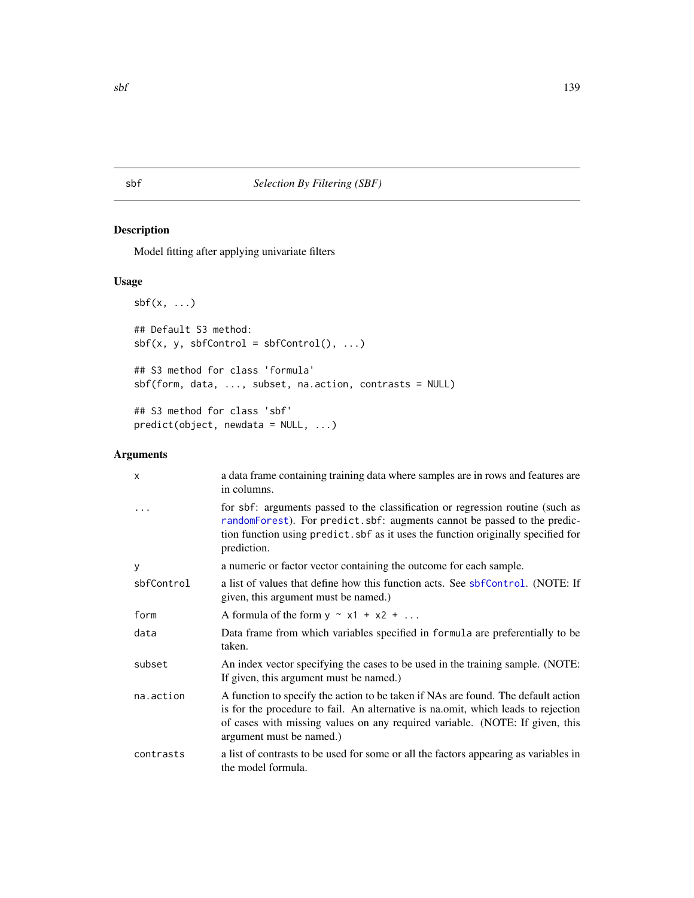<span id="page-138-0"></span>sbf *Selection By Filtering (SBF)*

# Description

Model fitting after applying univariate filters

# Usage

```
sbf(x, \ldots)## Default S3 method:
sbf(x, y, sbfControl = sbfControl(), ...)## S3 method for class 'formula'
sbf(form, data, ..., subset, na.action, contrasts = NULL)
## S3 method for class 'sbf'
predict(object, newdata = NULL, ...)
```
# Arguments

| $\times$   | a data frame containing training data where samples are in rows and features are<br>in columns.                                                                                                                                                                                    |
|------------|------------------------------------------------------------------------------------------------------------------------------------------------------------------------------------------------------------------------------------------------------------------------------------|
|            | for sbf: arguments passed to the classification or regression routine (such as<br>randomForest). For predict.sbf: augments cannot be passed to the predic-<br>tion function using predict. sbf as it uses the function originally specified for<br>prediction.                     |
| У          | a numeric or factor vector containing the outcome for each sample.                                                                                                                                                                                                                 |
| sbfControl | a list of values that define how this function acts. See sbfControl. (NOTE: If<br>given, this argument must be named.)                                                                                                                                                             |
| form       | A formula of the form $y \sim x1 + x2 + $                                                                                                                                                                                                                                          |
| data       | Data frame from which variables specified in formula are preferentially to be<br>taken.                                                                                                                                                                                            |
| subset     | An index vector specifying the cases to be used in the training sample. (NOTE:<br>If given, this argument must be named.)                                                                                                                                                          |
| na.action  | A function to specify the action to be taken if NAs are found. The default action<br>is for the procedure to fail. An alternative is na.omit, which leads to rejection<br>of cases with missing values on any required variable. (NOTE: If given, this<br>argument must be named.) |
| contrasts  | a list of contrasts to be used for some or all the factors appearing as variables in<br>the model formula.                                                                                                                                                                         |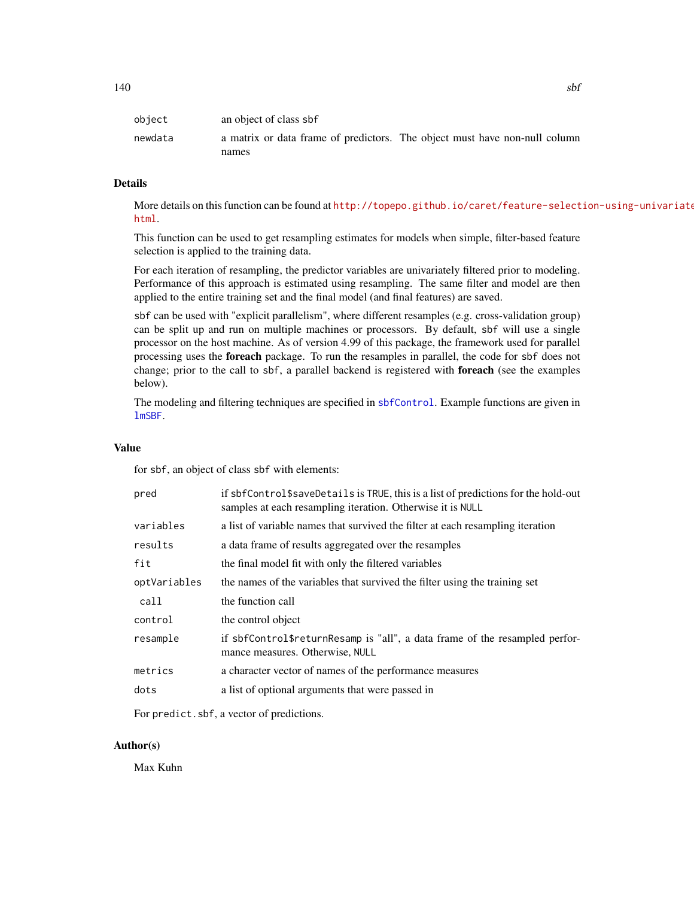| object  | an object of class sbf |                                                                            |
|---------|------------------------|----------------------------------------------------------------------------|
| newdata |                        | a matrix or data frame of predictors. The object must have non-null column |
|         | names                  |                                                                            |

## Details

More details on this function can be found at [http://topepo.github.io/caret/feature-select](http://topepo.github.io/caret/feature-selection-using-univariate-filters.html)ion-using-univariate [html](http://topepo.github.io/caret/feature-selection-using-univariate-filters.html).

This function can be used to get resampling estimates for models when simple, filter-based feature selection is applied to the training data.

For each iteration of resampling, the predictor variables are univariately filtered prior to modeling. Performance of this approach is estimated using resampling. The same filter and model are then applied to the entire training set and the final model (and final features) are saved.

sbf can be used with "explicit parallelism", where different resamples (e.g. cross-validation group) can be split up and run on multiple machines or processors. By default, sbf will use a single processor on the host machine. As of version 4.99 of this package, the framework used for parallel processing uses the foreach package. To run the resamples in parallel, the code for sbf does not change; prior to the call to sbf, a parallel backend is registered with foreach (see the examples below).

The modeling and filtering techniques are specified in [sbfControl](#page-140-0). Example functions are given in [lmSBF](#page-18-0).

## Value

for sbf, an object of class sbf with elements:

| pred         | if sbfControl\$saveDetails is TRUE, this is a list of predictions for the hold-out<br>samples at each resampling iteration. Otherwise it is NULL |
|--------------|--------------------------------------------------------------------------------------------------------------------------------------------------|
| variables    | a list of variable names that survived the filter at each resampling iteration                                                                   |
| results      | a data frame of results aggregated over the resamples                                                                                            |
| fit          | the final model fit with only the filtered variables                                                                                             |
| optVariables | the names of the variables that survived the filter using the training set                                                                       |
| call         | the function call                                                                                                                                |
| control      | the control object                                                                                                                               |
| resample     | if sbfControl\$returnResamp is "all", a data frame of the resampled perfor-<br>mance measures. Otherwise, NULL                                   |
| metrics      | a character vector of names of the performance measures                                                                                          |
| dots         | a list of optional arguments that were passed in                                                                                                 |

For predict.sbf, a vector of predictions.

## Author(s)

Max Kuhn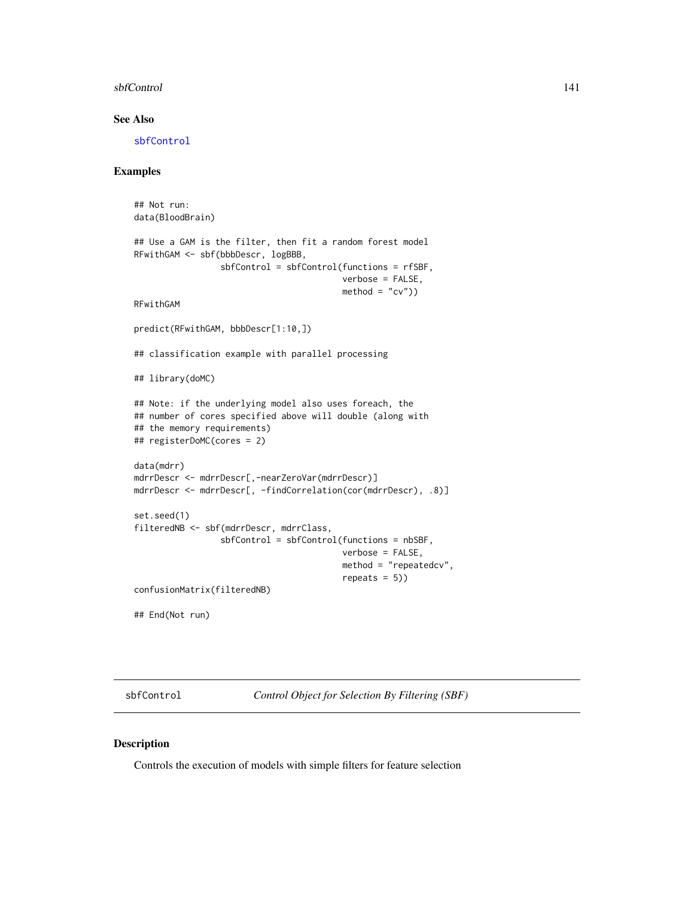#### sbfControl 141

## See Also

[sbfControl](#page-140-0)

## Examples

```
## Not run:
data(BloodBrain)
## Use a GAM is the filter, then fit a random forest model
RFwithGAM <- sbf(bbbDescr, logBBB,
                 sbfControl = sbfControl(functions = rfSBF,
                                         verbose = FALSE,
                                         method = "cv")RFwithGAM
predict(RFwithGAM, bbbDescr[1:10,])
## classification example with parallel processing
## library(doMC)
## Note: if the underlying model also uses foreach, the
## number of cores specified above will double (along with
## the memory requirements)
## registerDoMC(cores = 2)
data(mdrr)
mdrrDescr <- mdrrDescr[,-nearZeroVar(mdrrDescr)]
mdrrDescr <- mdrrDescr[, -findCorrelation(cor(mdrrDescr), .8)]
set.seed(1)
filteredNB <- sbf(mdrrDescr, mdrrClass,
                 sbfControl = sbfControl(functions = nbSBF,
                                         verbose = FALSE,
                                         method = "repeatedcv",
                                         repeats = 5))
confusionMatrix(filteredNB)
## End(Not run)
```
<span id="page-140-0"></span>sbfControl *Control Object for Selection By Filtering (SBF)*

## Description

Controls the execution of models with simple filters for feature selection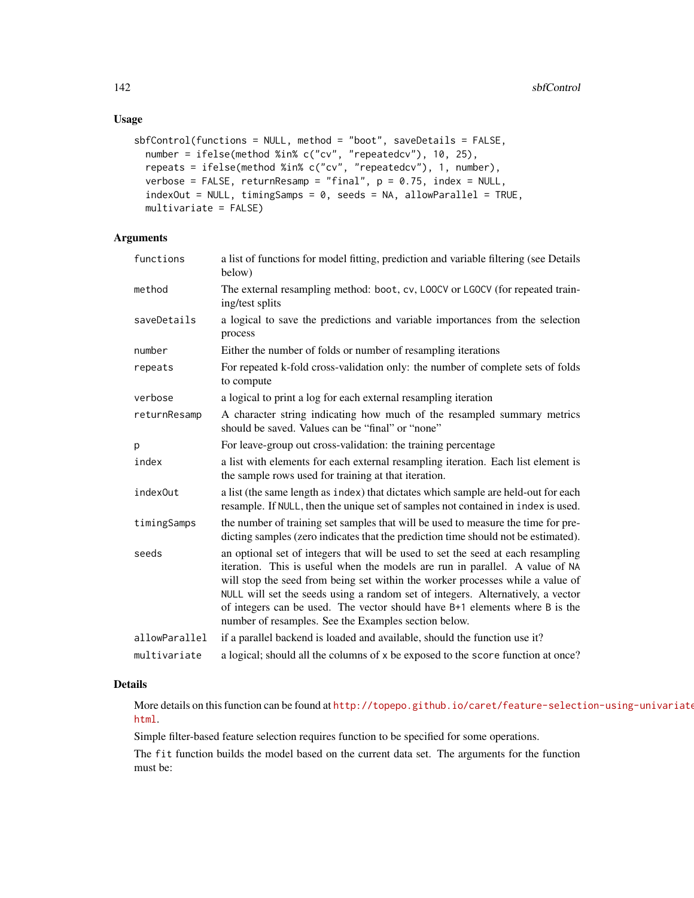# Usage

```
sbfControl(functions = NULL, method = "boot", saveDetails = FALSE,
  number = ifelse(method %in% c("cv", "repeatedcv"), 10, 25),
  repeats = ifelse(method %in% c("cv", "repeatedcv"), 1, number),
 verbose = FALSE, returnResamp = "final", p = 0.75, index = NULL,
  indexOut = NULL, timingSamples = 0, seeds = NA, allowParallel = TRUE,multivariate = FALSE)
```
# Arguments

| functions     | a list of functions for model fitting, prediction and variable filtering (see Details<br>below)                                                                                                                                                                                                                                                                                                                                                                              |
|---------------|------------------------------------------------------------------------------------------------------------------------------------------------------------------------------------------------------------------------------------------------------------------------------------------------------------------------------------------------------------------------------------------------------------------------------------------------------------------------------|
| method        | The external resampling method: boot, cv, LOOCV or LGOCV (for repeated train-<br>ing/test splits                                                                                                                                                                                                                                                                                                                                                                             |
| saveDetails   | a logical to save the predictions and variable importances from the selection<br>process                                                                                                                                                                                                                                                                                                                                                                                     |
| number        | Either the number of folds or number of resampling iterations                                                                                                                                                                                                                                                                                                                                                                                                                |
| repeats       | For repeated k-fold cross-validation only: the number of complete sets of folds<br>to compute                                                                                                                                                                                                                                                                                                                                                                                |
| verbose       | a logical to print a log for each external resampling iteration                                                                                                                                                                                                                                                                                                                                                                                                              |
| returnResamp  | A character string indicating how much of the resampled summary metrics<br>should be saved. Values can be "final" or "none"                                                                                                                                                                                                                                                                                                                                                  |
| p             | For leave-group out cross-validation: the training percentage                                                                                                                                                                                                                                                                                                                                                                                                                |
| index         | a list with elements for each external resampling iteration. Each list element is<br>the sample rows used for training at that iteration.                                                                                                                                                                                                                                                                                                                                    |
| index0ut      | a list (the same length as index) that dictates which sample are held-out for each<br>resample. If NULL, then the unique set of samples not contained in index is used.                                                                                                                                                                                                                                                                                                      |
| timingSamps   | the number of training set samples that will be used to measure the time for pre-<br>dicting samples (zero indicates that the prediction time should not be estimated).                                                                                                                                                                                                                                                                                                      |
| seeds         | an optional set of integers that will be used to set the seed at each resampling<br>iteration. This is useful when the models are run in parallel. A value of NA<br>will stop the seed from being set within the worker processes while a value of<br>NULL will set the seeds using a random set of integers. Alternatively, a vector<br>of integers can be used. The vector should have B+1 elements where B is the<br>number of resamples. See the Examples section below. |
| allowParallel | if a parallel backend is loaded and available, should the function use it?                                                                                                                                                                                                                                                                                                                                                                                                   |
| multivariate  | a logical; should all the columns of x be exposed to the score function at once?                                                                                                                                                                                                                                                                                                                                                                                             |

#### Details

More details on this function can be found at [http://topepo.github.io/caret/feature-select](http://topepo.github.io/caret/feature-selection-using-univariate-filters.html)ion-using-univariate [html](http://topepo.github.io/caret/feature-selection-using-univariate-filters.html).

Simple filter-based feature selection requires function to be specified for some operations.

The fit function builds the model based on the current data set. The arguments for the function must be: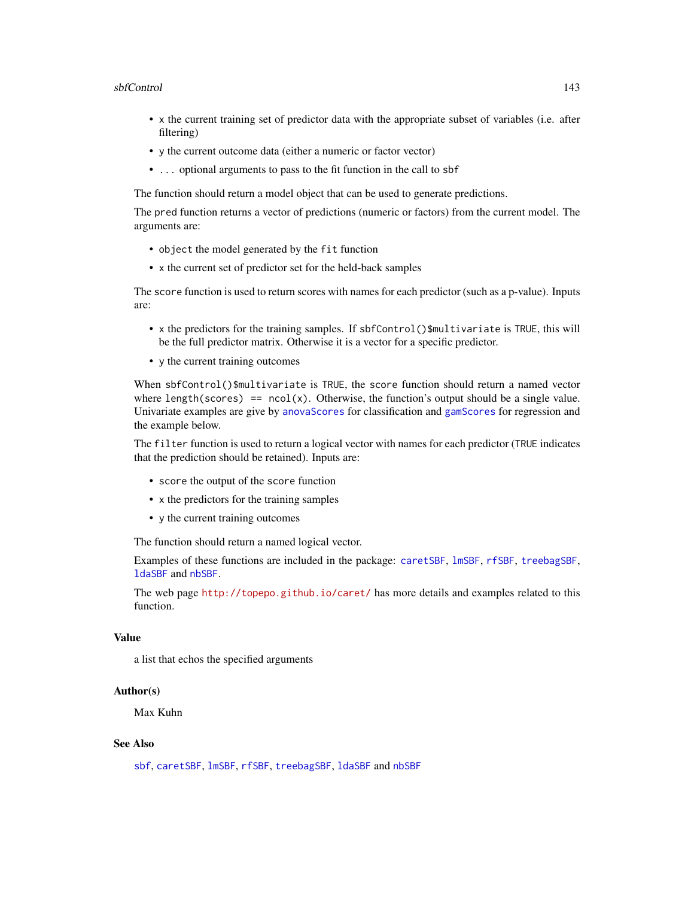#### sbfControl 143

- x the current training set of predictor data with the appropriate subset of variables (i.e. after filtering)
- y the current outcome data (either a numeric or factor vector)
- ... optional arguments to pass to the fit function in the call to sbf

The function should return a model object that can be used to generate predictions.

The pred function returns a vector of predictions (numeric or factors) from the current model. The arguments are:

- object the model generated by the fit function
- x the current set of predictor set for the held-back samples

The score function is used to return scores with names for each predictor (such as a p-value). Inputs are:

- x the predictors for the training samples. If sbfControl()\$multivariate is TRUE, this will be the full predictor matrix. Otherwise it is a vector for a specific predictor.
- y the current training outcomes

When sbfControl()\$multivariate is TRUE, the score function should return a named vector where length(scores) ==  $ncol(x)$ . Otherwise, the function's output should be a single value. Univariate examples are give by [anovaScores](#page-18-0) for classification and [gamScores](#page-18-0) for regression and the example below.

The filter function is used to return a logical vector with names for each predictor (TRUE indicates that the prediction should be retained). Inputs are:

- score the output of the score function
- x the predictors for the training samples
- y the current training outcomes

The function should return a named logical vector.

Examples of these functions are included in the package: [caretSBF](#page-18-1), [lmSBF](#page-18-0), [rfSBF](#page-18-0), [treebagSBF](#page-18-0), [ldaSBF](#page-18-0) and [nbSBF](#page-18-0).

The web page <http://topepo.github.io/caret/> has more details and examples related to this function.

#### Value

a list that echos the specified arguments

#### Author(s)

Max Kuhn

## See Also

[sbf](#page-138-0), [caretSBF](#page-18-1), [lmSBF](#page-18-0), [rfSBF](#page-18-0), [treebagSBF](#page-18-0), [ldaSBF](#page-18-0) and [nbSBF](#page-18-0)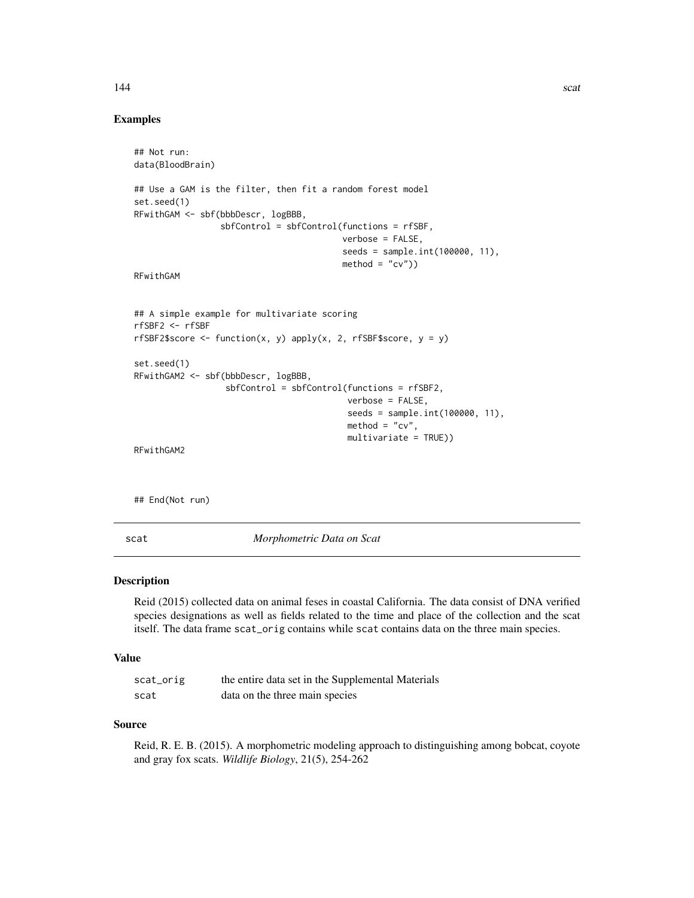#### 144 scattering the set of the set of the set of the set of the set of the set of the set of the set of the set of the set of the set of the set of the set of the set of the set of the set of the set of the set of the set o

## Examples

```
## Not run:
data(BloodBrain)
## Use a GAM is the filter, then fit a random forest model
set.seed(1)
RFwithGAM <- sbf(bbbDescr, logBBB,
                 sbfControl = sbfControl(functions = rfSBF,
                                          verbose = FALSE,
                                          seeds = sample.int(100000, 11),
                                         method = "cv")RFwithGAM
## A simple example for multivariate scoring
rfSBF2 <- rfSBF
rfSBF2$score <- function(x, y) apply(x, 2, rfSBF$score, y = y)
set.seed(1)
RFwithGAM2 <- sbf(bbbDescr, logBBB,
                  sbfControl = sbfControl(functions = rfSBF2,
                                           verbose = FALSE,
                                           seeds = sample.int(100000, 11),
                                           \text{method} = "cv",multivariate = TRUE))
RFwithGAM2
```
## End(Not run)

scat *Morphometric Data on Scat*

## Description

Reid (2015) collected data on animal feses in coastal California. The data consist of DNA verified species designations as well as fields related to the time and place of the collection and the scat itself. The data frame scat\_orig contains while scat contains data on the three main species.

## Value

| scat_orig | the entire data set in the Supplemental Materials |
|-----------|---------------------------------------------------|
| scat      | data on the three main species                    |

#### Source

Reid, R. E. B. (2015). A morphometric modeling approach to distinguishing among bobcat, coyote and gray fox scats. *Wildlife Biology*, 21(5), 254-262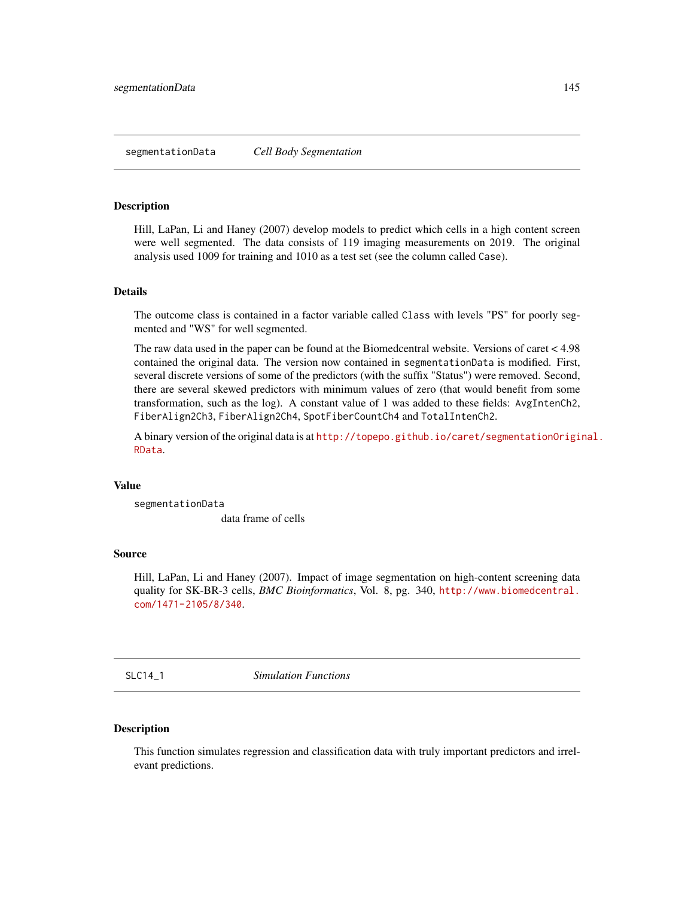#### Description

Hill, LaPan, Li and Haney (2007) develop models to predict which cells in a high content screen were well segmented. The data consists of 119 imaging measurements on 2019. The original analysis used 1009 for training and 1010 as a test set (see the column called Case).

## Details

The outcome class is contained in a factor variable called Class with levels "PS" for poorly segmented and "WS" for well segmented.

The raw data used in the paper can be found at the Biomedcentral website. Versions of caret < 4.98 contained the original data. The version now contained in segmentationData is modified. First, several discrete versions of some of the predictors (with the suffix "Status") were removed. Second, there are several skewed predictors with minimum values of zero (that would benefit from some transformation, such as the log). A constant value of 1 was added to these fields: AvgIntenCh2, FiberAlign2Ch3, FiberAlign2Ch4, SpotFiberCountCh4 and TotalIntenCh2.

A binary version of the original data is at [http://topepo.github.io/caret/segmentationOrigi](http://topepo.github.io/caret/segmentationOriginal.RData)nal. [RData](http://topepo.github.io/caret/segmentationOriginal.RData).

## Value

segmentationData

data frame of cells

# Source

Hill, LaPan, Li and Haney (2007). Impact of image segmentation on high-content screening data quality for SK-BR-3 cells, *BMC Bioinformatics*, Vol. 8, pg. 340, [http://www.biomedcentral.](http://www.biomedcentral.com/1471-2105/8/340) [com/1471-2105/8/340](http://www.biomedcentral.com/1471-2105/8/340).

SLC14\_1 *Simulation Functions*

# Description

This function simulates regression and classification data with truly important predictors and irrelevant predictions.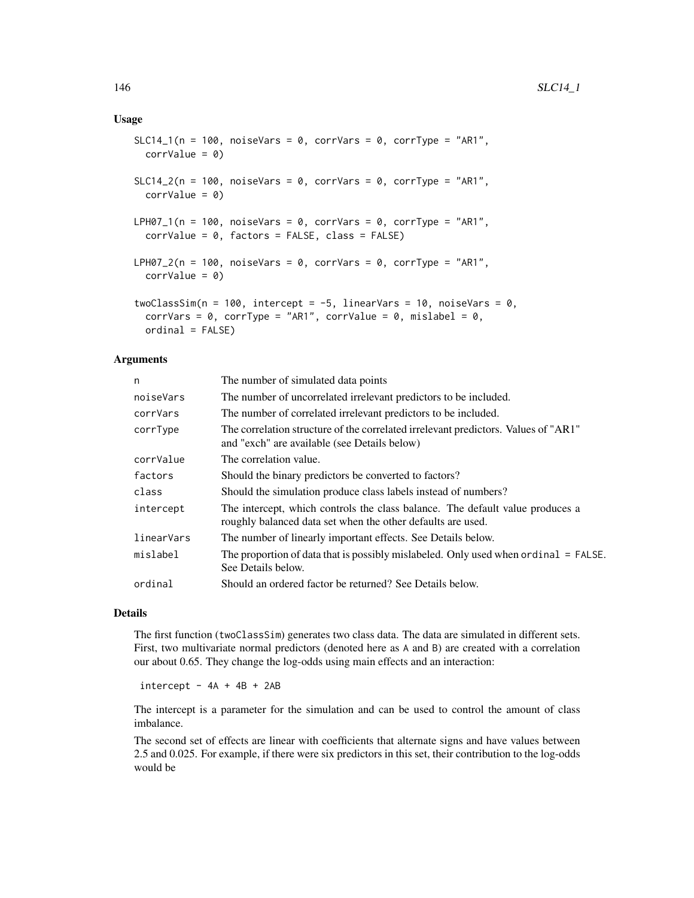## Usage

```
SLC14_1(n = 100, noiseVars = 0, corrVars = 0, corrType = "AR1",
 corrValue = 0SLC14_2(n = 100, noiseVars = 0, corrVars = 0, corrType = "AR1",
  corrValue = 0LPH07_1(n = 100, noiseVars = 0, corrVars = 0, corrType = "AR1",
  corrValue = 0, factors = FALSE, class = FALSE)
LPH07_2(n = 100, noiseVars = 0, corrVars = 0, corrType = "AR1",
  corrValue = 0twoClassSim(n = 100, intercept = -5, linearVars = 10, noiseVars = 0,
  corrVars = 0, corrType = "AR1", corrValue = 0, mislabel = 0,
  ordinal = FALSE)
```
## Arguments

| n          | The number of simulated data points                                                                                                          |
|------------|----------------------------------------------------------------------------------------------------------------------------------------------|
| noiseVars  | The number of uncorrelated irrelevant predictors to be included.                                                                             |
| corrVars   | The number of correlated irrelevant predictors to be included.                                                                               |
| corrType   | The correlation structure of the correlated irrelevant predictors. Values of "AR1"<br>and "exch" are available (see Details below)           |
| corrValue  | The correlation value.                                                                                                                       |
| factors    | Should the binary predictors be converted to factors?                                                                                        |
| class      | Should the simulation produce class labels instead of numbers?                                                                               |
| intercept  | The intercept, which controls the class balance. The default value produces a<br>roughly balanced data set when the other defaults are used. |
| linearVars | The number of linearly important effects. See Details below.                                                                                 |
| mislabel   | The proportion of data that is possibly mislabeled. Only used when ordinal = FALSE.<br>See Details below.                                    |
| ordinal    | Should an ordered factor be returned? See Details below.                                                                                     |

#### Details

The first function (twoClassSim) generates two class data. The data are simulated in different sets. First, two multivariate normal predictors (denoted here as A and B) are created with a correlation our about 0.65. They change the log-odds using main effects and an interaction:

 $intercept - 4A + 4B + 2AB$ 

The intercept is a parameter for the simulation and can be used to control the amount of class imbalance.

The second set of effects are linear with coefficients that alternate signs and have values between 2.5 and 0.025. For example, if there were six predictors in this set, their contribution to the log-odds would be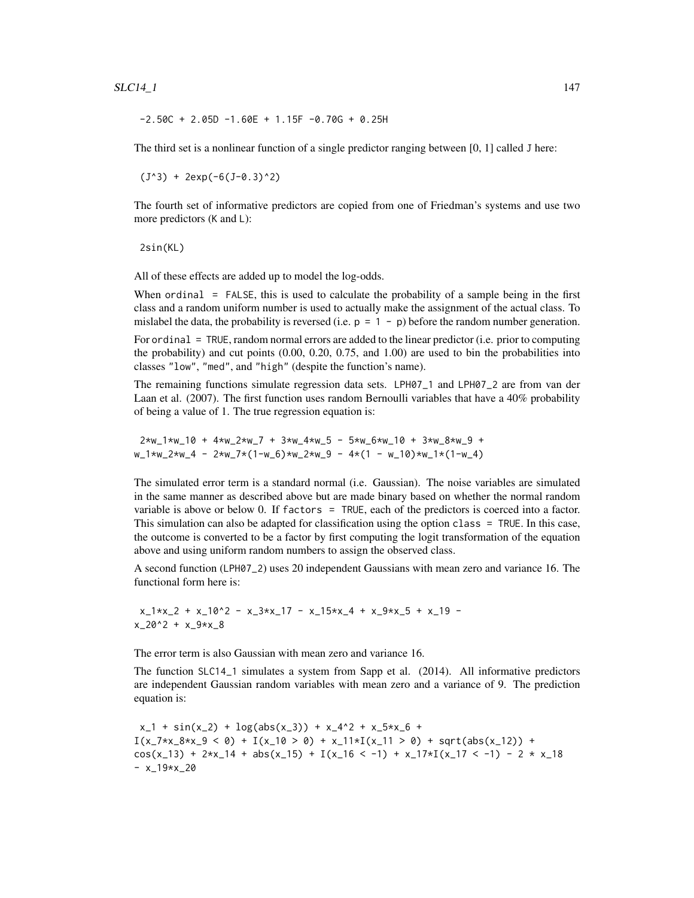### $SLC14_1$  147

 $-2.50C + 2.05D -1.60E + 1.15F -0.70G + 0.25H$ 

The third set is a nonlinear function of a single predictor ranging between [0, 1] called J here:

 $(J^3)$  + 2exp(-6(J-0.3)^2)

The fourth set of informative predictors are copied from one of Friedman's systems and use two more predictors (K and L):

2sin(KL)

All of these effects are added up to model the log-odds.

When ordinal = FALSE, this is used to calculate the probability of a sample being in the first class and a random uniform number is used to actually make the assignment of the actual class. To mislabel the data, the probability is reversed (i.e.  $p = 1 - p$ ) before the random number generation.

For ordinal = TRUE, random normal errors are added to the linear predictor (i.e. prior to computing the probability) and cut points (0.00, 0.20, 0.75, and 1.00) are used to bin the probabilities into classes "low", "med", and "high" (despite the function's name).

The remaining functions simulate regression data sets. LPH07\_1 and LPH07\_2 are from van der Laan et al. (2007). The first function uses random Bernoulli variables that have a 40% probability of being a value of 1. The true regression equation is:

2\*w\_1\*w\_10 + 4\*w\_2\*w\_7 + 3\*w\_4\*w\_5 - 5\*w\_6\*w\_10 + 3\*w\_8\*w\_9 + w\_1\*w\_2\*w\_4 - 2\*w\_7\*(1-w\_6)\*w\_2\*w\_9 - 4\*(1 - w\_10)\*w\_1\*(1-w\_4)

The simulated error term is a standard normal (i.e. Gaussian). The noise variables are simulated in the same manner as described above but are made binary based on whether the normal random variable is above or below 0. If factors = TRUE, each of the predictors is coerced into a factor. This simulation can also be adapted for classification using the option class = TRUE. In this case, the outcome is converted to be a factor by first computing the logit transformation of the equation above and using uniform random numbers to assign the observed class.

A second function (LPH07\_2) uses 20 independent Gaussians with mean zero and variance 16. The functional form here is:

 $x_1*x_2 + x_10^2 - x_3*x_17 - x_15*x_4 + x_9*x_5 + x_19$  $x_2$ 20^2 +  $x_9$ \* $x_8$ 

The error term is also Gaussian with mean zero and variance 16.

The function SLC14\_1 simulates a system from Sapp et al. (2014). All informative predictors are independent Gaussian random variables with mean zero and a variance of 9. The prediction equation is:

 $x_{-1}$  + sin(x<sub>-2</sub>) + log(abs(x<sub>-3</sub>)) + x<sub>-</sub>4^2 + x<sub>-</sub>5\*x<sub>-</sub>6 +  $I(x_7*x_8*x_9 < 0) + I(x_10 > 0) + x_11*x_1(x_11 > 0) + sqrt(abs(x_12)) +$ cos(x\_13) + 2\*x\_14 + abs(x\_15) + I(x\_16 < -1) + x\_17\*I(x\_17 < -1) - 2 \* x\_18  $- x_19*x_20$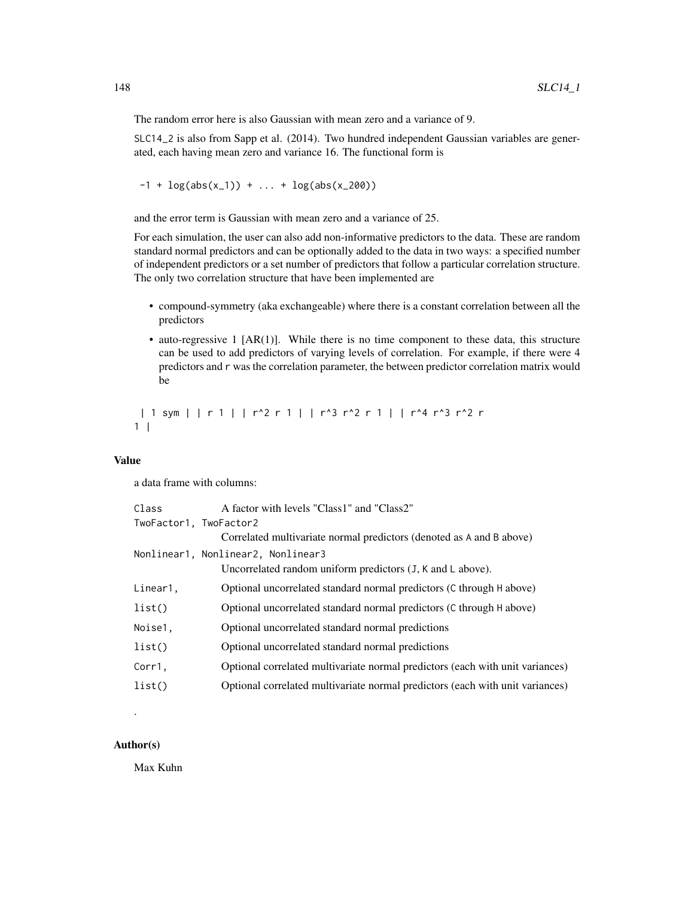The random error here is also Gaussian with mean zero and a variance of 9.

SLC14\_2 is also from Sapp et al. (2014). Two hundred independent Gaussian variables are generated, each having mean zero and variance 16. The functional form is

 $-1 + \log(abs(x_1)) + ... + \log(abs(x_200))$ 

and the error term is Gaussian with mean zero and a variance of 25.

For each simulation, the user can also add non-informative predictors to the data. These are random standard normal predictors and can be optionally added to the data in two ways: a specified number of independent predictors or a set number of predictors that follow a particular correlation structure. The only two correlation structure that have been implemented are

- compound-symmetry (aka exchangeable) where there is a constant correlation between all the predictors
- auto-regressive 1  $[AR(1)]$ . While there is no time component to these data, this structure can be used to add predictors of varying levels of correlation. For example, if there were 4 predictors and r was the correlation parameter, the between predictor correlation matrix would be

| 1 sym | | r 1 | | r^2 r 1 | | r^3 r^2 r 1 | | r^4 r^3 r^2 r  $1 \mid$ 

## Value

a data frame with columns:

| Class                  | A factor with levels "Class1" and "Class2"                                     |
|------------------------|--------------------------------------------------------------------------------|
| TwoFactor1, TwoFactor2 |                                                                                |
|                        | Correlated multivariate normal predictors (denoted as A and B above)           |
|                        | Nonlinear1, Nonlinear2, Nonlinear3                                             |
|                        | Uncorrelated random uniform predictors $(J, K \text{ and } L \text{ above})$ . |
| Linear1,               | Optional uncorrelated standard normal predictors (C through H above)           |
| list()                 | Optional uncorrelated standard normal predictors (C through H above)           |
| Noise1.                | Optional uncorrelated standard normal predictions                              |
| list()                 | Optional uncorrelated standard normal predictions                              |
| Corr1,                 | Optional correlated multivariate normal predictors (each with unit variances)  |
| list()                 | Optional correlated multivariate normal predictors (each with unit variances)  |
|                        |                                                                                |

## Author(s)

.

Max Kuhn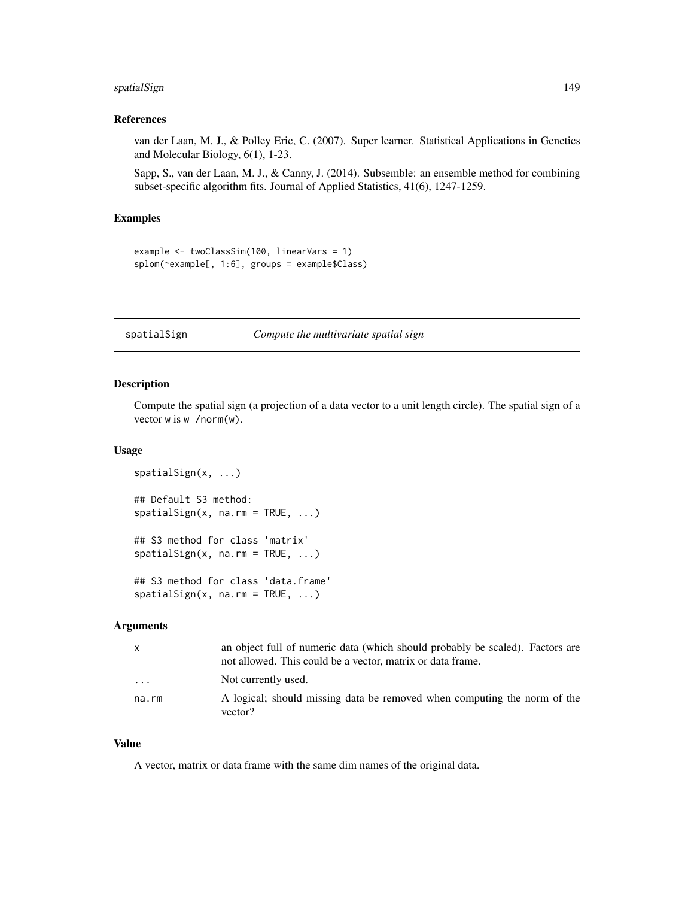# spatialSign 149

#### References

van der Laan, M. J., & Polley Eric, C. (2007). Super learner. Statistical Applications in Genetics and Molecular Biology, 6(1), 1-23.

Sapp, S., van der Laan, M. J., & Canny, J. (2014). Subsemble: an ensemble method for combining subset-specific algorithm fits. Journal of Applied Statistics, 41(6), 1247-1259.

# Examples

```
example <- twoClassSim(100, linearVars = 1)
splom(~example[, 1:6], groups = example$Class)
```
#### spatialSign *Compute the multivariate spatial sign*

#### Description

Compute the spatial sign (a projection of a data vector to a unit length circle). The spatial sign of a vector w is w /norm(w).

#### Usage

```
spatialSign(x, ...)
## Default S3 method:
spatialSign(x, na.rm = TRUE, ...)## S3 method for class 'matrix'
spatialSign(x, na.rm = TRUE, ...)## S3 method for class 'data.frame'
spatialSign(x, na.rm = TRUE, ...)
```
## Arguments

| $\mathsf{x}$ | an object full of numeric data (which should probably be scaled). Factors are<br>not allowed. This could be a vector, matrix or data frame. |
|--------------|---------------------------------------------------------------------------------------------------------------------------------------------|
| .            | Not currently used.                                                                                                                         |
| na.rm        | A logical; should missing data be removed when computing the norm of the<br>vector?                                                         |

# Value

A vector, matrix or data frame with the same dim names of the original data.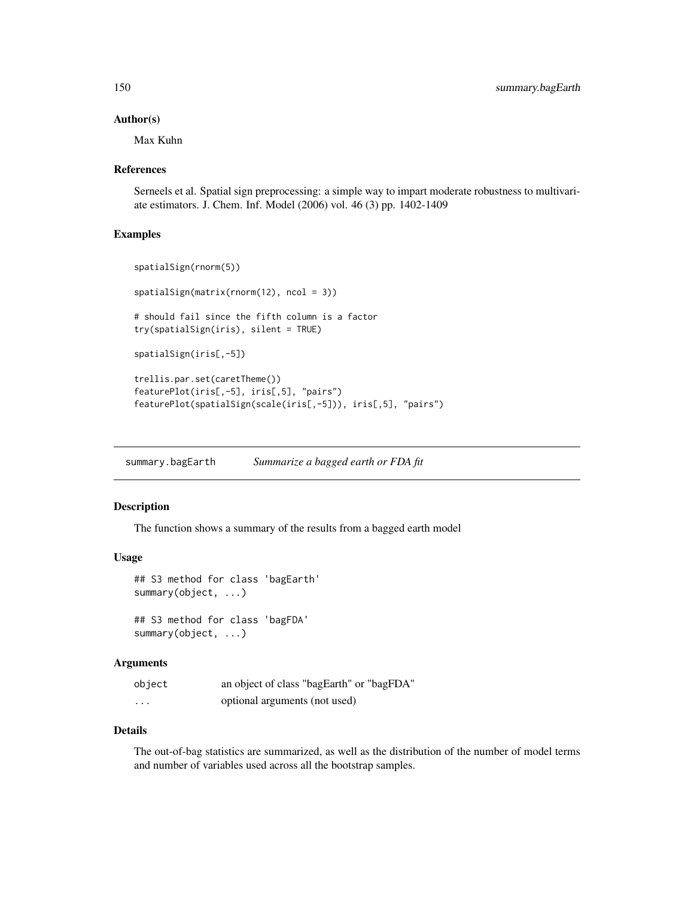#### Author(s)

Max Kuhn

## References

Serneels et al. Spatial sign preprocessing: a simple way to impart moderate robustness to multivariate estimators. J. Chem. Inf. Model (2006) vol. 46 (3) pp. 1402-1409

## Examples

```
spatialSign(rnorm(5))
spatialSign(matrix(rnorm(12), ncol = 3))
# should fail since the fifth column is a factor
try(spatialSign(iris), silent = TRUE)
spatialSign(iris[,-5])
trellis.par.set(caretTheme())
featurePlot(iris[,-5], iris[,5], "pairs")
featurePlot(spatialSign(scale(iris[,-5])), iris[,5], "pairs")
```
summary.bagEarth *Summarize a bagged earth or FDA fit*

# Description

The function shows a summary of the results from a bagged earth model

#### Usage

```
## S3 method for class 'bagEarth'
summary(object, ...)
## S3 method for class 'bagFDA'
summary(object, ...)
```
#### Arguments

| object | an object of class "bagEarth" or "bagFDA" |
|--------|-------------------------------------------|
| .      | optional arguments (not used)             |

# Details

The out-of-bag statistics are summarized, as well as the distribution of the number of model terms and number of variables used across all the bootstrap samples.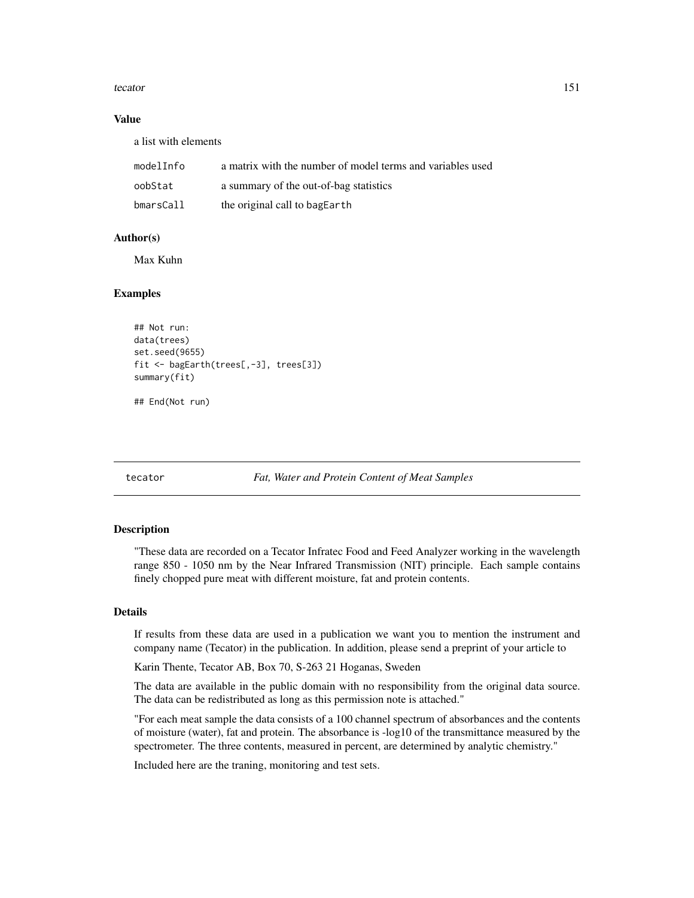#### tecator 151

## Value

a list with elements

| modelInfo | a matrix with the number of model terms and variables used |
|-----------|------------------------------------------------------------|
| oobStat   | a summary of the out-of-bag statistics                     |
| bmarsCall | the original call to bagEarth                              |

# Author(s)

Max Kuhn

# Examples

```
## Not run:
data(trees)
set.seed(9655)
fit <- bagEarth(trees[,-3], trees[3])
summary(fit)
```
## End(Not run)

tecator *Fat, Water and Protein Content of Meat Samples*

#### Description

"These data are recorded on a Tecator Infratec Food and Feed Analyzer working in the wavelength range 850 - 1050 nm by the Near Infrared Transmission (NIT) principle. Each sample contains finely chopped pure meat with different moisture, fat and protein contents.

## Details

If results from these data are used in a publication we want you to mention the instrument and company name (Tecator) in the publication. In addition, please send a preprint of your article to

Karin Thente, Tecator AB, Box 70, S-263 21 Hoganas, Sweden

The data are available in the public domain with no responsibility from the original data source. The data can be redistributed as long as this permission note is attached."

"For each meat sample the data consists of a 100 channel spectrum of absorbances and the contents of moisture (water), fat and protein. The absorbance is -log10 of the transmittance measured by the spectrometer. The three contents, measured in percent, are determined by analytic chemistry."

Included here are the traning, monitoring and test sets.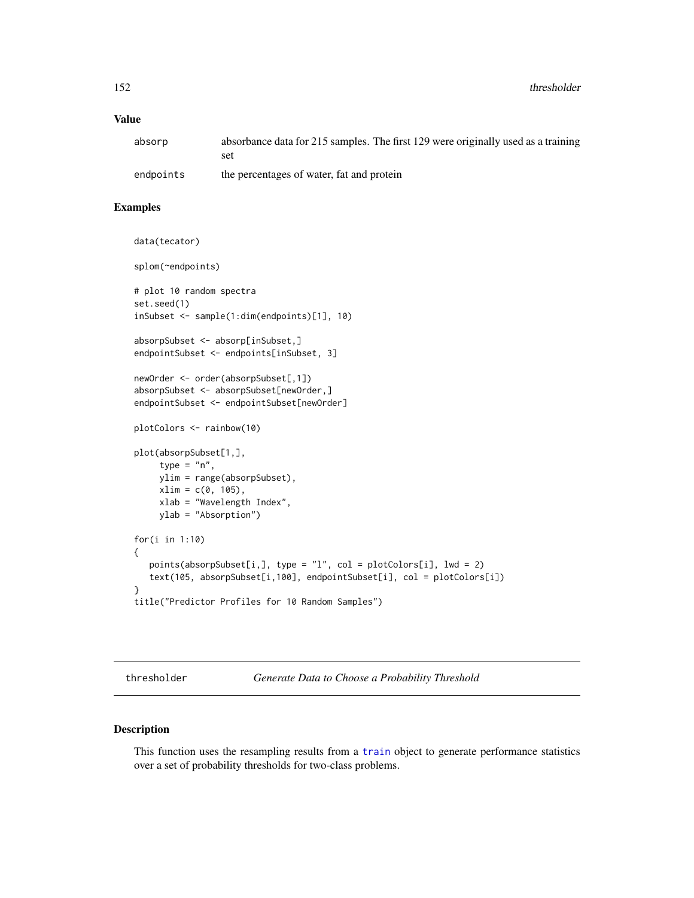# Value

| absorp    | absorbance data for 215 samples. The first 129 were originally used as a training |
|-----------|-----------------------------------------------------------------------------------|
|           | set                                                                               |
| endpoints | the percentages of water, fat and protein                                         |

# Examples

```
data(tecator)
splom(~endpoints)
# plot 10 random spectra
set.seed(1)
inSubset <- sample(1:dim(endpoints)[1], 10)
absorpSubset <- absorp[inSubset,]
endpointSubset <- endpoints[inSubset, 3]
newOrder <- order(absorpSubset[,1])
absorpSubset <- absorpSubset[newOrder,]
endpointSubset <- endpointSubset[newOrder]
plotColors <- rainbow(10)
plot(absorpSubset[1,],
    type = "n",
    ylim = range(absorpSubset),
    xlim = c(0, 105),
    xlab = "Wavelength Index",
    ylab = "Absorption")
for(i in 1:10)
{
  points(absorpSubset[i,], type = "l", col = plotColors[i], lwd = 2)
  text(105, absorpSubset[i,100], endpointSubset[i], col = plotColors[i])
}
title("Predictor Profiles for 10 Random Samples")
```
thresholder *Generate Data to Choose a Probability Threshold*

# Description

This function uses the resampling results from a [train](#page-153-0) object to generate performance statistics over a set of probability thresholds for two-class problems.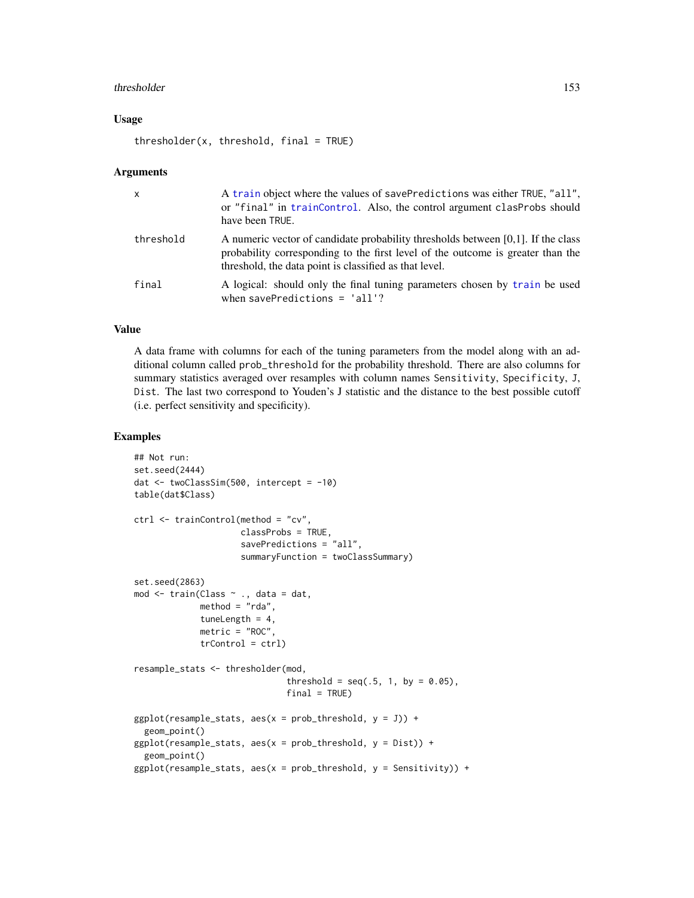#### thresholder 153

## Usage

 $thresholder(x, threshold, final = TRUE)$ 

#### Arguments

| X         | A train object where the values of savePredictions was either TRUE, "all",<br>or "final" in trainControl. Also, the control argument clasProbs should<br>have been TRUE.                                                         |
|-----------|----------------------------------------------------------------------------------------------------------------------------------------------------------------------------------------------------------------------------------|
| threshold | A numeric vector of candidate probability thresholds between $[0,1]$ . If the class<br>probability corresponding to the first level of the outcome is greater than the<br>threshold, the data point is classified as that level. |
| final     | A logical: should only the final tuning parameters chosen by train be used<br>when savePredictions = $'all$ ?                                                                                                                    |

# Value

A data frame with columns for each of the tuning parameters from the model along with an additional column called prob\_threshold for the probability threshold. There are also columns for summary statistics averaged over resamples with column names Sensitivity, Specificity, J, Dist. The last two correspond to Youden's J statistic and the distance to the best possible cutoff (i.e. perfect sensitivity and specificity).

# Examples

```
## Not run:
set.seed(2444)
dat <- twoClassSim(500, intercept = -10)
table(dat$Class)
ctrl <- trainControl(method = "cv",
                     classProbs = TRUE,
                     savePredictions = "all",
                     summaryFunction = twoClassSummary)
set.seed(2863)
mod <- train(Class ~ ., data = dat,
             method = "rda",tuneLength = 4,
             metric = "ROC",
             trControl = ctrl)
resample_stats <- thresholder(mod,
                              threshold = seq(.5, 1, by = 0.05),
                              final = TRUE)
ggplot(resample\_stats, aes(x = prob\_threshold, y = J)) +geom_point()
ggplot(resample\_stats, aes(x = prob\_threshold, y = Dist)) +geom_point()
ggplot(resample\_stats, aes(x = prob\_threshold, y = Sensitivity)) +
```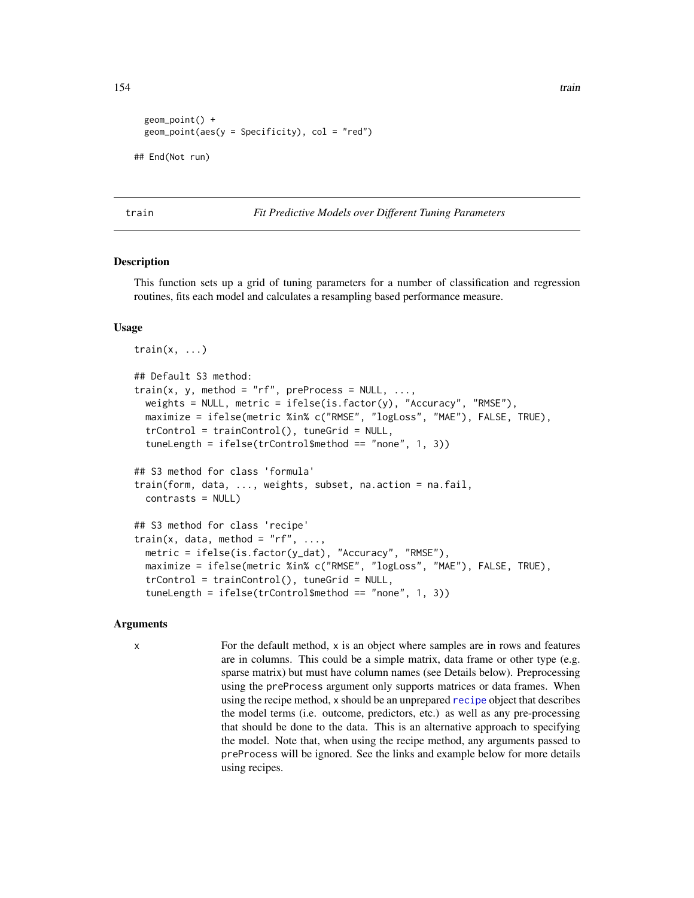```
geom_point() +
 geom\_point(aes(y = Specificity), col = "red")## End(Not run)
```
<span id="page-153-0"></span>train *Fit Predictive Models over Different Tuning Parameters*

## Description

This function sets up a grid of tuning parameters for a number of classification and regression routines, fits each model and calculates a resampling based performance measure.

#### Usage

```
train(x, \ldots)## Default S3 method:
train(x, y, method = "rf", preProcess = NULL, ...,weights = NULL, metric = ifelse(is.factor(y), "Accuracy", "RMSE"),
  maximize = ifelse(metric %in% c("RMSE", "logLoss", "MAE"), FALSE, TRUE),
  trControl = trainControl(), tuneGrid = NULL,
  tuneLength = ifelse(trControl$method == "none", 1, 3))
## S3 method for class 'formula'
train(form, data, ..., weights, subset, na.action = na.fail,
  contrasts = NULL)
## S3 method for class 'recipe'
train(x, data, method = "rf", \ldots,
  metric = ifelse(is.factor(y_dat), "Accuracy", "RMSE"),
  maximize = ifelse(metric %in% c("RMSE", "logLoss", "MAE"), FALSE, TRUE),
  trControl = trainControl(), tuneGrid = NULL,
  tuneLength = ifelse(trControl$method == "none", 1, 3))
```
#### Arguments

x For the default method, x is an object where samples are in rows and features are in columns. This could be a simple matrix, data frame or other type (e.g. sparse matrix) but must have column names (see Details below). Preprocessing using the preProcess argument only supports matrices or data frames. When using the [recipe](#page-0-0) method, x should be an unprepared recipe object that describes the model terms (i.e. outcome, predictors, etc.) as well as any pre-processing that should be done to the data. This is an alternative approach to specifying the model. Note that, when using the recipe method, any arguments passed to preProcess will be ignored. See the links and example below for more details using recipes.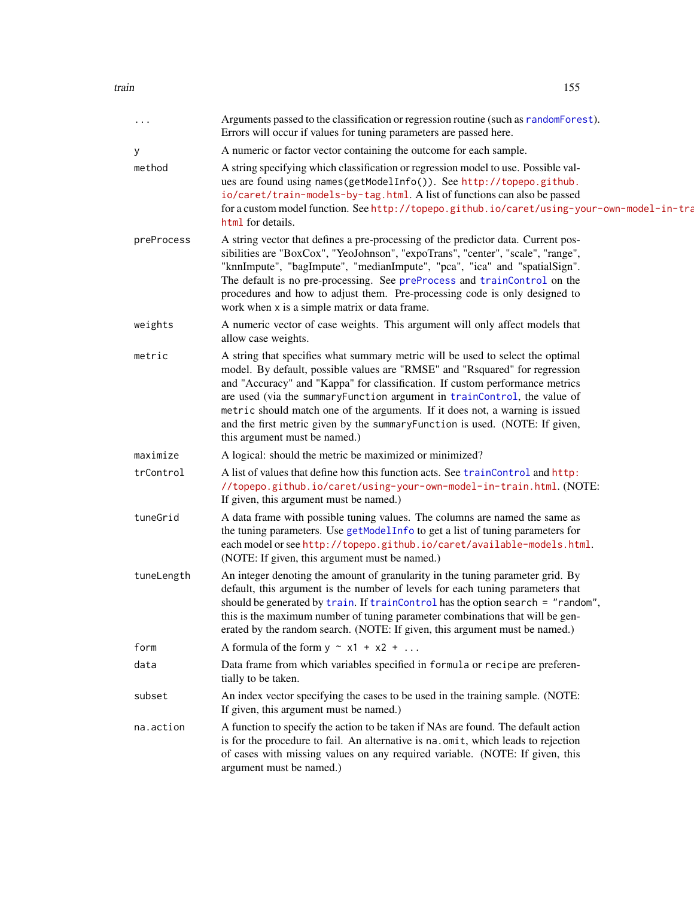| .          | Arguments passed to the classification or regression routine (such as randomForest).<br>Errors will occur if values for tuning parameters are passed here.                                                                                                                                                                                                                                                                                                                                                                  |
|------------|-----------------------------------------------------------------------------------------------------------------------------------------------------------------------------------------------------------------------------------------------------------------------------------------------------------------------------------------------------------------------------------------------------------------------------------------------------------------------------------------------------------------------------|
| у          | A numeric or factor vector containing the outcome for each sample.                                                                                                                                                                                                                                                                                                                                                                                                                                                          |
| method     | A string specifying which classification or regression model to use. Possible val-<br>ues are found using names(getModelInfo()). See http://topepo.github.<br>io/caret/train-models-by-tag.html. A list of functions can also be passed<br>for a custom model function. See http://topepo.github.io/caret/using-your-own-model-in-tra<br>html for details.                                                                                                                                                                  |
| preProcess | A string vector that defines a pre-processing of the predictor data. Current pos-<br>sibilities are "BoxCox", "YeoJohnson", "expoTrans", "center", "scale", "range",<br>"knnImpute", "bagImpute", "medianImpute", "pca", "ica" and "spatialSign".<br>The default is no pre-processing. See preProcess and trainControl on the<br>procedures and how to adjust them. Pre-processing code is only designed to<br>work when x is a simple matrix or data frame.                                                                |
| weights    | A numeric vector of case weights. This argument will only affect models that<br>allow case weights.                                                                                                                                                                                                                                                                                                                                                                                                                         |
| metric     | A string that specifies what summary metric will be used to select the optimal<br>model. By default, possible values are "RMSE" and "Rsquared" for regression<br>and "Accuracy" and "Kappa" for classification. If custom performance metrics<br>are used (via the summaryFunction argument in trainControl, the value of<br>metric should match one of the arguments. If it does not, a warning is issued<br>and the first metric given by the summary Function is used. (NOTE: If given,<br>this argument must be named.) |
| maximize   | A logical: should the metric be maximized or minimized?                                                                                                                                                                                                                                                                                                                                                                                                                                                                     |
| trControl  | A list of values that define how this function acts. See trainControl and http:<br>//topepo.github.io/caret/using-your-own-model-in-train.html. (NOTE:<br>If given, this argument must be named.)                                                                                                                                                                                                                                                                                                                           |
| tuneGrid   | A data frame with possible tuning values. The columns are named the same as<br>the tuning parameters. Use getModelInfo to get a list of tuning parameters for<br>each model or see http://topepo.github.io/caret/available-models.html.<br>(NOTE: If given, this argument must be named.)                                                                                                                                                                                                                                   |
| tuneLength | An integer denoting the amount of granularity in the tuning parameter grid. By<br>default, this argument is the number of levels for each tuning parameters that<br>should be generated by train. If trainControl has the option search = "random",<br>this is the maximum number of tuning parameter combinations that will be gen-<br>erated by the random search. (NOTE: If given, this argument must be named.)                                                                                                         |
| form       | A formula of the form $y \sim x1 + x2 + $                                                                                                                                                                                                                                                                                                                                                                                                                                                                                   |
| data       | Data frame from which variables specified in formula or recipe are preferen-<br>tially to be taken.                                                                                                                                                                                                                                                                                                                                                                                                                         |
| subset     | An index vector specifying the cases to be used in the training sample. (NOTE:<br>If given, this argument must be named.)                                                                                                                                                                                                                                                                                                                                                                                                   |
| na.action  | A function to specify the action to be taken if NAs are found. The default action<br>is for the procedure to fail. An alternative is na.omit, which leads to rejection<br>of cases with missing values on any required variable. (NOTE: If given, this<br>argument must be named.)                                                                                                                                                                                                                                          |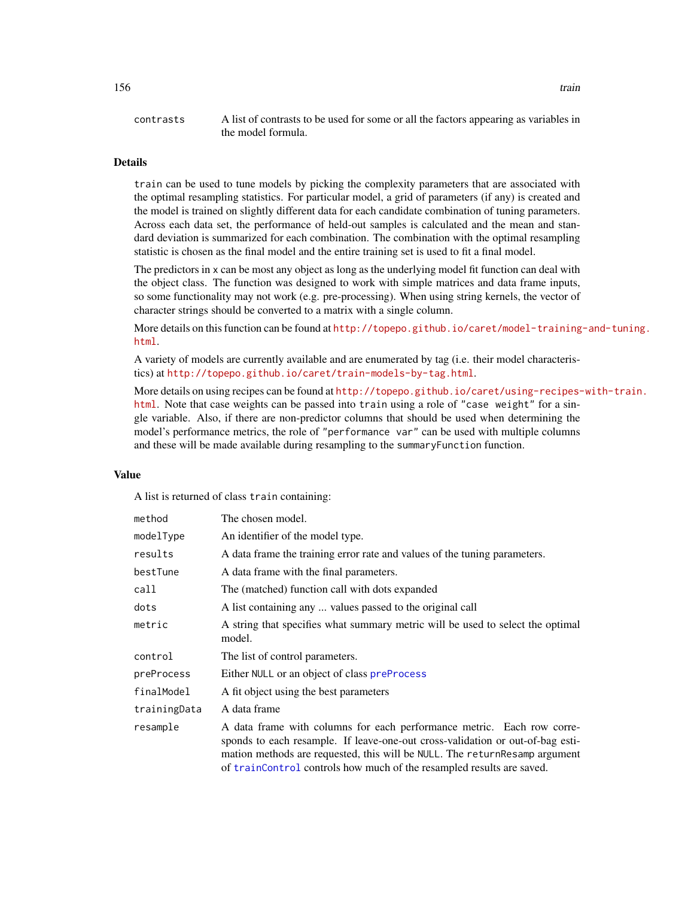# Details

train can be used to tune models by picking the complexity parameters that are associated with the optimal resampling statistics. For particular model, a grid of parameters (if any) is created and the model is trained on slightly different data for each candidate combination of tuning parameters. Across each data set, the performance of held-out samples is calculated and the mean and standard deviation is summarized for each combination. The combination with the optimal resampling statistic is chosen as the final model and the entire training set is used to fit a final model.

The predictors in x can be most any object as long as the underlying model fit function can deal with the object class. The function was designed to work with simple matrices and data frame inputs, so some functionality may not work (e.g. pre-processing). When using string kernels, the vector of character strings should be converted to a matrix with a single column.

More details on this function can be found at [http://topepo.github.io/caret/model-training](http://topepo.github.io/caret/model-training-and-tuning.html)-and-tuning. [html](http://topepo.github.io/caret/model-training-and-tuning.html).

A variety of models are currently available and are enumerated by tag (i.e. their model characteristics) at <http://topepo.github.io/caret/train-models-by-tag.html>.

More details on using recipes can be found at [http://topepo.github.io/caret/using-recipes-](http://topepo.github.io/caret/using-recipes-with-train.html)with-train. [html](http://topepo.github.io/caret/using-recipes-with-train.html). Note that case weights can be passed into train using a role of "case weight" for a single variable. Also, if there are non-predictor columns that should be used when determining the model's performance metrics, the role of "performance var" can be used with multiple columns and these will be made available during resampling to the summaryFunction function.

## Value

A list is returned of class train containing:

| method       | The chosen model.                                                                                                                                                                                                                                                                                               |
|--------------|-----------------------------------------------------------------------------------------------------------------------------------------------------------------------------------------------------------------------------------------------------------------------------------------------------------------|
| modelType    | An identifier of the model type.                                                                                                                                                                                                                                                                                |
| results      | A data frame the training error rate and values of the tuning parameters.                                                                                                                                                                                                                                       |
| bestTune     | A data frame with the final parameters.                                                                                                                                                                                                                                                                         |
| call         | The (matched) function call with dots expanded                                                                                                                                                                                                                                                                  |
| dots         | A list containing any  values passed to the original call                                                                                                                                                                                                                                                       |
| metric       | A string that specifies what summary metric will be used to select the optimal<br>model.                                                                                                                                                                                                                        |
| control      | The list of control parameters.                                                                                                                                                                                                                                                                                 |
| preProcess   | Either NULL or an object of class preProcess                                                                                                                                                                                                                                                                    |
| finalModel   | A fit object using the best parameters                                                                                                                                                                                                                                                                          |
| trainingData | A data frame                                                                                                                                                                                                                                                                                                    |
| resample     | A data frame with columns for each performance metric. Each row corre-<br>sponds to each resample. If leave-one-out cross-validation or out-of-bag esti-<br>mation methods are requested, this will be NULL. The returnResamp argument<br>of trainControl controls how much of the resampled results are saved. |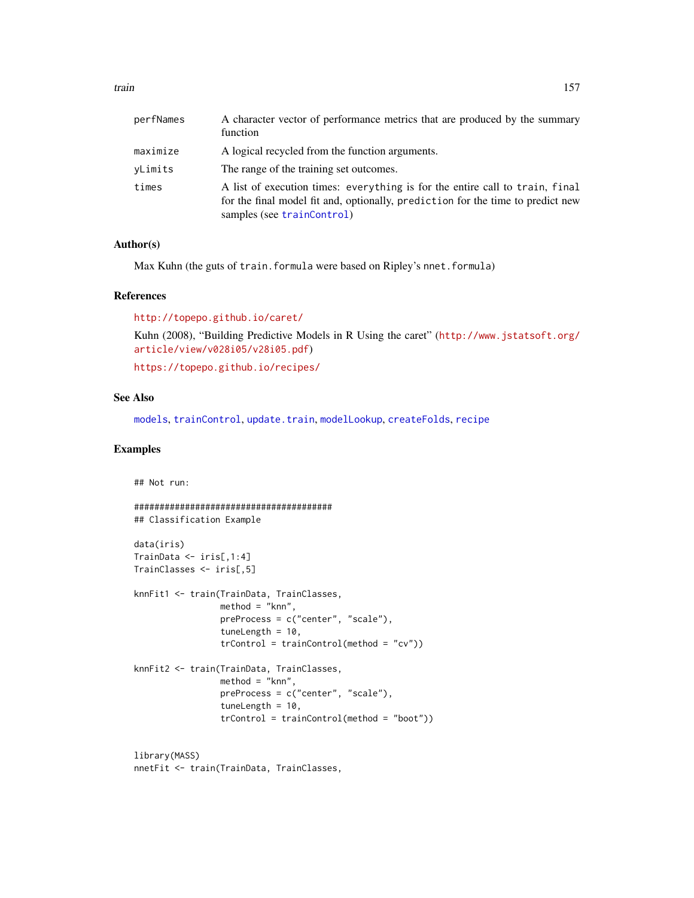| perfNames | A character vector of performance metrics that are produced by the summary<br>function                                                                                                        |
|-----------|-----------------------------------------------------------------------------------------------------------------------------------------------------------------------------------------------|
| maximize  | A logical recycled from the function arguments.                                                                                                                                               |
| vLimits   | The range of the training set outcomes.                                                                                                                                                       |
| times     | A list of execution times: everything is for the entire call to train, final<br>for the final model fit and, optionally, prediction for the time to predict new<br>samples (see trainControl) |

## Author(s)

Max Kuhn (the guts of train.formula were based on Ripley's nnet.formula)

#### References

<http://topepo.github.io/caret/>

Kuhn (2008), "Building Predictive Models in R Using the caret" ([http://www.jstatsoft.org/](http://www.jstatsoft.org/article/view/v028i05/v28i05.pdf) [article/view/v028i05/v28i05.pdf](http://www.jstatsoft.org/article/view/v028i05/v28i05.pdf))

<https://topepo.github.io/recipes/>

## See Also

[models](#page-163-0), [trainControl](#page-158-0), [update.train](#page-196-0), [modelLookup](#page-78-1), [createFolds](#page-26-0), [recipe](#page-0-0)

# Examples

## Not run:

```
#######################################
## Classification Example
data(iris)
TrainData <- iris[,1:4]
TrainClasses <- iris[,5]
knnFit1 <- train(TrainData, TrainClasses,
                 method = "knn",preProcess = c("center", "scale"),
                 tuneLength = 10,
                 trControl = trainControl(method = "cv"))
knnFit2 <- train(TrainData, TrainClasses,
                 method = "knn",
                 preProcess = c("center", "scale"),
                 tuneLength = 10,
                 trControl = trainControl(method = "boot"))
```
library(MASS) nnetFit <- train(TrainData, TrainClasses,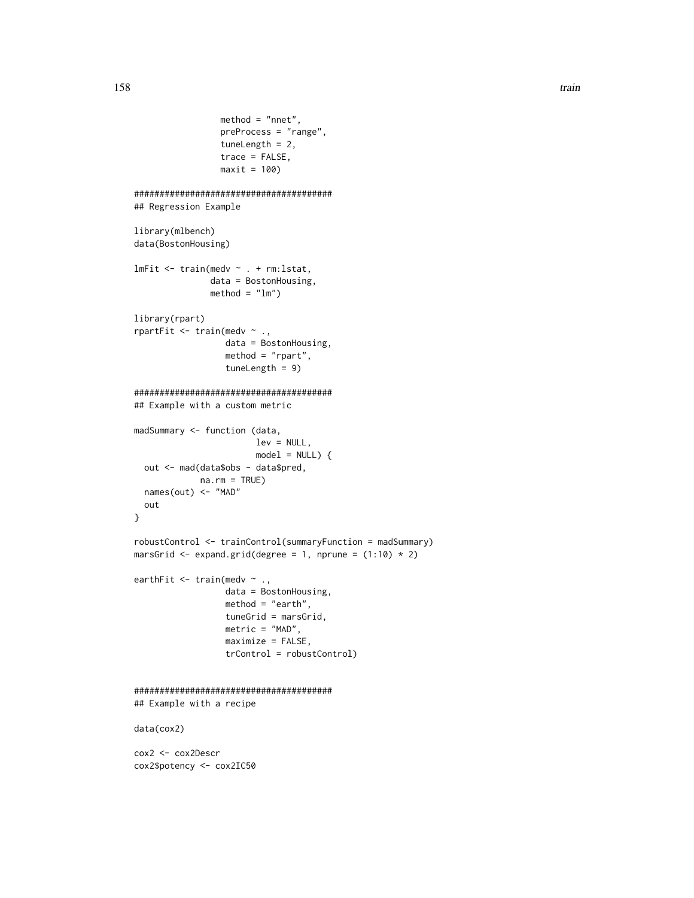```
method = "nnet",preProcess = "range",
                 tuneLength = 2,
                 trace = FALSE,
                 maxit = 100#######################################
## Regression Example
library(mlbench)
data(BostonHousing)
lmFit <- train(medv ~ . + rm:lstat,
               data = BostonHousing,
               method = "lm")library(rpart)
rpartFit <- train(medv ~ .,
                  data = BostonHousing,
                  method = "rpart",
                  tuneLength = 9)
#######################################
## Example with a custom metric
madSummary <- function (data,
                        lev = NULL,
                        model = NULL) {
  out <- mad(data$obs - data$pred,
            na.rm = TRUE)
  names(out) <- "MAD"
  out
}
robustControl <- trainControl(summaryFunction = madSummary)
marsGrid \leq expand.grid(degree = 1, nprune = (1:10) * 2)
earthFit <- train(medv ~ .,
                  data = BostonHousing,
                  method = "earth",
                  tuneGrid = marsGrid,
                  metric = "MAD",
                  maximize = FALSE,
                  trControl = robustControl)
#######################################
## Example with a recipe
data(cox2)
cox2 <- cox2Descr
cox2$potency <- cox2IC50
```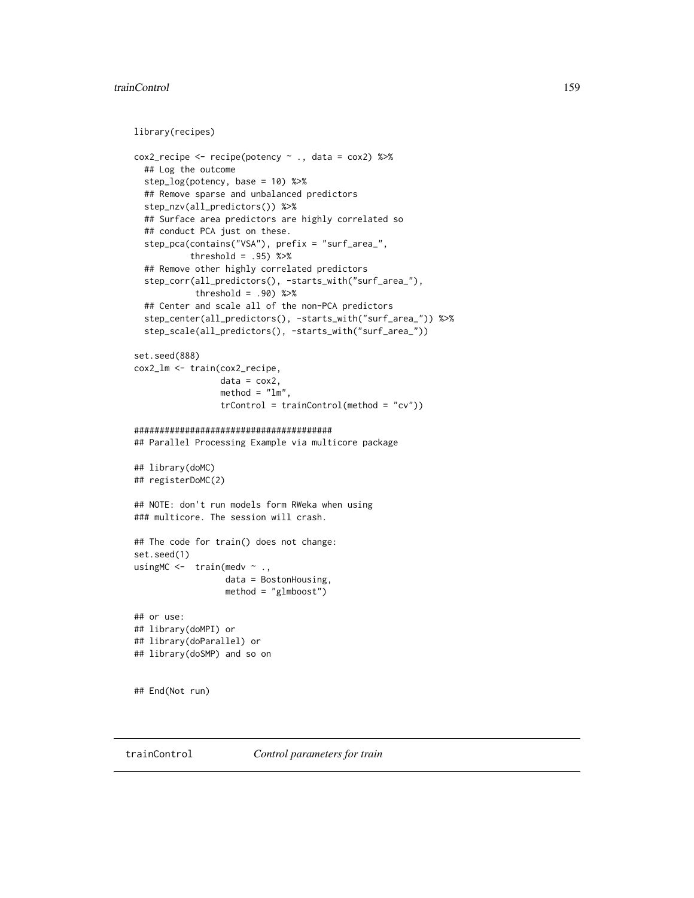#### trainControl 159

```
library(recipes)
```

```
\text{cox2\_recipe} \leq \text{recipe}(\text{potency} \sim ., \text{ data} = \text{cox2}) %>%
  ## Log the outcome
  step_log(potency, base = 10) %>%
  ## Remove sparse and unbalanced predictors
  step_nzv(all_predictors()) %>%
  ## Surface area predictors are highly correlated so
  ## conduct PCA just on these.
  step_pca(contains("VSA"), prefix = "surf_area_",
           threshold = .95) %>%
  ## Remove other highly correlated predictors
  step_corr(all_predictors(), -starts_with("surf_area_"),
            threshold = .90) %>%
  ## Center and scale all of the non-PCA predictors
  step_center(all_predictors(), -starts_with("surf_area_")) %>%
  step_scale(all_predictors(), -starts_with("surf_area_"))
set.seed(888)
cox2_lm <- train(cox2_recipe,
                 data = cos2,
                 method = "lm",trControl = trainControl(method = "cv"))
#######################################
## Parallel Processing Example via multicore package
## library(doMC)
## registerDoMC(2)
## NOTE: don't run models form RWeka when using
### multicore. The session will crash.
## The code for train() does not change:
set.seed(1)
usingMC <- train(medv \sim .,
                  data = BostonHousing,
                   method = "glmboost")
## or use:
## library(doMPI) or
## library(doParallel) or
## library(doSMP) and so on
## End(Not run)
```
<span id="page-158-0"></span>trainControl *Control parameters for train*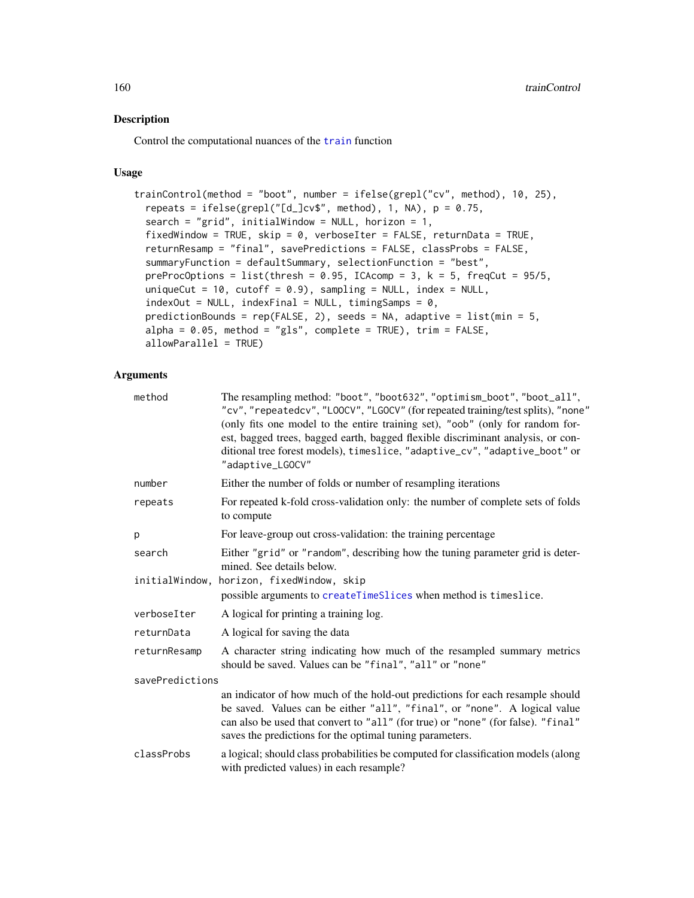# Description

Control the computational nuances of the [train](#page-153-0) function

# Usage

```
trainControl(method = "boot", number = ifelse(grepl("cv", method), 10, 25),
  repeats = ifelse(grepl("[d_]cv$", method), 1, NA), p = 0.75,
  search = "grid", initialWindow = NULL, horizon = 1,
  fixedWindow = TRUE, skip = 0, verboseIter = FALSE, returnData = TRUE,
  returnResamp = "final", savePredictions = FALSE, classProbs = FALSE,
 summaryFunction = defaultSummary, selectionFunction = "best",
 preProcOptions = list(thresh = 0.95, ICAcomp = 3, k = 5, freqCut = 95/5,
 uniqueCut = 10, cutoff = 0.9, sampling = NULL, index = NULL,
  indexOut = NULL, indexFinal = NULL, timingSamples = 0,predictionBounds = rep(FALSE, 2), seeds = NA, adaptive = list(min = 5,
  alpha = 0.05, method = "gls", complete = TRUE), trim = FALSE,
  allowParallel = TRUE)
```
# Arguments

| method          | The resampling method: "boot", "boot632", "optimism_boot", "boot_all",<br>"cv", "repeatedcv", "LOOCV", "LGOCV" (for repeated training/test splits), "none"<br>(only fits one model to the entire training set), "oob" (only for random for-<br>est, bagged trees, bagged earth, bagged flexible discriminant analysis, or con-<br>ditional tree forest models), timeslice, "adaptive_cv", "adaptive_boot" or<br>"adaptive_LGOCV" |
|-----------------|----------------------------------------------------------------------------------------------------------------------------------------------------------------------------------------------------------------------------------------------------------------------------------------------------------------------------------------------------------------------------------------------------------------------------------|
| number          | Either the number of folds or number of resampling iterations                                                                                                                                                                                                                                                                                                                                                                    |
| repeats         | For repeated k-fold cross-validation only: the number of complete sets of folds<br>to compute                                                                                                                                                                                                                                                                                                                                    |
| р               | For leave-group out cross-validation: the training percentage                                                                                                                                                                                                                                                                                                                                                                    |
| search          | Either "grid" or "random", describing how the tuning parameter grid is deter-<br>mined. See details below.                                                                                                                                                                                                                                                                                                                       |
| initialWindow,  | horizon, fixedWindow, skip<br>possible arguments to createTimeSlices when method is timeslice.                                                                                                                                                                                                                                                                                                                                   |
| verboseIter     | A logical for printing a training log.                                                                                                                                                                                                                                                                                                                                                                                           |
| returnData      | A logical for saving the data                                                                                                                                                                                                                                                                                                                                                                                                    |
| returnResamp    | A character string indicating how much of the resampled summary metrics<br>should be saved. Values can be "final", "all" or "none"                                                                                                                                                                                                                                                                                               |
| savePredictions |                                                                                                                                                                                                                                                                                                                                                                                                                                  |
|                 | an indicator of how much of the hold-out predictions for each resample should<br>be saved. Values can be either "all", "final", or "none". A logical value<br>can also be used that convert to "all" (for true) or "none" (for false). "final"<br>saves the predictions for the optimal tuning parameters.                                                                                                                       |
| classProbs      | a logical; should class probabilities be computed for classification models (along<br>with predicted values) in each resample?                                                                                                                                                                                                                                                                                                   |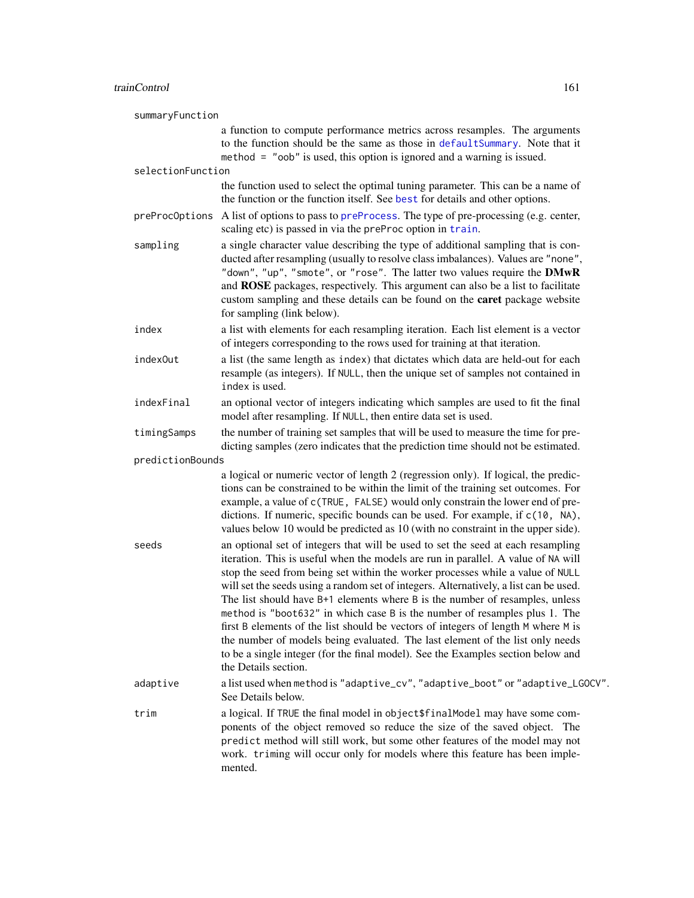| summaryFunction   |                                                                                                                                                                                                                                                                                                                                                                                                                                                                                                                                                                                                                                                                                                                                                                                                  |
|-------------------|--------------------------------------------------------------------------------------------------------------------------------------------------------------------------------------------------------------------------------------------------------------------------------------------------------------------------------------------------------------------------------------------------------------------------------------------------------------------------------------------------------------------------------------------------------------------------------------------------------------------------------------------------------------------------------------------------------------------------------------------------------------------------------------------------|
|                   | a function to compute performance metrics across resamples. The arguments<br>to the function should be the same as those in defaultSummary. Note that it<br>method = "oob" is used, this option is ignored and a warning is issued.                                                                                                                                                                                                                                                                                                                                                                                                                                                                                                                                                              |
| selectionFunction |                                                                                                                                                                                                                                                                                                                                                                                                                                                                                                                                                                                                                                                                                                                                                                                                  |
|                   | the function used to select the optimal tuning parameter. This can be a name of<br>the function or the function itself. See best for details and other options.                                                                                                                                                                                                                                                                                                                                                                                                                                                                                                                                                                                                                                  |
| preProcOptions    | A list of options to pass to preProcess. The type of pre-processing (e.g. center,<br>scaling etc) is passed in via the preProc option in train.                                                                                                                                                                                                                                                                                                                                                                                                                                                                                                                                                                                                                                                  |
| sampling          | a single character value describing the type of additional sampling that is con-<br>ducted after resampling (usually to resolve class imbalances). Values are "none",<br>"down", "up", "smote", or "rose". The latter two values require the DMwR<br>and ROSE packages, respectively. This argument can also be a list to facilitate<br>custom sampling and these details can be found on the caret package website<br>for sampling (link below).                                                                                                                                                                                                                                                                                                                                                |
| index             | a list with elements for each resampling iteration. Each list element is a vector<br>of integers corresponding to the rows used for training at that iteration.                                                                                                                                                                                                                                                                                                                                                                                                                                                                                                                                                                                                                                  |
| index0ut          | a list (the same length as index) that dictates which data are held-out for each<br>resample (as integers). If NULL, then the unique set of samples not contained in<br>index is used.                                                                                                                                                                                                                                                                                                                                                                                                                                                                                                                                                                                                           |
| indexFinal        | an optional vector of integers indicating which samples are used to fit the final<br>model after resampling. If NULL, then entire data set is used.                                                                                                                                                                                                                                                                                                                                                                                                                                                                                                                                                                                                                                              |
| timingSamps       | the number of training set samples that will be used to measure the time for pre-<br>dicting samples (zero indicates that the prediction time should not be estimated.                                                                                                                                                                                                                                                                                                                                                                                                                                                                                                                                                                                                                           |
| predictionBounds  |                                                                                                                                                                                                                                                                                                                                                                                                                                                                                                                                                                                                                                                                                                                                                                                                  |
|                   | a logical or numeric vector of length 2 (regression only). If logical, the predic-<br>tions can be constrained to be within the limit of the training set outcomes. For<br>example, a value of c(TRUE, FALSE) would only constrain the lower end of pre-<br>dictions. If numeric, specific bounds can be used. For example, if c(10, NA),<br>values below 10 would be predicted as 10 (with no constraint in the upper side).                                                                                                                                                                                                                                                                                                                                                                    |
| seeds             | an optional set of integers that will be used to set the seed at each resampling<br>iteration. This is useful when the models are run in parallel. A value of NA will<br>stop the seed from being set within the worker processes while a value of NULL<br>will set the seeds using a random set of integers. Alternatively, a list can be used.<br>The list should have B+1 elements where B is the number of resamples, unless<br>method is "boot632" in which case B is the number of resamples plus 1. The<br>first B elements of the list should be vectors of integers of length M where M is<br>the number of models being evaluated. The last element of the list only needs<br>to be a single integer (for the final model). See the Examples section below and<br>the Details section. |
| adaptive          | a list used when method is "adaptive_cv", "adaptive_boot" or "adaptive_LGOCV".<br>See Details below.                                                                                                                                                                                                                                                                                                                                                                                                                                                                                                                                                                                                                                                                                             |
| trim              | a logical. If TRUE the final model in object \$finalModel may have some com-<br>ponents of the object removed so reduce the size of the saved object. The<br>predict method will still work, but some other features of the model may not<br>work. triming will occur only for models where this feature has been imple-<br>mented.                                                                                                                                                                                                                                                                                                                                                                                                                                                              |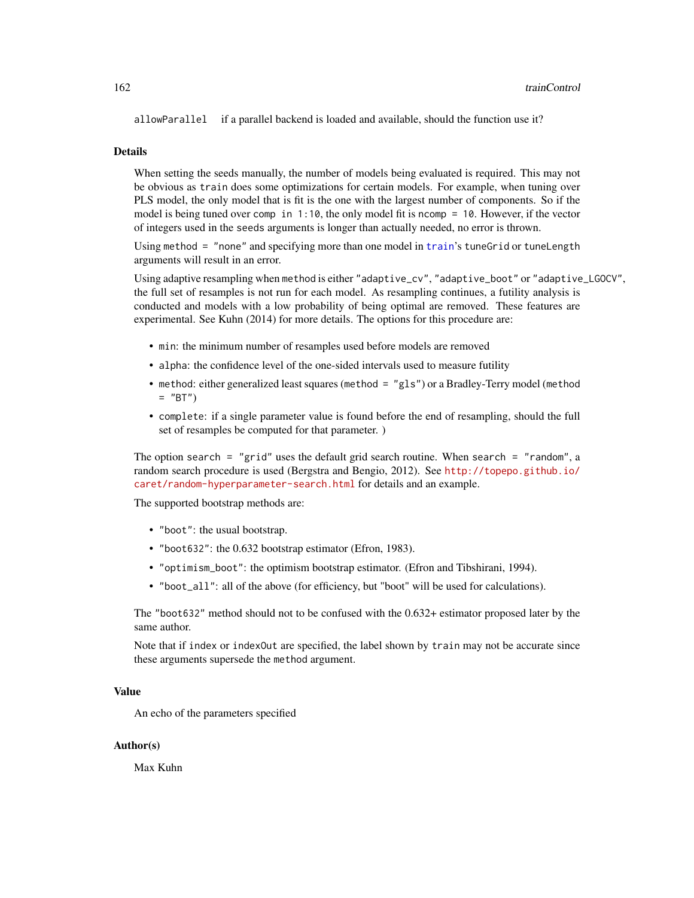allowParallel if a parallel backend is loaded and available, should the function use it?

#### **Details**

When setting the seeds manually, the number of models being evaluated is required. This may not be obvious as train does some optimizations for certain models. For example, when tuning over PLS model, the only model that is fit is the one with the largest number of components. So if the model is being tuned over comp in 1:10, the only model fit is ncomp = 10. However, if the vector of integers used in the seeds arguments is longer than actually needed, no error is thrown.

Using method = "none" and specifying more than one model in [train](#page-153-0)'s tuneGrid or tuneLength arguments will result in an error.

Using adaptive resampling when method is either "adaptive\_cv", "adaptive\_boot" or "adaptive\_LGOCV", the full set of resamples is not run for each model. As resampling continues, a futility analysis is conducted and models with a low probability of being optimal are removed. These features are experimental. See Kuhn (2014) for more details. The options for this procedure are:

- min: the minimum number of resamples used before models are removed
- alpha: the confidence level of the one-sided intervals used to measure futility
- method: either generalized least squares (method = "gls") or a Bradley-Terry model (method  $=$  "BT")
- complete: if a single parameter value is found before the end of resampling, should the full set of resamples be computed for that parameter. )

The option search = "grid" uses the default grid search routine. When search = "random", a random search procedure is used (Bergstra and Bengio, 2012). See [http://topepo.github.io/](http://topepo.github.io/caret/random-hyperparameter-search.html) [caret/random-hyperparameter-search.html](http://topepo.github.io/caret/random-hyperparameter-search.html) for details and an example.

The supported bootstrap methods are:

- "boot": the usual bootstrap.
- "boot632": the 0.632 bootstrap estimator (Efron, 1983).
- "optimism\_boot": the optimism bootstrap estimator. (Efron and Tibshirani, 1994).
- "boot\_all": all of the above (for efficiency, but "boot" will be used for calculations).

The "boot632" method should not to be confused with the 0.632+ estimator proposed later by the same author.

Note that if index or indexOut are specified, the label shown by train may not be accurate since these arguments supersede the method argument.

#### Value

An echo of the parameters specified

#### Author(s)

Max Kuhn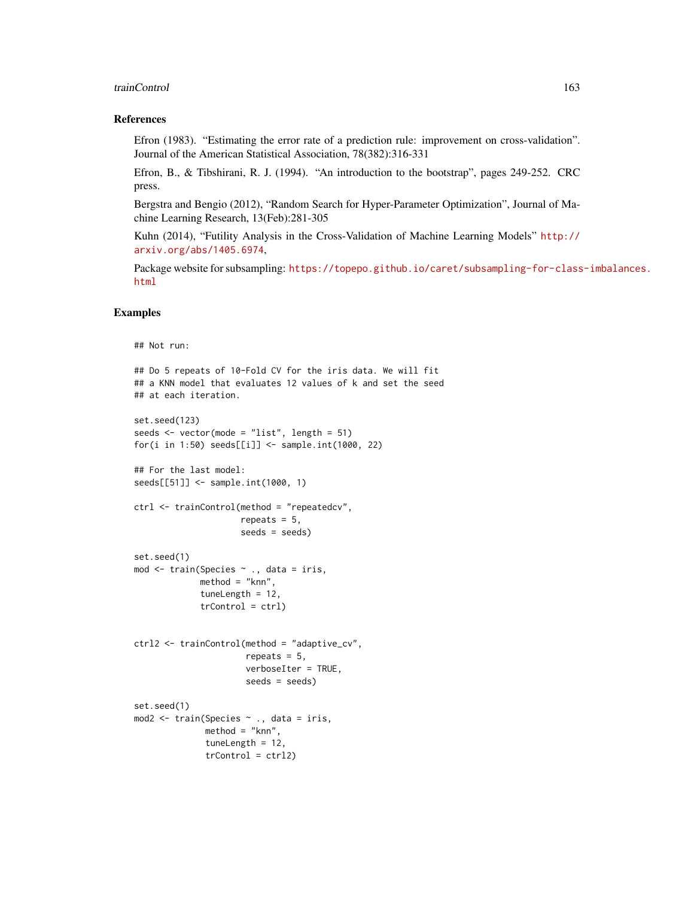#### trainControl 163

## References

Efron (1983). "Estimating the error rate of a prediction rule: improvement on cross-validation". Journal of the American Statistical Association, 78(382):316-331

Efron, B., & Tibshirani, R. J. (1994). "An introduction to the bootstrap", pages 249-252. CRC press.

Bergstra and Bengio (2012), "Random Search for Hyper-Parameter Optimization", Journal of Machine Learning Research, 13(Feb):281-305

Kuhn (2014), "Futility Analysis in the Cross-Validation of Machine Learning Models" [http://](http://arxiv.org/abs/1405.6974) [arxiv.org/abs/1405.6974](http://arxiv.org/abs/1405.6974),

Package website for subsampling: [https://topepo.github.io/caret/subsampling-for-class](https://topepo.github.io/caret/subsampling-for-class-imbalances.html)-imbalances. [html](https://topepo.github.io/caret/subsampling-for-class-imbalances.html)

# Examples

```
## Not run:
## Do 5 repeats of 10-Fold CV for the iris data. We will fit
## a KNN model that evaluates 12 values of k and set the seed
## at each iteration.
set.seed(123)
seeds <- vector(mode = "list", length = 51)
for(i in 1:50) seeds[[i]] <- sample.int(1000, 22)
## For the last model:
seeds[[51]] <- sample.int(1000, 1)
ctrl <- trainControl(method = "repeatedcv",
                     repeats = 5,
                     seeds = seeds)
set.seed(1)
mod <- train(Species ~ ., data = iris,
             method = "knn",
             tuneLength = 12,
             trControl = ctrl)
ctrl2 <- trainControl(method = "adaptive_cv",
                      repeats = 5,
                      verboseIter = TRUE,
                      seeds = seeds)
set.seed(1)
mod2 <- train(Species ~ ., data = iris,
              method = "knn",
              tuneLength = 12,
              trControl = ctrl2)
```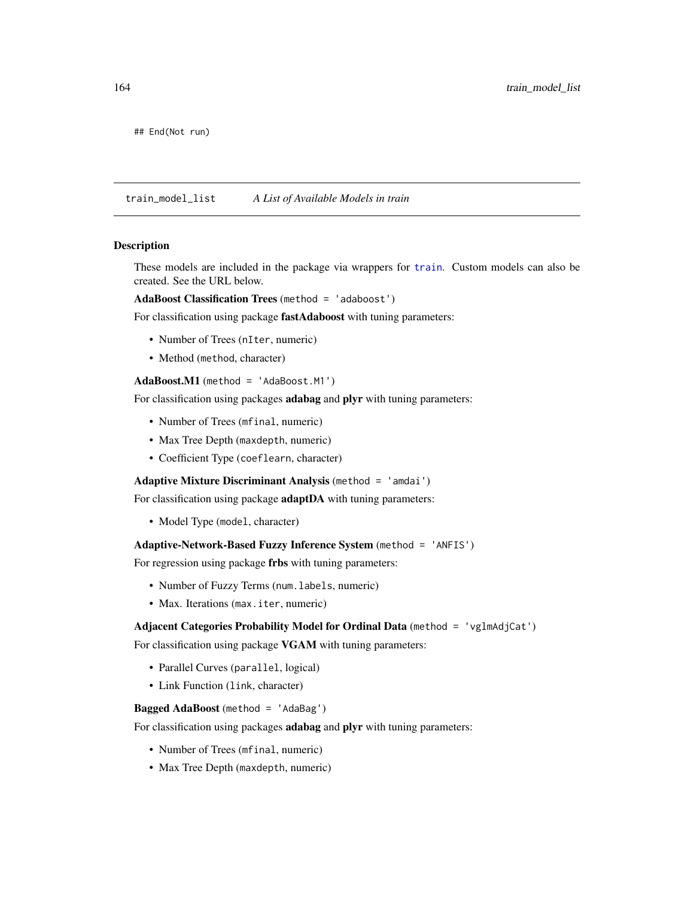## End(Not run)

train\_model\_list *A List of Available Models in train*

#### <span id="page-163-0"></span>Description

These models are included in the package via wrappers for [train](#page-153-0). Custom models can also be created. See the URL below.

AdaBoost Classification Trees (method = 'adaboost')

For classification using package fastAdaboost with tuning parameters:

- Number of Trees (nIter, numeric)
- Method (method, character)

## AdaBoost.M1 (method = 'AdaBoost.M1')

For classification using packages adabag and plyr with tuning parameters:

- Number of Trees (mfinal, numeric)
- Max Tree Depth (maxdepth, numeric)
- Coefficient Type (coeflearn, character)

### Adaptive Mixture Discriminant Analysis (method = 'amdai')

For classification using package **adaptDA** with tuning parameters:

• Model Type (model, character)

Adaptive-Network-Based Fuzzy Inference System (method = 'ANFIS')

For regression using package frbs with tuning parameters:

- Number of Fuzzy Terms (num.labels, numeric)
- Max. Iterations (max. iter, numeric)

# Adjacent Categories Probability Model for Ordinal Data (method = 'vglmAdjCat')

For classification using package VGAM with tuning parameters:

- Parallel Curves (parallel, logical)
- Link Function (link, character)

## Bagged AdaBoost (method = 'AdaBag')

For classification using packages adabag and plyr with tuning parameters:

- Number of Trees (mfinal, numeric)
- Max Tree Depth (maxdepth, numeric)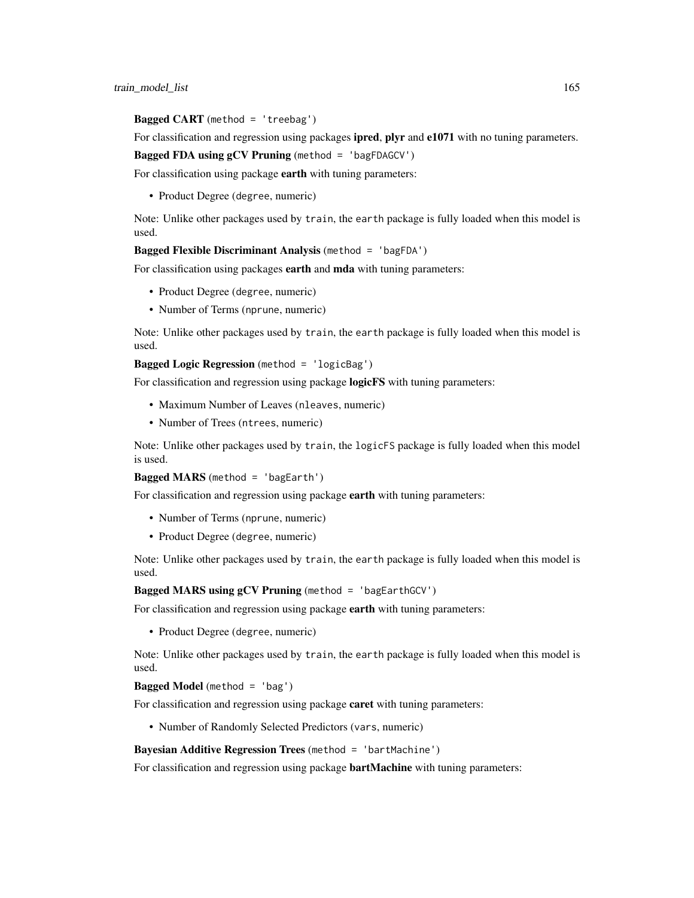## **Bagged CART** (method = 'treebag')

For classification and regression using packages **ipred, plyr** and **e1071** with no tuning parameters.

Bagged FDA using gCV Pruning (method = 'bagFDAGCV')

For classification using package earth with tuning parameters:

• Product Degree (degree, numeric)

Note: Unlike other packages used by train, the earth package is fully loaded when this model is used.

Bagged Flexible Discriminant Analysis (method = 'bagFDA')

For classification using packages earth and mda with tuning parameters:

- Product Degree (degree, numeric)
- Number of Terms (nprune, numeric)

Note: Unlike other packages used by train, the earth package is fully loaded when this model is used.

Bagged Logic Regression (method = 'logicBag')

For classification and regression using package **logicFS** with tuning parameters:

- Maximum Number of Leaves (nleaves, numeric)
- Number of Trees (ntrees, numeric)

Note: Unlike other packages used by train, the logicFS package is fully loaded when this model is used.

Bagged MARS (method = 'bagEarth')

For classification and regression using package earth with tuning parameters:

- Number of Terms (nprune, numeric)
- Product Degree (degree, numeric)

Note: Unlike other packages used by train, the earth package is fully loaded when this model is used.

Bagged MARS using gCV Pruning (method = 'bagEarthGCV')

For classification and regression using package earth with tuning parameters:

• Product Degree (degree, numeric)

Note: Unlike other packages used by train, the earth package is fully loaded when this model is used.

# Bagged Model (method = 'bag')

For classification and regression using package **caret** with tuning parameters:

• Number of Randomly Selected Predictors (vars, numeric)

## Bayesian Additive Regression Trees (method = 'bartMachine')

For classification and regression using package **bartMachine** with tuning parameters: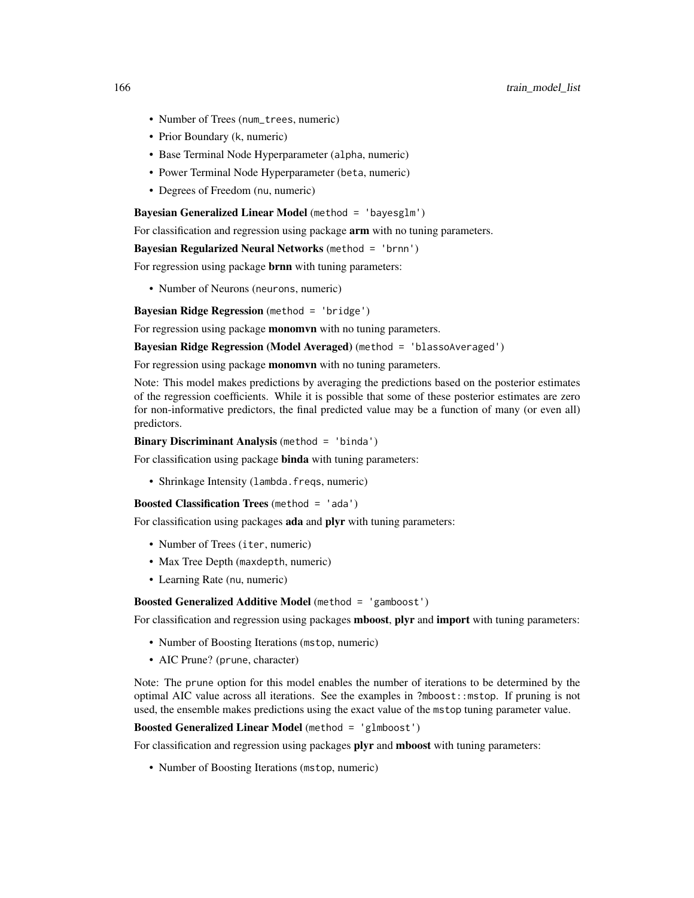- Number of Trees (num\_trees, numeric)
- Prior Boundary (k, numeric)
- Base Terminal Node Hyperparameter (alpha, numeric)
- Power Terminal Node Hyperparameter (beta, numeric)
- Degrees of Freedom (nu, numeric)

Bayesian Generalized Linear Model (method = 'bayesglm')

For classification and regression using package **arm** with no tuning parameters.

## Bayesian Regularized Neural Networks (method = 'brnn')

For regression using package brnn with tuning parameters:

• Number of Neurons (neurons, numeric)

Bayesian Ridge Regression (method = 'bridge')

For regression using package **monomyn** with no tuning parameters.

Bayesian Ridge Regression (Model Averaged) (method = 'blassoAveraged')

For regression using package **monomyn** with no tuning parameters.

Note: This model makes predictions by averaging the predictions based on the posterior estimates of the regression coefficients. While it is possible that some of these posterior estimates are zero for non-informative predictors, the final predicted value may be a function of many (or even all) predictors.

## Binary Discriminant Analysis (method = 'binda')

For classification using package **binda** with tuning parameters:

• Shrinkage Intensity (lambda.freqs, numeric)

```
Boosted Classification Trees (method = 'ada')
```
For classification using packages ada and plyr with tuning parameters:

- Number of Trees (iter, numeric)
- Max Tree Depth (maxdepth, numeric)
- Learning Rate (nu, numeric)

#### Boosted Generalized Additive Model (method = 'gamboost')

For classification and regression using packages **mboost**, plyr and **import** with tuning parameters:

- Number of Boosting Iterations (mstop, numeric)
- AIC Prune? (prune, character)

Note: The prune option for this model enables the number of iterations to be determined by the optimal AIC value across all iterations. See the examples in ?mboost::mstop. If pruning is not used, the ensemble makes predictions using the exact value of the mstop tuning parameter value.

#### Boosted Generalized Linear Model (method = 'glmboost')

For classification and regression using packages plyr and mboost with tuning parameters:

• Number of Boosting Iterations (mstop, numeric)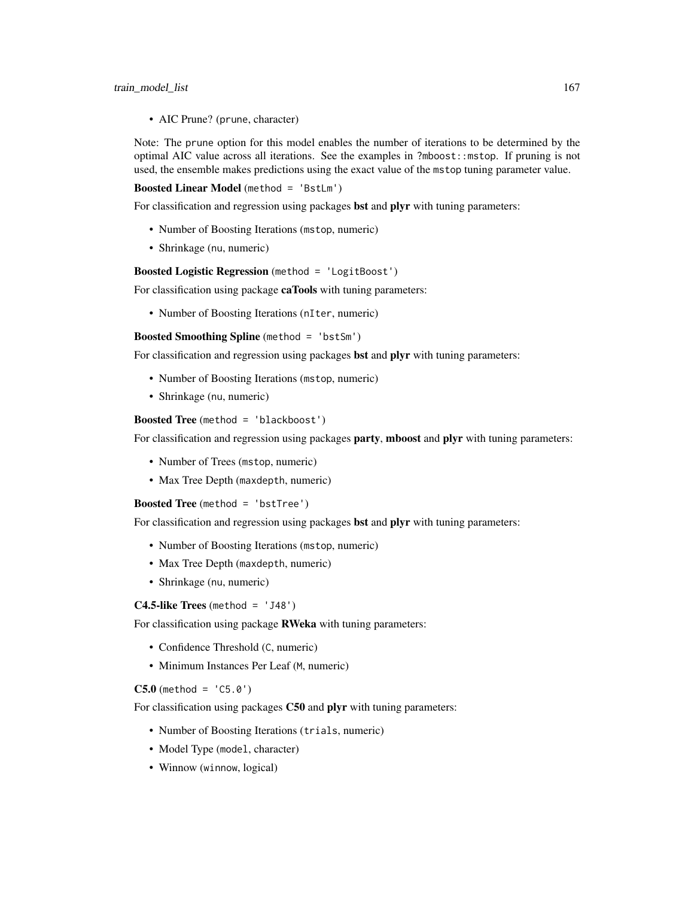#### train\_model\_list 167

• AIC Prune? (prune, character)

Note: The prune option for this model enables the number of iterations to be determined by the optimal AIC value across all iterations. See the examples in ?mboost::mstop. If pruning is not used, the ensemble makes predictions using the exact value of the mstop tuning parameter value.

Boosted Linear Model (method = 'BstLm')

For classification and regression using packages **bst** and **plyr** with tuning parameters:

- Number of Boosting Iterations (mstop, numeric)
- Shrinkage (nu, numeric)

#### Boosted Logistic Regression (method = 'LogitBoost')

For classification using package caTools with tuning parameters:

• Number of Boosting Iterations (nIter, numeric)

Boosted Smoothing Spline (method = 'bstSm')

For classification and regression using packages **bst** and **plyr** with tuning parameters:

- Number of Boosting Iterations (mstop, numeric)
- Shrinkage (nu, numeric)

Boosted Tree (method = 'blackboost')

For classification and regression using packages **party, mboost** and **plyr** with tuning parameters:

- Number of Trees (mstop, numeric)
- Max Tree Depth (maxdepth, numeric)

Boosted Tree (method = 'bstTree')

For classification and regression using packages bst and plyr with tuning parameters:

- Number of Boosting Iterations (mstop, numeric)
- Max Tree Depth (maxdepth, numeric)
- Shrinkage (nu, numeric)

C4.5-like Trees (method =  $'J48'$ )

For classification using package RWeka with tuning parameters:

- Confidence Threshold (C, numeric)
- Minimum Instances Per Leaf (M, numeric)

## $C5.0$  (method =  $'CD.0'$ )

For classification using packages C50 and plyr with tuning parameters:

- Number of Boosting Iterations (trials, numeric)
- Model Type (model, character)
- Winnow (winnow, logical)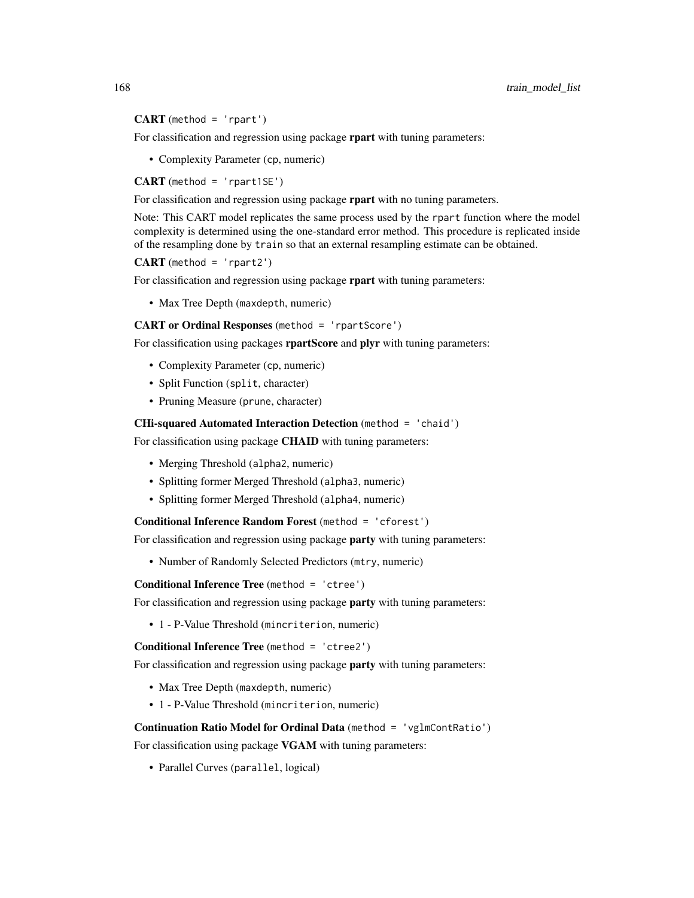$CART$  (method = 'rpart')

For classification and regression using package rpart with tuning parameters:

• Complexity Parameter (cp, numeric)

 $CART$  (method = 'rpart1SE')

For classification and regression using package rpart with no tuning parameters.

Note: This CART model replicates the same process used by the rpart function where the model complexity is determined using the one-standard error method. This procedure is replicated inside of the resampling done by train so that an external resampling estimate can be obtained.

 $CART$  (method = 'rpart2')

For classification and regression using package rpart with tuning parameters:

• Max Tree Depth (maxdepth, numeric)

CART or Ordinal Responses (method = 'rpartScore')

For classification using packages rpartScore and plyr with tuning parameters:

- Complexity Parameter (cp, numeric)
- Split Function (split, character)
- Pruning Measure (prune, character)

CHi-squared Automated Interaction Detection (method = 'chaid')

For classification using package **CHAID** with tuning parameters:

- Merging Threshold (alpha2, numeric)
- Splitting former Merged Threshold (alpha3, numeric)
- Splitting former Merged Threshold (alpha4, numeric)

Conditional Inference Random Forest (method = 'cforest')

For classification and regression using package **party** with tuning parameters:

• Number of Randomly Selected Predictors (mtry, numeric)

Conditional Inference Tree (method = 'ctree')

For classification and regression using package party with tuning parameters:

• 1 - P-Value Threshold (mincriterion, numeric)

Conditional Inference Tree (method = 'ctree2')

For classification and regression using package **party** with tuning parameters:

- Max Tree Depth (maxdepth, numeric)
- 1 P-Value Threshold (mincriterion, numeric)

Continuation Ratio Model for Ordinal Data (method = 'vglmContRatio')

For classification using package VGAM with tuning parameters:

• Parallel Curves (parallel, logical)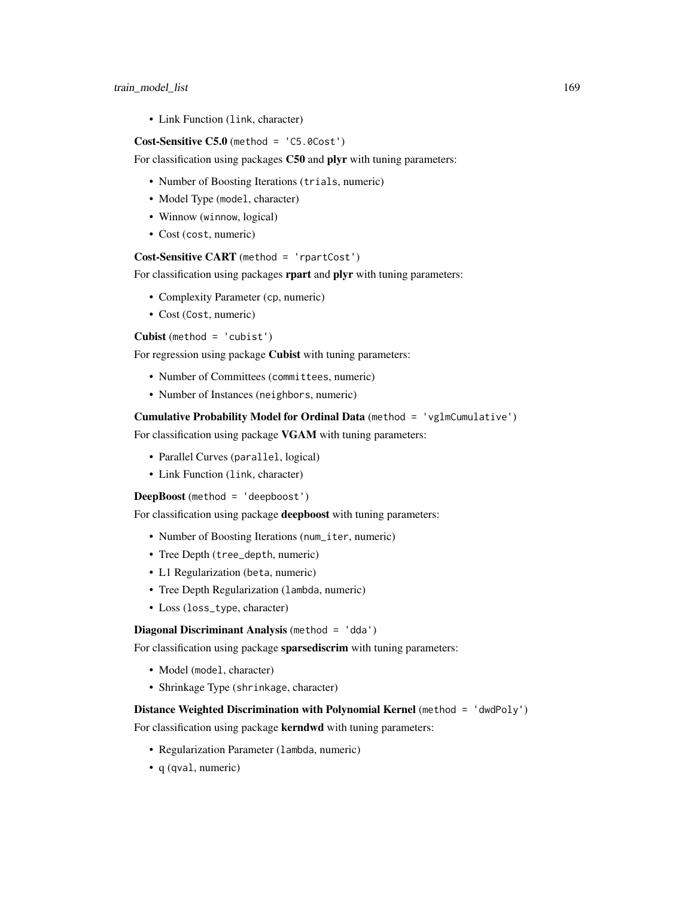• Link Function (link, character)

## Cost-Sensitive C5.0 (method = 'C5.0Cost')

For classification using packages C50 and plyr with tuning parameters:

- Number of Boosting Iterations (trials, numeric)
- Model Type (model, character)
- Winnow (winnow, logical)
- Cost (cost, numeric)

# Cost-Sensitive CART (method = 'rpartCost')

For classification using packages rpart and plyr with tuning parameters:

- Complexity Parameter (cp, numeric)
- Cost (Cost, numeric)

Cubist (method = 'cubist')

For regression using package Cubist with tuning parameters:

- Number of Committees (committees, numeric)
- Number of Instances (neighbors, numeric)

#### Cumulative Probability Model for Ordinal Data (method = 'vglmCumulative')

For classification using package VGAM with tuning parameters:

- Parallel Curves (parallel, logical)
- Link Function (link, character)

DeepBoost (method = 'deepboost')

For classification using package deepboost with tuning parameters:

- Number of Boosting Iterations (num\_iter, numeric)
- Tree Depth (tree\_depth, numeric)
- L1 Regularization (beta, numeric)
- Tree Depth Regularization (lambda, numeric)
- Loss (loss\_type, character)

# Diagonal Discriminant Analysis (method = 'dda')

For classification using package sparsediscrim with tuning parameters:

- Model (model, character)
- Shrinkage Type (shrinkage, character)

## Distance Weighted Discrimination with Polynomial Kernel (method = 'dwdPoly')

For classification using package kerndwd with tuning parameters:

- Regularization Parameter (lambda, numeric)
- q (qval, numeric)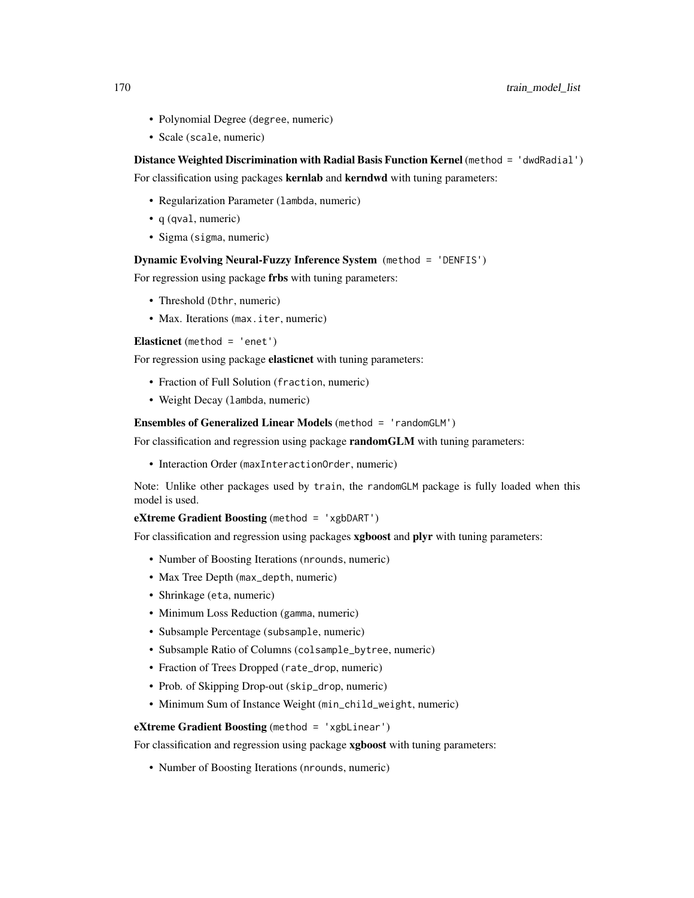- Polynomial Degree (degree, numeric)
- Scale (scale, numeric)

## Distance Weighted Discrimination with Radial Basis Function Kernel (method = 'dwdRadial')

For classification using packages kernlab and kerndwd with tuning parameters:

- Regularization Parameter (lambda, numeric)
- q (qval, numeric)
- Sigma (sigma, numeric)

#### Dynamic Evolving Neural-Fuzzy Inference System (method = 'DENFIS')

For regression using package frbs with tuning parameters:

- Threshold (Dthr, numeric)
- Max. Iterations (max. iter, numeric)

Elasticnet (method =  $'$ enet')

For regression using package elasticnet with tuning parameters:

- Fraction of Full Solution (fraction, numeric)
- Weight Decay (lambda, numeric)

## Ensembles of Generalized Linear Models (method = 'randomGLM')

For classification and regression using package randomGLM with tuning parameters:

• Interaction Order (maxInteractionOrder, numeric)

Note: Unlike other packages used by train, the randomGLM package is fully loaded when this model is used.

eXtreme Gradient Boosting (method = 'xgbDART')

For classification and regression using packages xgboost and plyr with tuning parameters:

- Number of Boosting Iterations (nrounds, numeric)
- Max Tree Depth (max\_depth, numeric)
- Shrinkage (eta, numeric)
- Minimum Loss Reduction (gamma, numeric)
- Subsample Percentage (subsample, numeric)
- Subsample Ratio of Columns (colsample\_bytree, numeric)
- Fraction of Trees Dropped (rate\_drop, numeric)
- Prob. of Skipping Drop-out (skip\_drop, numeric)
- Minimum Sum of Instance Weight (min\_child\_weight, numeric)

eXtreme Gradient Boosting (method = 'xgbLinear')

For classification and regression using package xgboost with tuning parameters:

• Number of Boosting Iterations (nrounds, numeric)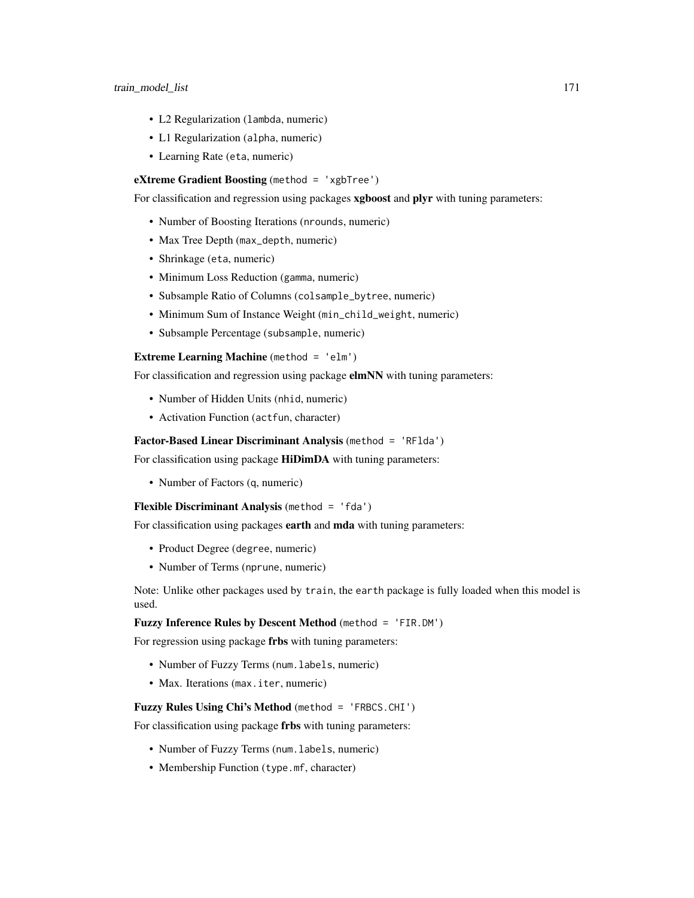- L2 Regularization (lambda, numeric)
- L1 Regularization (alpha, numeric)
- Learning Rate (eta, numeric)

# eXtreme Gradient Boosting (method = 'xgbTree')

For classification and regression using packages xgboost and plyr with tuning parameters:

- Number of Boosting Iterations (nrounds, numeric)
- Max Tree Depth (max\_depth, numeric)
- Shrinkage (eta, numeric)
- Minimum Loss Reduction (gamma, numeric)
- Subsample Ratio of Columns (colsample\_bytree, numeric)
- Minimum Sum of Instance Weight (min\_child\_weight, numeric)
- Subsample Percentage (subsample, numeric)

# Extreme Learning Machine (method = 'elm')

For classification and regression using package elmNN with tuning parameters:

- Number of Hidden Units (nhid, numeric)
- Activation Function (actfun, character)

## Factor-Based Linear Discriminant Analysis (method = 'RFlda')

For classification using package HiDimDA with tuning parameters:

• Number of Factors (q, numeric)

## Flexible Discriminant Analysis (method = 'fda')

For classification using packages earth and mda with tuning parameters:

- Product Degree (degree, numeric)
- Number of Terms (nprune, numeric)

Note: Unlike other packages used by train, the earth package is fully loaded when this model is used.

## Fuzzy Inference Rules by Descent Method (method = 'FIR.DM')

For regression using package frbs with tuning parameters:

- Number of Fuzzy Terms (num.labels, numeric)
- Max. Iterations (max. iter, numeric)

# Fuzzy Rules Using Chi's Method (method = 'FRBCS.CHI')

For classification using package frbs with tuning parameters:

- Number of Fuzzy Terms (num.labels, numeric)
- Membership Function (type.mf, character)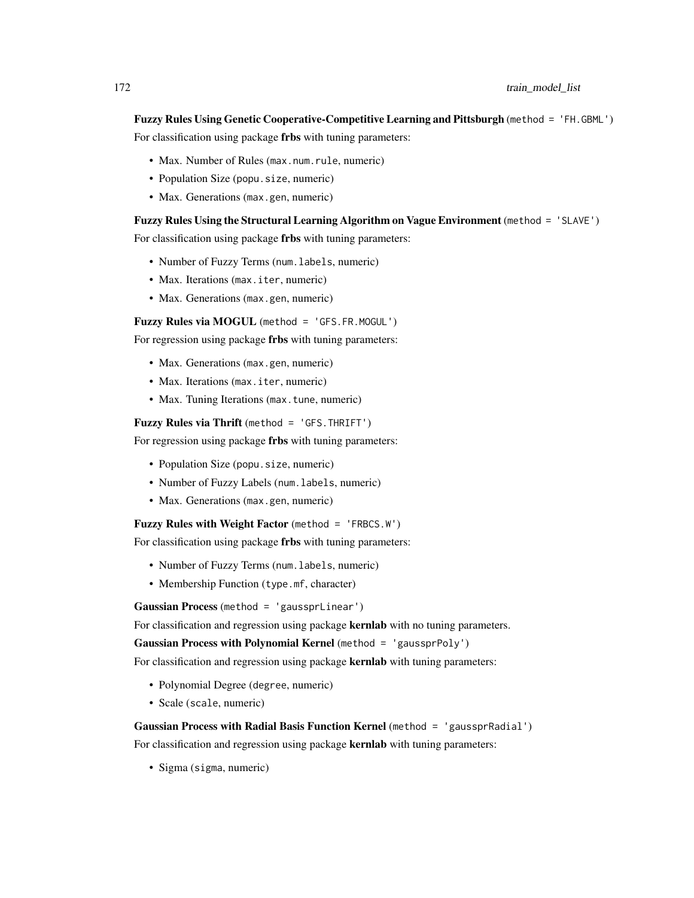Fuzzy Rules Using Genetic Cooperative-Competitive Learning and Pittsburgh (method = 'FH.GBML')

For classification using package frbs with tuning parameters:

- Max. Number of Rules (max.num.rule, numeric)
- Population Size (popu. size, numeric)
- Max. Generations (max.gen, numeric)

#### Fuzzy Rules Using the Structural Learning Algorithm on Vague Environment (method = 'SLAVE')

For classification using package frbs with tuning parameters:

- Number of Fuzzy Terms (num.labels, numeric)
- Max. Iterations (max. iter, numeric)
- Max. Generations (max.gen, numeric)

Fuzzy Rules via MOGUL (method = 'GFS.FR.MOGUL')

For regression using package frbs with tuning parameters:

- Max. Generations (max.gen, numeric)
- Max. Iterations (max. iter, numeric)
- Max. Tuning Iterations (max.tune, numeric)

Fuzzy Rules via Thrift (method = 'GFS.THRIFT')

For regression using package frbs with tuning parameters:

- Population Size (popu. size, numeric)
- Number of Fuzzy Labels (num.labels, numeric)
- Max. Generations (max.gen, numeric)

Fuzzy Rules with Weight Factor (method = 'FRBCS.W')

For classification using package frbs with tuning parameters:

- Number of Fuzzy Terms (num. labels, numeric)
- Membership Function (type.mf, character)

Gaussian Process (method = 'gaussprLinear')

For classification and regression using package **kernlab** with no tuning parameters.

```
Gaussian Process with Polynomial Kernel (method = 'gaussprPoly')
```
For classification and regression using package **kernlab** with tuning parameters:

- Polynomial Degree (degree, numeric)
- Scale (scale, numeric)

## Gaussian Process with Radial Basis Function Kernel (method = 'gaussprRadial')

For classification and regression using package **kernlab** with tuning parameters:

• Sigma (sigma, numeric)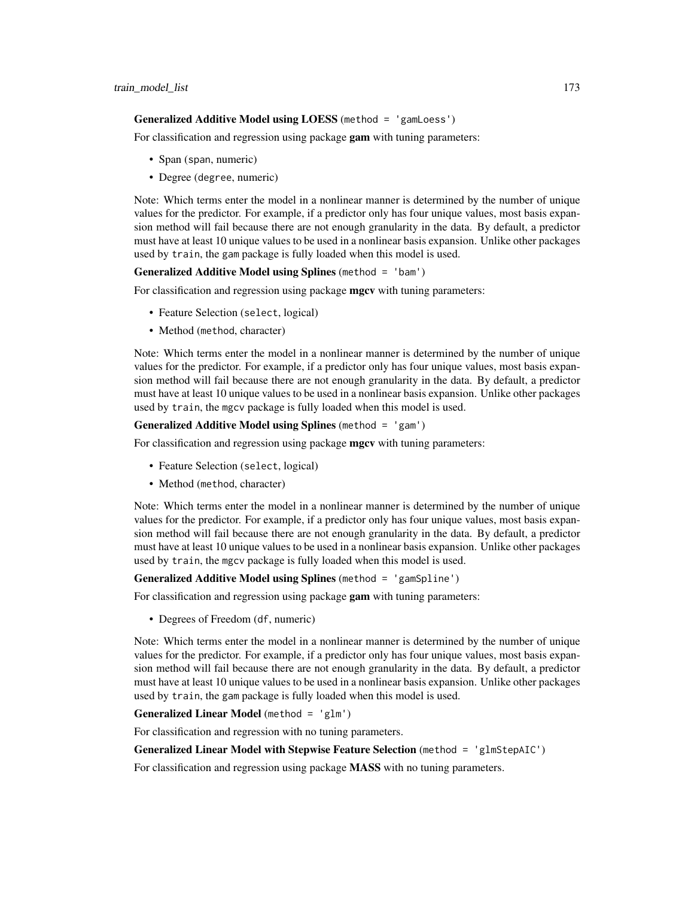#### Generalized Additive Model using LOESS (method = 'gamLoess')

For classification and regression using package gam with tuning parameters:

- Span (span, numeric)
- Degree (degree, numeric)

Note: Which terms enter the model in a nonlinear manner is determined by the number of unique values for the predictor. For example, if a predictor only has four unique values, most basis expansion method will fail because there are not enough granularity in the data. By default, a predictor must have at least 10 unique values to be used in a nonlinear basis expansion. Unlike other packages used by train, the gam package is fully loaded when this model is used.

## Generalized Additive Model using Splines (method = 'bam')

For classification and regression using package mgcv with tuning parameters:

- Feature Selection (select, logical)
- Method (method, character)

Note: Which terms enter the model in a nonlinear manner is determined by the number of unique values for the predictor. For example, if a predictor only has four unique values, most basis expansion method will fail because there are not enough granularity in the data. By default, a predictor must have at least 10 unique values to be used in a nonlinear basis expansion. Unlike other packages used by train, the mgcv package is fully loaded when this model is used.

#### Generalized Additive Model using Splines (method = 'gam')

For classification and regression using package **mgcv** with tuning parameters:

- Feature Selection (select, logical)
- Method (method, character)

Note: Which terms enter the model in a nonlinear manner is determined by the number of unique values for the predictor. For example, if a predictor only has four unique values, most basis expansion method will fail because there are not enough granularity in the data. By default, a predictor must have at least 10 unique values to be used in a nonlinear basis expansion. Unlike other packages used by train, the mgcv package is fully loaded when this model is used.

## Generalized Additive Model using Splines (method = 'gamSpline')

For classification and regression using package gam with tuning parameters:

• Degrees of Freedom (df, numeric)

Note: Which terms enter the model in a nonlinear manner is determined by the number of unique values for the predictor. For example, if a predictor only has four unique values, most basis expansion method will fail because there are not enough granularity in the data. By default, a predictor must have at least 10 unique values to be used in a nonlinear basis expansion. Unlike other packages used by train, the gam package is fully loaded when this model is used.

#### Generalized Linear Model (method = 'glm')

For classification and regression with no tuning parameters.

## Generalized Linear Model with Stepwise Feature Selection (method = 'glmStepAIC')

For classification and regression using package MASS with no tuning parameters.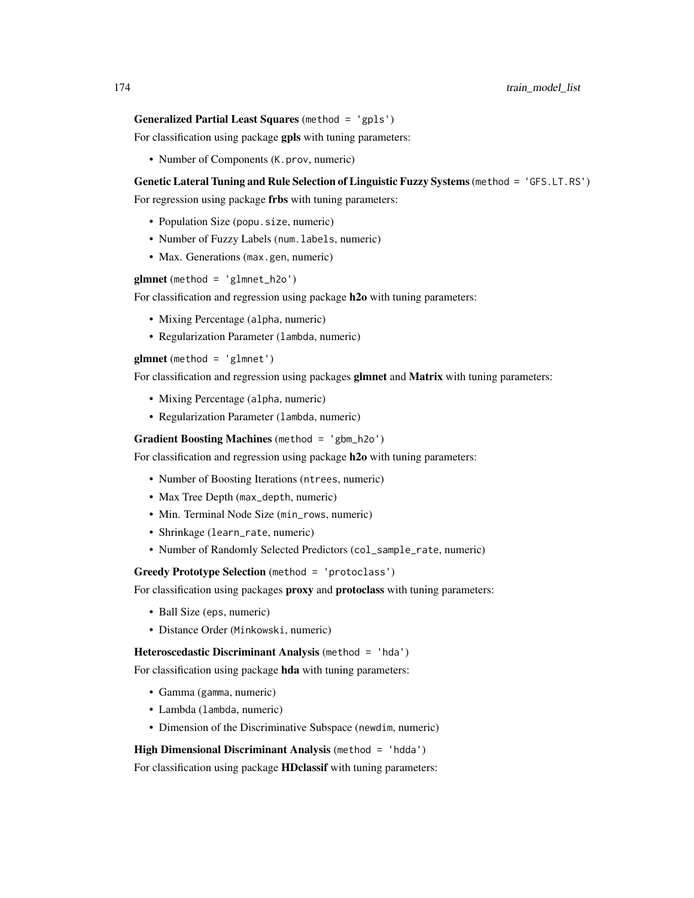# Generalized Partial Least Squares (method = 'gpls')

For classification using package gpls with tuning parameters:

• Number of Components (K.prov, numeric)

#### Genetic Lateral Tuning and Rule Selection of Linguistic Fuzzy Systems(method = 'GFS.LT.RS')

For regression using package frbs with tuning parameters:

- Population Size (popu. size, numeric)
- Number of Fuzzy Labels (num. labels, numeric)
- Max. Generations (max.gen, numeric)

glmnet (method = 'glmnet\_h2o')

For classification and regression using package h2o with tuning parameters:

- Mixing Percentage (alpha, numeric)
- Regularization Parameter (lambda, numeric)

 $glmnet$  (method = 'glmnet')

For classification and regression using packages glmnet and Matrix with tuning parameters:

- Mixing Percentage (alpha, numeric)
- Regularization Parameter (lambda, numeric)

#### Gradient Boosting Machines (method = 'gbm\_h2o')

For classification and regression using package h<sub>20</sub> with tuning parameters:

- Number of Boosting Iterations (ntrees, numeric)
- Max Tree Depth (max\_depth, numeric)
- Min. Terminal Node Size (min\_rows, numeric)
- Shrinkage (learn\_rate, numeric)
- Number of Randomly Selected Predictors (col\_sample\_rate, numeric)

Greedy Prototype Selection (method = 'protoclass')

For classification using packages proxy and protoclass with tuning parameters:

- Ball Size (eps, numeric)
- Distance Order (Minkowski, numeric)

#### Heteroscedastic Discriminant Analysis (method = 'hda')

For classification using package hda with tuning parameters:

- Gamma (gamma, numeric)
- Lambda (lambda, numeric)
- Dimension of the Discriminative Subspace (newdim, numeric)

High Dimensional Discriminant Analysis (method = 'hdda')

For classification using package **HDclassif** with tuning parameters: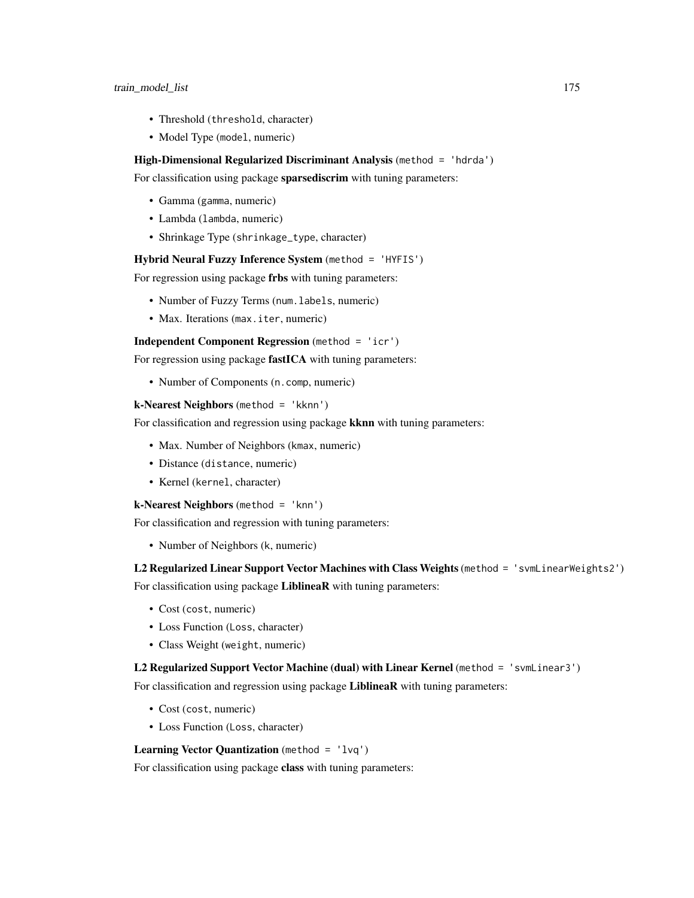- Threshold (threshold, character)
- Model Type (model, numeric)

#### High-Dimensional Regularized Discriminant Analysis (method = 'hdrda')

For classification using package sparsediscrim with tuning parameters:

- Gamma (gamma, numeric)
- Lambda (lambda, numeric)
- Shrinkage Type (shrinkage\_type, character)

#### Hybrid Neural Fuzzy Inference System (method = 'HYFIS')

For regression using package frbs with tuning parameters:

- Number of Fuzzy Terms (num.labels, numeric)
- Max. Iterations (max. iter, numeric)

Independent Component Regression (method = 'icr')

For regression using package fastICA with tuning parameters:

• Number of Components (n.comp, numeric)

## k-Nearest Neighbors (method = 'kknn')

For classification and regression using package **kknn** with tuning parameters:

- Max. Number of Neighbors (kmax, numeric)
- Distance (distance, numeric)
- Kernel (kernel, character)

#### k-Nearest Neighbors (method = 'knn')

For classification and regression with tuning parameters:

• Number of Neighbors (k, numeric)

## L2 Regularized Linear Support Vector Machines with Class Weights(method = 'svmLinearWeights2')

For classification using package LiblineaR with tuning parameters:

- Cost (cost, numeric)
- Loss Function (Loss, character)
- Class Weight (weight, numeric)

# L2 Regularized Support Vector Machine (dual) with Linear Kernel (method = 'svmLinear3') For classification and regression using package LiblineaR with tuning parameters:

- Cost (cost, numeric)
- Loss Function (Loss, character)

Learning Vector Quantization (method =  $'l\nu q'$ )

For classification using package class with tuning parameters: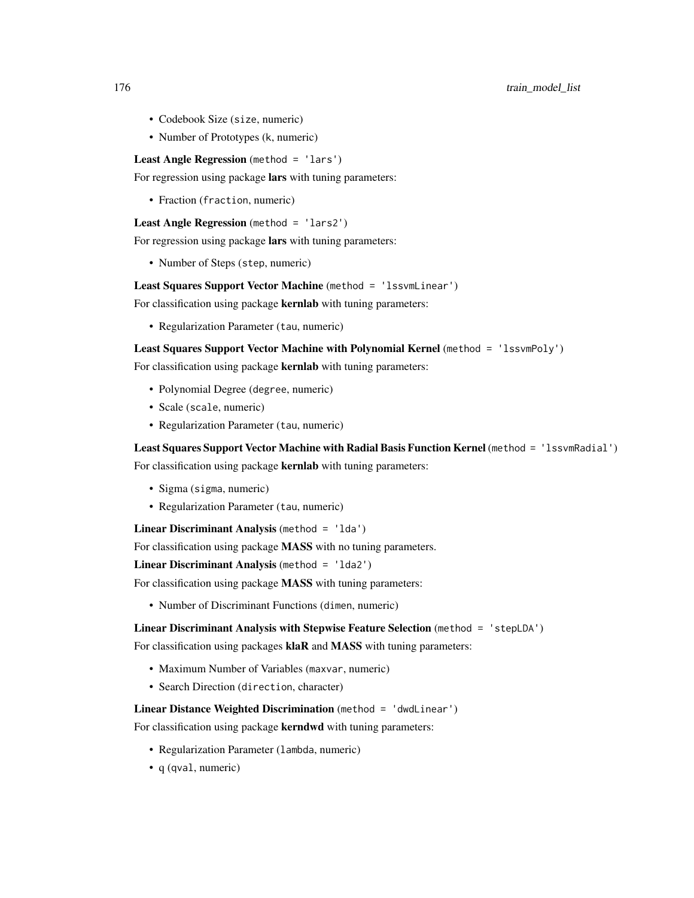- Codebook Size (size, numeric)
- Number of Prototypes (k, numeric)

Least Angle Regression (method = 'lars')

For regression using package lars with tuning parameters:

• Fraction (fraction, numeric)

Least Angle Regression (method = 'lars2')

For regression using package lars with tuning parameters:

• Number of Steps (step, numeric)

Least Squares Support Vector Machine (method = 'lssvmLinear')

For classification using package kernlab with tuning parameters:

• Regularization Parameter (tau, numeric)

# Least Squares Support Vector Machine with Polynomial Kernel (method = 'lssvmPoly')

For classification using package kernlab with tuning parameters:

- Polynomial Degree (degree, numeric)
- Scale (scale, numeric)
- Regularization Parameter (tau, numeric)

Least Squares Support Vector Machine with Radial Basis Function Kernel (method = 'lssvmRadial') For classification using package kernlab with tuning parameters:

- Sigma (sigma, numeric)
- Regularization Parameter (tau, numeric)

Linear Discriminant Analysis (method = 'lda')

For classification using package **MASS** with no tuning parameters.

Linear Discriminant Analysis (method = 'lda2')

For classification using package **MASS** with tuning parameters:

• Number of Discriminant Functions (dimen, numeric)

## Linear Discriminant Analysis with Stepwise Feature Selection (method = 'stepLDA')

For classification using packages klaR and MASS with tuning parameters:

- Maximum Number of Variables (maxvar, numeric)
- Search Direction (direction, character)

Linear Distance Weighted Discrimination (method = 'dwdLinear')

For classification using package **kerndwd** with tuning parameters:

- Regularization Parameter (lambda, numeric)
- q (qval, numeric)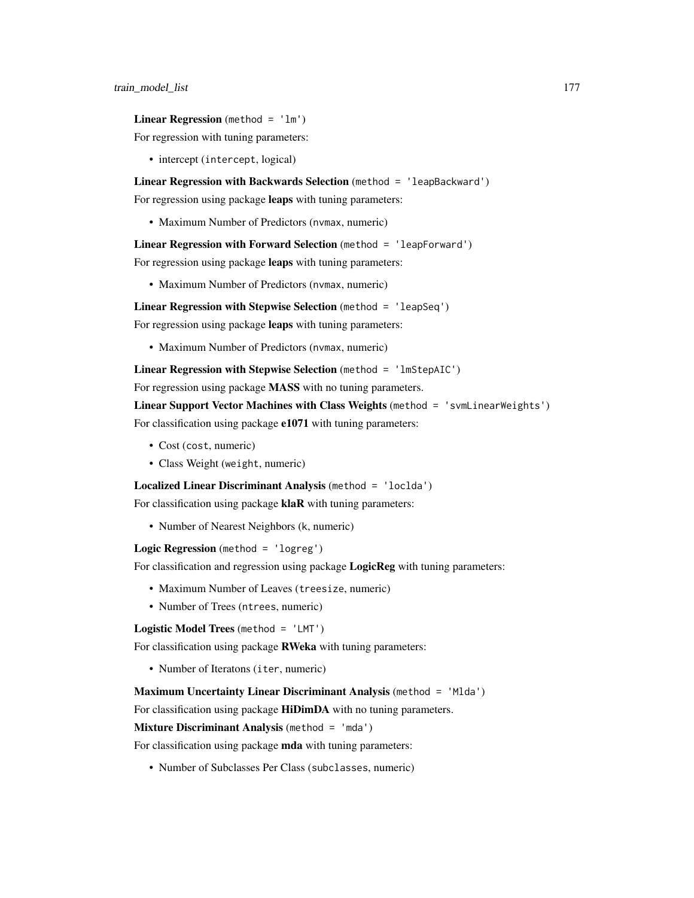**Linear Regression** (method =  $'lm'$ )

For regression with tuning parameters:

• intercept (intercept, logical)

Linear Regression with Backwards Selection (method = 'leapBackward')

For regression using package leaps with tuning parameters:

• Maximum Number of Predictors (nvmax, numeric)

Linear Regression with Forward Selection (method = 'leapForward')

For regression using package leaps with tuning parameters:

• Maximum Number of Predictors (nvmax, numeric)

Linear Regression with Stepwise Selection (method = 'leapSeq')

For regression using package leaps with tuning parameters:

• Maximum Number of Predictors (nvmax, numeric)

Linear Regression with Stepwise Selection (method = 'lmStepAIC')

For regression using package **MASS** with no tuning parameters.

Linear Support Vector Machines with Class Weights (method = 'svmLinearWeights') For classification using package e1071 with tuning parameters:

- Cost (cost, numeric)
- Class Weight (weight, numeric)

Localized Linear Discriminant Analysis (method = 'loclda')

For classification using package **klaR** with tuning parameters:

• Number of Nearest Neighbors (k, numeric)

Logic Regression (method = 'logreg')

For classification and regression using package LogicReg with tuning parameters:

- Maximum Number of Leaves (treesize, numeric)
- Number of Trees (ntrees, numeric)

Logistic Model Trees (method = 'LMT')

For classification using package RWeka with tuning parameters:

• Number of Iteratons (iter, numeric)

Maximum Uncertainty Linear Discriminant Analysis (method = 'Mlda')

For classification using package HiDimDA with no tuning parameters.

Mixture Discriminant Analysis (method = 'mda')

For classification using package mda with tuning parameters:

• Number of Subclasses Per Class (subclasses, numeric)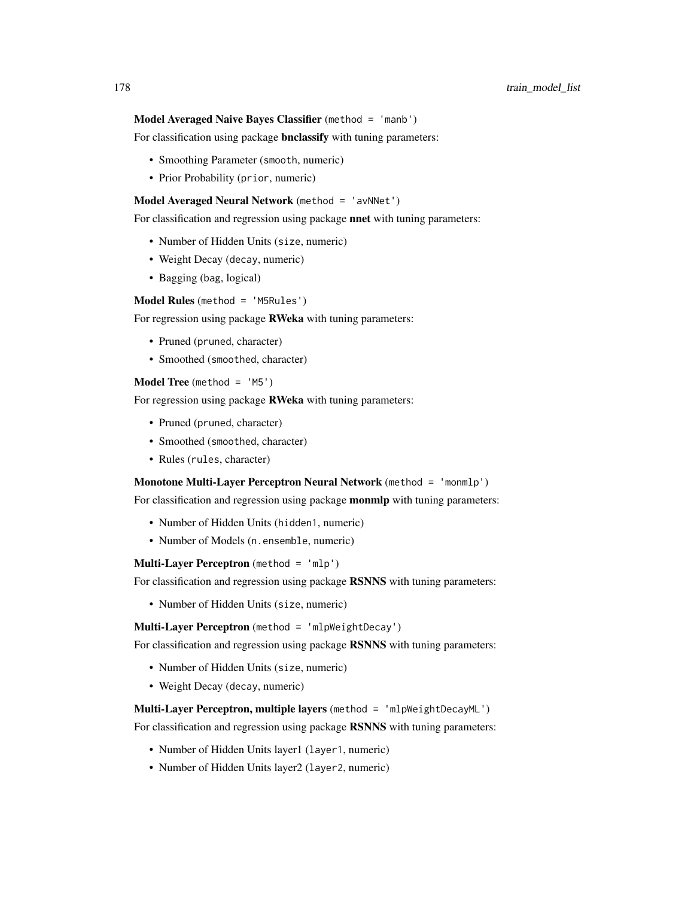# Model Averaged Naive Bayes Classifier (method = 'manb')

For classification using package **bnclassify** with tuning parameters:

- Smoothing Parameter (smooth, numeric)
- Prior Probability (prior, numeric)

#### Model Averaged Neural Network (method = 'avNNet')

For classification and regression using package nnet with tuning parameters:

- Number of Hidden Units (size, numeric)
- Weight Decay (decay, numeric)
- Bagging (bag, logical)

Model Rules (method = 'M5Rules')

For regression using package RWeka with tuning parameters:

- Pruned (pruned, character)
- Smoothed (smoothed, character)

#### **Model Tree** (method =  $'M5')$

For regression using package **RWeka** with tuning parameters:

- Pruned (pruned, character)
- Smoothed (smoothed, character)
- Rules (rules, character)

## Monotone Multi-Layer Perceptron Neural Network (method = 'monmlp')

For classification and regression using package **monmlp** with tuning parameters:

- Number of Hidden Units (hidden1, numeric)
- Number of Models (n.ensemble, numeric)

Multi-Layer Perceptron (method = 'mlp')

For classification and regression using package RSNNS with tuning parameters:

• Number of Hidden Units (size, numeric)

Multi-Layer Perceptron (method = 'mlpWeightDecay')

For classification and regression using package RSNNS with tuning parameters:

- Number of Hidden Units (size, numeric)
- Weight Decay (decay, numeric)

## Multi-Layer Perceptron, multiple layers (method = 'mlpWeightDecayML')

For classification and regression using package RSNNS with tuning parameters:

- Number of Hidden Units layer1 (layer1, numeric)
- Number of Hidden Units layer2 (layer2, numeric)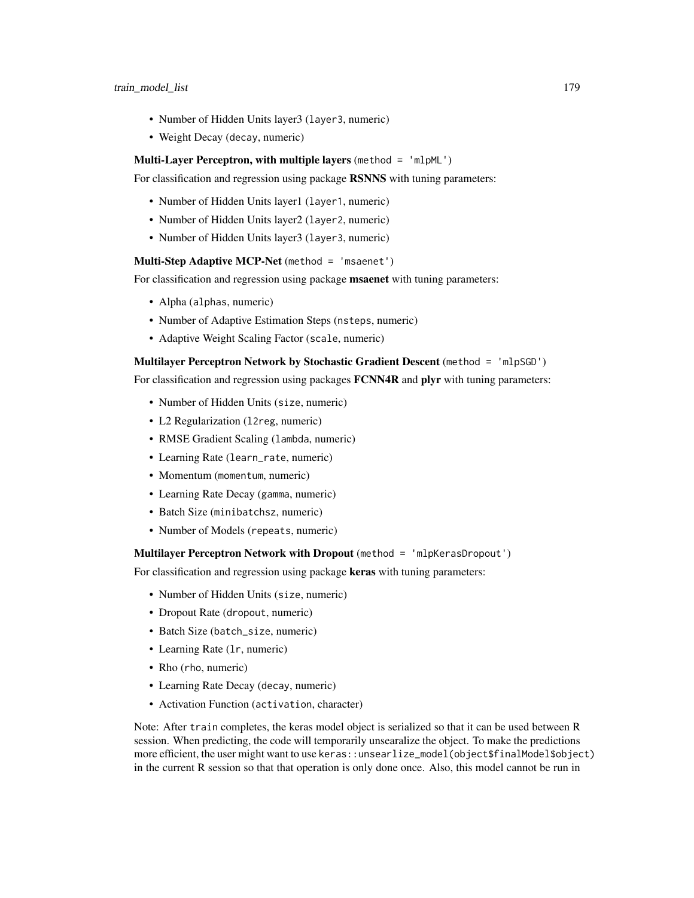- Number of Hidden Units layer3 (layer3, numeric)
- Weight Decay (decay, numeric)

#### Multi-Layer Perceptron, with multiple layers (method  $=$  'mlpML')

For classification and regression using package RSNNS with tuning parameters:

- Number of Hidden Units layer1 (layer1, numeric)
- Number of Hidden Units layer2 (layer2, numeric)
- Number of Hidden Units layer3 (layer3, numeric)

## Multi-Step Adaptive MCP-Net (method = 'msaenet')

For classification and regression using package **msaenet** with tuning parameters:

- Alpha (alphas, numeric)
- Number of Adaptive Estimation Steps (nsteps, numeric)
- Adaptive Weight Scaling Factor (scale, numeric)

Multilayer Perceptron Network by Stochastic Gradient Descent (method = 'mlpSGD') For classification and regression using packages **FCNN4R** and **plyr** with tuning parameters:

- Number of Hidden Units (size, numeric)
- L2 Regularization (12reg, numeric)
- RMSE Gradient Scaling (lambda, numeric)
- Learning Rate (learn\_rate, numeric)
- Momentum (momentum, numeric)
- Learning Rate Decay (gamma, numeric)
- Batch Size (minibatchsz, numeric)
- Number of Models (repeats, numeric)

Multilayer Perceptron Network with Dropout (method = 'mlpKerasDropout')

For classification and regression using package keras with tuning parameters:

- Number of Hidden Units (size, numeric)
- Dropout Rate (dropout, numeric)
- Batch Size (batch\_size, numeric)
- Learning Rate (lr, numeric)
- Rho (rho, numeric)
- Learning Rate Decay (decay, numeric)
- Activation Function (activation, character)

Note: After train completes, the keras model object is serialized so that it can be used between R session. When predicting, the code will temporarily unsearalize the object. To make the predictions more efficient, the user might want to use keras::unsearlize\_model(object\$finalModel\$object) in the current R session so that that operation is only done once. Also, this model cannot be run in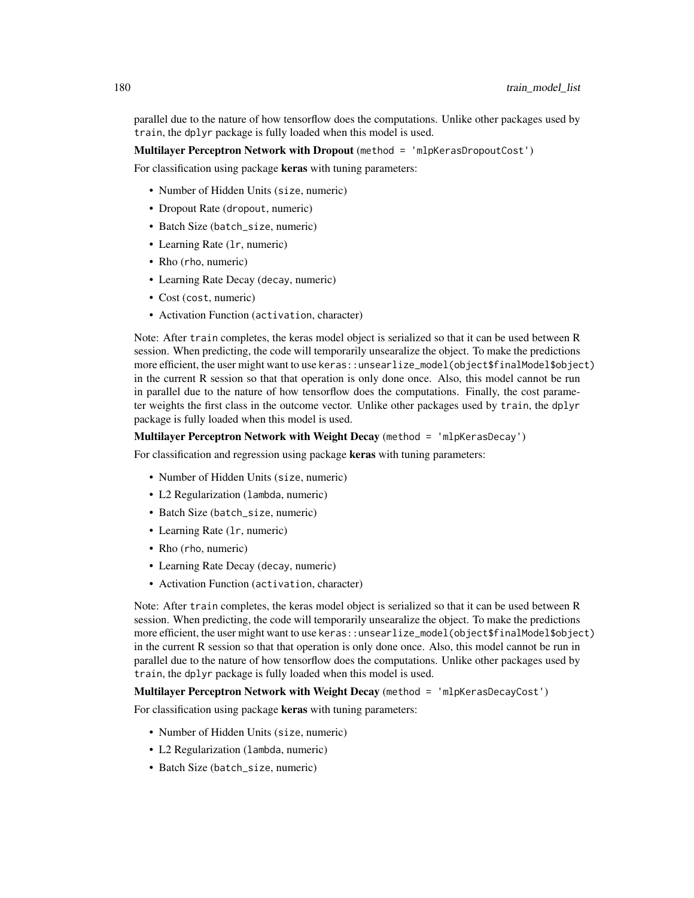parallel due to the nature of how tensorflow does the computations. Unlike other packages used by train, the dplyr package is fully loaded when this model is used.

Multilayer Perceptron Network with Dropout (method = 'mlpKerasDropoutCost')

For classification using package keras with tuning parameters:

- Number of Hidden Units (size, numeric)
- Dropout Rate (dropout, numeric)
- Batch Size (batch\_size, numeric)
- Learning Rate (1r, numeric)
- Rho (rho, numeric)
- Learning Rate Decay (decay, numeric)
- Cost (cost, numeric)
- Activation Function (activation, character)

Note: After train completes, the keras model object is serialized so that it can be used between R session. When predicting, the code will temporarily unsearalize the object. To make the predictions more efficient, the user might want to use keras::unsearlize\_model(object\$finalModel\$object) in the current R session so that that operation is only done once. Also, this model cannot be run in parallel due to the nature of how tensorflow does the computations. Finally, the cost parameter weights the first class in the outcome vector. Unlike other packages used by train, the dplyr package is fully loaded when this model is used.

Multilayer Perceptron Network with Weight Decay (method = 'mlpKerasDecay')

For classification and regression using package keras with tuning parameters:

- Number of Hidden Units (size, numeric)
- L2 Regularization (lambda, numeric)
- Batch Size (batch\_size, numeric)
- Learning Rate (lr, numeric)
- Rho (rho, numeric)
- Learning Rate Decay (decay, numeric)
- Activation Function (activation, character)

Note: After train completes, the keras model object is serialized so that it can be used between R session. When predicting, the code will temporarily unsearalize the object. To make the predictions more efficient, the user might want to use keras::unsearlize\_model(object\$finalModel\$object) in the current R session so that that operation is only done once. Also, this model cannot be run in parallel due to the nature of how tensorflow does the computations. Unlike other packages used by train, the dplyr package is fully loaded when this model is used.

Multilayer Perceptron Network with Weight Decay (method = 'mlpKerasDecayCost')

For classification using package keras with tuning parameters:

- Number of Hidden Units (size, numeric)
- L2 Regularization (lambda, numeric)
- Batch Size (batch\_size, numeric)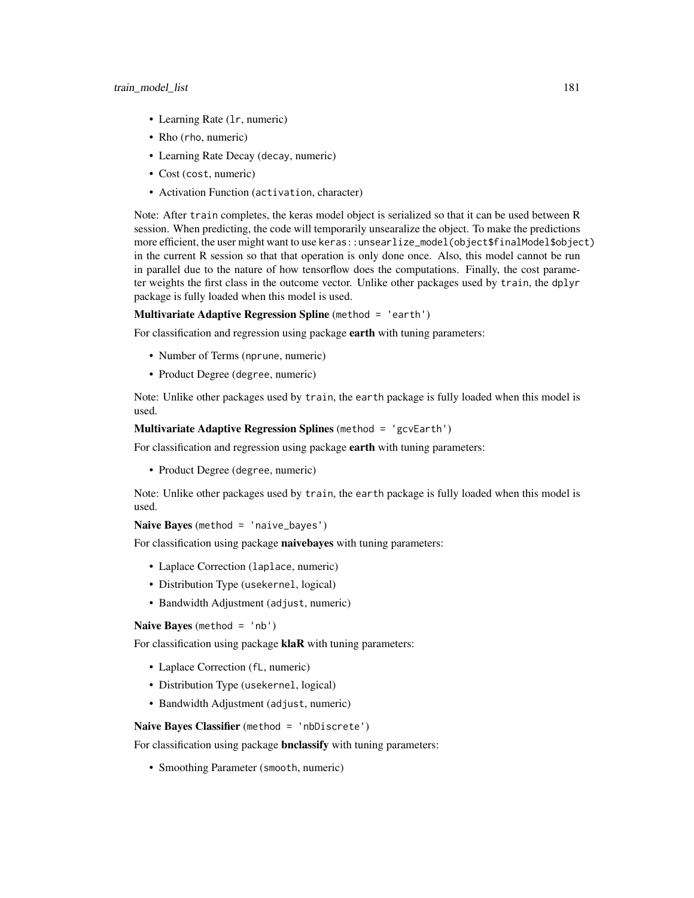- Learning Rate (lr, numeric)
- Rho (rho, numeric)
- Learning Rate Decay (decay, numeric)
- Cost (cost, numeric)
- Activation Function (activation, character)

Note: After train completes, the keras model object is serialized so that it can be used between R session. When predicting, the code will temporarily unsearalize the object. To make the predictions more efficient, the user might want to use keras::unsearlize\_model(object\$finalModel\$object) in the current R session so that that operation is only done once. Also, this model cannot be run in parallel due to the nature of how tensorflow does the computations. Finally, the cost parameter weights the first class in the outcome vector. Unlike other packages used by train, the dplyr package is fully loaded when this model is used.

Multivariate Adaptive Regression Spline (method = 'earth')

For classification and regression using package earth with tuning parameters:

- Number of Terms (nprune, numeric)
- Product Degree (degree, numeric)

Note: Unlike other packages used by train, the earth package is fully loaded when this model is used.

# Multivariate Adaptive Regression Splines (method = 'gcvEarth')

For classification and regression using package earth with tuning parameters:

• Product Degree (degree, numeric)

Note: Unlike other packages used by train, the earth package is fully loaded when this model is used.

# Naive Bayes (method = 'naive\_bayes')

For classification using package naivebayes with tuning parameters:

- Laplace Correction (laplace, numeric)
- Distribution Type (usekernel, logical)
- Bandwidth Adjustment (adjust, numeric)

Naive Bayes (method = 'nb')

For classification using package klaR with tuning parameters:

- Laplace Correction (fL, numeric)
- Distribution Type (usekernel, logical)
- Bandwidth Adjustment (adjust, numeric)

### Naive Bayes Classifier (method = 'nbDiscrete')

For classification using package **bnclassify** with tuning parameters:

• Smoothing Parameter (smooth, numeric)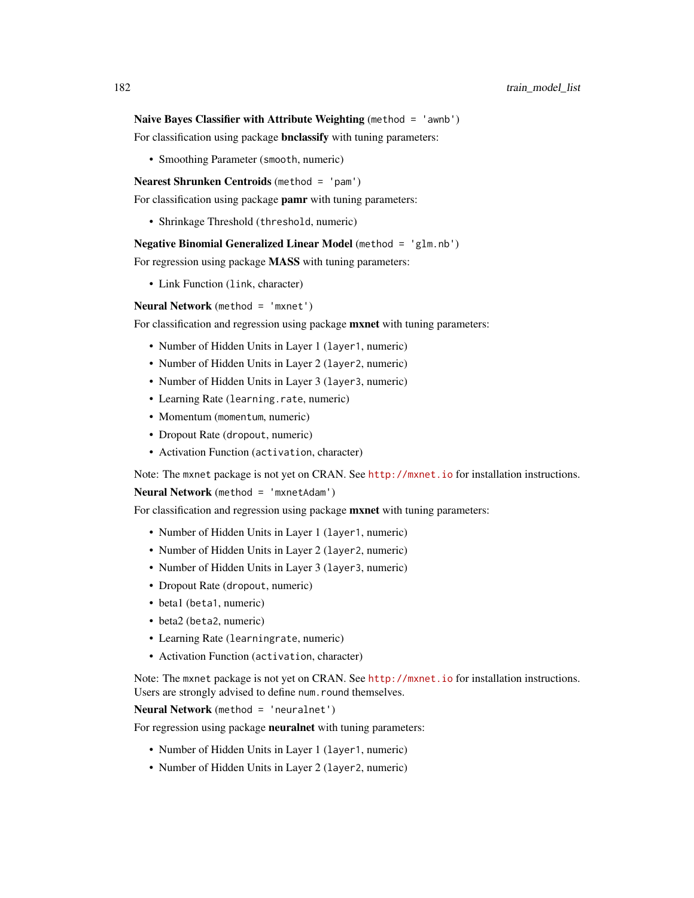#### Naive Bayes Classifier with Attribute Weighting (method = 'awnb')

For classification using package **bnclassify** with tuning parameters:

• Smoothing Parameter (smooth, numeric)

Nearest Shrunken Centroids (method = 'pam')

For classification using package pamr with tuning parameters:

• Shrinkage Threshold (threshold, numeric)

Negative Binomial Generalized Linear Model (method = 'glm.nb')

For regression using package MASS with tuning parameters:

• Link Function (link, character)

Neural Network (method = 'mxnet')

For classification and regression using package **mxnet** with tuning parameters:

- Number of Hidden Units in Layer 1 (layer1, numeric)
- Number of Hidden Units in Layer 2 (layer2, numeric)
- Number of Hidden Units in Layer 3 (layer 3, numeric)
- Learning Rate (learning.rate, numeric)
- Momentum (momentum, numeric)
- Dropout Rate (dropout, numeric)
- Activation Function (activation, character)

Note: The mxnet package is not yet on CRAN. See <http://mxnet.io> for installation instructions.

Neural Network (method = 'mxnetAdam')

For classification and regression using package **mxnet** with tuning parameters:

- Number of Hidden Units in Layer 1 (layer 1, numeric)
- Number of Hidden Units in Layer 2 (layer 2, numeric)
- Number of Hidden Units in Layer 3 (layer3, numeric)
- Dropout Rate (dropout, numeric)
- beta1 (beta1, numeric)
- beta2 (beta2, numeric)
- Learning Rate (learningrate, numeric)
- Activation Function (activation, character)

Note: The mxnet package is not yet on CRAN. See <http://mxnet.io> for installation instructions. Users are strongly advised to define num.round themselves.

Neural Network (method = 'neuralnet')

For regression using package neuralnet with tuning parameters:

- Number of Hidden Units in Layer 1 (layer 1, numeric)
- Number of Hidden Units in Layer 2 (layer2, numeric)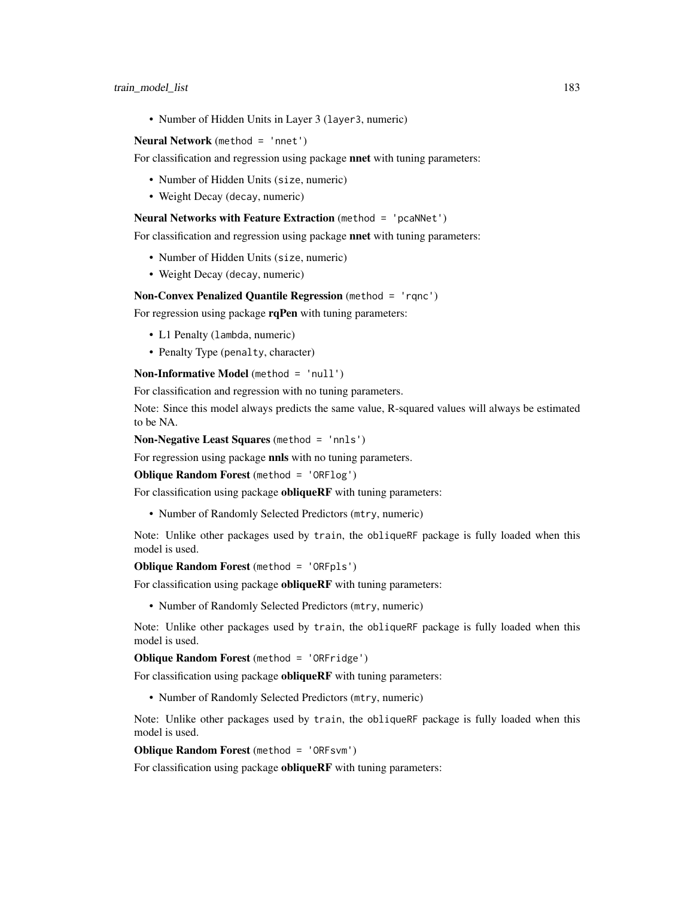• Number of Hidden Units in Layer 3 (layer3, numeric)

#### Neural Network (method = 'nnet')

For classification and regression using package **nnet** with tuning parameters:

- Number of Hidden Units (size, numeric)
- Weight Decay (decay, numeric)

#### Neural Networks with Feature Extraction (method = 'pcaNNet')

For classification and regression using package nnet with tuning parameters:

- Number of Hidden Units (size, numeric)
- Weight Decay (decay, numeric)

#### Non-Convex Penalized Quantile Regression (method = 'rqnc')

For regression using package rqPen with tuning parameters:

- L1 Penalty (lambda, numeric)
- Penalty Type (penalty, character)

Non-Informative Model (method = 'null')

For classification and regression with no tuning parameters.

Note: Since this model always predicts the same value, R-squared values will always be estimated to be NA.

Non-Negative Least Squares (method = 'nnls')

For regression using package **nnls** with no tuning parameters.

Oblique Random Forest (method = 'ORFlog')

For classification using package **obliqueRF** with tuning parameters:

• Number of Randomly Selected Predictors (mtry, numeric)

Note: Unlike other packages used by train, the obliqueRF package is fully loaded when this model is used.

Oblique Random Forest (method = 'ORFpls')

For classification using package **obliqueRF** with tuning parameters:

• Number of Randomly Selected Predictors (mtry, numeric)

Note: Unlike other packages used by train, the obliqueRF package is fully loaded when this model is used.

Oblique Random Forest (method = 'ORFridge')

For classification using package **obliqueRF** with tuning parameters:

• Number of Randomly Selected Predictors (mtry, numeric)

Note: Unlike other packages used by train, the obliqueRF package is fully loaded when this model is used.

#### Oblique Random Forest (method = 'ORFsvm')

For classification using package obliqueRF with tuning parameters: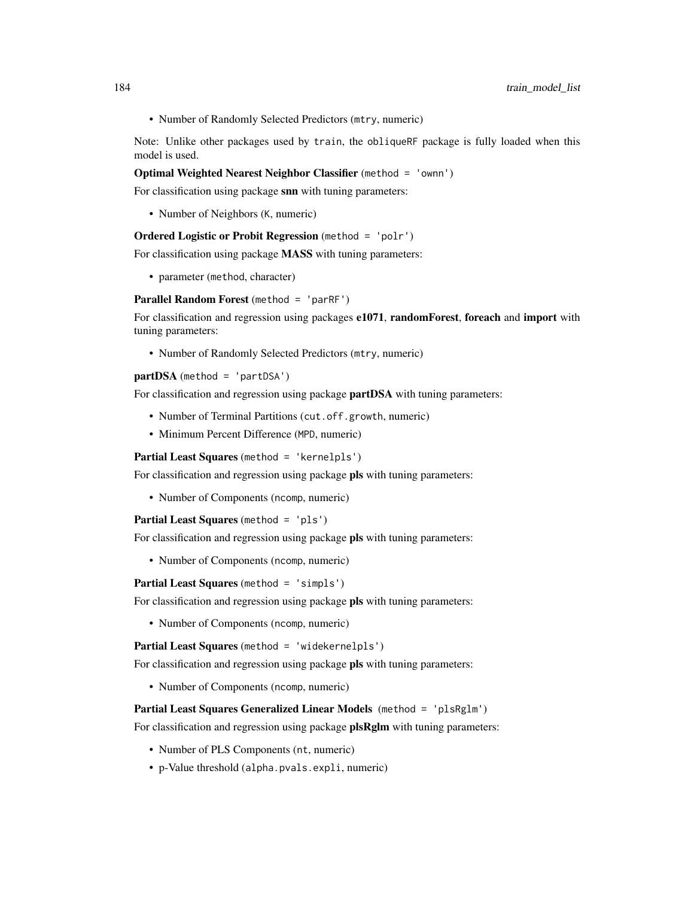• Number of Randomly Selected Predictors (mtry, numeric)

Note: Unlike other packages used by train, the obliqueRF package is fully loaded when this model is used.

#### Optimal Weighted Nearest Neighbor Classifier (method = 'ownn')

For classification using package snn with tuning parameters:

• Number of Neighbors (K, numeric)

# Ordered Logistic or Probit Regression (method = 'polr')

For classification using package MASS with tuning parameters:

• parameter (method, character)

Parallel Random Forest (method = 'parRF')

For classification and regression using packages e1071, randomForest, foreach and import with tuning parameters:

• Number of Randomly Selected Predictors (mtry, numeric)

 $partDSA$  (method = 'partDSA')

For classification and regression using package **partDSA** with tuning parameters:

- Number of Terminal Partitions (cut.off.growth, numeric)
- Minimum Percent Difference (MPD, numeric)

Partial Least Squares (method = 'kernelpls')

For classification and regression using package pls with tuning parameters:

• Number of Components (ncomp, numeric)

Partial Least Squares (method = 'pls')

For classification and regression using package **pls** with tuning parameters:

• Number of Components (ncomp, numeric)

Partial Least Squares (method = 'simpls')

For classification and regression using package pls with tuning parameters:

• Number of Components (ncomp, numeric)

Partial Least Squares (method = 'widekernelpls')

For classification and regression using package pls with tuning parameters:

• Number of Components (ncomp, numeric)

Partial Least Squares Generalized Linear Models (method = 'plsRglm')

For classification and regression using package **plsRglm** with tuning parameters:

- Number of PLS Components (nt, numeric)
- p-Value threshold (alpha.pvals.expli, numeric)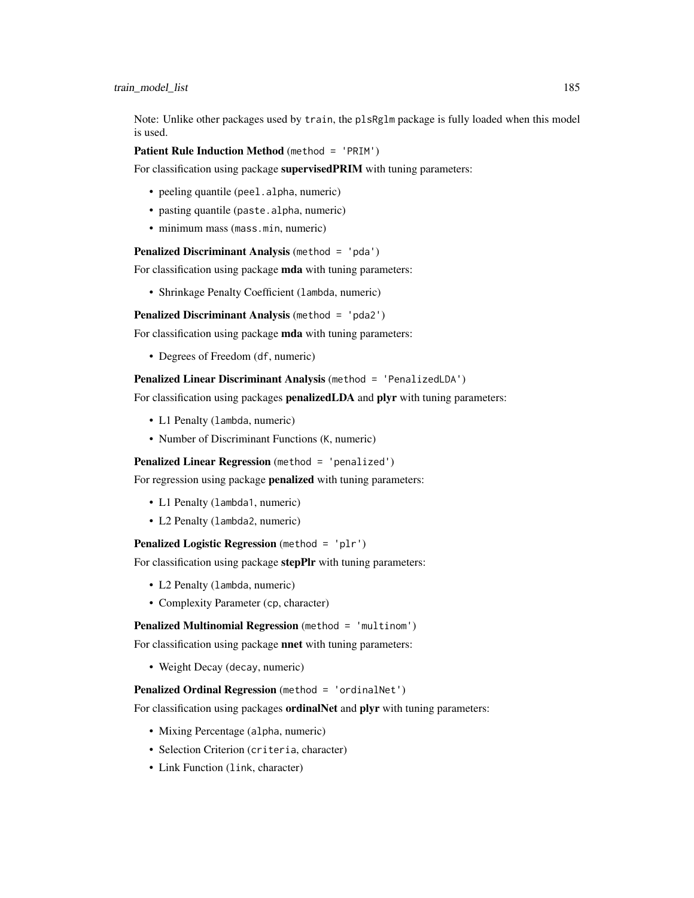Note: Unlike other packages used by train, the plsRglm package is fully loaded when this model is used.

Patient Rule Induction Method (method = 'PRIM')

For classification using package supervisedPRIM with tuning parameters:

- peeling quantile (peel.alpha, numeric)
- pasting quantile (paste.alpha, numeric)
- minimum mass (mass.min, numeric)

Penalized Discriminant Analysis (method = 'pda')

For classification using package **mda** with tuning parameters:

• Shrinkage Penalty Coefficient (lambda, numeric)

Penalized Discriminant Analysis (method = 'pda2')

For classification using package mda with tuning parameters:

• Degrees of Freedom (df, numeric)

Penalized Linear Discriminant Analysis (method = 'PenalizedLDA')

For classification using packages **penalizedLDA** and **plyr** with tuning parameters:

- L1 Penalty (lambda, numeric)
- Number of Discriminant Functions (K, numeric)

Penalized Linear Regression (method = 'penalized')

For regression using package **penalized** with tuning parameters:

- L1 Penalty (lambda1, numeric)
- L2 Penalty (lambda2, numeric)

Penalized Logistic Regression (method = 'plr')

For classification using package stepPlr with tuning parameters:

- L2 Penalty (lambda, numeric)
- Complexity Parameter (cp, character)

Penalized Multinomial Regression (method = 'multinom')

For classification using package **nnet** with tuning parameters:

• Weight Decay (decay, numeric)

#### Penalized Ordinal Regression (method = 'ordinalNet')

For classification using packages **ordinalNet** and **plyr** with tuning parameters:

- Mixing Percentage (alpha, numeric)
- Selection Criterion (criteria, character)
- Link Function (link, character)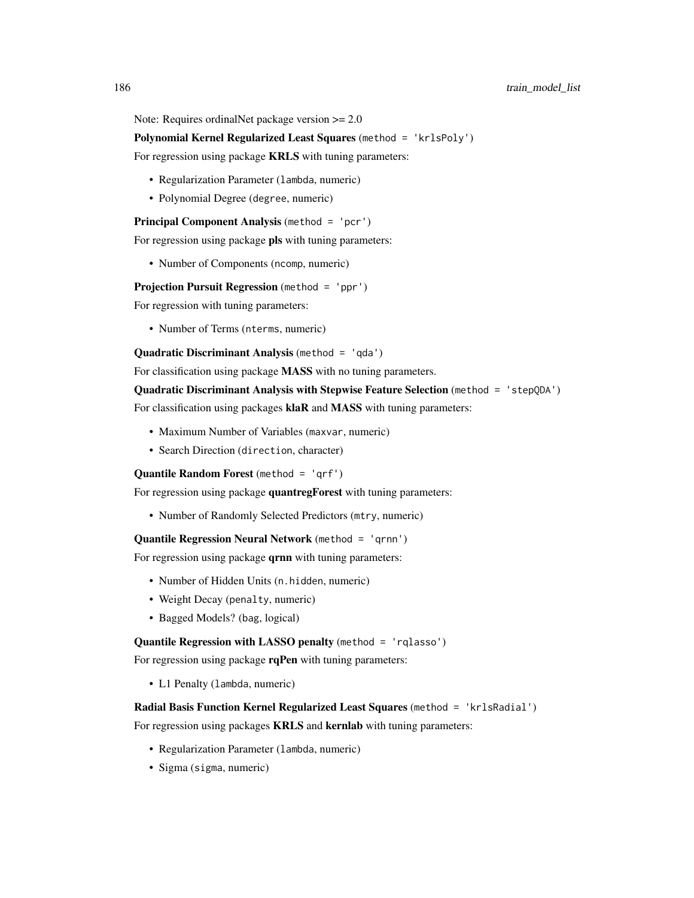Note: Requires ordinalNet package version  $\geq 2.0$ 

Polynomial Kernel Regularized Least Squares (method = 'krlsPoly')

For regression using package **KRLS** with tuning parameters:

- Regularization Parameter (lambda, numeric)
- Polynomial Degree (degree, numeric)

Principal Component Analysis (method = 'pcr')

For regression using package pls with tuning parameters:

• Number of Components (ncomp, numeric)

Projection Pursuit Regression (method = 'ppr')

For regression with tuning parameters:

• Number of Terms (nterms, numeric)

Quadratic Discriminant Analysis (method = 'qda')

For classification using package **MASS** with no tuning parameters.

Quadratic Discriminant Analysis with Stepwise Feature Selection (method = 'stepQDA') For classification using packages klaR and MASS with tuning parameters:

- Maximum Number of Variables (maxvar, numeric)
- Search Direction (direction, character)

Quantile Random Forest (method = 'qrf')

For regression using package quantregForest with tuning parameters:

• Number of Randomly Selected Predictors (mtry, numeric)

Quantile Regression Neural Network (method = 'qrnn')

For regression using package **qrnn** with tuning parameters:

- Number of Hidden Units (n.hidden, numeric)
- Weight Decay (penalty, numeric)
- Bagged Models? (bag, logical)

# Quantile Regression with LASSO penalty (method = 'rqlasso')

For regression using package rqPen with tuning parameters:

• L1 Penalty (lambda, numeric)

# Radial Basis Function Kernel Regularized Least Squares (method = 'krlsRadial')

For regression using packages **KRLS** and **kernlab** with tuning parameters:

- Regularization Parameter (lambda, numeric)
- Sigma (sigma, numeric)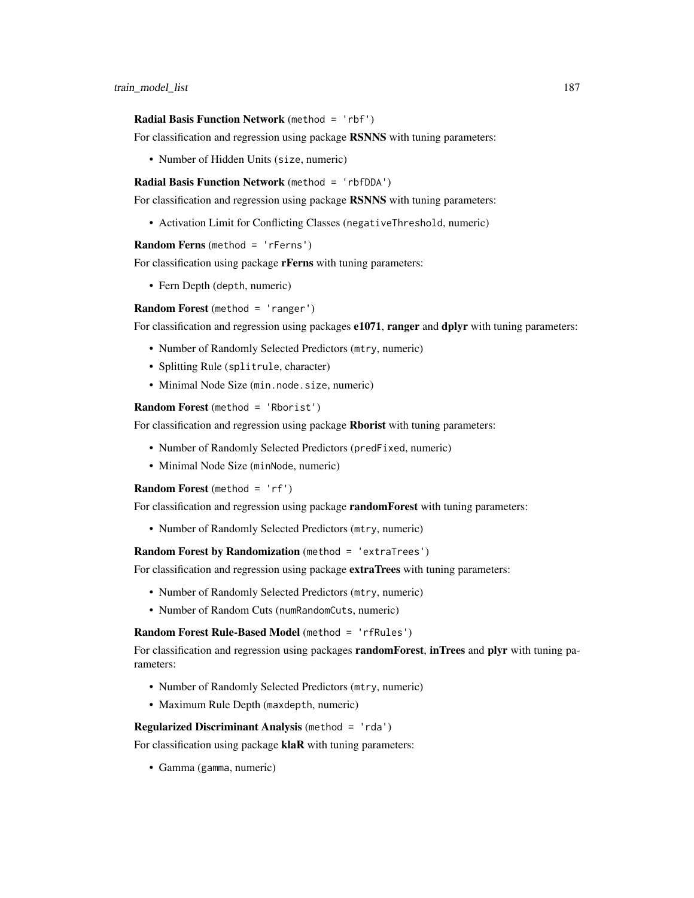#### Radial Basis Function Network (method = 'rbf')

For classification and regression using package RSNNS with tuning parameters:

• Number of Hidden Units (size, numeric)

Radial Basis Function Network (method = 'rbfDDA')

For classification and regression using package RSNNS with tuning parameters:

• Activation Limit for Conflicting Classes (negativeThreshold, numeric)

Random Ferns (method = 'rFerns')

For classification using package **rFerns** with tuning parameters:

• Fern Depth (depth, numeric)

Random Forest (method = 'ranger')

For classification and regression using packages  $e1071$ , ranger and dplyr with tuning parameters:

- Number of Randomly Selected Predictors (mtry, numeric)
- Splitting Rule (splitrule, character)
- Minimal Node Size (min.node.size, numeric)

Random Forest (method = 'Rborist')

For classification and regression using package Rborist with tuning parameters:

- Number of Randomly Selected Predictors (predFixed, numeric)
- Minimal Node Size (minNode, numeric)

Random Forest (method = 'rf')

For classification and regression using package randomForest with tuning parameters:

• Number of Randomly Selected Predictors (mtry, numeric)

Random Forest by Randomization (method = 'extraTrees')

For classification and regression using package extraTrees with tuning parameters:

- Number of Randomly Selected Predictors (mtry, numeric)
- Number of Random Cuts (numRandomCuts, numeric)

Random Forest Rule-Based Model (method = 'rfRules')

For classification and regression using packages **randomForest, inTrees** and **plyr** with tuning parameters:

- Number of Randomly Selected Predictors (mtry, numeric)
- Maximum Rule Depth (maxdepth, numeric)

# Regularized Discriminant Analysis (method = 'rda')

For classification using package klaR with tuning parameters:

• Gamma (gamma, numeric)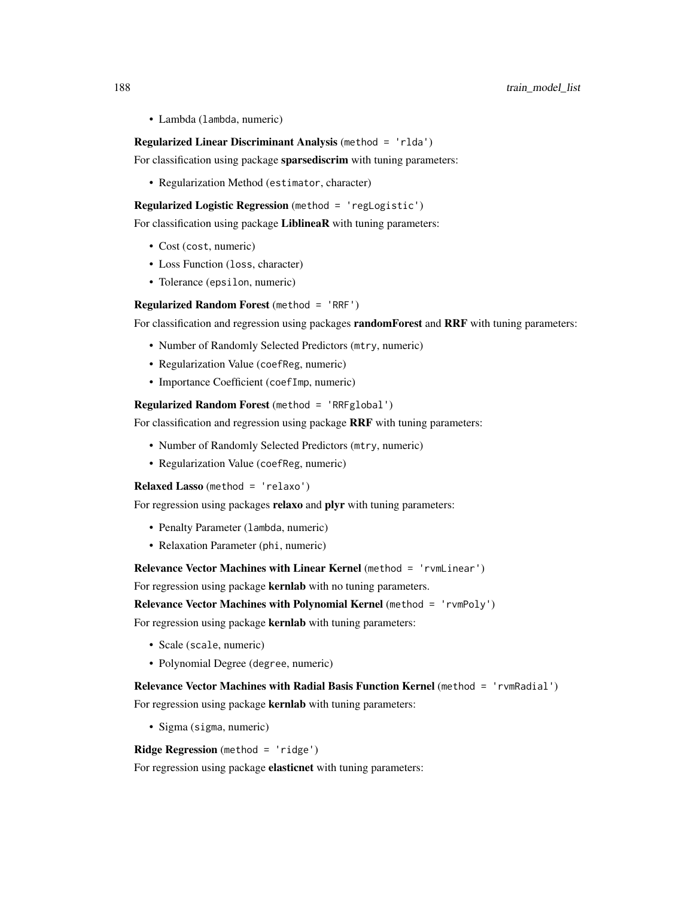• Lambda (lambda, numeric)

#### Regularized Linear Discriminant Analysis (method = 'rlda')

For classification using package sparsediscrim with tuning parameters:

• Regularization Method (estimator, character)

Regularized Logistic Regression (method = 'regLogistic')

For classification using package LiblineaR with tuning parameters:

- Cost (cost, numeric)
- Loss Function (loss, character)
- Tolerance (epsilon, numeric)

**Regularized Random Forest** (method = 'RRF')

For classification and regression using packages **randomForest** and **RRF** with tuning parameters:

- Number of Randomly Selected Predictors (mtry, numeric)
- Regularization Value (coefReg, numeric)
- Importance Coefficient (coefImp, numeric)

Regularized Random Forest (method = 'RRFglobal')

For classification and regression using package RRF with tuning parameters:

- Number of Randomly Selected Predictors (mtry, numeric)
- Regularization Value (coefReg, numeric)

Relaxed Lasso (method = 'relaxo')

For regression using packages relaxo and plyr with tuning parameters:

- Penalty Parameter (lambda, numeric)
- Relaxation Parameter (phi, numeric)

Relevance Vector Machines with Linear Kernel (method = 'rvmLinear')

For regression using package kernlab with no tuning parameters.

# Relevance Vector Machines with Polynomial Kernel (method = 'rvmPoly')

For regression using package **kernlab** with tuning parameters:

- Scale (scale, numeric)
- Polynomial Degree (degree, numeric)

Relevance Vector Machines with Radial Basis Function Kernel (method = 'rvmRadial') For regression using package **kernlab** with tuning parameters:

• Sigma (sigma, numeric)

**Ridge Regression** (method =  $'$ ridge')

For regression using package elasticnet with tuning parameters: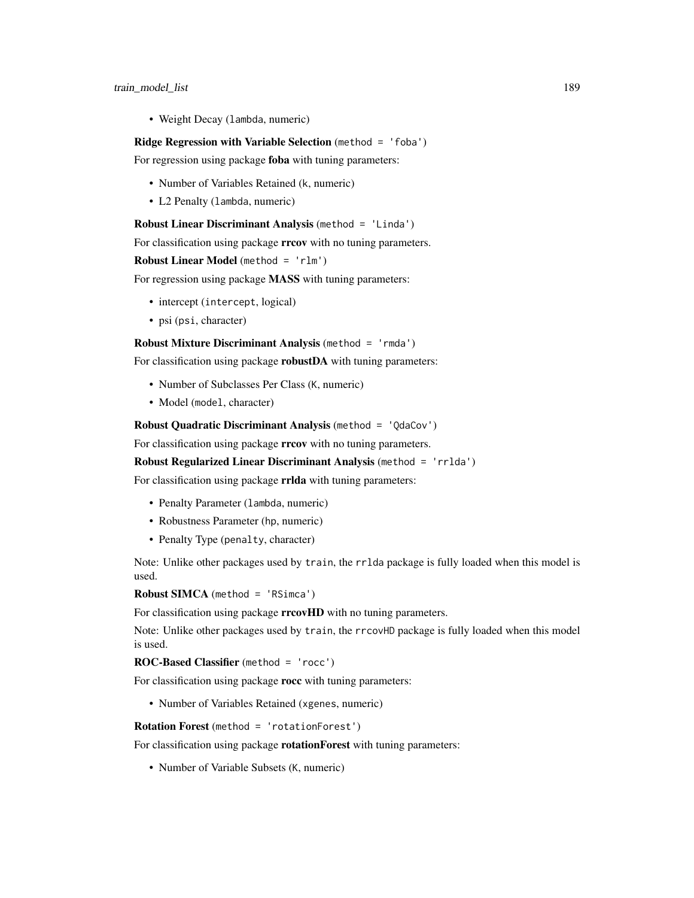• Weight Decay (lambda, numeric)

#### Ridge Regression with Variable Selection (method = 'foba')

For regression using package foba with tuning parameters:

- Number of Variables Retained (k, numeric)
- L2 Penalty (lambda, numeric)

# Robust Linear Discriminant Analysis (method = 'Linda')

For classification using package rrcov with no tuning parameters.

Robust Linear Model (method = 'rlm')

For regression using package **MASS** with tuning parameters:

- intercept (intercept, logical)
- psi (psi, character)

#### Robust Mixture Discriminant Analysis (method = 'rmda')

For classification using package **robustDA** with tuning parameters:

- Number of Subclasses Per Class (K, numeric)
- Model (model, character)

# Robust Quadratic Discriminant Analysis (method = 'QdaCov')

For classification using package **rrcov** with no tuning parameters.

Robust Regularized Linear Discriminant Analysis (method = 'rrlda')

For classification using package rrlda with tuning parameters:

- Penalty Parameter (lambda, numeric)
- Robustness Parameter (hp, numeric)
- Penalty Type (penalty, character)

Note: Unlike other packages used by train, the rrlda package is fully loaded when this model is used.

```
Robust SIMCA (method = 'RSimca')
```
For classification using package **rrcovHD** with no tuning parameters.

Note: Unlike other packages used by train, the rrcovHD package is fully loaded when this model is used.

# ROC-Based Classifier (method = 'rocc')

For classification using package rocc with tuning parameters:

• Number of Variables Retained (xgenes, numeric)

Rotation Forest (method = 'rotationForest')

For classification using package **rotationForest** with tuning parameters:

• Number of Variable Subsets (K, numeric)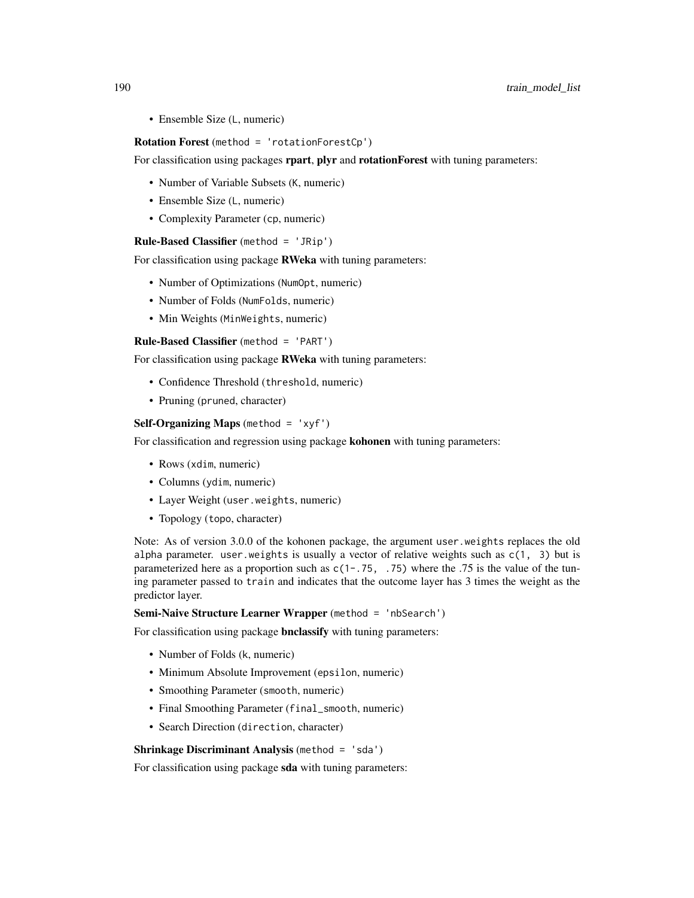• Ensemble Size (L, numeric)

#### Rotation Forest (method = 'rotationForestCp')

For classification using packages **rpart, plyr** and **rotationForest** with tuning parameters:

- Number of Variable Subsets (K, numeric)
- Ensemble Size (L, numeric)
- Complexity Parameter (cp, numeric)

#### Rule-Based Classifier (method = 'JRip')

For classification using package RWeka with tuning parameters:

- Number of Optimizations (NumOpt, numeric)
- Number of Folds (NumFolds, numeric)
- Min Weights (MinWeights, numeric)

Rule-Based Classifier (method = 'PART')

For classification using package RWeka with tuning parameters:

- Confidence Threshold (threshold, numeric)
- Pruning (pruned, character)

#### Self-Organizing Maps (method = 'xyf')

For classification and regression using package **kohonen** with tuning parameters:

- Rows (xdim, numeric)
- Columns (ydim, numeric)
- Layer Weight (user.weights, numeric)
- Topology (topo, character)

Note: As of version 3.0.0 of the kohonen package, the argument user.weights replaces the old alpha parameter. user.weights is usually a vector of relative weights such as  $c(1, 3)$  but is parameterized here as a proportion such as  $c(1-.75, .75)$  where the .75 is the value of the tuning parameter passed to train and indicates that the outcome layer has 3 times the weight as the predictor layer.

### Semi-Naive Structure Learner Wrapper (method = 'nbSearch')

For classification using package **bnclassify** with tuning parameters:

- Number of Folds (k, numeric)
- Minimum Absolute Improvement (epsilon, numeric)
- Smoothing Parameter (smooth, numeric)
- Final Smoothing Parameter (final\_smooth, numeric)
- Search Direction (direction, character)

#### Shrinkage Discriminant Analysis (method = 'sda')

For classification using package sda with tuning parameters: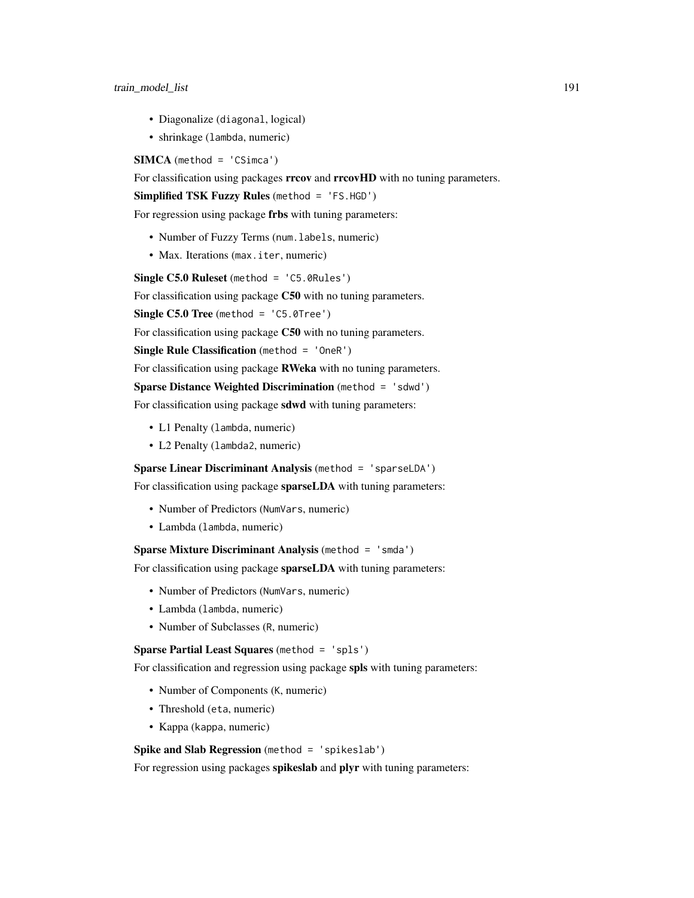- Diagonalize (diagonal, logical)
- shrinkage (lambda, numeric)

 $SIMCA (method = 'CSimca')$ 

For classification using packages rrcov and rrcovHD with no tuning parameters.

Simplified TSK Fuzzy Rules (method = 'FS.HGD')

For regression using package frbs with tuning parameters:

- Number of Fuzzy Terms (num.labels, numeric)
- Max. Iterations (max. iter, numeric)

Single C5.0 Ruleset (method = 'C5.0Rules')

For classification using package C50 with no tuning parameters.

Single  $C5.0$  Tree (method = 'C5.0Tree')

For classification using package C50 with no tuning parameters.

Single Rule Classification (method = 'OneR')

For classification using package RWeka with no tuning parameters.

# Sparse Distance Weighted Discrimination (method = 'sdwd')

For classification using package sdwd with tuning parameters:

- L1 Penalty (lambda, numeric)
- L2 Penalty (lambda2, numeric)

Sparse Linear Discriminant Analysis (method = 'sparseLDA')

For classification using package sparseLDA with tuning parameters:

- Number of Predictors (NumVars, numeric)
- Lambda (lambda, numeric)

Sparse Mixture Discriminant Analysis (method = 'smda')

For classification using package sparseLDA with tuning parameters:

- Number of Predictors (NumVars, numeric)
- Lambda (lambda, numeric)
- Number of Subclasses (R, numeric)

# Sparse Partial Least Squares (method = 'spls')

For classification and regression using package spls with tuning parameters:

- Number of Components (K, numeric)
- Threshold (eta, numeric)
- Kappa (kappa, numeric)

# Spike and Slab Regression (method = 'spikeslab')

For regression using packages spikeslab and plyr with tuning parameters: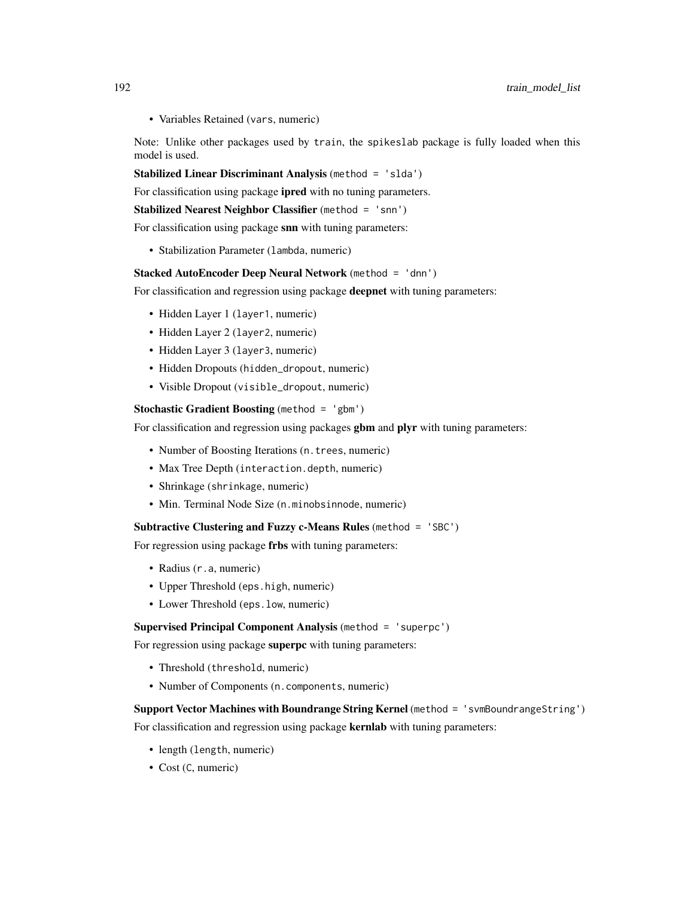• Variables Retained (vars, numeric)

Note: Unlike other packages used by train, the spikeslab package is fully loaded when this model is used.

Stabilized Linear Discriminant Analysis (method = 'slda')

For classification using package ipred with no tuning parameters.

```
Stabilized Nearest Neighbor Classifier (method = 'snn')
```
For classification using package snn with tuning parameters:

• Stabilization Parameter (lambda, numeric)

# Stacked AutoEncoder Deep Neural Network (method = 'dnn')

For classification and regression using package deepnet with tuning parameters:

- Hidden Layer 1 (layer1, numeric)
- Hidden Layer 2 (layer 2, numeric)
- Hidden Layer 3 (layer3, numeric)
- Hidden Dropouts (hidden\_dropout, numeric)
- Visible Dropout (visible\_dropout, numeric)

#### **Stochastic Gradient Boosting** (method  $=$  'gbm')

For classification and regression using packages gbm and plyr with tuning parameters:

- Number of Boosting Iterations (n. trees, numeric)
- Max Tree Depth (interaction.depth, numeric)
- Shrinkage (shrinkage, numeric)
- Min. Terminal Node Size (n.minobsinnode, numeric)

#### Subtractive Clustering and Fuzzy c-Means Rules (method = 'SBC')

For regression using package frbs with tuning parameters:

- Radius (r.a, numeric)
- Upper Threshold (eps.high, numeric)
- Lower Threshold (eps.low, numeric)

#### Supervised Principal Component Analysis (method = 'superpc')

For regression using package superpc with tuning parameters:

- Threshold (threshold, numeric)
- Number of Components (n.components, numeric)

Support Vector Machines with Boundrange String Kernel (method = 'svmBoundrangeString') For classification and regression using package kernlab with tuning parameters:

- length (length, numeric)
- Cost (C, numeric)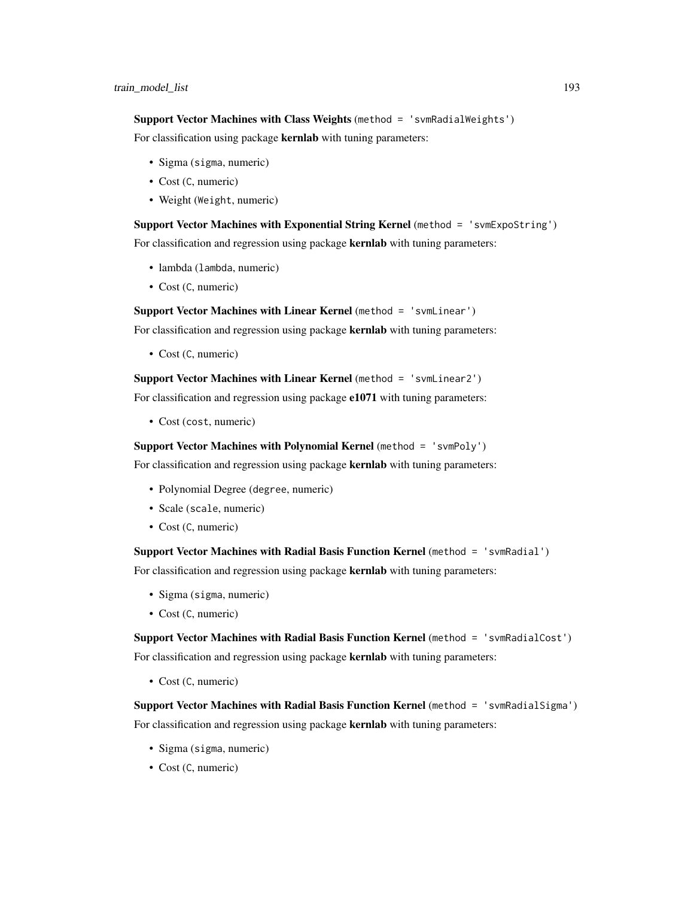Support Vector Machines with Class Weights (method = 'svmRadialWeights')

For classification using package kernlab with tuning parameters:

- Sigma (sigma, numeric)
- Cost (C, numeric)
- Weight (Weight, numeric)

Support Vector Machines with Exponential String Kernel (method = 'svmExpoString') For classification and regression using package kernlab with tuning parameters:

- lambda (lambda, numeric)
- Cost (C, numeric)

Support Vector Machines with Linear Kernel (method = 'svmLinear')

For classification and regression using package kernlab with tuning parameters:

• Cost (C, numeric)

Support Vector Machines with Linear Kernel (method = 'svmLinear2')

For classification and regression using package e1071 with tuning parameters:

• Cost (cost, numeric)

Support Vector Machines with Polynomial Kernel (method = 'svmPoly')

For classification and regression using package kernlab with tuning parameters:

- Polynomial Degree (degree, numeric)
- Scale (scale, numeric)
- Cost (C, numeric)

Support Vector Machines with Radial Basis Function Kernel (method = 'svmRadial')

For classification and regression using package kernlab with tuning parameters:

- Sigma (sigma, numeric)
- Cost (C, numeric)

Support Vector Machines with Radial Basis Function Kernel (method = 'svmRadialCost') For classification and regression using package kernlab with tuning parameters:

• Cost (C, numeric)

Support Vector Machines with Radial Basis Function Kernel (method = 'svmRadialSigma') For classification and regression using package **kernlab** with tuning parameters:

- Sigma (sigma, numeric)
- Cost (C, numeric)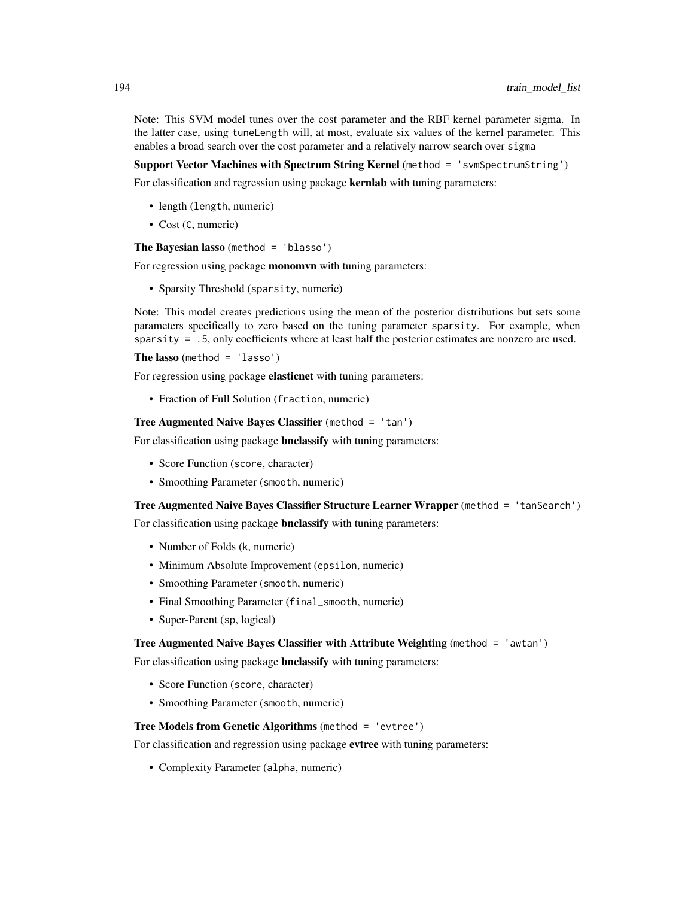Note: This SVM model tunes over the cost parameter and the RBF kernel parameter sigma. In the latter case, using tuneLength will, at most, evaluate six values of the kernel parameter. This enables a broad search over the cost parameter and a relatively narrow search over sigma

#### Support Vector Machines with Spectrum String Kernel (method = 'svmSpectrumString')

For classification and regression using package **kernlab** with tuning parameters:

- length (length, numeric)
- Cost (C, numeric)

The Bayesian lasso (method = 'blasso')

For regression using package **monomvn** with tuning parameters:

• Sparsity Threshold (sparsity, numeric)

Note: This model creates predictions using the mean of the posterior distributions but sets some parameters specifically to zero based on the tuning parameter sparsity. For example, when sparsity = .5, only coefficients where at least half the posterior estimates are nonzero are used.

The lasso (method =  $'lasso'$ )

For regression using package **elasticnet** with tuning parameters:

• Fraction of Full Solution (fraction, numeric)

Tree Augmented Naive Bayes Classifier (method = 'tan')

For classification using package **bnclassify** with tuning parameters:

- Score Function (score, character)
- Smoothing Parameter (smooth, numeric)

Tree Augmented Naive Bayes Classifier Structure Learner Wrapper (method = 'tanSearch')

For classification using package **bnclassify** with tuning parameters:

- Number of Folds (k, numeric)
- Minimum Absolute Improvement (epsilon, numeric)
- Smoothing Parameter (smooth, numeric)
- Final Smoothing Parameter (final\_smooth, numeric)
- Super-Parent (sp, logical)

#### Tree Augmented Naive Bayes Classifier with Attribute Weighting (method = 'awtan')

For classification using package **bnclassify** with tuning parameters:

- Score Function (score, character)
- Smoothing Parameter (smooth, numeric)

#### Tree Models from Genetic Algorithms (method = 'evtree')

For classification and regression using package evtree with tuning parameters:

• Complexity Parameter (alpha, numeric)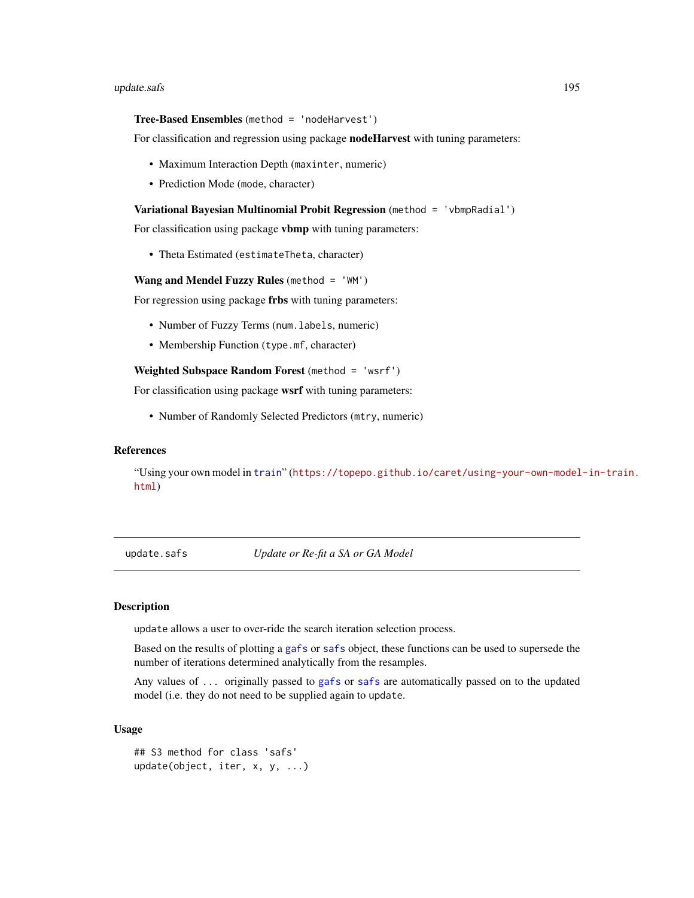#### <span id="page-194-0"></span>Tree-Based Ensembles (method = 'nodeHarvest')

For classification and regression using package **nodeHarvest** with tuning parameters:

- Maximum Interaction Depth (maxinter, numeric)
- Prediction Mode (mode, character)

#### Variational Bayesian Multinomial Probit Regression (method = 'vbmpRadial')

For classification using package vbmp with tuning parameters:

• Theta Estimated (estimateTheta, character)

Wang and Mendel Fuzzy Rules (method  $=$  'WM')

For regression using package frbs with tuning parameters:

- Number of Fuzzy Terms (num. labels, numeric)
- Membership Function (type.mf, character)

Weighted Subspace Random Forest (method = 'wsrf')

For classification using package wsrf with tuning parameters:

• Number of Randomly Selected Predictors (mtry, numeric)

# References

"Using your own model in [train](#page-153-0)" ([https://topepo.github.io/caret/using-your-own-model](https://topepo.github.io/caret/using-your-own-model-in-train.html)-in-train. [html](https://topepo.github.io/caret/using-your-own-model-in-train.html))

update.safs *Update or Re-fit a SA or GA Model*

# **Description**

update allows a user to over-ride the search iteration selection process.

Based on the results of plotting a [gafs](#page-51-0) or [safs](#page-132-0) object, these functions can be used to supersede the number of iterations determined analytically from the resamples.

Any values of ... originally passed to [gafs](#page-51-0) or [safs](#page-132-0) are automatically passed on to the updated model (i.e. they do not need to be supplied again to update.

#### Usage

```
## S3 method for class 'safs'
update(object, iter, x, y, ...)
```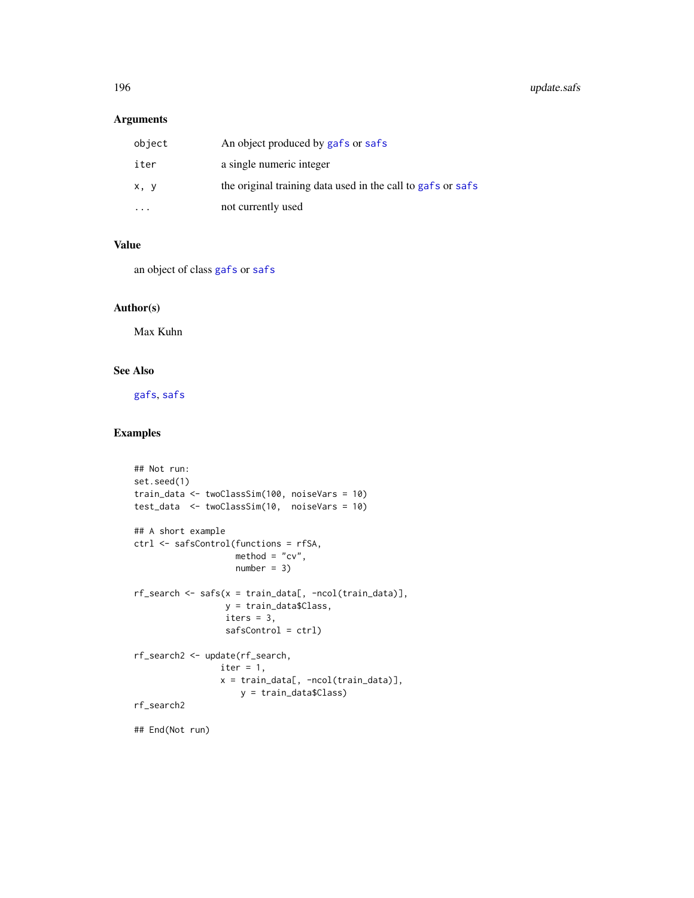# <span id="page-195-0"></span>Arguments

| object | An object produced by gafs or safs                          |
|--------|-------------------------------------------------------------|
| iter   | a single numeric integer                                    |
| x, y   | the original training data used in the call to gafs or safs |
|        | not currently used                                          |

# Value

an object of class [gafs](#page-51-0) or [safs](#page-132-0)

# Author(s)

Max Kuhn

# See Also

[gafs](#page-51-0), [safs](#page-132-0)

# Examples

```
## Not run:
set.seed(1)
train_data <- twoClassSim(100, noiseVars = 10)
test_data <- twoClassSim(10, noiseVars = 10)
## A short example
ctrl <- safsControl(functions = rfSA,
                    \text{method} = "cv",number = 3rf_search <- safs(x = train_data[, -ncol(train_data)],
                  y = train_data$Class,
                  iters = 3,
                  safsControl = ctrl)
rf_search2 <- update(rf_search,
                 iter = 1,x = train_data[, -ncol(train_data)],
                    y = train_data$Class)
rf_search2
## End(Not run)
```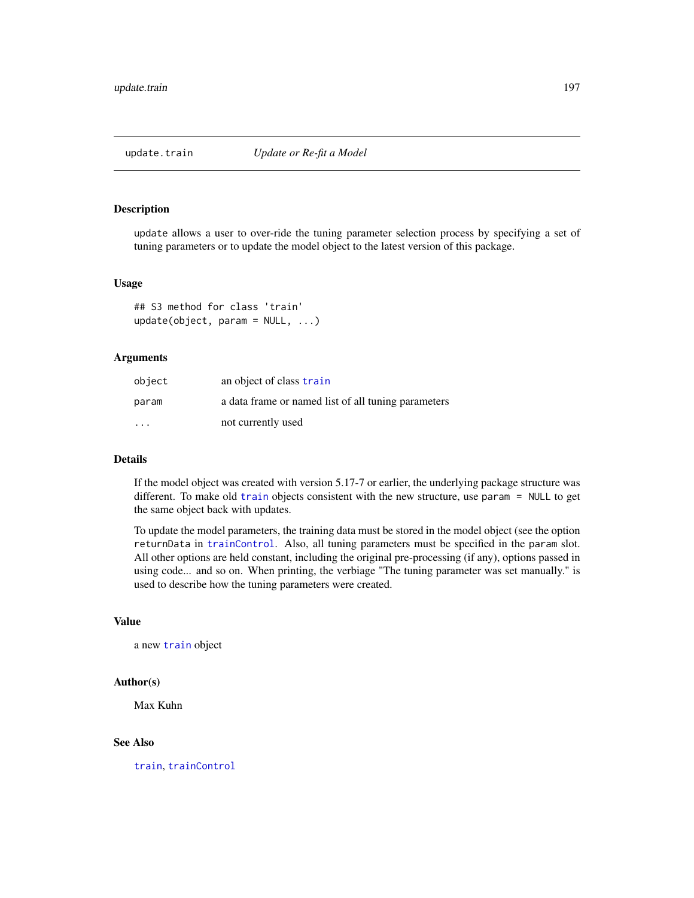<span id="page-196-0"></span>

#### Description

update allows a user to over-ride the tuning parameter selection process by specifying a set of tuning parameters or to update the model object to the latest version of this package.

#### Usage

```
## S3 method for class 'train'
update(object, param = NULL, ...)
```
#### Arguments

| object                  | an object of class train                            |
|-------------------------|-----------------------------------------------------|
| param                   | a data frame or named list of all tuning parameters |
| $\cdot$ $\cdot$ $\cdot$ | not currently used                                  |

#### **Details**

If the model object was created with version 5.17-7 or earlier, the underlying package structure was different. To make old [train](#page-153-0) objects consistent with the new structure, use param = NULL to get the same object back with updates.

To update the model parameters, the training data must be stored in the model object (see the option returnData in [trainControl](#page-158-0). Also, all tuning parameters must be specified in the param slot. All other options are held constant, including the original pre-processing (if any), options passed in using code... and so on. When printing, the verbiage "The tuning parameter was set manually." is used to describe how the tuning parameters were created.

#### Value

a new [train](#page-153-0) object

#### Author(s)

Max Kuhn

# See Also

[train](#page-153-0), [trainControl](#page-158-0)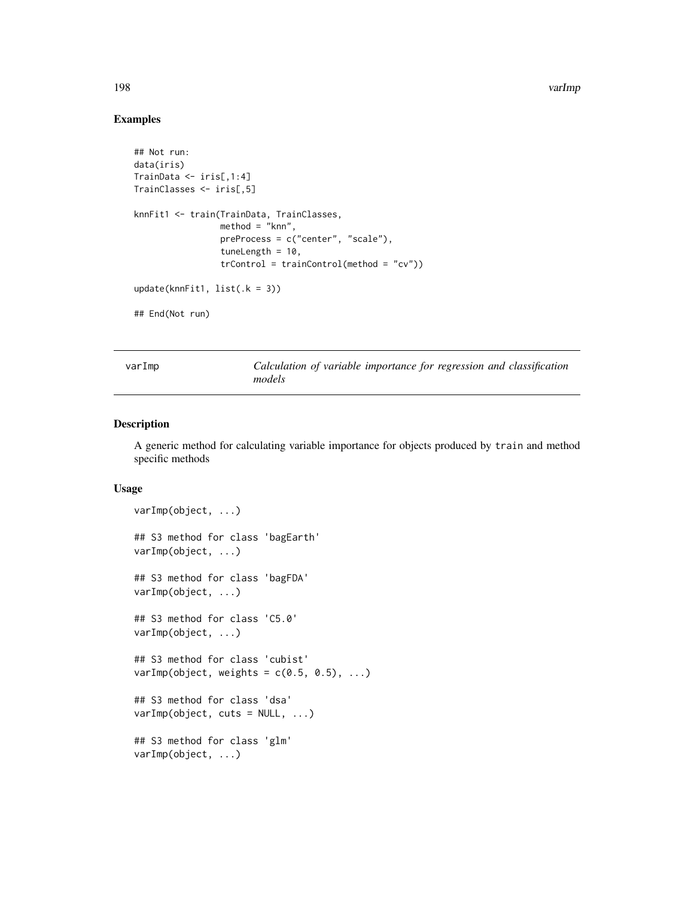198 varImp

# Examples

```
## Not run:
data(iris)
TrainData <- iris[,1:4]
TrainClasses <- iris[,5]
knnFit1 <- train(TrainData, TrainClasses,
                 method = "knn",
                 preProcess = c("center", "scale"),
                 tuneLength = 10,
                 trControl = trainControl(method = "cv"))
update(knnFit1, list(.k = 3))## End(Not run)
```
varImp *Calculation of variable importance for regression and classification models*

# Description

A generic method for calculating variable importance for objects produced by train and method specific methods

# Usage

```
varImp(object, ...)
## S3 method for class 'bagEarth'
varImp(object, ...)
## S3 method for class 'bagFDA'
varImp(object, ...)
## S3 method for class 'C5.0'
varImp(object, ...)
## S3 method for class 'cubist'
varImp(object, weights = c(0.5, 0.5), ...)## S3 method for class 'dsa'
varImp(object, cuts = NULL, ...)
## S3 method for class 'glm'
varImp(object, ...)
```
<span id="page-197-0"></span>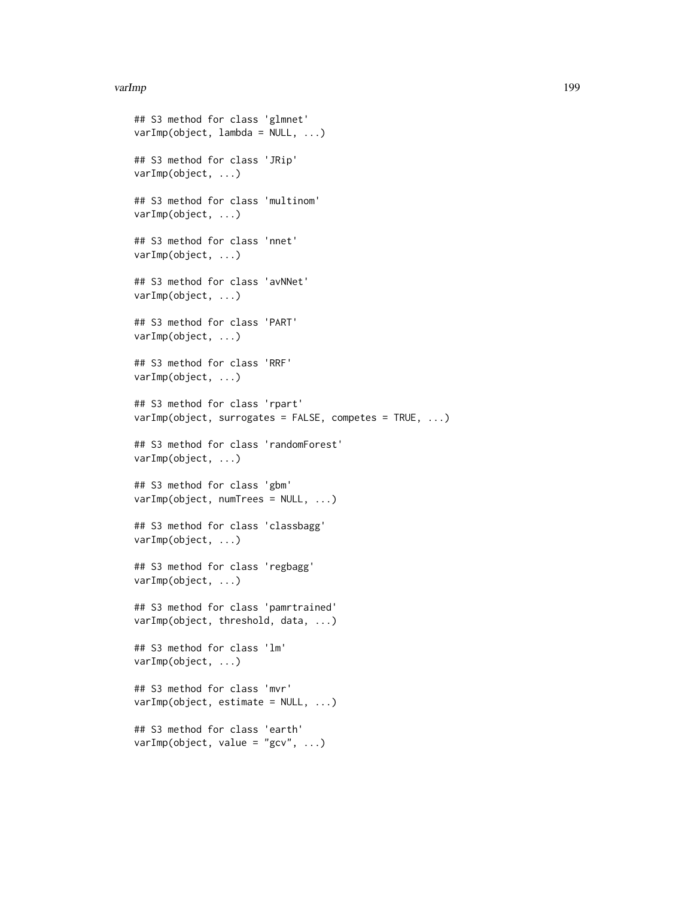#### varImp 2008 and 2009 and 2009 and 2009 and 2009 and 2009 and 2009 and 2009 and 2009 and 2009 and 2009 and 2009  $\mu$

```
## S3 method for class 'glmnet'
varImp(object, lambda = NULL, ...)
## S3 method for class 'JRip'
varImp(object, ...)
## S3 method for class 'multinom'
varImp(object, ...)
## S3 method for class 'nnet'
varImp(object, ...)
## S3 method for class 'avNNet'
varImp(object, ...)
## S3 method for class 'PART'
varImp(object, ...)
## S3 method for class 'RRF'
varImp(object, ...)
## S3 method for class 'rpart'
varImp(object, surrogates = FALSE, competes = TRUE, ...)
## S3 method for class 'randomForest'
varImp(object, ...)
## S3 method for class 'gbm'
varImp(object, numTrees = NULL, ...)
## S3 method for class 'classbagg'
varImp(object, ...)
## S3 method for class 'regbagg'
varImp(object, ...)
## S3 method for class 'pamrtrained'
varImp(object, threshold, data, ...)
## S3 method for class 'lm'
varImp(object, ...)
## S3 method for class 'mvr'
varImp(object, estimate = NULL, ...)
## S3 method for class 'earth'
varImp(object, value = "gcv", ...)
```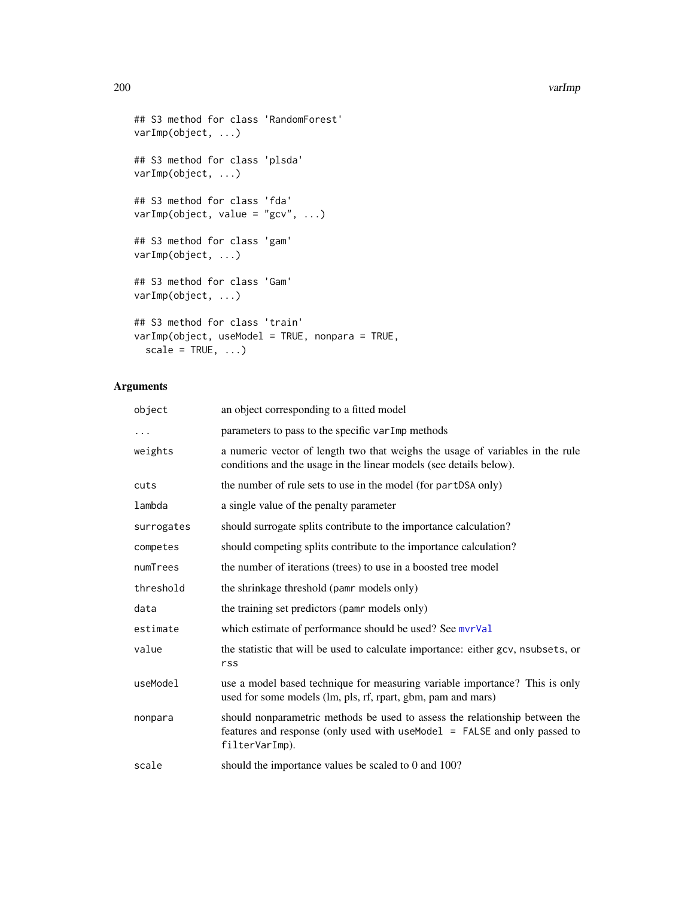#### 200 varImp

```
## S3 method for class 'RandomForest'
varImp(object, ...)
## S3 method for class 'plsda'
varImp(object, ...)
## S3 method for class 'fda'
varImp(object, value = "gcv", ...)
## S3 method for class 'gam'
varImp(object, ...)
## S3 method for class 'Gam'
varImp(object, ...)
## S3 method for class 'train'
varImp(object, useModel = TRUE, nonpara = TRUE,
  scale = TRUE, \ldots)
```
# Arguments

| object     | an object corresponding to a fitted model                                                                                                                                  |
|------------|----------------------------------------------------------------------------------------------------------------------------------------------------------------------------|
| $\ddotsc$  | parameters to pass to the specific varImp methods                                                                                                                          |
| weights    | a numeric vector of length two that weighs the usage of variables in the rule<br>conditions and the usage in the linear models (see details below).                        |
| cuts       | the number of rule sets to use in the model (for partDSA only)                                                                                                             |
| lambda     | a single value of the penalty parameter                                                                                                                                    |
| surrogates | should surrogate splits contribute to the importance calculation?                                                                                                          |
| competes   | should competing splits contribute to the importance calculation?                                                                                                          |
| numTrees   | the number of iterations (trees) to use in a boosted tree model                                                                                                            |
| threshold  | the shrinkage threshold (pamr models only)                                                                                                                                 |
| data       | the training set predictors (pamr models only)                                                                                                                             |
| estimate   | which estimate of performance should be used? See mvrVal                                                                                                                   |
| value      | the statistic that will be used to calculate importance: either gcv, nsubsets, or<br>rss                                                                                   |
| useModel   | use a model based technique for measuring variable importance? This is only<br>used for some models (lm, pls, rf, rpart, gbm, pam and mars)                                |
| nonpara    | should nonparametric methods be used to assess the relationship between the<br>features and response (only used with useModel = FALSE and only passed to<br>filterVarImp). |
| scale      | should the importance values be scaled to 0 and 100?                                                                                                                       |

<span id="page-199-0"></span>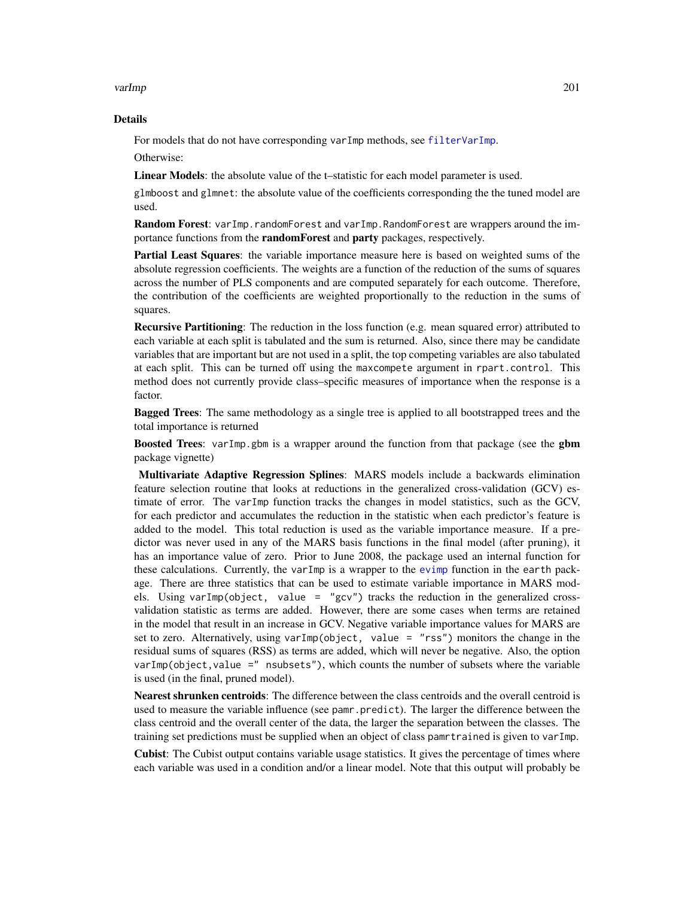#### <span id="page-200-0"></span>varImp 201

#### Details

For models that do not have corresponding varImp methods, see [filterVarImp](#page-46-0).

Otherwise:

Linear Models: the absolute value of the t-statistic for each model parameter is used.

glmboost and glmnet: the absolute value of the coefficients corresponding the the tuned model are used.

Random Forest: varImp.randomForest and varImp.RandomForest are wrappers around the importance functions from the **randomForest** and **party** packages, respectively.

Partial Least Squares: the variable importance measure here is based on weighted sums of the absolute regression coefficients. The weights are a function of the reduction of the sums of squares across the number of PLS components and are computed separately for each outcome. Therefore, the contribution of the coefficients are weighted proportionally to the reduction in the sums of squares.

Recursive Partitioning: The reduction in the loss function (e.g. mean squared error) attributed to each variable at each split is tabulated and the sum is returned. Also, since there may be candidate variables that are important but are not used in a split, the top competing variables are also tabulated at each split. This can be turned off using the maxcompete argument in rpart.control. This method does not currently provide class–specific measures of importance when the response is a factor.

**Bagged Trees:** The same methodology as a single tree is applied to all bootstrapped trees and the total importance is returned

**Boosted Trees:** varImp.gbm is a wrapper around the function from that package (see the **gbm** package vignette)

Multivariate Adaptive Regression Splines: MARS models include a backwards elimination feature selection routine that looks at reductions in the generalized cross-validation (GCV) estimate of error. The varImp function tracks the changes in model statistics, such as the GCV, for each predictor and accumulates the reduction in the statistic when each predictor's feature is added to the model. This total reduction is used as the variable importance measure. If a predictor was never used in any of the MARS basis functions in the final model (after pruning), it has an importance value of zero. Prior to June 2008, the package used an internal function for these calculations. Currently, the varImp is a wrapper to the [evimp](#page-0-0) function in the earth package. There are three statistics that can be used to estimate variable importance in MARS models. Using varImp(object, value = "gcv") tracks the reduction in the generalized crossvalidation statistic as terms are added. However, there are some cases when terms are retained in the model that result in an increase in GCV. Negative variable importance values for MARS are set to zero. Alternatively, using varImp(object, value = "rss") monitors the change in the residual sums of squares (RSS) as terms are added, which will never be negative. Also, the option varImp(object,value =" nsubsets"), which counts the number of subsets where the variable is used (in the final, pruned model).

Nearest shrunken centroids: The difference between the class centroids and the overall centroid is used to measure the variable influence (see pamr.predict). The larger the difference between the class centroid and the overall center of the data, the larger the separation between the classes. The training set predictions must be supplied when an object of class pamrtrained is given to varImp.

Cubist: The Cubist output contains variable usage statistics. It gives the percentage of times where each variable was used in a condition and/or a linear model. Note that this output will probably be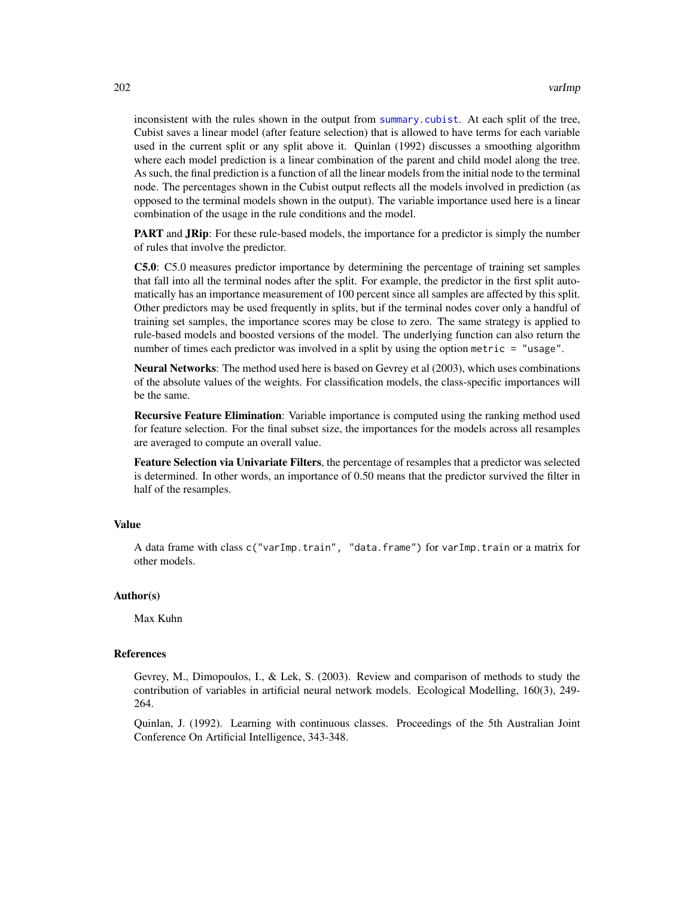<span id="page-201-0"></span>inconsistent with the rules shown in the output from [summary.cubist](#page-0-0). At each split of the tree, Cubist saves a linear model (after feature selection) that is allowed to have terms for each variable used in the current split or any split above it. Quinlan (1992) discusses a smoothing algorithm where each model prediction is a linear combination of the parent and child model along the tree. As such, the final prediction is a function of all the linear models from the initial node to the terminal node. The percentages shown in the Cubist output reflects all the models involved in prediction (as opposed to the terminal models shown in the output). The variable importance used here is a linear combination of the usage in the rule conditions and the model.

**PART** and **JRip**: For these rule-based models, the importance for a predictor is simply the number of rules that involve the predictor.

C5.0: C5.0 measures predictor importance by determining the percentage of training set samples that fall into all the terminal nodes after the split. For example, the predictor in the first split automatically has an importance measurement of 100 percent since all samples are affected by this split. Other predictors may be used frequently in splits, but if the terminal nodes cover only a handful of training set samples, the importance scores may be close to zero. The same strategy is applied to rule-based models and boosted versions of the model. The underlying function can also return the number of times each predictor was involved in a split by using the option metric = "usage".

Neural Networks: The method used here is based on Gevrey et al (2003), which uses combinations of the absolute values of the weights. For classification models, the class-specific importances will be the same.

**Recursive Feature Elimination:** Variable importance is computed using the ranking method used for feature selection. For the final subset size, the importances for the models across all resamples are averaged to compute an overall value.

Feature Selection via Univariate Filters, the percentage of resamples that a predictor was selected is determined. In other words, an importance of 0.50 means that the predictor survived the filter in half of the resamples.

# Value

A data frame with class c("varImp.train", "data.frame") for varImp.train or a matrix for other models.

# Author(s)

Max Kuhn

# References

Gevrey, M., Dimopoulos, I., & Lek, S. (2003). Review and comparison of methods to study the contribution of variables in artificial neural network models. Ecological Modelling, 160(3), 249- 264.

Quinlan, J. (1992). Learning with continuous classes. Proceedings of the 5th Australian Joint Conference On Artificial Intelligence, 343-348.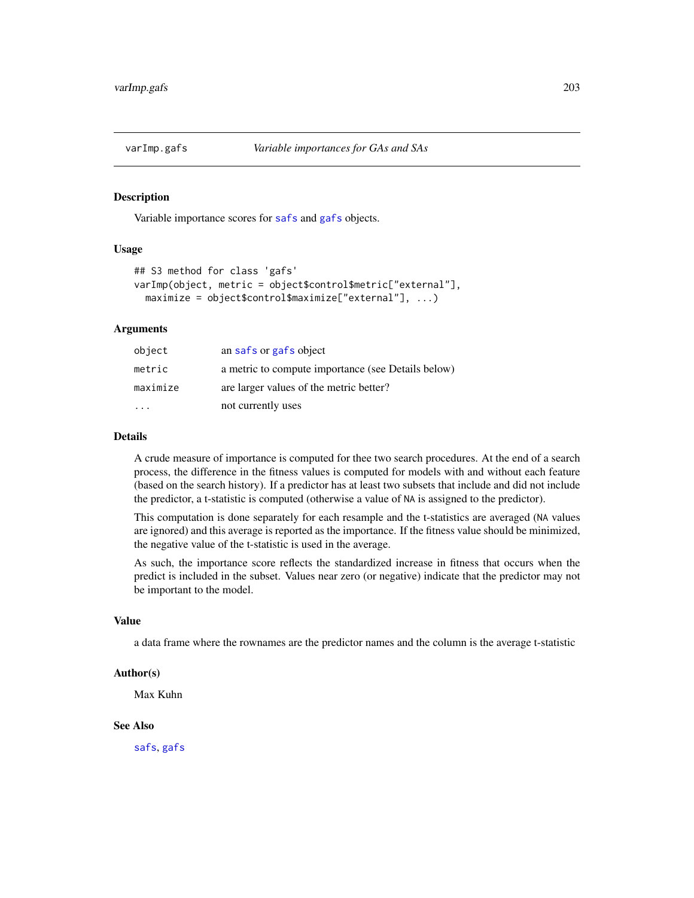<span id="page-202-0"></span>

#### Description

Variable importance scores for [safs](#page-132-0) and [gafs](#page-51-0) objects.

# Usage

```
## S3 method for class 'gafs'
varImp(object, metric = object$control$metric["external"],
 maximize = object$control$maximize["external"], ...)
```
# Arguments

| object   | an safs or gafs object                             |
|----------|----------------------------------------------------|
| metric   | a metric to compute importance (see Details below) |
| maximize | are larger values of the metric better?            |
|          | not currently uses                                 |

#### Details

A crude measure of importance is computed for thee two search procedures. At the end of a search process, the difference in the fitness values is computed for models with and without each feature (based on the search history). If a predictor has at least two subsets that include and did not include the predictor, a t-statistic is computed (otherwise a value of NA is assigned to the predictor).

This computation is done separately for each resample and the t-statistics are averaged (NA values are ignored) and this average is reported as the importance. If the fitness value should be minimized, the negative value of the t-statistic is used in the average.

As such, the importance score reflects the standardized increase in fitness that occurs when the predict is included in the subset. Values near zero (or negative) indicate that the predictor may not be important to the model.

# Value

a data frame where the rownames are the predictor names and the column is the average t-statistic

#### Author(s)

Max Kuhn

# See Also

[safs](#page-132-0), [gafs](#page-51-0)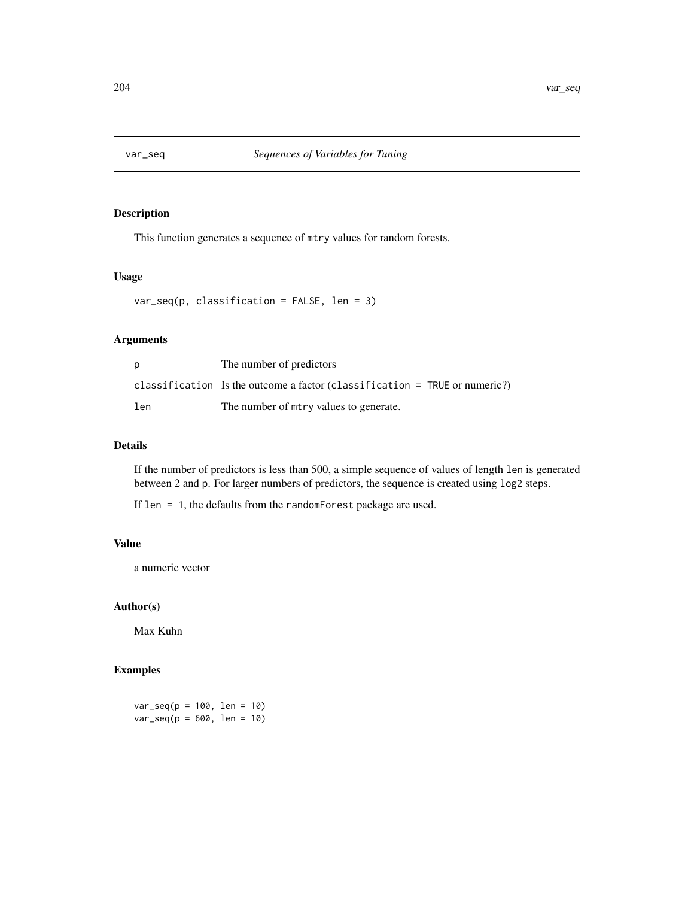<span id="page-203-0"></span>

# Description

This function generates a sequence of mtry values for random forests.

# Usage

 $var\_seq(p, classification = FALSE, len = 3)$ 

# Arguments

| p   | The number of predictors                                                     |
|-----|------------------------------------------------------------------------------|
|     | classification Is the outcome a factor (classification $=$ TRUE or numeric?) |
| len | The number of $m$ try values to generate.                                    |

# Details

If the number of predictors is less than 500, a simple sequence of values of length len is generated between 2 and p. For larger numbers of predictors, the sequence is created using log2 steps.

If len = 1, the defaults from the randomForest package are used.

# Value

a numeric vector

# Author(s)

Max Kuhn

# Examples

 $var\_seq(p = 100, len = 10)$  $var\_seq(p = 600, len = 10)$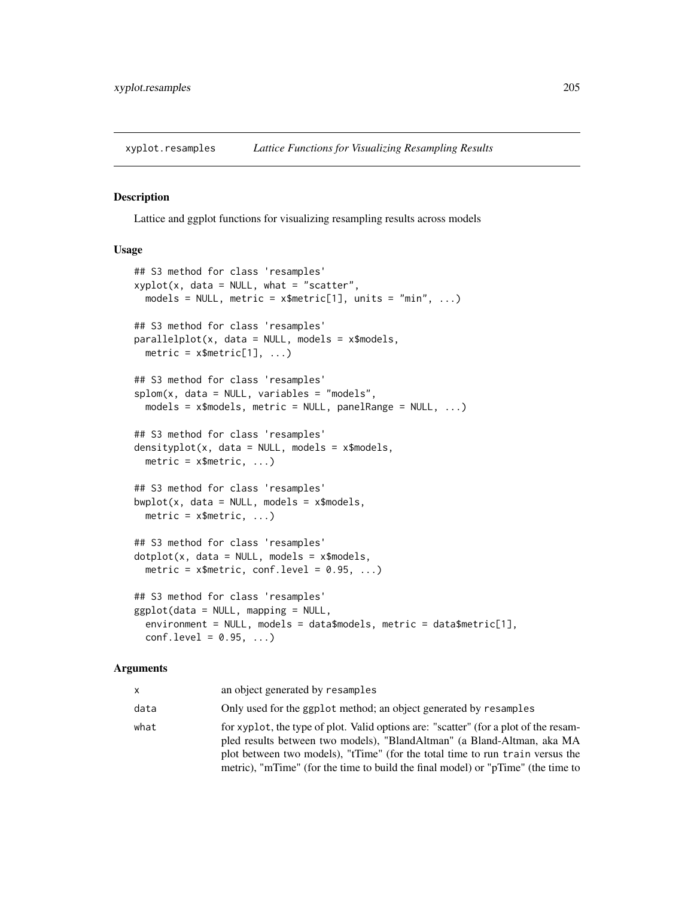<span id="page-204-0"></span>xyplot.resamples *Lattice Functions for Visualizing Resampling Results*

#### Description

Lattice and ggplot functions for visualizing resampling results across models

# Usage

```
## S3 method for class 'resamples'
xyplot(x, data = NULL, what = "scatter",models = NULL, metric = x$metric[1], units = "min", ...)
## S3 method for class 'resamples'
parallelplot(x, data = NULL, models = x$models,metric = x$metric[1], ...## S3 method for class 'resamples'
splom(x, data = NULL, variables = "models",models = x$models, metric = NULL, panelRange = NULL, ...)
## S3 method for class 'resamples'
densityplot(x, data = NULL, models = x$models,
 metric = x$metric, ...## S3 method for class 'resamples'
bwplot(x, data = NULL, models = x$models,
 metric = x$metric, ...## S3 method for class 'resamples'
dot(x, data = NULL, models = x$models,metric = x$metric, conf.level = 0.95, ...)
## S3 method for class 'resamples'
ggplot(data = NULL, mapping = NULL,
 environment = NULL, models = data$models, metric = data$metric[1],
 conf. level = 0.95, ...
```
#### Arguments

| x.   | an object generated by resamples                                                                                                                                                                                                                                                                                                     |
|------|--------------------------------------------------------------------------------------------------------------------------------------------------------------------------------------------------------------------------------------------------------------------------------------------------------------------------------------|
| data | Only used for the ggplot method; an object generated by resamples                                                                                                                                                                                                                                                                    |
| what | for xyplot, the type of plot. Valid options are: "scatter" (for a plot of the resam-<br>pled results between two models), "BlandAltman" (a Bland-Altman, aka MA<br>plot between two models), "tTime" (for the total time to run train versus the<br>metric), "mTime" (for the time to build the final model) or "pTime" (the time to |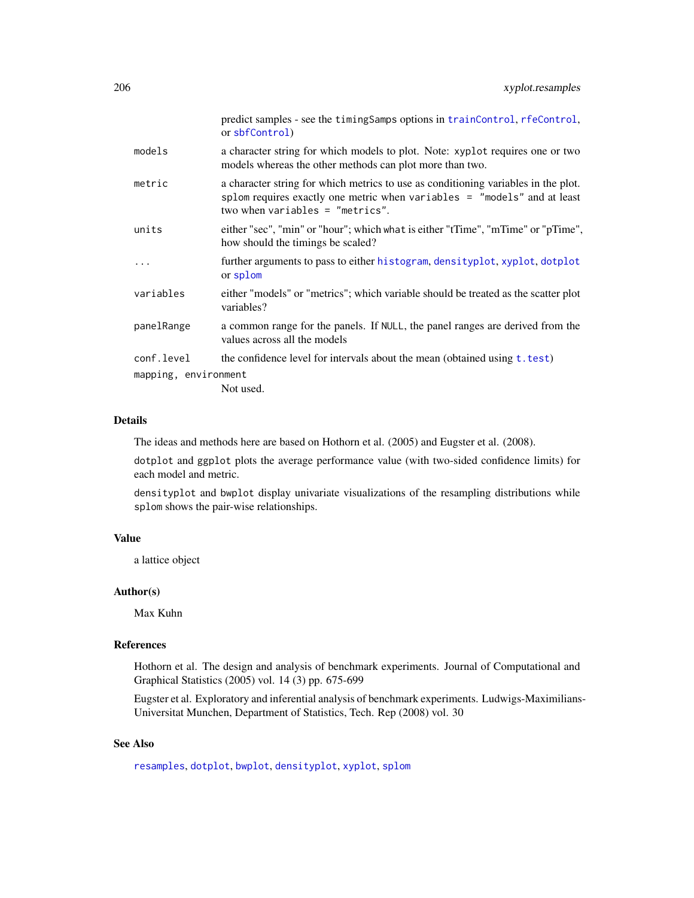<span id="page-205-0"></span>

|                      | predict samples - see the timing Samps options in train Control, rfe Control,<br>or sbfControl)                                                                                                     |
|----------------------|-----------------------------------------------------------------------------------------------------------------------------------------------------------------------------------------------------|
| models               | a character string for which models to plot. Note: xyplot requires one or two<br>models whereas the other methods can plot more than two.                                                           |
| metric               | a character string for which metrics to use as conditioning variables in the plot.<br>splom requires exactly one metric when variables = "models" and at least<br>two when variables = $"metrics".$ |
| units                | either "sec", "min" or "hour"; which what is either "tTime", "mTime" or "pTime",<br>how should the timings be scaled?                                                                               |
|                      | further arguments to pass to either histogram, densityplot, xyplot, dotplot<br>or splom                                                                                                             |
| variables            | either "models" or "metrics"; which variable should be treated as the scatter plot<br>variables?                                                                                                    |
| panelRange           | a common range for the panels. If NULL, the panel ranges are derived from the<br>values across all the models                                                                                       |
| conf.level           | the confidence level for intervals about the mean (obtained using $t.test$ )                                                                                                                        |
| mapping, environment |                                                                                                                                                                                                     |
|                      | Not used.                                                                                                                                                                                           |

# Details

The ideas and methods here are based on Hothorn et al. (2005) and Eugster et al. (2008).

dotplot and ggplot plots the average performance value (with two-sided confidence limits) for each model and metric.

densityplot and bwplot display univariate visualizations of the resampling distributions while splom shows the pair-wise relationships.

# Value

a lattice object

# Author(s)

Max Kuhn

# References

Hothorn et al. The design and analysis of benchmark experiments. Journal of Computational and Graphical Statistics (2005) vol. 14 (3) pp. 675-699

Eugster et al. Exploratory and inferential analysis of benchmark experiments. Ludwigs-Maximilians-Universitat Munchen, Department of Statistics, Tech. Rep (2008) vol. 30

# See Also

[resamples](#page-121-0), [dotplot](#page-0-0), [bwplot](#page-0-0), [densityplot](#page-0-0), [xyplot](#page-0-0), [splom](#page-0-0)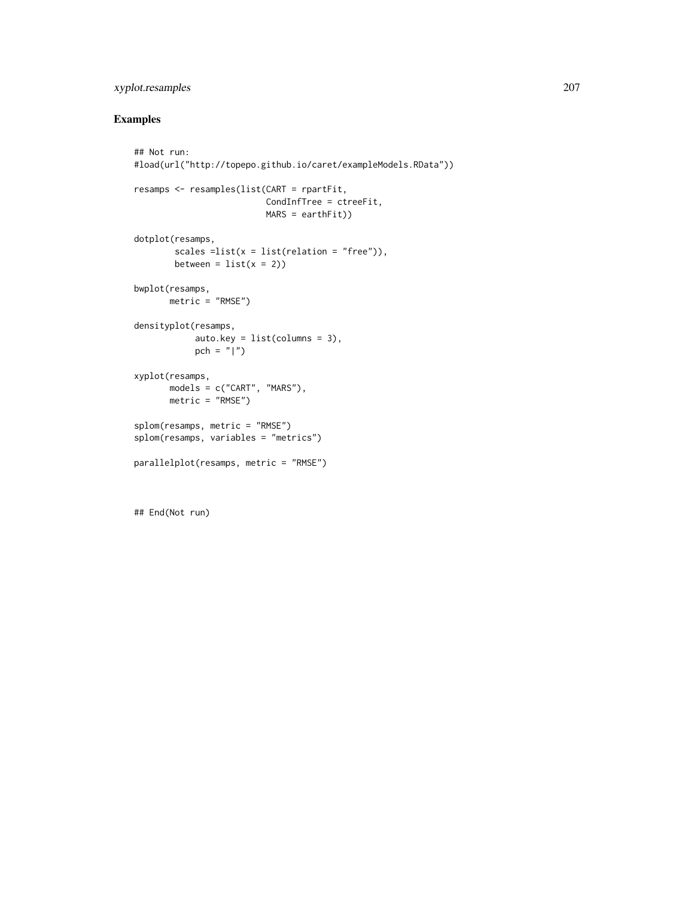# xyplot.resamples 207

# Examples

```
## Not run:
#load(url("http://topepo.github.io/caret/exampleModels.RData"))
resamps <- resamples(list(CART = rpartFit,
                         CondInfTree = ctreeFit,
                         MARS = earthFit))
dotplot(resamps,
       scales =list(x = list(relation = "free")),
       between = list(x = 2))bwplot(resamps,
      metric = "RMSE")
densityplot(resamps,
            auto.key = list(columns = 3),
           pch = "|")
xyplot(resamps,
      models = c("CART", "MARS"),
      metric = "RMSE")
splom(resamps, metric = "RMSE")
splom(resamps, variables = "metrics")
parallelplot(resamps, metric = "RMSE")
```
## End(Not run)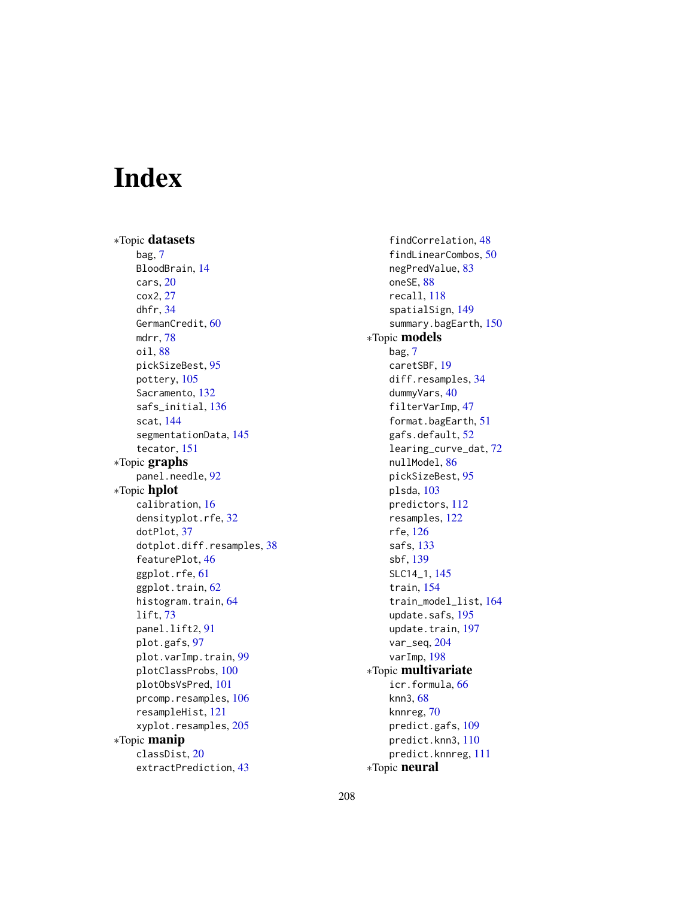# **Index**

∗Topic datasets bag, [7](#page-6-0) BloodBrain, [14](#page-13-0) cars, [20](#page-19-0) cox2, [27](#page-26-0) dhfr, [34](#page-33-0) GermanCredit, [60](#page-59-0) mdrr, [78](#page-77-0) oil, [88](#page-87-0) pickSizeBest, [95](#page-94-0) pottery, [105](#page-104-0) Sacramento, [132](#page-131-0) safs\_initial, [136](#page-135-0) scat, [144](#page-143-0) segmentationData, [145](#page-144-0) tecator, [151](#page-150-0) ∗Topic graphs panel.needle, [92](#page-91-0) ∗Topic hplot calibration, [16](#page-15-0) densityplot.rfe, [32](#page-31-0) dotPlot, [37](#page-36-0) dotplot.diff.resamples, [38](#page-37-0) featurePlot, [46](#page-45-0) ggplot.rfe, [61](#page-60-0) ggplot.train, [62](#page-61-0) histogram.train, [64](#page-63-0) lift, [73](#page-72-0) panel.lift2, [91](#page-90-0) plot.gafs, [97](#page-96-0) plot.varImp.train, [99](#page-98-0) plotClassProbs, [100](#page-99-0) plotObsVsPred, [101](#page-100-0) prcomp.resamples, [106](#page-105-0) resampleHist, [121](#page-120-0) xyplot.resamples, [205](#page-204-0) ∗Topic manip classDist, [20](#page-19-0) extractPrediction, [43](#page-42-0)

findCorrelation, [48](#page-47-0) findLinearCombos, [50](#page-49-0) negPredValue, [83](#page-82-0) oneSE, [88](#page-87-0) recall, [118](#page-117-0) spatialSign, [149](#page-148-0) summary.bagEarth, [150](#page-149-0) ∗Topic models bag, [7](#page-6-0) caretSBF, [19](#page-18-0) diff.resamples, [34](#page-33-0) dummyVars, [40](#page-39-0) filterVarImp, [47](#page-46-1) format.bagEarth, [51](#page-50-0) gafs.default, [52](#page-51-1) learing\_curve\_dat, [72](#page-71-0) nullModel, [86](#page-85-0) pickSizeBest, [95](#page-94-0) plsda, [103](#page-102-0) predictors, [112](#page-111-0) resamples, [122](#page-121-1) rfe, [126](#page-125-0) safs, [133](#page-132-1) sbf, [139](#page-138-0) SLC14\_1, [145](#page-144-0) train, [154](#page-153-1) train\_model\_list, [164](#page-163-0) update.safs, [195](#page-194-0) update.train, [197](#page-196-0) var\_seq, [204](#page-203-0) varImp, [198](#page-197-0) ∗Topic multivariate icr.formula, [66](#page-65-0) knn3, [68](#page-67-0) knnreg, [70](#page-69-0) predict.gafs, [109](#page-108-0) predict.knn3, [110](#page-109-0) predict.knnreg, [111](#page-110-0) ∗Topic neural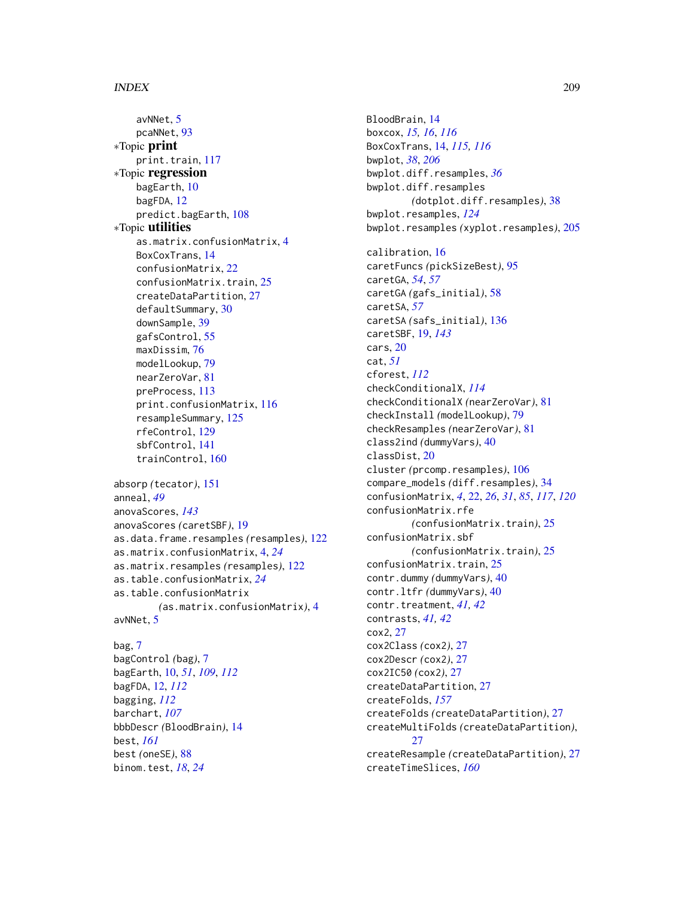avNNet, [5](#page-4-0) pcaNNet, [93](#page-92-0) ∗Topic print print.train, [117](#page-116-0) ∗Topic regression bagEarth, [10](#page-9-0) bagFDA, [12](#page-11-0) predict.bagEarth, [108](#page-107-0) ∗Topic utilities as.matrix.confusionMatrix, [4](#page-3-0) BoxCoxTrans, [14](#page-13-0) confusionMatrix, [22](#page-21-0) confusionMatrix.train, [25](#page-24-0) createDataPartition, [27](#page-26-0) defaultSummary, [30](#page-29-0) downSample, [39](#page-38-0) gafsControl, [55](#page-54-0) maxDissim, [76](#page-75-0) modelLookup, [79](#page-78-0) nearZeroVar, [81](#page-80-0) preProcess, [113](#page-112-0) print.confusionMatrix, [116](#page-115-0) resampleSummary, [125](#page-124-0) rfeControl, [129](#page-128-1) sbfControl, [141](#page-140-1) trainControl, [160](#page-159-0) absorp *(*tecator*)*, [151](#page-150-0)

```
anneal, 49
anovaScores, 143
anovaScores (caretSBF), 19
as.data.frame.resamples (resamples), 122
as.matrix.confusionMatrix, 4, 24
as.matrix.resamples (resamples), 122
as.table.confusionMatrix, 24
as.table.confusionMatrix
        (as.matrix.confusionMatrix), 4
avNNet, 5
```
# bag, [7](#page-6-0)

bagControl *(*bag*)*, [7](#page-6-0) bagEarth, [10,](#page-9-0) *[51](#page-50-0)*, *[109](#page-108-0)*, *[112](#page-111-0)* bagFDA, [12,](#page-11-0) *[112](#page-111-0)* bagging, *[112](#page-111-0)* barchart, *[107](#page-106-0)* bbbDescr *(*BloodBrain*)*, [14](#page-13-0) best, *[161](#page-160-0)* best *(*oneSE*)*, [88](#page-87-0) binom.test, *[18](#page-17-0)*, *[24](#page-23-0)*

BloodBrain, [14](#page-13-0) boxcox, *[15,](#page-14-0) [16](#page-15-0)*, *[116](#page-115-0)* BoxCoxTrans, [14,](#page-13-0) *[115,](#page-114-0) [116](#page-115-0)* bwplot, *[38](#page-37-0)*, *[206](#page-205-0)* bwplot.diff.resamples, *[36](#page-35-0)* bwplot.diff.resamples *(*dotplot.diff.resamples*)*, [38](#page-37-0) bwplot.resamples, *[124](#page-123-0)* bwplot.resamples *(*xyplot.resamples*)*, [205](#page-204-0) calibration, [16](#page-15-0) caretFuncs *(*pickSizeBest*)*, [95](#page-94-0) caretGA, *[54](#page-53-0)*, *[57](#page-56-0)* caretGA *(*gafs\_initial*)*, [58](#page-57-0) caretSA, *[57](#page-56-0)* caretSA *(*safs\_initial*)*, [136](#page-135-0) caretSBF, [19,](#page-18-0) *[143](#page-142-0)* cars, [20](#page-19-0) cat, *[51](#page-50-0)* cforest, *[112](#page-111-0)* checkConditionalX, *[114](#page-113-0)* checkConditionalX *(*nearZeroVar*)*, [81](#page-80-0) checkInstall *(*modelLookup*)*, [79](#page-78-0) checkResamples *(*nearZeroVar*)*, [81](#page-80-0) class2ind *(*dummyVars*)*, [40](#page-39-0) classDist, [20](#page-19-0) cluster *(*prcomp.resamples*)*, [106](#page-105-0) compare\_models *(*diff.resamples*)*, [34](#page-33-0) confusionMatrix, *[4](#page-3-0)*, [22,](#page-21-0) *[26](#page-25-0)*, *[31](#page-30-0)*, *[85](#page-84-0)*, *[117](#page-116-0)*, *[120](#page-119-0)* confusionMatrix.rfe *(*confusionMatrix.train*)*, [25](#page-24-0) confusionMatrix.sbf *(*confusionMatrix.train*)*, [25](#page-24-0) confusionMatrix.train, [25](#page-24-0) contr.dummy *(*dummyVars*)*, [40](#page-39-0) contr.ltfr *(*dummyVars*)*, [40](#page-39-0) contr.treatment, *[41,](#page-40-0) [42](#page-41-0)* contrasts, *[41,](#page-40-0) [42](#page-41-0)* cox2, [27](#page-26-0) cox2Class *(*cox2*)*, [27](#page-26-0) cox2Descr *(*cox2*)*, [27](#page-26-0) cox2IC50 *(*cox2*)*, [27](#page-26-0) createDataPartition, [27](#page-26-0) createFolds, *[157](#page-156-0)* createFolds *(*createDataPartition*)*, [27](#page-26-0) createMultiFolds *(*createDataPartition*)*,  $27$ createResample *(*createDataPartition*)*, [27](#page-26-0) createTimeSlices, *[160](#page-159-0)*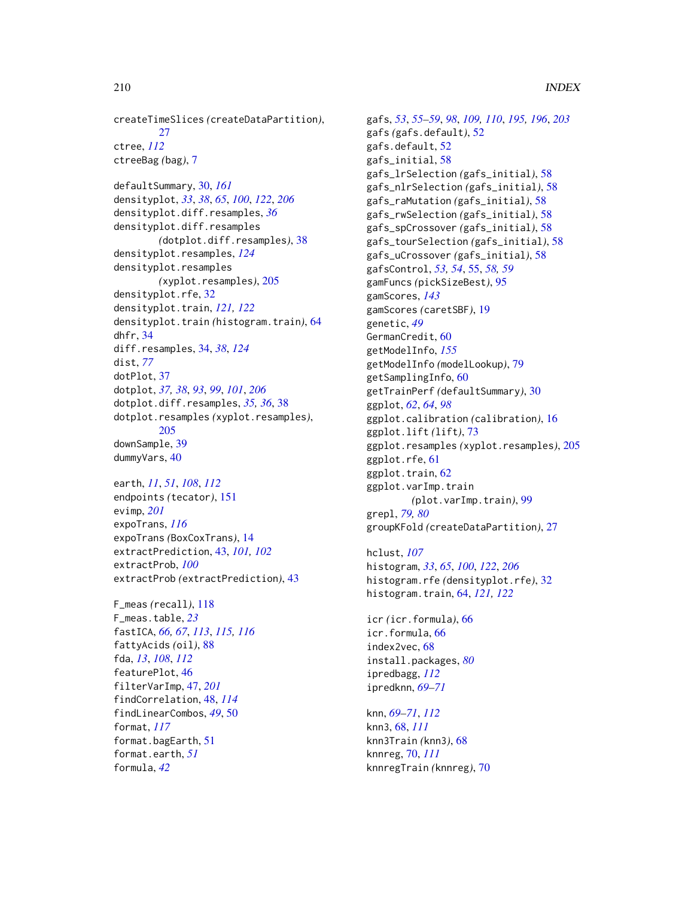createTimeSlices *(*createDataPartition*)*, [27](#page-26-0) ctree, *[112](#page-111-0)* ctreeBag *(*bag*)*, [7](#page-6-0)

defaultSummary, [30,](#page-29-0) *[161](#page-160-0)* densityplot, *[33](#page-32-0)*, *[38](#page-37-0)*, *[65](#page-64-0)*, *[100](#page-99-0)*, *[122](#page-121-1)*, *[206](#page-205-0)* densityplot.diff.resamples, *[36](#page-35-0)* densityplot.diff.resamples *(*dotplot.diff.resamples*)*, [38](#page-37-0) densityplot.resamples, *[124](#page-123-0)* densityplot.resamples *(*xyplot.resamples*)*, [205](#page-204-0) densityplot.rfe, [32](#page-31-0) densityplot.train, *[121,](#page-120-0) [122](#page-121-1)* densityplot.train *(*histogram.train*)*, [64](#page-63-0) dhfr, [34](#page-33-0) diff.resamples, [34,](#page-33-0) *[38](#page-37-0)*, *[124](#page-123-0)* dist, *[77](#page-76-0)* dotPlot, [37](#page-36-0) dotplot, *[37,](#page-36-0) [38](#page-37-0)*, *[93](#page-92-0)*, *[99](#page-98-0)*, *[101](#page-100-0)*, *[206](#page-205-0)* dotplot.diff.resamples, *[35,](#page-34-0) [36](#page-35-0)*, [38](#page-37-0) dotplot.resamples *(*xyplot.resamples*)*, [205](#page-204-0) downSample, [39](#page-38-0) dummyVars, [40](#page-39-0)

earth, *[11](#page-10-0)*, *[51](#page-50-0)*, *[108](#page-107-0)*, *[112](#page-111-0)* endpoints *(*tecator*)*, [151](#page-150-0) evimp, *[201](#page-200-0)* expoTrans, *[116](#page-115-0)* expoTrans *(*BoxCoxTrans*)*, [14](#page-13-0) extractPrediction, [43,](#page-42-0) *[101,](#page-100-0) [102](#page-101-0)* extractProb, *[100](#page-99-0)* extractProb *(*extractPrediction*)*, [43](#page-42-0)

```
F_meas (recall), 118
F_meas.table, 23
fastICA, 66, 67, 113, 115, 116
fattyAcids (oil), 88
fda, 13, 108, 112
featurePlot, 46
filterVarImp, 47, 201
findCorrelation, 48, 114
findLinearCombos, 49, 50
format, 117
format.bagEarth, 51
format.earth, 51
formula, 42
```
gafs, *[53](#page-52-0)*, *[55](#page-54-0)[–59](#page-58-0)*, *[98](#page-97-0)*, *[109,](#page-108-0) [110](#page-109-0)*, *[195,](#page-194-0) [196](#page-195-0)*, *[203](#page-202-0)* gafs *(*gafs.default*)*, [52](#page-51-1) gafs.default, [52](#page-51-1) gafs\_initial, [58](#page-57-0) gafs\_lrSelection *(*gafs\_initial*)*, [58](#page-57-0) gafs\_nlrSelection *(*gafs\_initial*)*, [58](#page-57-0) gafs\_raMutation *(*gafs\_initial*)*, [58](#page-57-0) gafs\_rwSelection *(*gafs\_initial*)*, [58](#page-57-0) gafs\_spCrossover *(*gafs\_initial*)*, [58](#page-57-0) gafs\_tourSelection *(*gafs\_initial*)*, [58](#page-57-0) gafs\_uCrossover *(*gafs\_initial*)*, [58](#page-57-0) gafsControl, *[53,](#page-52-0) [54](#page-53-0)*, [55,](#page-54-0) *[58,](#page-57-0) [59](#page-58-0)* gamFuncs *(*pickSizeBest*)*, [95](#page-94-0) gamScores, *[143](#page-142-0)* gamScores *(*caretSBF*)*, [19](#page-18-0) genetic, *[49](#page-48-0)* GermanCredit, [60](#page-59-0) getModelInfo, *[155](#page-154-0)* getModelInfo *(*modelLookup*)*, [79](#page-78-0) getSamplingInfo, [60](#page-59-0) getTrainPerf *(*defaultSummary*)*, [30](#page-29-0) ggplot, *[62](#page-61-0)*, *[64](#page-63-0)*, *[98](#page-97-0)* ggplot.calibration *(*calibration*)*, [16](#page-15-0) ggplot.lift *(*lift*)*, [73](#page-72-0) ggplot.resamples *(*xyplot.resamples*)*, [205](#page-204-0) ggplot.rfe, [61](#page-60-0) ggplot.train, [62](#page-61-0) ggplot.varImp.train *(*plot.varImp.train*)*, [99](#page-98-0) grepl, *[79,](#page-78-0) [80](#page-79-0)* groupKFold *(*createDataPartition*)*, [27](#page-26-0)

hclust, *[107](#page-106-0)* histogram, *[33](#page-32-0)*, *[65](#page-64-0)*, *[100](#page-99-0)*, *[122](#page-121-1)*, *[206](#page-205-0)* histogram.rfe *(*densityplot.rfe*)*, [32](#page-31-0) histogram.train, [64,](#page-63-0) *[121,](#page-120-0) [122](#page-121-1)*

icr *(*icr.formula*)*, [66](#page-65-0) icr.formula, [66](#page-65-0) index2vec, [68](#page-67-0) install.packages, *[80](#page-79-0)* ipredbagg, *[112](#page-111-0)* ipredknn, *[69](#page-68-0)[–71](#page-70-0)*

knn, *[69–](#page-68-0)[71](#page-70-0)*, *[112](#page-111-0)* knn3, [68,](#page-67-0) *[111](#page-110-0)* knn3Train *(*knn3*)*, [68](#page-67-0) knnreg, [70,](#page-69-0) *[111](#page-110-0)* knnregTrain *(*knnreg*)*, [70](#page-69-0)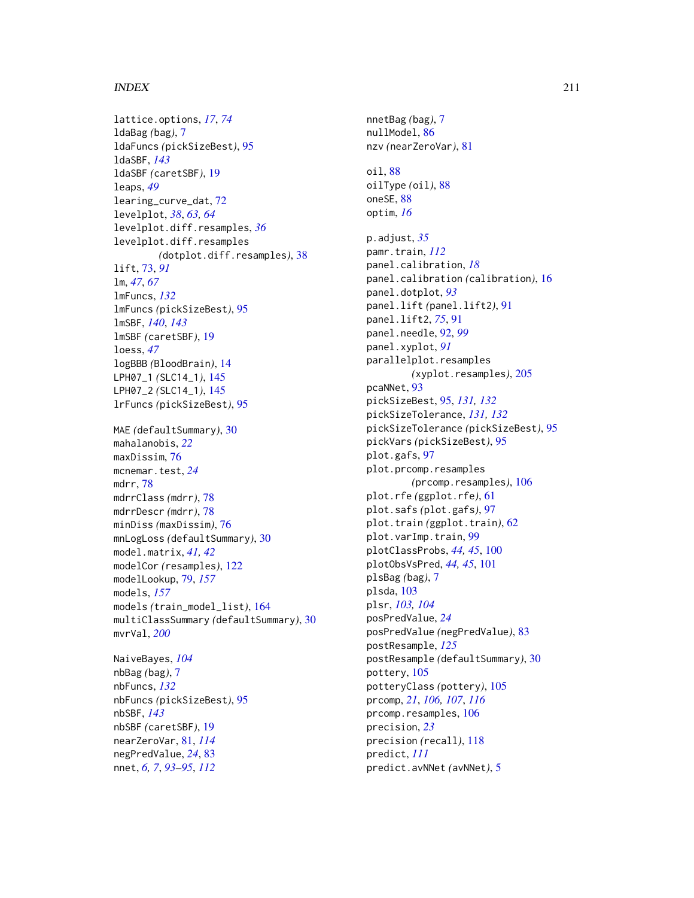lattice.options, *[17](#page-16-0)*, *[74](#page-73-0)* ldaBag *(*bag*)*, [7](#page-6-0) ldaFuncs *(*pickSizeBest*)*, [95](#page-94-0) ldaSBF, *[143](#page-142-0)* ldaSBF *(*caretSBF*)*, [19](#page-18-0) leaps, *[49](#page-48-0)* learing\_curve\_dat, [72](#page-71-0) levelplot, *[38](#page-37-0)*, *[63,](#page-62-0) [64](#page-63-0)* levelplot.diff.resamples, *[36](#page-35-0)* levelplot.diff.resamples *(*dotplot.diff.resamples*)*, [38](#page-37-0) lift, [73,](#page-72-0) *[91](#page-90-0)* lm, *[47](#page-46-1)*, *[67](#page-66-0)* lmFuncs, *[132](#page-131-0)* lmFuncs *(*pickSizeBest*)*, [95](#page-94-0) lmSBF, *[140](#page-139-0)*, *[143](#page-142-0)* lmSBF *(*caretSBF*)*, [19](#page-18-0) loess, *[47](#page-46-1)* logBBB *(*BloodBrain*)*, [14](#page-13-0) LPH07\_1 *(*SLC14\_1*)*, [145](#page-144-0) LPH07\_2 *(*SLC14\_1*)*, [145](#page-144-0) lrFuncs *(*pickSizeBest*)*, [95](#page-94-0) MAE *(*defaultSummary*)*, [30](#page-29-0) mahalanobis, *[22](#page-21-0)* maxDissim, [76](#page-75-0) mcnemar.test, *[24](#page-23-0)* mdrr, [78](#page-77-0) mdrrClass *(*mdrr*)*, [78](#page-77-0) mdrrDescr *(*mdrr*)*, [78](#page-77-0) minDiss *(*maxDissim*)*, [76](#page-75-0) mnLogLoss *(*defaultSummary*)*, [30](#page-29-0) model.matrix, *[41,](#page-40-0) [42](#page-41-0)* modelCor *(*resamples*)*, [122](#page-121-1) modelLookup, [79,](#page-78-0) *[157](#page-156-0)* models, *[157](#page-156-0)* models *(*train\_model\_list*)*, [164](#page-163-0) multiClassSummary *(*defaultSummary*)*, [30](#page-29-0) mvrVal, *[200](#page-199-0)* NaiveBayes, *[104](#page-103-0)*

nbBag *(*bag*)*, [7](#page-6-0) nbFuncs, *[132](#page-131-0)* nbFuncs *(*pickSizeBest*)*, [95](#page-94-0) nbSBF, *[143](#page-142-0)* nbSBF *(*caretSBF*)*, [19](#page-18-0) nearZeroVar, [81,](#page-80-0) *[114](#page-113-0)* negPredValue, *[24](#page-23-0)*, [83](#page-82-0) nnet, *[6,](#page-5-0) [7](#page-6-0)*, *[93](#page-92-0)[–95](#page-94-0)*, *[112](#page-111-0)*

nnetBag *(*bag*)*, [7](#page-6-0) nullModel, [86](#page-85-0) nzv *(*nearZeroVar*)*, [81](#page-80-0) oil, [88](#page-87-0) oilType *(*oil*)*, [88](#page-87-0) oneSE, [88](#page-87-0) optim, *[16](#page-15-0)* p.adjust, *[35](#page-34-0)* pamr.train, *[112](#page-111-0)* panel.calibration, *[18](#page-17-0)* panel.calibration *(*calibration*)*, [16](#page-15-0) panel.dotplot, *[93](#page-92-0)* panel.lift *(*panel.lift2*)*, [91](#page-90-0) panel.lift2, *[75](#page-74-0)*, [91](#page-90-0) panel.needle, [92,](#page-91-0) *[99](#page-98-0)* panel.xyplot, *[91](#page-90-0)* parallelplot.resamples *(*xyplot.resamples*)*, [205](#page-204-0) pcaNNet, [93](#page-92-0) pickSizeBest, [95,](#page-94-0) *[131,](#page-130-0) [132](#page-131-0)* pickSizeTolerance, *[131,](#page-130-0) [132](#page-131-0)* pickSizeTolerance *(*pickSizeBest*)*, [95](#page-94-0) pickVars *(*pickSizeBest*)*, [95](#page-94-0) plot.gafs, [97](#page-96-0) plot.prcomp.resamples *(*prcomp.resamples*)*, [106](#page-105-0) plot.rfe *(*ggplot.rfe*)*, [61](#page-60-0) plot.safs *(*plot.gafs*)*, [97](#page-96-0) plot.train *(*ggplot.train*)*, [62](#page-61-0) plot.varImp.train, [99](#page-98-0) plotClassProbs, *[44,](#page-43-0) [45](#page-44-0)*, [100](#page-99-0) plotObsVsPred, *[44,](#page-43-0) [45](#page-44-0)*, [101](#page-100-0) plsBag *(*bag*)*, [7](#page-6-0) plsda, [103](#page-102-0) plsr, *[103,](#page-102-0) [104](#page-103-0)* posPredValue, *[24](#page-23-0)* posPredValue *(*negPredValue*)*, [83](#page-82-0) postResample, *[125](#page-124-0)* postResample *(*defaultSummary*)*, [30](#page-29-0) pottery, [105](#page-104-0) potteryClass *(*pottery*)*, [105](#page-104-0) prcomp, *[21](#page-20-0)*, *[106,](#page-105-0) [107](#page-106-0)*, *[116](#page-115-0)* prcomp.resamples, [106](#page-105-0) precision, *[23](#page-22-0)* precision *(*recall*)*, [118](#page-117-0) predict, *[111](#page-110-0)* predict.avNNet *(*avNNet*)*, [5](#page-4-0)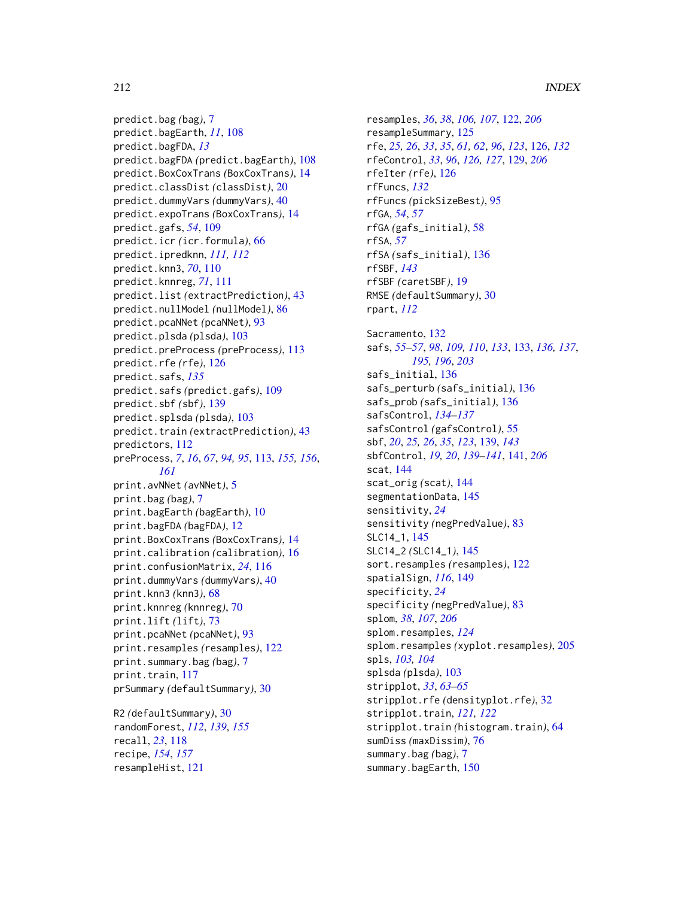predict.bag *(*bag*)*, [7](#page-6-0) predict.bagEarth, *[11](#page-10-0)*, [108](#page-107-0) predict.bagFDA, *[13](#page-12-0)* predict.bagFDA *(*predict.bagEarth*)*, [108](#page-107-0) predict.BoxCoxTrans *(*BoxCoxTrans*)*, [14](#page-13-0) predict.classDist *(*classDist*)*, [20](#page-19-0) predict.dummyVars *(*dummyVars*)*, [40](#page-39-0) predict.expoTrans *(*BoxCoxTrans*)*, [14](#page-13-0) predict.gafs, *[54](#page-53-0)*, [109](#page-108-0) predict.icr *(*icr.formula*)*, [66](#page-65-0) predict.ipredknn, *[111,](#page-110-0) [112](#page-111-0)* predict.knn3, *[70](#page-69-0)*, [110](#page-109-0) predict.knnreg, *[71](#page-70-0)*, [111](#page-110-0) predict.list *(*extractPrediction*)*, [43](#page-42-0) predict.nullModel *(*nullModel*)*, [86](#page-85-0) predict.pcaNNet *(*pcaNNet*)*, [93](#page-92-0) predict.plsda *(*plsda*)*, [103](#page-102-0) predict.preProcess *(*preProcess*)*, [113](#page-112-0) predict.rfe *(*rfe*)*, [126](#page-125-0) predict.safs, *[135](#page-134-0)* predict.safs *(*predict.gafs*)*, [109](#page-108-0) predict.sbf *(*sbf*)*, [139](#page-138-0) predict.splsda *(*plsda*)*, [103](#page-102-0) predict.train *(*extractPrediction*)*, [43](#page-42-0) predictors, [112](#page-111-0) preProcess, *[7](#page-6-0)*, *[16](#page-15-0)*, *[67](#page-66-0)*, *[94,](#page-93-0) [95](#page-94-0)*, [113,](#page-112-0) *[155,](#page-154-0) [156](#page-155-0)*, *[161](#page-160-0)* print.avNNet *(*avNNet*)*, [5](#page-4-0) print.bag *(*bag*)*, [7](#page-6-0) print.bagEarth *(*bagEarth*)*, [10](#page-9-0) print.bagFDA *(*bagFDA*)*, [12](#page-11-0) print.BoxCoxTrans *(*BoxCoxTrans*)*, [14](#page-13-0) print.calibration *(*calibration*)*, [16](#page-15-0) print.confusionMatrix, *[24](#page-23-0)*, [116](#page-115-0) print.dummyVars *(*dummyVars*)*, [40](#page-39-0) print.knn3 *(*knn3*)*, [68](#page-67-0) print.knnreg *(*knnreg*)*, [70](#page-69-0) print.lift *(*lift*)*, [73](#page-72-0) print.pcaNNet *(*pcaNNet*)*, [93](#page-92-0) print.resamples *(*resamples*)*, [122](#page-121-1) print.summary.bag *(*bag*)*, [7](#page-6-0) print.train, [117](#page-116-0) prSummary *(*defaultSummary*)*, [30](#page-29-0) R2 *(*defaultSummary*)*, [30](#page-29-0)

randomForest, *[112](#page-111-0)*, *[139](#page-138-0)*, *[155](#page-154-0)* recall, *[23](#page-22-0)*, [118](#page-117-0) recipe, *[154](#page-153-1)*, *[157](#page-156-0)* resampleHist, [121](#page-120-0)

resamples, *[36](#page-35-0)*, *[38](#page-37-0)*, *[106,](#page-105-0) [107](#page-106-0)*, [122,](#page-121-1) *[206](#page-205-0)* resampleSummary, [125](#page-124-0) rfe, *[25,](#page-24-0) [26](#page-25-0)*, *[33](#page-32-0)*, *[35](#page-34-0)*, *[61,](#page-60-0) [62](#page-61-0)*, *[96](#page-95-0)*, *[123](#page-122-0)*, [126,](#page-125-0) *[132](#page-131-0)* rfeControl, *[33](#page-32-0)*, *[96](#page-95-0)*, *[126,](#page-125-0) [127](#page-126-0)*, [129,](#page-128-1) *[206](#page-205-0)* rfeIter *(*rfe*)*, [126](#page-125-0) rfFuncs, *[132](#page-131-0)* rfFuncs *(*pickSizeBest*)*, [95](#page-94-0) rfGA, *[54](#page-53-0)*, *[57](#page-56-0)* rfGA *(*gafs\_initial*)*, [58](#page-57-0) rfSA, *[57](#page-56-0)* rfSA *(*safs\_initial*)*, [136](#page-135-0) rfSBF, *[143](#page-142-0)* rfSBF *(*caretSBF*)*, [19](#page-18-0) RMSE *(*defaultSummary*)*, [30](#page-29-0) rpart, *[112](#page-111-0)* Sacramento, [132](#page-131-0) safs, *[55–](#page-54-0)[57](#page-56-0)*, *[98](#page-97-0)*, *[109,](#page-108-0) [110](#page-109-0)*, *[133](#page-132-1)*, [133,](#page-132-1) *[136,](#page-135-0) [137](#page-136-0)*, *[195,](#page-194-0) [196](#page-195-0)*, *[203](#page-202-0)* safs\_initial, [136](#page-135-0) safs\_perturb *(*safs\_initial*)*, [136](#page-135-0) safs\_prob *(*safs\_initial*)*, [136](#page-135-0) safsControl, *[134](#page-133-0)[–137](#page-136-0)* safsControl *(*gafsControl*)*, [55](#page-54-0) sbf, *[20](#page-19-0)*, *[25,](#page-24-0) [26](#page-25-0)*, *[35](#page-34-0)*, *[123](#page-122-0)*, [139,](#page-138-0) *[143](#page-142-0)* sbfControl, *[19,](#page-18-0) [20](#page-19-0)*, *[139](#page-138-0)[–141](#page-140-1)*, [141,](#page-140-1) *[206](#page-205-0)* scat, [144](#page-143-0) scat\_orig *(*scat*)*, [144](#page-143-0) segmentationData, [145](#page-144-0) sensitivity, *[24](#page-23-0)* sensitivity *(*negPredValue*)*, [83](#page-82-0) SLC14\_1, [145](#page-144-0) SLC14\_2 *(*SLC14\_1*)*, [145](#page-144-0) sort.resamples *(*resamples*)*, [122](#page-121-1) spatialSign, *[116](#page-115-0)*, [149](#page-148-0) specificity, *[24](#page-23-0)* specificity *(*negPredValue*)*, [83](#page-82-0) splom, *[38](#page-37-0)*, *[107](#page-106-0)*, *[206](#page-205-0)* splom.resamples, *[124](#page-123-0)* splom.resamples *(*xyplot.resamples*)*, [205](#page-204-0) spls, *[103,](#page-102-0) [104](#page-103-0)* splsda *(*plsda*)*, [103](#page-102-0) stripplot, *[33](#page-32-0)*, *[63](#page-62-0)[–65](#page-64-0)* stripplot.rfe *(*densityplot.rfe*)*, [32](#page-31-0) stripplot.train, *[121,](#page-120-0) [122](#page-121-1)* stripplot.train *(*histogram.train*)*, [64](#page-63-0) sumDiss *(*maxDissim*)*, [76](#page-75-0) summary.bag *(*bag*)*, [7](#page-6-0) summary.bagEarth, [150](#page-149-0)